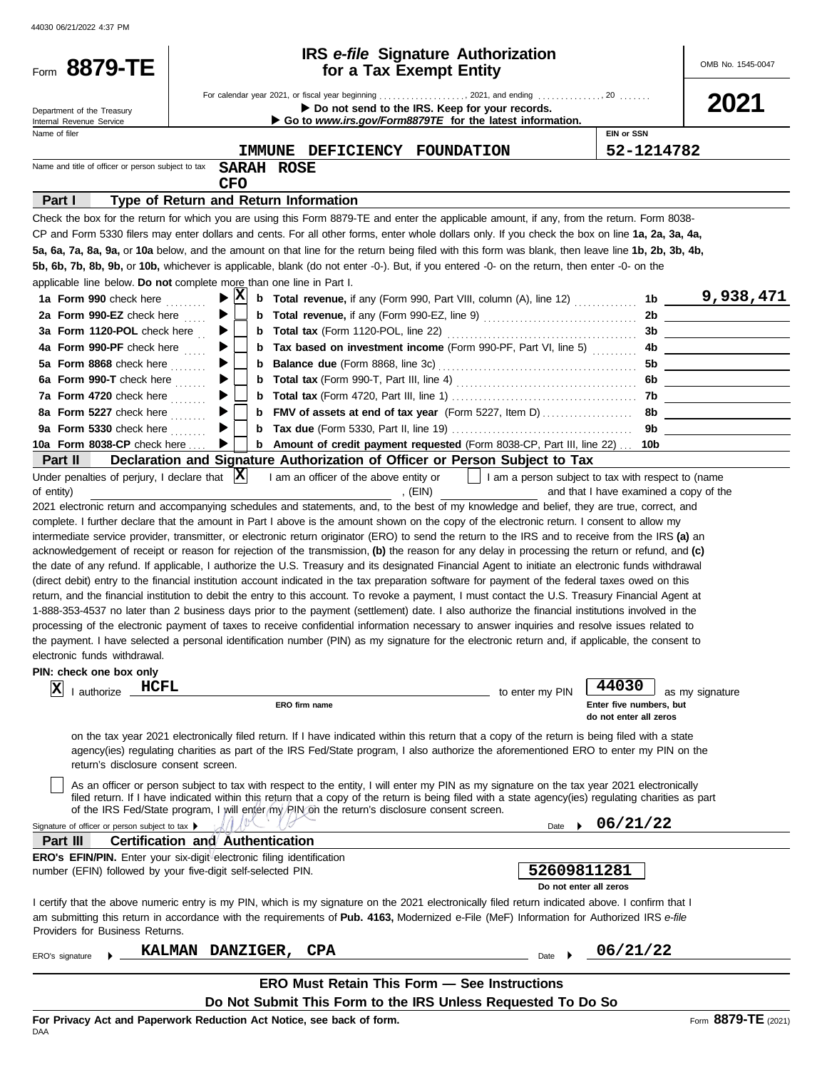| 44030 06/21/2022 4:37 PM                                                                   |                                       |                                                                                                                                                                                                                                                                                                                                                                                                           |                 |                                        |                        |
|--------------------------------------------------------------------------------------------|---------------------------------------|-----------------------------------------------------------------------------------------------------------------------------------------------------------------------------------------------------------------------------------------------------------------------------------------------------------------------------------------------------------------------------------------------------------|-----------------|----------------------------------------|------------------------|
| Form 8879-TE                                                                               |                                       | IRS e-file Signature Authorization<br>for a Tax Exempt Entity                                                                                                                                                                                                                                                                                                                                             |                 |                                        | OMB No. 1545-0047      |
| Department of the Treasury<br>Internal Revenue Service                                     |                                       | For calendar year 2021, or fiscal year beginning  2021, and ending  20<br>Do not send to the IRS. Keep for your records.<br>Go to www.irs.gov/Form8879TE for the latest information.                                                                                                                                                                                                                      |                 |                                        | 2021                   |
| Name of filer                                                                              |                                       |                                                                                                                                                                                                                                                                                                                                                                                                           |                 | <b>EIN or SSN</b>                      |                        |
|                                                                                            |                                       | IMMUNE DEFICIENCY FOUNDATION                                                                                                                                                                                                                                                                                                                                                                              |                 | 52-1214782                             |                        |
| Name and title of officer or person subject to tax                                         | <b>SARAH ROSE</b>                     |                                                                                                                                                                                                                                                                                                                                                                                                           |                 |                                        |                        |
|                                                                                            | <b>CFO</b>                            |                                                                                                                                                                                                                                                                                                                                                                                                           |                 |                                        |                        |
| Part I                                                                                     | Type of Return and Return Information |                                                                                                                                                                                                                                                                                                                                                                                                           |                 |                                        |                        |
|                                                                                            |                                       | Check the box for the return for which you are using this Form 8879-TE and enter the applicable amount, if any, from the return. Form 8038-                                                                                                                                                                                                                                                               |                 |                                        |                        |
|                                                                                            |                                       | CP and Form 5330 filers may enter dollars and cents. For all other forms, enter whole dollars only. If you check the box on line 1a, 2a, 3a, 4a,                                                                                                                                                                                                                                                          |                 |                                        |                        |
|                                                                                            |                                       | 5a, 6a, 7a, 8a, 9a, or 10a below, and the amount on that line for the return being filed with this form was blank, then leave line 1b, 2b, 3b, 4b,                                                                                                                                                                                                                                                        |                 |                                        |                        |
|                                                                                            |                                       | 5b, 6b, 7b, 8b, 9b, or 10b, whichever is applicable, blank (do not enter -0-). But, if you entered -0- on the return, then enter -0- on the                                                                                                                                                                                                                                                               |                 |                                        |                        |
| applicable line below. Do not complete more than one line in Part I.                       | $\blacktriangleright$ $\mathbf{X}$    |                                                                                                                                                                                                                                                                                                                                                                                                           |                 |                                        |                        |
| 1a Form 990 check here<br>2a Form 990-EZ check here $\ldots$                               |                                       | <b>b</b> Total revenue, if any (Form 990, Part VIII, column (A), line 12)  1b $\frac{9,938,471}{\sqrt{100}}$                                                                                                                                                                                                                                                                                              |                 |                                        |                        |
| 3a Form 1120-POL check here                                                                | ▶                                     |                                                                                                                                                                                                                                                                                                                                                                                                           |                 |                                        |                        |
| 4a Form 990-PF check here                                                                  |                                       | <b>b</b> Tax based on investment income (Form 990-PF, Part VI, line 5)                                                                                                                                                                                                                                                                                                                                    |                 |                                        | 3b<br>4b               |
| 5a Form 8868 check here                                                                    |                                       |                                                                                                                                                                                                                                                                                                                                                                                                           |                 |                                        | 5b ___________________ |
| 6a Form 990-T check here $\ldots$                                                          | b                                     |                                                                                                                                                                                                                                                                                                                                                                                                           |                 |                                        | 6b                     |
| 7a Form 4720 check here                                                                    |                                       |                                                                                                                                                                                                                                                                                                                                                                                                           |                 |                                        |                        |
| 8a Form 5227 check here $\ldots$                                                           |                                       |                                                                                                                                                                                                                                                                                                                                                                                                           |                 |                                        |                        |
| 9a Form 5330 check here $\ldots$                                                           |                                       |                                                                                                                                                                                                                                                                                                                                                                                                           |                 |                                        |                        |
| 10a Form 8038-CP check here                                                                | ▶                                     | <b>b</b> Amount of credit payment requested (Form 8038-CP, Part III, line 22)  10b                                                                                                                                                                                                                                                                                                                        |                 |                                        |                        |
| <b>Part II</b>                                                                             |                                       | Declaration and Signature Authorization of Officer or Person Subject to Tax                                                                                                                                                                                                                                                                                                                               |                 |                                        |                        |
| Under penalties of perjury, I declare that $ \mathbf{X} $                                  |                                       | I am an officer of the above entity or     I am a person subject to tax with respect to (name                                                                                                                                                                                                                                                                                                             |                 |                                        |                        |
| of entity)                                                                                 |                                       | , (EIN)                                                                                                                                                                                                                                                                                                                                                                                                   |                 | and that I have examined a copy of the |                        |
|                                                                                            |                                       | 2021 electronic return and accompanying schedules and statements, and, to the best of my knowledge and belief, they are true, correct, and                                                                                                                                                                                                                                                                |                 |                                        |                        |
|                                                                                            |                                       | complete. I further declare that the amount in Part I above is the amount shown on the copy of the electronic return. I consent to allow my<br>intermediate service provider, transmitter, or electronic return originator (ERO) to send the return to the IRS and to receive from the IRS (a) an                                                                                                         |                 |                                        |                        |
|                                                                                            |                                       | acknowledgement of receipt or reason for rejection of the transmission, (b) the reason for any delay in processing the return or refund, and (c)                                                                                                                                                                                                                                                          |                 |                                        |                        |
|                                                                                            |                                       | the date of any refund. If applicable, I authorize the U.S. Treasury and its designated Financial Agent to initiate an electronic funds withdrawal                                                                                                                                                                                                                                                        |                 |                                        |                        |
|                                                                                            |                                       | (direct debit) entry to the financial institution account indicated in the tax preparation software for payment of the federal taxes owed on this                                                                                                                                                                                                                                                         |                 |                                        |                        |
|                                                                                            |                                       | return, and the financial institution to debit the entry to this account. To revoke a payment, I must contact the U.S. Treasury Financial Agent at                                                                                                                                                                                                                                                        |                 |                                        |                        |
|                                                                                            |                                       | 1-888-353-4537 no later than 2 business days prior to the payment (settlement) date. I also authorize the financial institutions involved in the                                                                                                                                                                                                                                                          |                 |                                        |                        |
|                                                                                            |                                       | processing of the electronic payment of taxes to receive confidential information necessary to answer inquiries and resolve issues related to<br>the payment. I have selected a personal identification number (PIN) as my signature for the electronic return and, if applicable, the consent to                                                                                                         |                 |                                        |                        |
| electronic funds withdrawal.                                                               |                                       |                                                                                                                                                                                                                                                                                                                                                                                                           |                 |                                        |                        |
| PIN: check one box only                                                                    |                                       |                                                                                                                                                                                                                                                                                                                                                                                                           |                 |                                        |                        |
| <b>HCFL</b><br> X <br>I authorize                                                          |                                       |                                                                                                                                                                                                                                                                                                                                                                                                           | to enter my PIN | 44030                                  | as my signature        |
|                                                                                            |                                       | ERO firm name                                                                                                                                                                                                                                                                                                                                                                                             |                 | Enter five numbers, but                |                        |
|                                                                                            |                                       |                                                                                                                                                                                                                                                                                                                                                                                                           |                 | do not enter all zeros                 |                        |
| return's disclosure consent screen.                                                        |                                       | on the tax year 2021 electronically filed return. If I have indicated within this return that a copy of the return is being filed with a state<br>agency(ies) regulating charities as part of the IRS Fed/State program, I also authorize the aforementioned ERO to enter my PIN on the                                                                                                                   |                 |                                        |                        |
|                                                                                            |                                       | As an officer or person subject to tax with respect to the entity, I will enter my PIN as my signature on the tax year 2021 electronically<br>filed return. If I have indicated within this return that a copy of the return is being filed with a state agency(ies) regulating charities as part<br>of the IRS Fed/State program, I will enter <i>(my PIN on</i> the return's disclosure consent screen. |                 |                                        |                        |
| Signature of officer or person subject to tax ▶                                            |                                       |                                                                                                                                                                                                                                                                                                                                                                                                           | Date            | 06/21/22                               |                        |
| Part III                                                                                   | Certification and Authentication      |                                                                                                                                                                                                                                                                                                                                                                                                           |                 |                                        |                        |
| <b>ERO's EFIN/PIN.</b> Enter your six-digit <sup>(j</sup> electronic filing identification |                                       |                                                                                                                                                                                                                                                                                                                                                                                                           |                 |                                        |                        |
| number (EFIN) followed by your five-digit self-selected PIN.                               |                                       |                                                                                                                                                                                                                                                                                                                                                                                                           | 52609811281     |                                        |                        |
|                                                                                            |                                       |                                                                                                                                                                                                                                                                                                                                                                                                           |                 | Do not enter all zeros                 |                        |
| Providers for Business Returns.                                                            |                                       | I certify that the above numeric entry is my PIN, which is my signature on the 2021 electronically filed return indicated above. I confirm that I<br>am submitting this return in accordance with the requirements of Pub. 4163, Modernized e-File (MeF) Information for Authorized IRS e-file                                                                                                            |                 |                                        |                        |
| ERO's signature                                                                            | KALMAN<br>DANZIGER, CPA               |                                                                                                                                                                                                                                                                                                                                                                                                           | Date            | 06/21/22                               |                        |
|                                                                                            |                                       |                                                                                                                                                                                                                                                                                                                                                                                                           |                 |                                        |                        |
|                                                                                            |                                       | <b>ERO Must Retain This Form - See Instructions</b><br>Do Not Submit This Form to the IRS Unless Requested To Do So                                                                                                                                                                                                                                                                                       |                 |                                        |                        |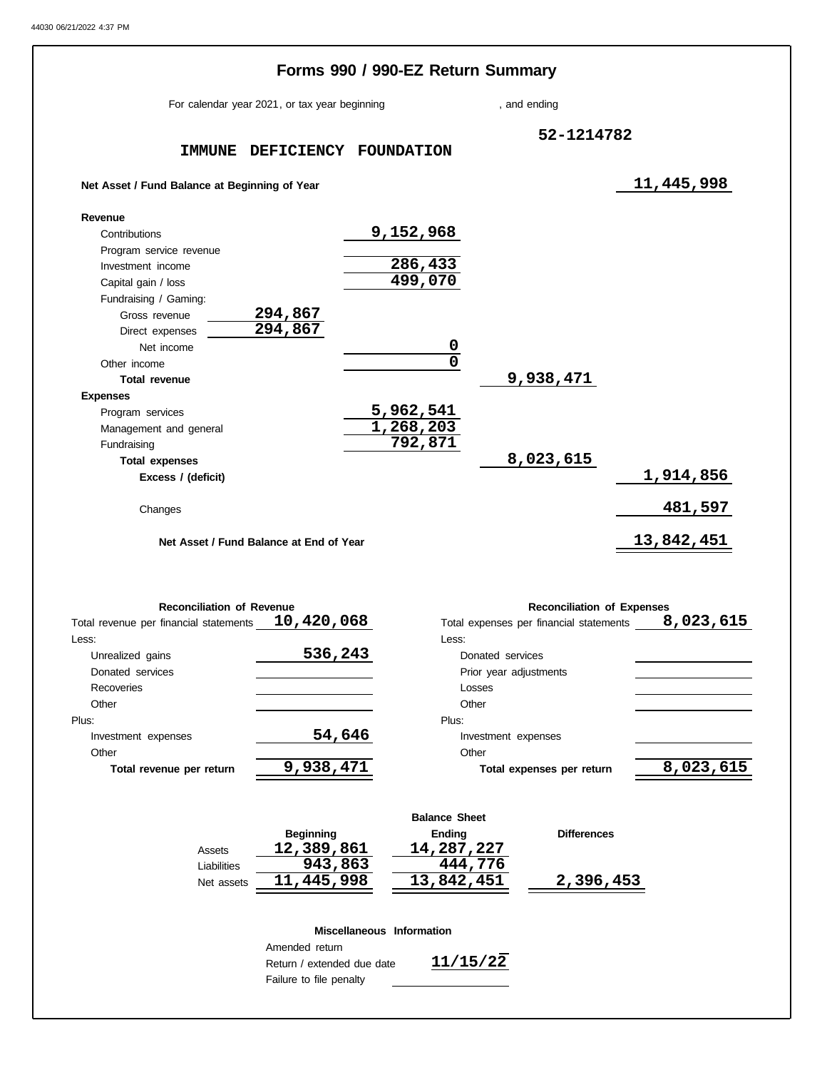|                                                 |                                               | Forms 990 / 990-EZ Return Summary |                                                                              |            |
|-------------------------------------------------|-----------------------------------------------|-----------------------------------|------------------------------------------------------------------------------|------------|
|                                                 | For calendar year 2021, or tax year beginning | , and ending                      |                                                                              |            |
|                                                 |                                               | IMMUNE DEFICIENCY FOUNDATION      | 52-1214782                                                                   |            |
| Net Asset / Fund Balance at Beginning of Year   |                                               |                                   |                                                                              | 11,445,998 |
| Revenue                                         |                                               |                                   |                                                                              |            |
| Contributions                                   |                                               | 9,152,968                         |                                                                              |            |
| Program service revenue                         |                                               |                                   |                                                                              |            |
| Investment income                               |                                               | 286,433<br>499,070                |                                                                              |            |
| Capital gain / loss                             |                                               |                                   |                                                                              |            |
| Fundraising / Gaming:                           |                                               |                                   |                                                                              |            |
| Gross revenue                                   | 294,867                                       |                                   |                                                                              |            |
| Direct expenses                                 | 294,867                                       |                                   |                                                                              |            |
| Net income                                      |                                               | 0                                 |                                                                              |            |
| Other income                                    |                                               | $\overline{\mathbf{o}}$           |                                                                              |            |
| <b>Total revenue</b>                            |                                               |                                   | 9,938,471                                                                    |            |
| <b>Expenses</b>                                 |                                               |                                   |                                                                              |            |
| Program services                                |                                               | 5,962,541                         |                                                                              |            |
| Management and general                          |                                               | 1,268,203                         |                                                                              |            |
| Fundraising                                     |                                               | 792,871                           |                                                                              |            |
| <b>Total expenses</b>                           |                                               |                                   | 8,023,615                                                                    |            |
| Excess / (deficit)                              |                                               |                                   |                                                                              | 1,914,856  |
| Changes                                         |                                               |                                   |                                                                              | 481,597    |
| Net Asset / Fund Balance at End of Year         |                                               |                                   |                                                                              | 13,842,451 |
|                                                 |                                               |                                   |                                                                              |            |
| <b>Reconciliation of Revenue</b>                | 10,420,068                                    |                                   | <b>Reconciliation of Expenses</b><br>Total expenses per financial statements | 8,023,615  |
| Total revenue per financial statements<br>Less: |                                               | Less:                             |                                                                              |            |
| Unrealized gains                                | 536,243                                       |                                   | Donated services                                                             |            |
| Donated services                                |                                               |                                   | Prior year adjustments                                                       |            |
| Recoveries                                      |                                               |                                   | Losses                                                                       |            |

Other **Other** Investment expenses **Total revenue per return** Plus: Plus: **54,646 9,938,471**

| xiai expenses per financiai statements | 0,023,013 |
|----------------------------------------|-----------|
| ess:                                   |           |
| Donated services                       |           |
| Prior year adjustments                 |           |
| Losses                                 |           |
| Other                                  |           |
| us:                                    |           |
| Investment expenses                    |           |
| Other                                  |           |
| Total expenses per return              | 8,023,615 |
|                                        |           |

|             |                  | <b>Balance Sheet</b> |                    |
|-------------|------------------|----------------------|--------------------|
|             | <b>Beginning</b> | <b>Ending</b>        | <b>Differences</b> |
| Assets      | 12,389,861       | 14,287,227           |                    |
| Liabilities | 943,863          | 444,776              |                    |
| Net assets  | 11,445,998       | 13,842,451           | 2,396,453          |

### **Miscellaneous Information**

Return / extended due date Failure to file penalty Amended return

**11/15/22**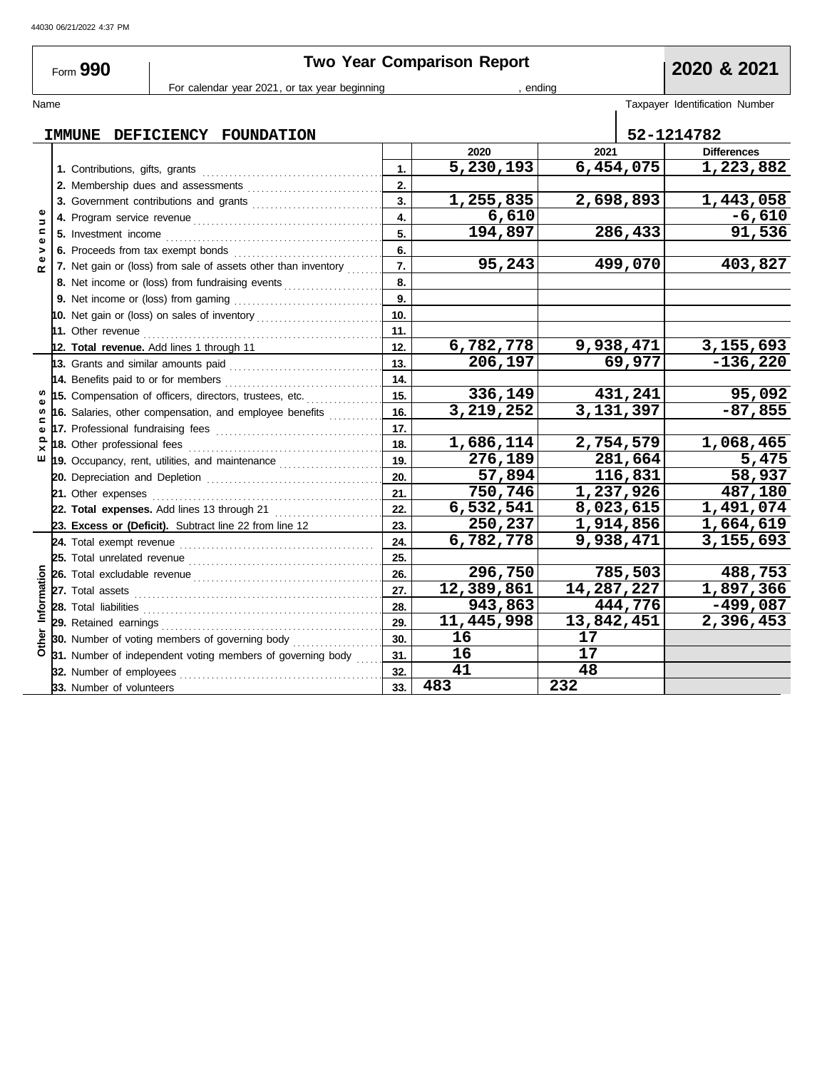|                   | Form 990                                                  |                                                                                                                                                                                                                                     |                  | <b>Two Year Comparison Report</b> |             | 2020 & 2021                    |  |  |  |  |  |
|-------------------|-----------------------------------------------------------|-------------------------------------------------------------------------------------------------------------------------------------------------------------------------------------------------------------------------------------|------------------|-----------------------------------|-------------|--------------------------------|--|--|--|--|--|
|                   | For calendar year 2021, or tax year beginning<br>, ending |                                                                                                                                                                                                                                     |                  |                                   |             |                                |  |  |  |  |  |
| Name              |                                                           |                                                                                                                                                                                                                                     |                  |                                   |             | Taxpayer Identification Number |  |  |  |  |  |
|                   |                                                           |                                                                                                                                                                                                                                     |                  |                                   |             |                                |  |  |  |  |  |
|                   | <b>IMMUNE</b>                                             | DEFICIENCY FOUNDATION                                                                                                                                                                                                               |                  |                                   |             | 52-1214782                     |  |  |  |  |  |
|                   |                                                           |                                                                                                                                                                                                                                     |                  | 2020                              | 2021        | <b>Differences</b>             |  |  |  |  |  |
|                   |                                                           |                                                                                                                                                                                                                                     | $\mathbf{1}$ .   | 5,230,193                         | 6,454,075   | 1,223,882                      |  |  |  |  |  |
|                   |                                                           |                                                                                                                                                                                                                                     | 2.               |                                   |             |                                |  |  |  |  |  |
|                   |                                                           | 3. Government contributions and grants                                                                                                                                                                                              | 3.               | 1,255,835                         | 2,698,893   | 1,443,058                      |  |  |  |  |  |
| Φ<br>$\mathbf{a}$ |                                                           |                                                                                                                                                                                                                                     | 4.               | 6,610                             |             | $-6,610$                       |  |  |  |  |  |
|                   |                                                           |                                                                                                                                                                                                                                     | 5.               | 194,897                           | 286,433     | 91,536                         |  |  |  |  |  |
| >                 |                                                           | 6. Proceeds from tax exempt bonds                                                                                                                                                                                                   | 6.               |                                   |             |                                |  |  |  |  |  |
| œ                 |                                                           | 7. Net gain or (loss) from sale of assets other than inventory                                                                                                                                                                      | $\overline{7}$ . | 95,243                            | 499,070     | 403,827                        |  |  |  |  |  |
|                   |                                                           | 8. Net income or (loss) from fundraising events                                                                                                                                                                                     | 8.               |                                   |             |                                |  |  |  |  |  |
|                   |                                                           |                                                                                                                                                                                                                                     | 9.               |                                   |             |                                |  |  |  |  |  |
|                   |                                                           |                                                                                                                                                                                                                                     | 10.              |                                   |             |                                |  |  |  |  |  |
|                   |                                                           |                                                                                                                                                                                                                                     | 11.              |                                   |             |                                |  |  |  |  |  |
|                   |                                                           | 12. Total revenue. Add lines 1 through 11                                                                                                                                                                                           | 12.              | 6,782,778                         | 9,938,471   | 3,155,693                      |  |  |  |  |  |
|                   |                                                           |                                                                                                                                                                                                                                     | 13.              | 206,197                           | 69,977      | $-136,220$                     |  |  |  |  |  |
|                   | 14. Benefits paid to or for members                       |                                                                                                                                                                                                                                     | 14.              |                                   |             |                                |  |  |  |  |  |
|                   |                                                           | 15. Compensation of officers, directors, trustees, etc.                                                                                                                                                                             | 15.              | 336,149                           | 431,241     | 95,092                         |  |  |  |  |  |
|                   |                                                           | 16. Salaries, other compensation, and employee benefits                                                                                                                                                                             | 16.              | 3,219,252                         | 3, 131, 397 | $-87,855$                      |  |  |  |  |  |
|                   |                                                           |                                                                                                                                                                                                                                     | 17.              |                                   |             |                                |  |  |  |  |  |
|                   | 18. Other professional fees                               |                                                                                                                                                                                                                                     | 18.              | 1,686,114                         | 2,754,579   | 1,068,465                      |  |  |  |  |  |
|                   |                                                           | 19. Occupancy, rent, utilities, and maintenance                                                                                                                                                                                     | 19.              | 276,189                           | 281,664     | 5,475                          |  |  |  |  |  |
|                   |                                                           |                                                                                                                                                                                                                                     | 20.              | 57,894                            | 116,831     | 58,937                         |  |  |  |  |  |
|                   |                                                           | 21. Other expenses <b>constants</b> and the constant of the constant of the constant of the constant of the constant of the constant of the constant of the constant of the constant of the constant of the constant of the constan | 21.              | 750,746                           | 1,237,926   | 487,180                        |  |  |  |  |  |
|                   |                                                           |                                                                                                                                                                                                                                     |                  |                                   |             |                                |  |  |  |  |  |

**24. 23. 22.** **6,532,541 8,023,615 1,491,074 250,237 1,914,856 1,664,619 6,782,778 9,938,471 3,155,693**

**296,750 785,503 488,753**

**943,863 444,776 -499,087 11,445,998 13,842,451 2,396,453**

**12,389,861 14,287,227 1,897,366**

 $\frac{48}{232}$ 

**16 17**

**26. 27.**

**32. 31. 30.**

 $\frac{16}{41}$ 

**483 232**

Total liabilities . . . . . . . . . . . . . . . . . . . . . . . . . . . . . . . . . . . . . . . . . . . . . . . . . . . . . **28. 28.**

Retained earnings . . . . . . . . . . . . . . . . . . . . . . . . . . . . . . . . . . . . . . . . . . . . . . . . . **29. 29.**

**33.** Number of volunteers **33.**

Total assets . . . . . . . . . . . . . . . . . . . . . . . . . . . . . . . . . . . . . . . . . . . . . . . . . . . . . . . **27.**

**30.** Number of voting members of governing body ............. **31.** Number of independent voting members of governing body  $\ldots$ **32.** Number of employees . . . . . . . . . . . . . . . . . . . . . . . . . . . . . . . . . . . . . . . . . . . . .

Total excludable revenue . . . . . . . . . . . . . . . . . . . . . . . . . . . . . . . . . . . . . . . . . . **26.**

**Total expenses.** Add lines 13 through 21 . . . . . . . . . . . . . . . . . . . . . . . . **22.**

**24.** Total exempt revenue . . . . . . . . . . . . . . . . . . . . . . . . . . . . . . . . . . . . . . . . . . . **25. 25.** Total unrelated revenue . . . . . . . . . . . . . . . . . . . . . . . . . . . . . . . . . . . . . . . . . . .

**Excess or (Deficit).** Subtract line 22 from line 12 **23.**

**Other Information**

Information

Other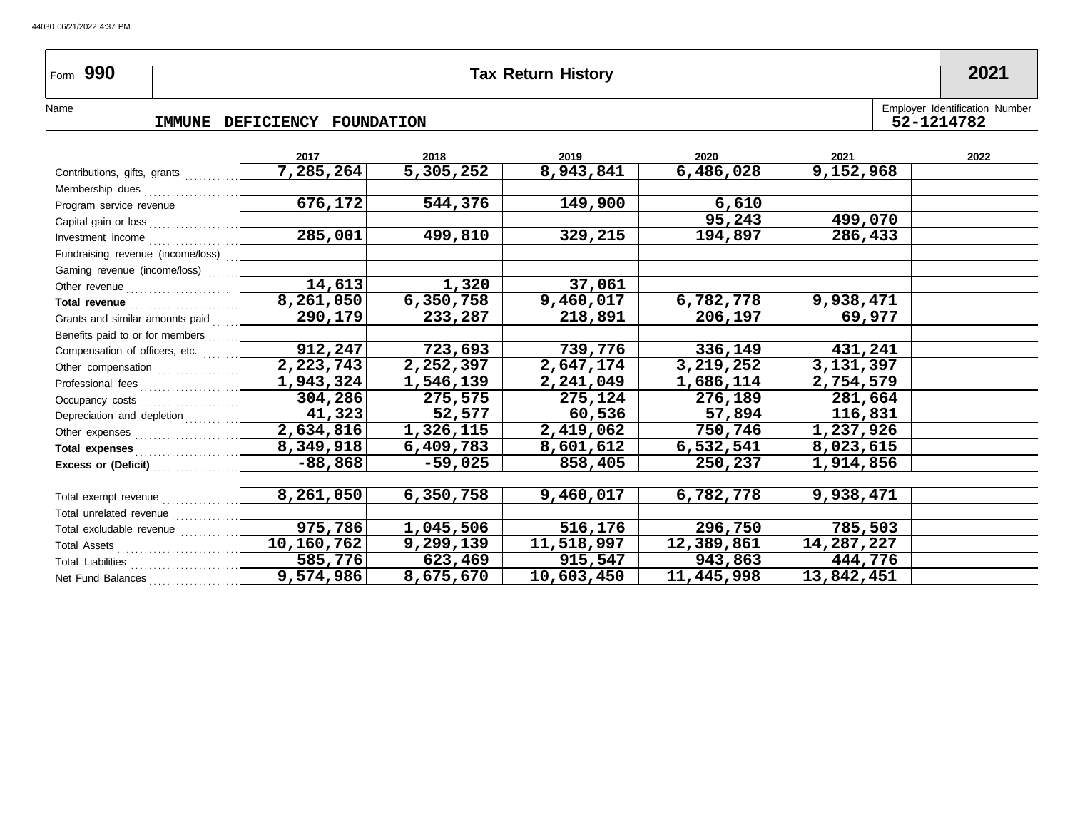# Form **990 Tax Return History 2021**

### **IMMUNE DEFICIENCY FOUNDATION 52-1214782**

|                                                                                                                      | 2017         | 2018      | 2019       | 2020       | 2021       | 2022 |
|----------------------------------------------------------------------------------------------------------------------|--------------|-----------|------------|------------|------------|------|
| Contributions, gifts, grants                                                                                         | 7,285,264    | 5,305,252 | 8,943,841  | 6,486,028  | 9,152,968  |      |
| Membership dues                                                                                                      |              |           |            |            |            |      |
| Program service revenue                                                                                              | 676,172      | 544,376   | 149,900    | 6,610      |            |      |
| Capital gain or loss                                                                                                 |              |           |            | 95,243     | 499,070    |      |
| Investment income                                                                                                    | 285,001      | 499,810   | 329,215    | 194,897    | 286,433    |      |
| Fundraising revenue (income/loss)                                                                                    |              |           |            |            |            |      |
| Gaming revenue (income/loss)                                                                                         |              |           |            |            |            |      |
|                                                                                                                      | 14,613       | 1,320     | 37,061     |            |            |      |
|                                                                                                                      | 8,261,050    | 6,350,758 | 9,460,017  | 6,782,778  | 9,938,471  |      |
| Grants and similar amounts paid                                                                                      | 290,179      | 233,287   | 218,891    | 206,197    | 69,977     |      |
| Benefits paid to or for members                                                                                      |              |           |            |            |            |      |
| Compensation of officers, etc.                                                                                       | 912, 247     | 723,693   | 739,776    | 336,149    | 431,241    |      |
| Other compensation                                                                                                   | 2, 223, 743  | 2,252,397 | 2,647,174  | 3,219,252  | 3,131,397  |      |
|                                                                                                                      | 1,943,324    | 1,546,139 | 2,241,049  | 1,686,114  | 2,754,579  |      |
| Occupancy costs                                                                                                      | 304,286      | 275,575   | 275,124    | 276,189    | 281,664    |      |
| Depreciation and depletion                                                                                           | 41,323       | 52,577    | 60,536     | 57,894     | 116,831    |      |
| Other expenses <b>contained</b>                                                                                      | 2,634,816    | 1,326,115 | 2,419,062  | 750,746    | 1,237,926  |      |
| Total expenses <b>constructs</b> and a series and a series and a series and a series and a series and a series and a | 8,349,918    | 6,409,783 | 8,601,612  | 6,532,541  | 8,023,615  |      |
| Excess or (Deficit)                                                                                                  | $-88,868$    | -59,025   | 858,405    | 250,237    | 1,914,856  |      |
|                                                                                                                      |              |           |            |            |            |      |
| Total exempt revenue                                                                                                 | 8,261,050    | 6,350,758 | 9,460,017  | 6,782,778  | 9,938,471  |      |
| Total unrelated revenue                                                                                              |              |           |            |            |            |      |
| Total excludable revenue                                                                                             | 975,786      | 1,045,506 | 516,176    | 296,750    | 785,503    |      |
| Total Assets                                                                                                         | 10, 160, 762 | 9,299,139 | 11,518,997 | 12,389,861 | 14,287,227 |      |
| Total Liabilities                                                                                                    | 585,776      | 623,469   | 915,547    | 943,863    | 444,776    |      |
| Net Fund Balances                                                                                                    | 9,574,986    | 8,675,670 | 10,603,450 | 11,445,998 | 13,842,451 |      |

Name  $\begin{array}{|c|c|c|c|c|c|}\n\hline\n\text{Number} & \text{Lamp: The image is a function of the image is a function of the image.}\n\hline\n\end{array}$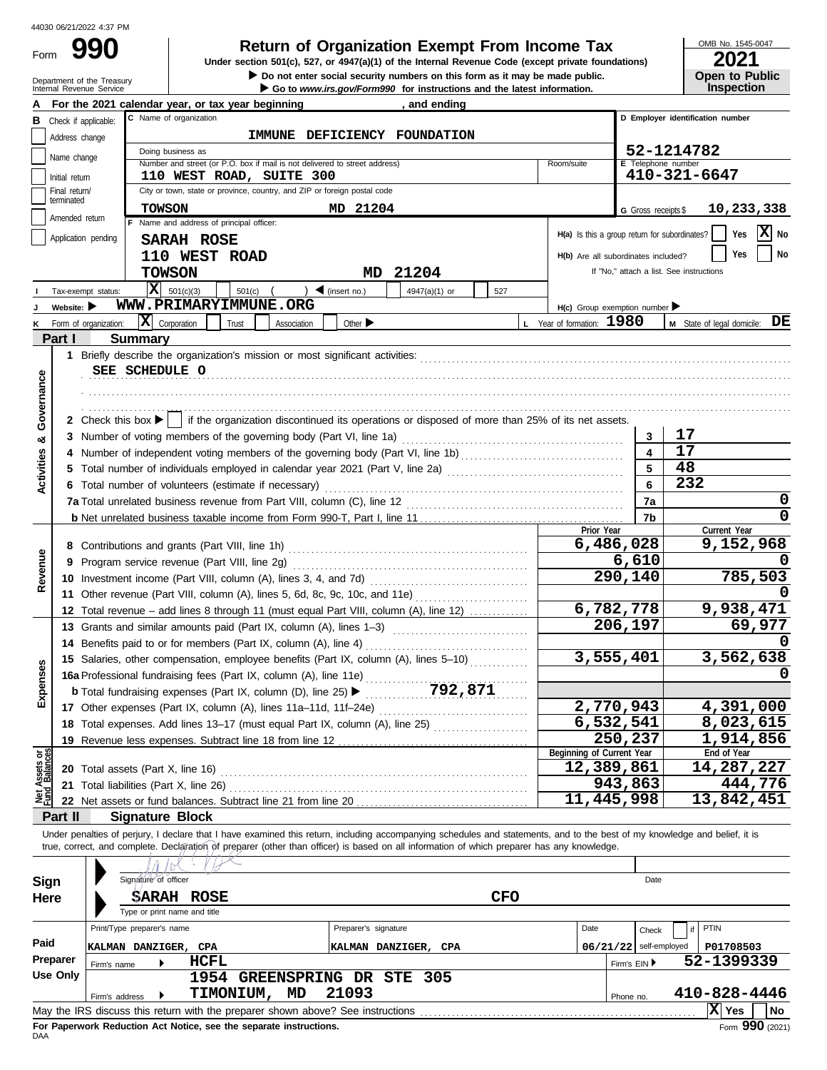Form

▶ Go to *www.irs.gov/Form990* for instructions and the latest information.  $\triangleright$  Do not enter social security numbers on this form as it may be made public. **990 2011 2018 2021 2021 Depend From Income Tax 2021 2021 2021 2021** 

OMB No. 1545-0047

| ZUZ 1                 |
|-----------------------|
| <b>Open to Public</b> |
| <b>Inspection</b>     |

|                                |                 | Department of the Treasury<br>Internal Revenue Service |                              |                                                   |                                                                                                        |                             | $\blacktriangleright$ Do not enter social security numbers on this form as it may be made public.<br>Go to www.irs.gov/Form990 for instructions and the latest information. |                                     |                          | <b>Open to Public</b><br><b>Inspection</b>                   |  |  |
|--------------------------------|-----------------|--------------------------------------------------------|------------------------------|---------------------------------------------------|--------------------------------------------------------------------------------------------------------|-----------------------------|-----------------------------------------------------------------------------------------------------------------------------------------------------------------------------|-------------------------------------|--------------------------|--------------------------------------------------------------|--|--|
|                                |                 |                                                        |                              | For the 2021 calendar year, or tax year beginning |                                                                                                        |                             | , and ending                                                                                                                                                                |                                     |                          |                                                              |  |  |
| В                              |                 | Check if applicable:                                   | C Name of organization       |                                                   | D Employer identification number                                                                       |                             |                                                                                                                                                                             |                                     |                          |                                                              |  |  |
|                                | Address change  |                                                        | IMMUNE DEFICIENCY FOUNDATION |                                                   |                                                                                                        |                             |                                                                                                                                                                             |                                     |                          |                                                              |  |  |
|                                | Name change     |                                                        | Doing business as            |                                                   |                                                                                                        |                             |                                                                                                                                                                             |                                     | 52-1214782               |                                                              |  |  |
|                                | Initial return  |                                                        |                              |                                                   | Number and street (or P.O. box if mail is not delivered to street address)<br>110 WEST ROAD, SUITE 300 |                             |                                                                                                                                                                             | Room/suite                          | E Telephone number       | 410-321-6647                                                 |  |  |
|                                | Final return/   |                                                        |                              |                                                   | City or town, state or province, country, and ZIP or foreign postal code                               |                             |                                                                                                                                                                             |                                     |                          |                                                              |  |  |
|                                | terminated      |                                                        | <b>TOWSON</b>                |                                                   |                                                                                                        | MD 21204                    |                                                                                                                                                                             |                                     | G Gross receipts \$      | 10,233,338                                                   |  |  |
|                                | Amended return  |                                                        |                              | F Name and address of principal officer:          |                                                                                                        |                             |                                                                                                                                                                             |                                     |                          |                                                              |  |  |
|                                |                 | Application pending                                    |                              | SARAH ROSE                                        |                                                                                                        |                             |                                                                                                                                                                             |                                     |                          | X No<br>H(a) Is this a group return for subordinates?<br>Yes |  |  |
|                                |                 |                                                        |                              | 110 WEST ROAD                                     |                                                                                                        |                             |                                                                                                                                                                             | H(b) Are all subordinates included? |                          | No<br>Yes                                                    |  |  |
|                                |                 |                                                        | <b>TOWSON</b>                |                                                   |                                                                                                        | MD.                         | 21204                                                                                                                                                                       |                                     |                          | If "No," attach a list. See instructions                     |  |  |
|                                |                 | Tax-exempt status:                                     | $ \mathbf{X} $ 501(c)(3)     |                                                   | 501(c)                                                                                                 | $\int$ (insert no.)         | 4947(a)(1) or<br>527                                                                                                                                                        |                                     |                          |                                                              |  |  |
|                                | Website:        |                                                        |                              |                                                   | WWW.PRIMARYIMMUNE.ORG                                                                                  |                             |                                                                                                                                                                             | $H(c)$ Group exemption number       |                          |                                                              |  |  |
|                                |                 | Form of organization:                                  | $\mathbf{X}$ Corporation     | Trust                                             | Association                                                                                            | Other $\blacktriangleright$ |                                                                                                                                                                             | L Year of formation: 1980           |                          | M State of legal domicile: DE                                |  |  |
|                                | Part I          |                                                        | Summary                      |                                                   |                                                                                                        |                             |                                                                                                                                                                             |                                     |                          |                                                              |  |  |
|                                |                 |                                                        |                              |                                                   |                                                                                                        |                             |                                                                                                                                                                             |                                     |                          |                                                              |  |  |
|                                |                 | SEE SCHEDULE O                                         |                              |                                                   |                                                                                                        |                             |                                                                                                                                                                             |                                     |                          |                                                              |  |  |
|                                |                 |                                                        |                              |                                                   |                                                                                                        |                             |                                                                                                                                                                             |                                     |                          |                                                              |  |  |
| Governance                     |                 |                                                        |                              |                                                   |                                                                                                        |                             |                                                                                                                                                                             |                                     |                          |                                                              |  |  |
|                                |                 |                                                        |                              |                                                   |                                                                                                        |                             | 2 Check this box $\blacktriangleright$   if the organization discontinued its operations or disposed of more than 25% of its net assets.                                    |                                     |                          |                                                              |  |  |
| න්                             |                 |                                                        |                              |                                                   | 3 Number of voting members of the governing body (Part VI, line 1a)                                    |                             |                                                                                                                                                                             |                                     | 3                        | 17                                                           |  |  |
|                                |                 |                                                        |                              |                                                   |                                                                                                        |                             |                                                                                                                                                                             |                                     |                          | 17                                                           |  |  |
|                                |                 |                                                        |                              |                                                   |                                                                                                        |                             |                                                                                                                                                                             |                                     | 5                        | 48                                                           |  |  |
| <b>Activities</b>              |                 |                                                        |                              |                                                   | 6 Total number of volunteers (estimate if necessary)                                                   |                             |                                                                                                                                                                             |                                     | 6                        | 232                                                          |  |  |
|                                |                 |                                                        |                              |                                                   |                                                                                                        |                             |                                                                                                                                                                             |                                     | 7a                       | 0                                                            |  |  |
|                                |                 |                                                        |                              |                                                   |                                                                                                        |                             |                                                                                                                                                                             |                                     | 7b                       | 0                                                            |  |  |
|                                |                 |                                                        |                              |                                                   |                                                                                                        |                             |                                                                                                                                                                             | Prior Year                          |                          | Current Year                                                 |  |  |
|                                |                 |                                                        |                              |                                                   |                                                                                                        |                             |                                                                                                                                                                             |                                     | 6,486,028                | 9,152,968                                                    |  |  |
| Revenue                        |                 |                                                        |                              |                                                   |                                                                                                        |                             |                                                                                                                                                                             |                                     | 6,610                    |                                                              |  |  |
|                                |                 |                                                        |                              |                                                   |                                                                                                        |                             |                                                                                                                                                                             |                                     | 290,140                  | 785,503                                                      |  |  |
|                                |                 |                                                        |                              |                                                   |                                                                                                        |                             | 11 Other revenue (Part VIII, column (A), lines 5, 6d, 8c, 9c, 10c, and 11e)                                                                                                 |                                     |                          |                                                              |  |  |
|                                |                 |                                                        |                              |                                                   |                                                                                                        |                             | 12 Total revenue – add lines 8 through 11 (must equal Part VIII, column (A), line 12)                                                                                       |                                     | 6,782,778                | 9,938,471                                                    |  |  |
|                                |                 |                                                        |                              |                                                   |                                                                                                        |                             |                                                                                                                                                                             |                                     | 206,197                  | 69,977                                                       |  |  |
|                                |                 |                                                        |                              |                                                   |                                                                                                        |                             |                                                                                                                                                                             |                                     |                          |                                                              |  |  |
| <b>ISES</b>                    |                 |                                                        |                              |                                                   |                                                                                                        |                             | 15 Salaries, other compensation, employee benefits (Part IX, column (A), lines 5-10)                                                                                        |                                     | 3,555,401                | 3,562,638                                                    |  |  |
|                                |                 |                                                        |                              |                                                   | 16a Professional fundraising fees (Part IX, column (A), line 11e)                                      |                             |                                                                                                                                                                             |                                     |                          | 0                                                            |  |  |
| Exper                          |                 |                                                        |                              |                                                   |                                                                                                        |                             |                                                                                                                                                                             |                                     |                          |                                                              |  |  |
|                                |                 |                                                        |                              |                                                   |                                                                                                        |                             |                                                                                                                                                                             |                                     | 2,770,943                | 4,391,000<br>8,023,615                                       |  |  |
|                                |                 |                                                        |                              |                                                   |                                                                                                        |                             | 18 Total expenses. Add lines 13-17 (must equal Part IX, column (A), line 25)                                                                                                |                                     | 6,532,541<br>250,237     | 1,914,856                                                    |  |  |
|                                |                 |                                                        |                              |                                                   |                                                                                                        |                             |                                                                                                                                                                             | Beginning of Current Year           |                          | End of Year                                                  |  |  |
| Net Assets or<br>Fund Balances |                 |                                                        |                              |                                                   |                                                                                                        |                             |                                                                                                                                                                             |                                     | 12,389,861               | 14,287,227                                                   |  |  |
|                                |                 | 21 Total liabilities (Part X, line 26)                 |                              |                                                   |                                                                                                        |                             |                                                                                                                                                                             |                                     | 943,863                  | 444,776                                                      |  |  |
|                                |                 |                                                        |                              |                                                   |                                                                                                        |                             |                                                                                                                                                                             |                                     | 11,445,998               | 13,842,451                                                   |  |  |
|                                | Part II         |                                                        | <b>Signature Block</b>       |                                                   |                                                                                                        |                             |                                                                                                                                                                             |                                     |                          |                                                              |  |  |
|                                |                 |                                                        |                              |                                                   |                                                                                                        |                             | Under penalties of perjury, I declare that I have examined this return, including accompanying schedules and statements, and to the best of my knowledge and belief, it is  |                                     |                          |                                                              |  |  |
|                                |                 |                                                        |                              |                                                   |                                                                                                        |                             | true, correct, and complete. Declaration of preparer (other than officer) is based on all information of which preparer has any knowledge.                                  |                                     |                          |                                                              |  |  |
|                                |                 |                                                        |                              |                                                   |                                                                                                        |                             |                                                                                                                                                                             |                                     |                          |                                                              |  |  |
| Sign                           |                 |                                                        | Signature of officer         |                                                   |                                                                                                        |                             |                                                                                                                                                                             |                                     | Date                     |                                                              |  |  |
| Here                           |                 |                                                        |                              | <b>SARAH ROSE</b>                                 |                                                                                                        |                             | <b>CFO</b>                                                                                                                                                                  |                                     |                          |                                                              |  |  |
|                                |                 |                                                        |                              | Type or print name and title                      |                                                                                                        |                             |                                                                                                                                                                             |                                     |                          |                                                              |  |  |
|                                |                 | Print/Type preparer's name                             |                              |                                                   |                                                                                                        | Preparer's signature        |                                                                                                                                                                             | Date                                | Check                    | PTIN                                                         |  |  |
| Paid                           |                 | KALMAN DANZIGER, CPA                                   |                              |                                                   |                                                                                                        |                             | KALMAN DANZIGER, CPA                                                                                                                                                        |                                     | $06/21/22$ self-employed | P01708503                                                    |  |  |
|                                | Preparer        | Firm's name                                            | ▶                            | HCFL                                              |                                                                                                        |                             |                                                                                                                                                                             |                                     | Firm's EIN ▶             | 52-1399339                                                   |  |  |
|                                | <b>Use Only</b> |                                                        |                              |                                                   | 1954 GREENSPRING DR STE 305                                                                            |                             |                                                                                                                                                                             |                                     |                          |                                                              |  |  |
|                                |                 | Firm's address                                         | ▸                            |                                                   | TIMONIUM, MD                                                                                           | 21093                       |                                                                                                                                                                             |                                     | Phone no.                | 410-828-4446                                                 |  |  |
|                                |                 |                                                        |                              |                                                   |                                                                                                        |                             |                                                                                                                                                                             |                                     |                          | X Yes<br>No                                                  |  |  |

| Sign     | Signature of officer         |                                                                      |                                                                                 |            | Date                     |                    |
|----------|------------------------------|----------------------------------------------------------------------|---------------------------------------------------------------------------------|------------|--------------------------|--------------------|
| Here     | <b>SARAH</b>                 | <b>ROSE</b>                                                          |                                                                                 | <b>CFO</b> |                          |                    |
|          | Type or print name and title |                                                                      |                                                                                 |            |                          |                    |
|          | Print/Type preparer's name   |                                                                      | Preparer's signature                                                            | Date       | Check                    | <b>PTIN</b>        |
| Paid     | KALMAN DANZIGER, CPA         |                                                                      | KALMAN DANZIGER, CPA                                                            |            | $06/21/22$ self-employed | P01708503          |
| Preparer | Firm's name                  | HCFL                                                                 |                                                                                 |            | Firm's EIN ▶             | 52-1399339         |
| Use Only |                              | 1954                                                                 | <b>GREENSPRING</b><br>DR STE 305                                                |            |                          |                    |
|          | Firm's address               | <b>TIMONIUM,</b>                                                     | 21093<br>MD                                                                     |            | Phone no.                | 410-828-4446       |
|          |                              |                                                                      | May the IRS discuss this return with the preparer shown above? See instructions |            |                          | X Yes<br>  No      |
|          |                              | Fee Denomicals Dedication, Ant Nation, non-the-noncuote inctrustions |                                                                                 |            |                          | $0.00 \ldots$<br>- |

**For Paperwork Reduction Act Notice, see the separate instructions.**<br>DAA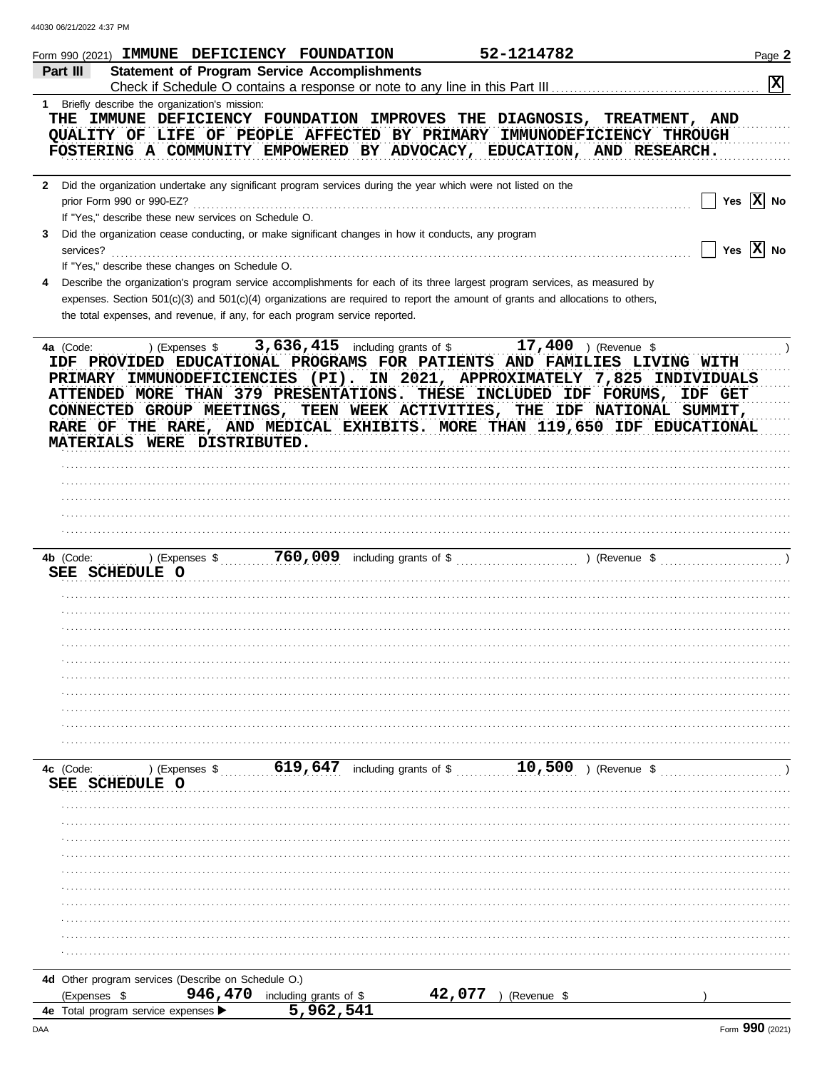|              |                                                                                                         | Form 990 (2021) IMMUNE DEFICIENCY FOUNDATION                                                                                                                                                                                                                                                                                                                                                                                  | 52-1214782                          |                        | Page 2         |
|--------------|---------------------------------------------------------------------------------------------------------|-------------------------------------------------------------------------------------------------------------------------------------------------------------------------------------------------------------------------------------------------------------------------------------------------------------------------------------------------------------------------------------------------------------------------------|-------------------------------------|------------------------|----------------|
| Part III     |                                                                                                         | <b>Statement of Program Service Accomplishments</b>                                                                                                                                                                                                                                                                                                                                                                           |                                     |                        | $ \mathbf{x} $ |
| THE          | 1 Briefly describe the organization's mission:                                                          | IMMUNE DEFICIENCY FOUNDATION IMPROVES THE DIAGNOSIS, TREATMENT, AND<br>QUALITY OF LIFE OF PEOPLE AFFECTED BY PRIMARY IMMUNODEFICIENCY THROUGH<br>FOSTERING A COMMUNITY EMPOWERED BY ADVOCACY, EDUCATION, AND RESEARCH.                                                                                                                                                                                                        |                                     |                        |                |
|              | prior Form 990 or 990-EZ?                                                                               | 2 Did the organization undertake any significant program services during the year which were not listed on the                                                                                                                                                                                                                                                                                                                |                                     |                        | Yes $ X $ No   |
| services?    | If "Yes," describe these new services on Schedule O.<br>If "Yes," describe these changes on Schedule O. | Did the organization cease conducting, or make significant changes in how it conducts, any program                                                                                                                                                                                                                                                                                                                            |                                     |                        | Yes $ X $ No   |
|              |                                                                                                         | Describe the organization's program service accomplishments for each of its three largest program services, as measured by<br>expenses. Section 501(c)(3) and 501(c)(4) organizations are required to report the amount of grants and allocations to others,<br>the total expenses, and revenue, if any, for each program service reported.                                                                                   |                                     |                        |                |
| 4a (Code:    | ) (Expenses \$<br>MATERIALS WERE DISTRIBUTED.                                                           | 3,636,415 including grants of \$<br>IDF PROVIDED EDUCATIONAL PROGRAMS FOR PATIENTS AND FAMILIES LIVING WITH<br>PRIMARY IMMUNODEFICIENCIES (PI). IN 2021, APPROXIMATELY 7,825 INDIVIDUALS<br>ATTENDED MORE THAN 379 PRESENTATIONS. THESE INCLUDED IDF FORUMS, IDF GET<br>CONNECTED GROUP MEETINGS, TEEN WEEK ACTIVITIES, THE IDF NATIONAL SUMMIT,<br>RARE OF THE RARE, AND MEDICAL EXHIBITS. MORE THAN 119,650 IDF EDUCATIONAL |                                     | 17,400 ) (Revenue \$   |                |
|              |                                                                                                         |                                                                                                                                                                                                                                                                                                                                                                                                                               |                                     |                        |                |
| 4b (Code:    | ) (Expenses \$<br>SEE SCHEDULE O                                                                        | 760,009                                                                                                                                                                                                                                                                                                                                                                                                                       | including grants of \$ (Revenue \$) |                        |                |
|              |                                                                                                         |                                                                                                                                                                                                                                                                                                                                                                                                                               |                                     |                        |                |
| 4c (Code:    | ) (Expenses \$<br><b>SCHEDULE O</b>                                                                     | 619, 647 including grants of \$                                                                                                                                                                                                                                                                                                                                                                                               |                                     | $10,500$ ) (Revenue \$ |                |
|              |                                                                                                         |                                                                                                                                                                                                                                                                                                                                                                                                                               |                                     |                        |                |
|              |                                                                                                         |                                                                                                                                                                                                                                                                                                                                                                                                                               |                                     |                        |                |
| (Expenses \$ | 4d Other program services (Describe on Schedule O.)                                                     | 946, 470 including grants of \$                                                                                                                                                                                                                                                                                                                                                                                               | 42,077<br>(Revenue \$               |                        |                |
|              | 4e Total program service expenses                                                                       | 5,962,541                                                                                                                                                                                                                                                                                                                                                                                                                     |                                     |                        |                |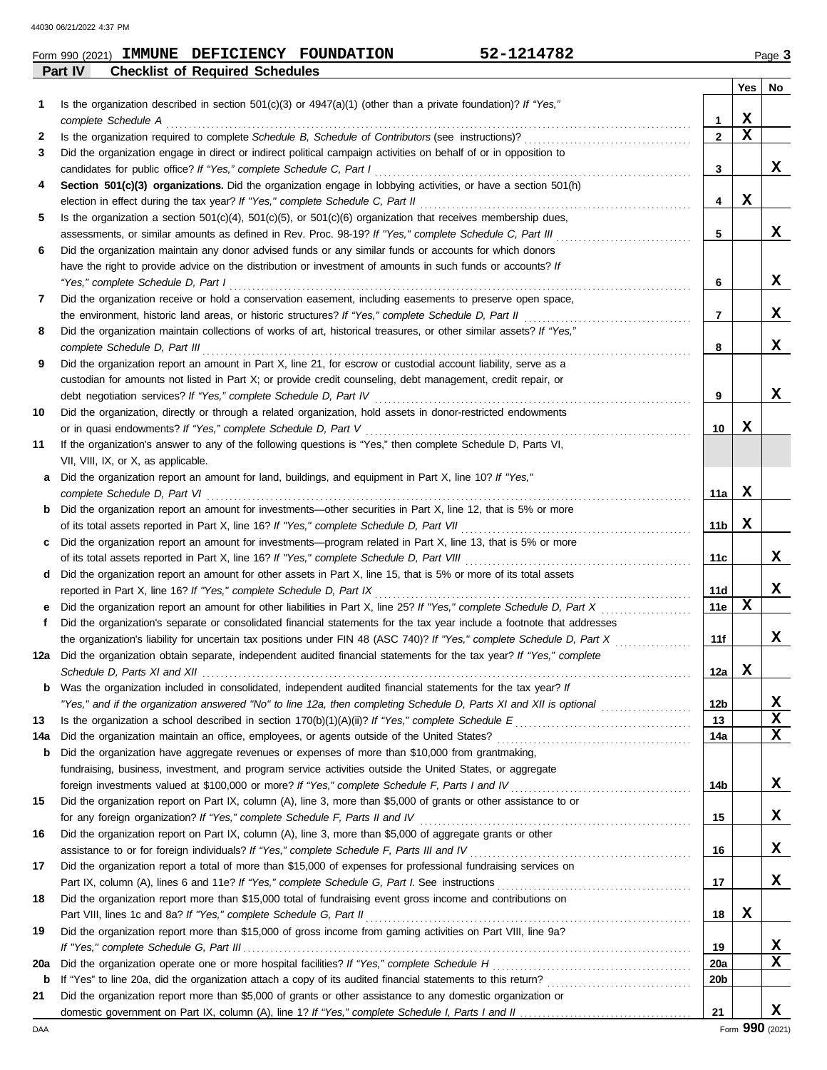| Form<br>990 (2021) | <b>IMMUNE</b> | <b>DEFICIENCY</b>                      | <b>FOUNDATION</b> | 4782 | Page |
|--------------------|---------------|----------------------------------------|-------------------|------|------|
| <b>Part IV</b>     |               | <b>Checklist of Required Schedules</b> |                   |      |      |

|     |                                                                                                                                                                                                   |                 | Yes | No |
|-----|---------------------------------------------------------------------------------------------------------------------------------------------------------------------------------------------------|-----------------|-----|----|
| 1   | Is the organization described in section $501(c)(3)$ or $4947(a)(1)$ (other than a private foundation)? If "Yes,"                                                                                 |                 |     |    |
|     | complete Schedule A                                                                                                                                                                               | 1               | x   |    |
| 2   |                                                                                                                                                                                                   | $\mathbf{2}$    | x   |    |
| 3   | Did the organization engage in direct or indirect political campaign activities on behalf of or in opposition to                                                                                  |                 |     |    |
|     | candidates for public office? If "Yes," complete Schedule C, Part I                                                                                                                               | 3               |     | x  |
| 4   | Section 501(c)(3) organizations. Did the organization engage in lobbying activities, or have a section 501(h)                                                                                     |                 |     |    |
|     | election in effect during the tax year? If "Yes," complete Schedule C, Part II                                                                                                                    | 4               | x   |    |
| 5   | Is the organization a section $501(c)(4)$ , $501(c)(5)$ , or $501(c)(6)$ organization that receives membership dues,                                                                              |                 |     |    |
|     | assessments, or similar amounts as defined in Rev. Proc. 98-19? If "Yes," complete Schedule C, Part III                                                                                           | 5               |     | x  |
| 6   | Did the organization maintain any donor advised funds or any similar funds or accounts for which donors                                                                                           |                 |     |    |
|     | have the right to provide advice on the distribution or investment of amounts in such funds or accounts? If                                                                                       |                 |     |    |
|     | "Yes," complete Schedule D, Part I                                                                                                                                                                | 6               |     | X. |
| 7   | Did the organization receive or hold a conservation easement, including easements to preserve open space,                                                                                         |                 |     |    |
|     | the environment, historic land areas, or historic structures? If "Yes," complete Schedule D, Part II                                                                                              | 7               |     | X. |
| 8   | Did the organization maintain collections of works of art, historical treasures, or other similar assets? If "Yes,"                                                                               |                 |     |    |
|     | complete Schedule D, Part III                                                                                                                                                                     | 8               |     | X. |
| 9   | Did the organization report an amount in Part X, line 21, for escrow or custodial account liability, serve as a                                                                                   |                 |     |    |
|     | custodian for amounts not listed in Part X; or provide credit counseling, debt management, credit repair, or                                                                                      |                 |     |    |
|     | debt negotiation services? If "Yes," complete Schedule D, Part IV                                                                                                                                 | 9               |     | x  |
| 10  | Did the organization, directly or through a related organization, hold assets in donor-restricted endowments                                                                                      |                 |     |    |
|     | or in quasi endowments? If "Yes," complete Schedule D, Part V                                                                                                                                     | 10              | x   |    |
| 11  | If the organization's answer to any of the following questions is "Yes," then complete Schedule D, Parts VI,<br>VII, VIII, IX, or X, as applicable.                                               |                 |     |    |
| a   | Did the organization report an amount for land, buildings, and equipment in Part X, line 10? If "Yes,"                                                                                            |                 |     |    |
|     | complete Schedule D, Part VI                                                                                                                                                                      | 11a             | X   |    |
| b   | Did the organization report an amount for investments—other securities in Part X, line 12, that is 5% or more                                                                                     |                 |     |    |
|     | of its total assets reported in Part X, line 16? If "Yes," complete Schedule D, Part VII                                                                                                          | 11b             | X   |    |
| c   | Did the organization report an amount for investments—program related in Part X, line 13, that is 5% or more                                                                                      |                 |     |    |
|     | of its total assets reported in Part X, line 16? If "Yes," complete Schedule D, Part VIII                                                                                                         | 11c             |     | X. |
| d   | Did the organization report an amount for other assets in Part X, line 15, that is 5% or more of its total assets                                                                                 |                 |     |    |
|     | reported in Part X, line 16? If "Yes," complete Schedule D, Part IX                                                                                                                               | 11d             |     | X. |
| е   | Did the organization report an amount for other liabilities in Part X, line 25? If "Yes," complete Schedule D, Part X                                                                             | 11e             | x   |    |
| f   | Did the organization's separate or consolidated financial statements for the tax year include a footnote that addresses                                                                           |                 |     |    |
|     | the organization's liability for uncertain tax positions under FIN 48 (ASC 740)? If "Yes," complete Schedule D, Part X                                                                            | 11f             |     | X  |
| 12a | Did the organization obtain separate, independent audited financial statements for the tax year? If "Yes," complete                                                                               |                 |     |    |
|     |                                                                                                                                                                                                   | 12a             | x   |    |
| b   | Was the organization included in consolidated, independent audited financial statements for the tax year? If                                                                                      |                 |     |    |
|     |                                                                                                                                                                                                   | 12 <sub>b</sub> |     | X  |
| 13  |                                                                                                                                                                                                   | 13              |     | X  |
| 14a |                                                                                                                                                                                                   | 14a             |     | x  |
| b   | Did the organization have aggregate revenues or expenses of more than \$10,000 from grantmaking,                                                                                                  |                 |     |    |
|     | fundraising, business, investment, and program service activities outside the United States, or aggregate                                                                                         |                 |     |    |
|     |                                                                                                                                                                                                   | 14b             |     | X, |
| 15  | Did the organization report on Part IX, column (A), line 3, more than \$5,000 of grants or other assistance to or<br>for any foreign organization? If "Yes," complete Schedule F, Parts II and IV | 15              |     | X, |
| 16  | Did the organization report on Part IX, column (A), line 3, more than \$5,000 of aggregate grants or other                                                                                        |                 |     |    |
|     | assistance to or for foreign individuals? If "Yes," complete Schedule F, Parts III and IV [[[[[[[[[[[[[[[[[[[                                                                                     | 16              |     | X. |
| 17  | Did the organization report a total of more than \$15,000 of expenses for professional fundraising services on                                                                                    |                 |     |    |
|     |                                                                                                                                                                                                   | 17              |     | X. |
| 18  | Did the organization report more than \$15,000 total of fundraising event gross income and contributions on                                                                                       |                 |     |    |
|     | Part VIII, lines 1c and 8a? If "Yes," complete Schedule G, Part II                                                                                                                                | 18              | x   |    |
| 19  | Did the organization report more than \$15,000 of gross income from gaming activities on Part VIII, line 9a?                                                                                      |                 |     |    |
|     |                                                                                                                                                                                                   | 19              |     | X  |
| 20a |                                                                                                                                                                                                   | 20a             |     | x  |
| b   |                                                                                                                                                                                                   | 20b             |     |    |
| 21  | Did the organization report more than \$5,000 of grants or other assistance to any domestic organization or                                                                                       |                 |     |    |
|     |                                                                                                                                                                                                   | 21              |     | x  |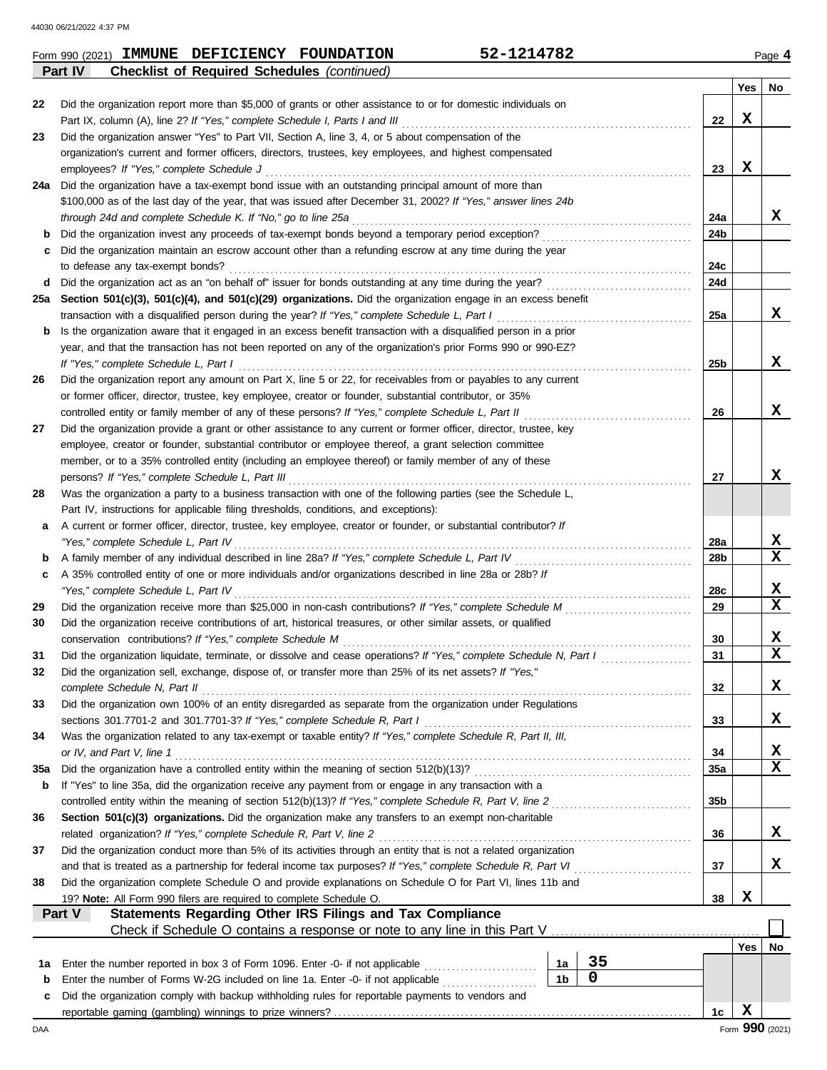| Form 990 (2021) | IMMUNE DEFICIENCY FOUNDATION                       | 52-1214782 | Page 4 |
|-----------------|----------------------------------------------------|------------|--------|
| Part IV         | <b>Checklist of Required Schedules (continued)</b> |            |        |
|                 |                                                    |            |        |

|        |                                                                                                                                                                                                                               |                      |    |                 | Yes | No              |
|--------|-------------------------------------------------------------------------------------------------------------------------------------------------------------------------------------------------------------------------------|----------------------|----|-----------------|-----|-----------------|
| 22     | Did the organization report more than \$5,000 of grants or other assistance to or for domestic individuals on                                                                                                                 |                      |    |                 |     |                 |
|        |                                                                                                                                                                                                                               |                      |    | 22              | x   |                 |
| 23     | Did the organization answer "Yes" to Part VII, Section A, line 3, 4, or 5 about compensation of the                                                                                                                           |                      |    |                 |     |                 |
|        | organization's current and former officers, directors, trustees, key employees, and highest compensated                                                                                                                       |                      |    |                 |     |                 |
|        | employees? If "Yes," complete Schedule J                                                                                                                                                                                      |                      |    | 23              | х   |                 |
| 24a    | Did the organization have a tax-exempt bond issue with an outstanding principal amount of more than<br>\$100,000 as of the last day of the year, that was issued after December 31, 2002? If "Yes," answer lines 24b          |                      |    |                 |     |                 |
|        | through 24d and complete Schedule K. If "No," go to line 25a                                                                                                                                                                  |                      |    | 24a             |     | x               |
| b      | Did the organization invest any proceeds of tax-exempt bonds beyond a temporary period exception?                                                                                                                             |                      |    | 24b             |     |                 |
| c      | Did the organization maintain an escrow account other than a refunding escrow at any time during the year                                                                                                                     |                      |    |                 |     |                 |
|        |                                                                                                                                                                                                                               |                      |    | 24c             |     |                 |
| d      |                                                                                                                                                                                                                               |                      |    | 24d             |     |                 |
| 25a    | Section 501(c)(3), 501(c)(4), and 501(c)(29) organizations. Did the organization engage in an excess benefit                                                                                                                  |                      |    |                 |     |                 |
|        | transaction with a disqualified person during the year? If "Yes," complete Schedule L, Part I                                                                                                                                 |                      |    | 25a             |     | x               |
| b      | Is the organization aware that it engaged in an excess benefit transaction with a disqualified person in a prior                                                                                                              |                      |    |                 |     |                 |
|        | year, and that the transaction has not been reported on any of the organization's prior Forms 990 or 990-EZ?                                                                                                                  |                      |    |                 |     |                 |
|        | If "Yes," complete Schedule L, Part I                                                                                                                                                                                         |                      |    | 25b             |     | x               |
| 26     | Did the organization report any amount on Part X, line 5 or 22, for receivables from or payables to any current                                                                                                               |                      |    |                 |     |                 |
|        | or former officer, director, trustee, key employee, creator or founder, substantial contributor, or 35%                                                                                                                       |                      |    |                 |     |                 |
|        | controlled entity or family member of any of these persons? If "Yes," complete Schedule L, Part II                                                                                                                            |                      |    | 26              |     | x               |
| 27     | Did the organization provide a grant or other assistance to any current or former officer, director, trustee, key                                                                                                             |                      |    |                 |     |                 |
|        | employee, creator or founder, substantial contributor or employee thereof, a grant selection committee                                                                                                                        |                      |    |                 |     |                 |
|        | member, or to a 35% controlled entity (including an employee thereof) or family member of any of these                                                                                                                        |                      |    | 27              |     | x               |
| 28     | persons? If "Yes," complete Schedule L, Part III<br>Was the organization a party to a business transaction with one of the following parties (see the Schedule L,                                                             |                      |    |                 |     |                 |
|        | Part IV, instructions for applicable filing thresholds, conditions, and exceptions):                                                                                                                                          |                      |    |                 |     |                 |
| а      | A current or former officer, director, trustee, key employee, creator or founder, or substantial contributor? If                                                                                                              |                      |    |                 |     |                 |
|        | "Yes," complete Schedule L, Part IV                                                                                                                                                                                           |                      |    | 28a             |     | X               |
| b      |                                                                                                                                                                                                                               |                      |    | 28b             |     | X               |
| c      | A 35% controlled entity of one or more individuals and/or organizations described in line 28a or 28b? If                                                                                                                      |                      |    |                 |     |                 |
|        | "Yes," complete Schedule L, Part IV encourance contract to the set of the Schedule L, Part IV encourance and the Schedule L, Part IV encourance and the Schedule L, Part IV encourance and the Schedule L, Part IV encourance |                      |    | 28c             |     | X               |
| 29     |                                                                                                                                                                                                                               |                      |    | 29              |     | X               |
| 30     | Did the organization receive contributions of art, historical treasures, or other similar assets, or qualified                                                                                                                |                      |    |                 |     |                 |
|        |                                                                                                                                                                                                                               |                      |    | 30              |     | X               |
| 31     | Did the organization liquidate, terminate, or dissolve and cease operations? If "Yes," complete Schedule N, Part I                                                                                                            |                      |    | 31              |     | $\mathbf X$     |
| 32     | Did the organization sell, exchange, dispose of, or transfer more than 25% of its net assets? If "Yes,"                                                                                                                       |                      |    |                 |     |                 |
|        | complete Schedule N, Part II                                                                                                                                                                                                  |                      |    | 32              |     | X.              |
| 33     | Did the organization own 100% of an entity disregarded as separate from the organization under Regulations                                                                                                                    |                      |    |                 |     |                 |
|        | sections 301.7701-2 and 301.7701-3? If "Yes," complete Schedule R, Part I<br>Was the organization related to any tax-exempt or taxable entity? If "Yes," complete Schedule R, Part II, III,                                   |                      |    | 33              |     | x               |
| 34     | or IV, and Part V, line 1                                                                                                                                                                                                     |                      |    | 34              |     | X               |
| 35a    |                                                                                                                                                                                                                               |                      |    | 35a             |     | X               |
| b      | If "Yes" to line 35a, did the organization receive any payment from or engage in any transaction with a                                                                                                                       |                      |    |                 |     |                 |
|        |                                                                                                                                                                                                                               |                      |    | 35 <sub>b</sub> |     |                 |
| 36     | Section 501(c)(3) organizations. Did the organization make any transfers to an exempt non-charitable                                                                                                                          |                      |    |                 |     |                 |
|        | related organization? If "Yes," complete Schedule R, Part V, line 2                                                                                                                                                           |                      |    | 36              |     | X               |
| 37     | Did the organization conduct more than 5% of its activities through an entity that is not a related organization                                                                                                              |                      |    |                 |     |                 |
|        |                                                                                                                                                                                                                               |                      |    | 37              |     | x               |
| 38     | Did the organization complete Schedule O and provide explanations on Schedule O for Part VI, lines 11b and                                                                                                                    |                      |    |                 |     |                 |
|        | 19? Note: All Form 990 filers are required to complete Schedule O.                                                                                                                                                            |                      |    | 38              | X   |                 |
|        | Part V<br>Statements Regarding Other IRS Filings and Tax Compliance                                                                                                                                                           |                      |    |                 |     |                 |
|        |                                                                                                                                                                                                                               |                      |    |                 |     |                 |
|        |                                                                                                                                                                                                                               |                      | 35 |                 | Yes | No.             |
| 1а     | Enter the number reported in box 3 of Form 1096. Enter -0- if not applicable<br>Enter the number of Forms W-2G included on line 1a. Enter -0- if not applicable                                                               | 1a<br>1 <sub>b</sub> | 0  |                 |     |                 |
| b<br>c | Did the organization comply with backup withholding rules for reportable payments to vendors and                                                                                                                              |                      |    |                 |     |                 |
|        |                                                                                                                                                                                                                               |                      |    | 1c              | X   |                 |
| DAA    |                                                                                                                                                                                                                               |                      |    |                 |     | Form 990 (2021) |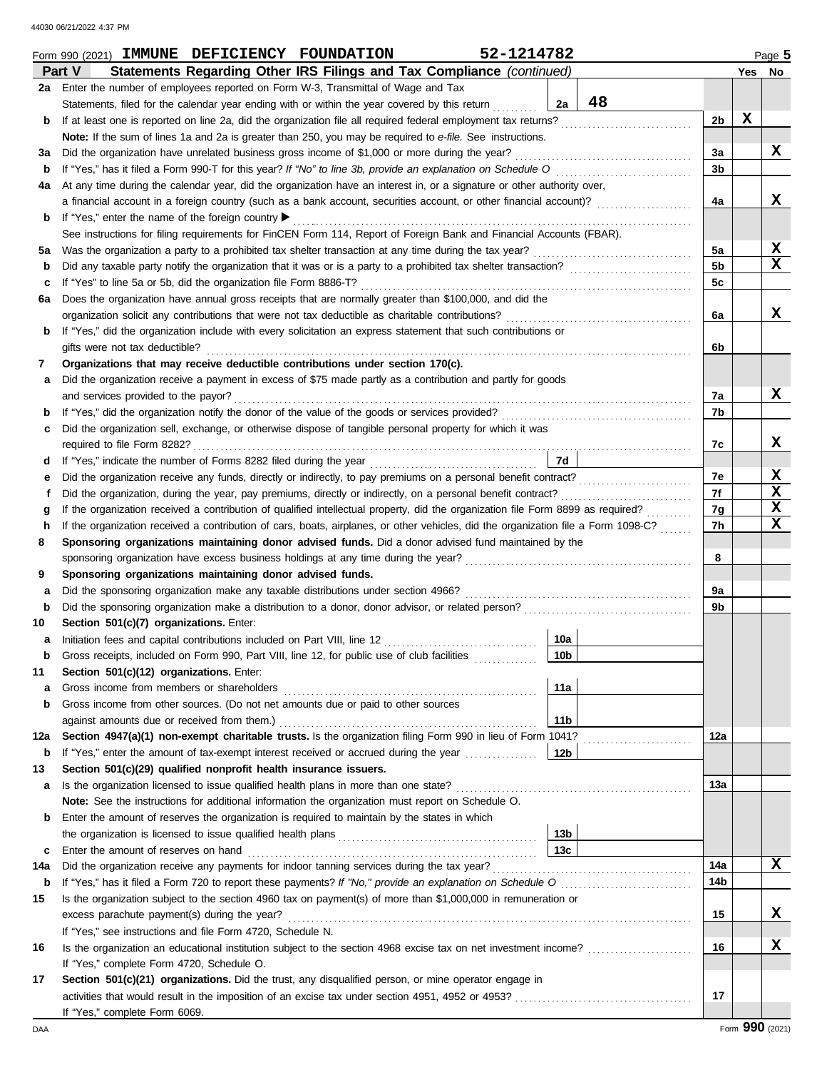|        | 52-1214782<br>Form 990 (2021) IMMUNE DEFICIENCY FOUNDATION                                                                         |                 |    |                |             | Page 5 |
|--------|------------------------------------------------------------------------------------------------------------------------------------|-----------------|----|----------------|-------------|--------|
|        | Statements Regarding Other IRS Filings and Tax Compliance (continued)<br>Part V                                                    |                 |    |                |             | Yes No |
| 2a     | Enter the number of employees reported on Form W-3, Transmittal of Wage and Tax                                                    |                 |    |                |             |        |
|        | Statements, filed for the calendar year ending with or within the year covered by this return                                      | 2a              | 48 |                |             |        |
| b      |                                                                                                                                    |                 |    | 2 <sub>b</sub> | $\mathbf x$ |        |
|        | Note: If the sum of lines 1a and 2a is greater than 250, you may be required to e-file. See instructions.                          |                 |    |                |             |        |
| За     |                                                                                                                                    |                 |    | За             |             | X      |
| b      |                                                                                                                                    |                 |    | 3 <sub>b</sub> |             |        |
| 4а     | At any time during the calendar year, did the organization have an interest in, or a signature or other authority over,            |                 |    |                |             |        |
|        | a financial account in a foreign country (such as a bank account, securities account, or other financial account)?                 |                 |    | 4a             |             | x      |
|        | <b>b</b> If "Yes," enter the name of the foreign country                                                                           |                 |    |                |             |        |
|        | See instructions for filing requirements for FinCEN Form 114, Report of Foreign Bank and Financial Accounts (FBAR).                |                 |    |                |             |        |
| 5а     |                                                                                                                                    |                 |    | 5a             |             | X      |
| b      |                                                                                                                                    |                 |    | 5 <sub>b</sub> |             | X      |
| c      |                                                                                                                                    |                 |    | 5c             |             |        |
| 6а     | Does the organization have annual gross receipts that are normally greater than \$100,000, and did the                             |                 |    |                |             |        |
|        |                                                                                                                                    |                 |    | 6a             |             | x      |
| b      | If "Yes," did the organization include with every solicitation an express statement that such contributions or                     |                 |    |                |             |        |
|        | gifts were not tax deductible?                                                                                                     |                 |    | 6b             |             |        |
| 7      | Organizations that may receive deductible contributions under section 170(c).                                                      |                 |    |                |             |        |
| а      | Did the organization receive a payment in excess of \$75 made partly as a contribution and partly for goods                        |                 |    |                |             | x      |
|        | and services provided to the payor?                                                                                                |                 |    | 7a<br>7b       |             |        |
| b<br>c | Did the organization sell, exchange, or otherwise dispose of tangible personal property for which it was                           |                 |    |                |             |        |
|        |                                                                                                                                    |                 |    | 7c             |             | x      |
| d      |                                                                                                                                    | 7d              |    |                |             |        |
| е      |                                                                                                                                    |                 |    | 7e             |             | X      |
| f      |                                                                                                                                    |                 |    | 7f             |             | X      |
| g      |                                                                                                                                    |                 |    | 7g             |             | X      |
| h      | If the organization received a contribution of cars, boats, airplanes, or other vehicles, did the organization file a Form 1098-C? |                 |    | 7h             |             | X      |
| 8      | Sponsoring organizations maintaining donor advised funds. Did a donor advised fund maintained by the                               |                 |    |                |             |        |
|        |                                                                                                                                    |                 |    | 8              |             |        |
| 9      | Sponsoring organizations maintaining donor advised funds.                                                                          |                 |    |                |             |        |
| a      |                                                                                                                                    |                 |    | 9а             |             |        |
| b      |                                                                                                                                    |                 |    | 9b             |             |        |
| 10     | Section 501(c)(7) organizations. Enter:                                                                                            |                 |    |                |             |        |
| а      |                                                                                                                                    | 10a             |    |                |             |        |
| b      | Gross receipts, included on Form 990, Part VIII, line 12, for public use of club facilities                                        | 10 <sub>b</sub> |    |                |             |        |
| 11     | Section 501(c)(12) organizations. Enter:                                                                                           |                 |    |                |             |        |
| а      | Gross income from members or shareholders                                                                                          | 11a             |    |                |             |        |
| b      | Gross income from other sources. (Do not net amounts due or paid to other sources                                                  |                 |    |                |             |        |
|        | against amounts due or received from them.)                                                                                        | 11 <sub>b</sub> |    |                |             |        |
| 12a    | Section 4947(a)(1) non-exempt charitable trusts. Is the organization filing Form 990 in lieu of Form 1041?                         |                 |    | 12a            |             |        |
| b      | If "Yes," enter the amount of tax-exempt interest received or accrued during the year                                              | 12 <sub>b</sub> |    |                |             |        |
| 13     | Section 501(c)(29) qualified nonprofit health insurance issuers.                                                                   |                 |    |                |             |        |
| a      |                                                                                                                                    |                 |    | 13а            |             |        |
|        | Note: See the instructions for additional information the organization must report on Schedule O.                                  |                 |    |                |             |        |
| b      | Enter the amount of reserves the organization is required to maintain by the states in which                                       | 13 <sub>b</sub> |    |                |             |        |
| c      | Enter the amount of reserves on hand                                                                                               | 13c             |    |                |             |        |
| 14a    |                                                                                                                                    |                 |    | 14a            |             | x      |
| b      |                                                                                                                                    |                 |    | 14b            |             |        |
| 15     | Is the organization subject to the section 4960 tax on payment(s) of more than \$1,000,000 in remuneration or                      |                 |    |                |             |        |
|        |                                                                                                                                    |                 |    | 15             |             | x      |
|        | If "Yes," see instructions and file Form 4720, Schedule N.                                                                         |                 |    |                |             |        |
| 16     | Is the organization an educational institution subject to the section 4968 excise tax on net investment income?                    |                 |    | 16             |             | x      |
|        | If "Yes," complete Form 4720, Schedule O.                                                                                          |                 |    |                |             |        |
| 17     | Section 501(c)(21) organizations. Did the trust, any disqualified person, or mine operator engage in                               |                 |    |                |             |        |
|        |                                                                                                                                    |                 |    | 17             |             |        |
|        | If "Yes," complete Form 6069.                                                                                                      |                 |    |                |             |        |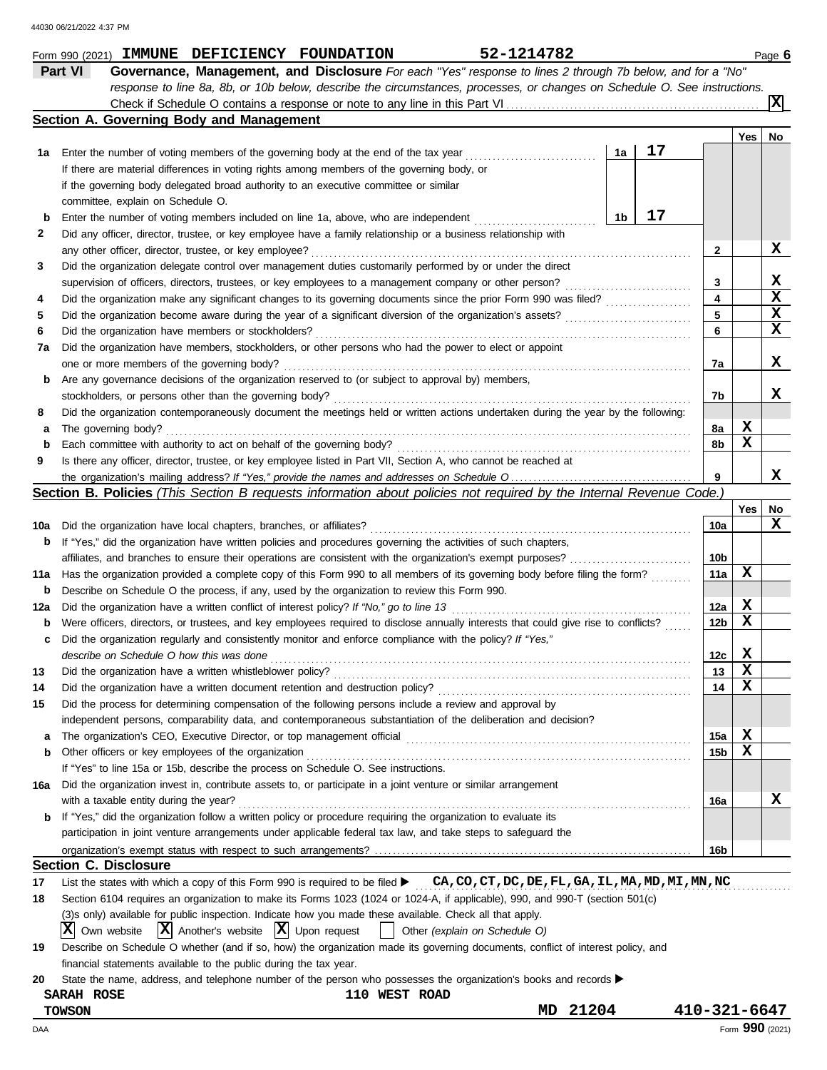|     | Part VI<br>Governance, Management, and Disclosure For each "Yes" response to lines 2 through 7b below, and for a "No"               |              |     |                 |
|-----|-------------------------------------------------------------------------------------------------------------------------------------|--------------|-----|-----------------|
|     | response to line 8a, 8b, or 10b below, describe the circumstances, processes, or changes on Schedule O. See instructions.           |              |     | ΙxΙ             |
|     | Section A. Governing Body and Management                                                                                            |              |     |                 |
|     |                                                                                                                                     |              | Yes | No              |
| 1a  | 17<br>1a<br>Enter the number of voting members of the governing body at the end of the tax year                                     |              |     |                 |
|     | If there are material differences in voting rights among members of the governing body, or                                          |              |     |                 |
|     | if the governing body delegated broad authority to an executive committee or similar                                                |              |     |                 |
|     | committee, explain on Schedule O.                                                                                                   |              |     |                 |
| b   | 17<br>1b<br>Enter the number of voting members included on line 1a, above, who are independent                                      |              |     |                 |
| 2   | Did any officer, director, trustee, or key employee have a family relationship or a business relationship with                      |              |     |                 |
|     | any other officer, director, trustee, or key employee?                                                                              | 2            |     | x               |
| 3   | Did the organization delegate control over management duties customarily performed by or under the direct                           |              |     |                 |
|     | supervision of officers, directors, trustees, or key employees to a management company or other person?<br>.                        | 3            |     | x               |
| 4   |                                                                                                                                     | 4            |     | X               |
| 5   |                                                                                                                                     | 5            |     | х               |
| 6   | Did the organization have members or stockholders?                                                                                  | 6            |     | $\mathbf x$     |
| 7a  | Did the organization have members, stockholders, or other persons who had the power to elect or appoint                             |              |     |                 |
|     | one or more members of the governing body?                                                                                          | 7a           |     | X               |
| b   | Are any governance decisions of the organization reserved to (or subject to approval by) members,                                   |              |     |                 |
|     | stockholders, or persons other than the governing body?                                                                             | 7b           |     | X               |
| 8   | Did the organization contemporaneously document the meetings held or written actions undertaken during the year by the following:   |              |     |                 |
| a   | The governing body?                                                                                                                 | 8а           | X   |                 |
| b   | Each committee with authority to act on behalf of the governing body?                                                               | 8b           | x   |                 |
| 9   | Is there any officer, director, trustee, or key employee listed in Part VII, Section A, who cannot be reached at                    |              |     |                 |
|     |                                                                                                                                     | 9            |     | х               |
|     | Section B. Policies (This Section B requests information about policies not required by the Internal Revenue Code.)                 |              |     |                 |
|     |                                                                                                                                     |              | Yes | No              |
| 10a | Did the organization have local chapters, branches, or affiliates?                                                                  | 10a          |     | х               |
| b   | If "Yes," did the organization have written policies and procedures governing the activities of such chapters,                      |              |     |                 |
|     |                                                                                                                                     | 10b          |     |                 |
| 11a | Has the organization provided a complete copy of this Form 990 to all members of its governing body before filing the form?         | 11a          | х   |                 |
| b   | Describe on Schedule O the process, if any, used by the organization to review this Form 990.                                       |              |     |                 |
| 12a | Did the organization have a written conflict of interest policy? If "No," go to line 13                                             | 12a          | X   |                 |
| b   | Were officers, directors, or trustees, and key employees required to disclose annually interests that could give rise to conflicts? | 12b          | х   |                 |
| c   | Did the organization regularly and consistently monitor and enforce compliance with the policy? If "Yes,"                           |              |     |                 |
|     | describe on Schedule O how this was done                                                                                            | 12c          | X   |                 |
| 13  | Did the organization have a written whistleblower policy?                                                                           | 13           | X   |                 |
| 14  | Did the organization have a written document retention and destruction policy?                                                      | 14           | х   |                 |
| 15  | Did the process for determining compensation of the following persons include a review and approval by                              |              |     |                 |
|     | independent persons, comparability data, and contemporaneous substantiation of the deliberation and decision?                       |              |     |                 |
| a   |                                                                                                                                     | 15a          | X   |                 |
| b   | Other officers or key employees of the organization                                                                                 | 15b          | Х   |                 |
|     | If "Yes" to line 15a or 15b, describe the process on Schedule O. See instructions.                                                  |              |     |                 |
| 16a | Did the organization invest in, contribute assets to, or participate in a joint venture or similar arrangement                      |              |     |                 |
|     | with a taxable entity during the year?                                                                                              | 16a          |     | x               |
| b   | If "Yes," did the organization follow a written policy or procedure requiring the organization to evaluate its                      |              |     |                 |
|     | participation in joint venture arrangements under applicable federal tax law, and take steps to safeguard the                       |              |     |                 |
|     |                                                                                                                                     | 16b          |     |                 |
|     | Section C. Disclosure                                                                                                               |              |     |                 |
| 17  | List the states with which a copy of this Form 990 is required to be filed ▶ CA, CO, CT, DC, DE, FL, GA, IL, MA, MD, MI, MN, NC     |              |     |                 |
| 18  | Section 6104 requires an organization to make its Forms 1023 (1024 or 1024-A, if applicable), 990, and 990-T (section 501(c)        |              |     |                 |
|     | (3)s only) available for public inspection. Indicate how you made these available. Check all that apply.                            |              |     |                 |
|     | ЖI<br>Own website $ \mathbf{X} $ Another's website $ \mathbf{X} $ Upon request<br>Other (explain on Schedule O)                     |              |     |                 |
| 19  | Describe on Schedule O whether (and if so, how) the organization made its governing documents, conflict of interest policy, and     |              |     |                 |
|     | financial statements available to the public during the tax year.                                                                   |              |     |                 |
| 20  | State the name, address, and telephone number of the person who possesses the organization's books and records                      |              |     |                 |
|     | <b>SARAH ROSE</b><br><b>110 WEST ROAD</b>                                                                                           |              |     |                 |
|     | 21204<br>MD<br><b>TOWSON</b>                                                                                                        | 410-321-6647 |     |                 |
| DAA |                                                                                                                                     |              |     | Form 990 (2021) |

**Form 990 (2021) IMMUNE DEFICIENCY FOUNDATION** 52-1214782 Page 6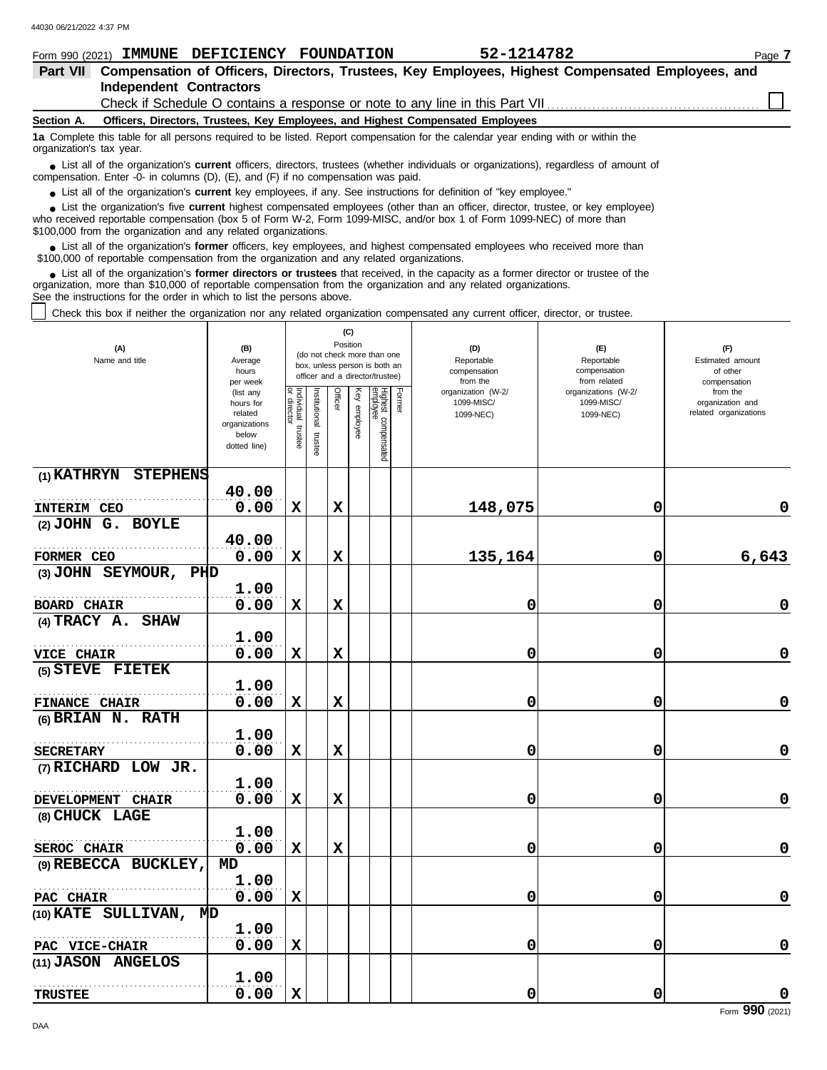**Independent Contractors**

|                                                                                                                                                                                                                                                                                                                                 |                                                                                                                                   |                        |              |          |              |                                                              |        | Check if Schedule O contains a response or note to any line in this Part VII |                              |                                           |  |  |  |
|---------------------------------------------------------------------------------------------------------------------------------------------------------------------------------------------------------------------------------------------------------------------------------------------------------------------------------|-----------------------------------------------------------------------------------------------------------------------------------|------------------------|--------------|----------|--------------|--------------------------------------------------------------|--------|------------------------------------------------------------------------------|------------------------------|-------------------------------------------|--|--|--|
| Officers, Directors, Trustees, Key Employees, and Highest Compensated Employees<br>Section A.                                                                                                                                                                                                                                   |                                                                                                                                   |                        |              |          |              |                                                              |        |                                                                              |                              |                                           |  |  |  |
| organization's tax year.                                                                                                                                                                                                                                                                                                        | 1a Complete this table for all persons required to be listed. Report compensation for the calendar year ending with or within the |                        |              |          |              |                                                              |        |                                                                              |                              |                                           |  |  |  |
| • List all of the organization's <b>current</b> officers, directors, trustees (whether individuals or organizations), regardless of amount of<br>compensation. Enter -0- in columns (D), (E), and (F) if no compensation was paid.                                                                                              |                                                                                                                                   |                        |              |          |              |                                                              |        |                                                                              |                              |                                           |  |  |  |
|                                                                                                                                                                                                                                                                                                                                 |                                                                                                                                   |                        |              |          |              |                                                              |        |                                                                              |                              |                                           |  |  |  |
| • List all of the organization's current key employees, if any. See instructions for definition of "key employee."                                                                                                                                                                                                              |                                                                                                                                   |                        |              |          |              |                                                              |        |                                                                              |                              |                                           |  |  |  |
| List the organization's five <b>current</b> highest compensated employees (other than an officer, director, trustee, or key employee)<br>who received reportable compensation (box 5 of Form W-2, Form 1099-MISC, and/or box 1 of Form 1099-NEC) of more than<br>\$100,000 from the organization and any related organizations. |                                                                                                                                   |                        |              |          |              |                                                              |        |                                                                              |                              |                                           |  |  |  |
| • List all of the organization's former officers, key employees, and highest compensated employees who received more than<br>\$100,000 of reportable compensation from the organization and any related organizations.                                                                                                          |                                                                                                                                   |                        |              |          |              |                                                              |        |                                                                              |                              |                                           |  |  |  |
| • List all of the organization's former directors or trustees that received, in the capacity as a former director or trustee of the                                                                                                                                                                                             |                                                                                                                                   |                        |              |          |              |                                                              |        |                                                                              |                              |                                           |  |  |  |
| organization, more than \$10,000 of reportable compensation from the organization and any related organizations.<br>See the instructions for the order in which to list the persons above.                                                                                                                                      |                                                                                                                                   |                        |              |          |              |                                                              |        |                                                                              |                              |                                           |  |  |  |
| Check this box if neither the organization nor any related organization compensated any current officer, director, or trustee.                                                                                                                                                                                                  |                                                                                                                                   |                        |              |          |              |                                                              |        |                                                                              |                              |                                           |  |  |  |
|                                                                                                                                                                                                                                                                                                                                 |                                                                                                                                   |                        |              | (C)      |              |                                                              |        |                                                                              |                              |                                           |  |  |  |
| (A)                                                                                                                                                                                                                                                                                                                             | (B)                                                                                                                               |                        |              | Position |              |                                                              |        | (D)                                                                          | (E)                          | (F)                                       |  |  |  |
| Name and title                                                                                                                                                                                                                                                                                                                  | Average                                                                                                                           |                        |              |          |              | (do not check more than one<br>box, unless person is both an |        | Reportable                                                                   | Reportable                   | Estimated amount                          |  |  |  |
|                                                                                                                                                                                                                                                                                                                                 | hours<br>per week                                                                                                                 |                        |              |          |              | officer and a director/trustee)                              |        | compensation<br>from the                                                     | compensation<br>from related | of other<br>compensation                  |  |  |  |
|                                                                                                                                                                                                                                                                                                                                 | (list any                                                                                                                         |                        |              |          |              |                                                              |        | organization (W-2/                                                           | organizations (W-2/          | from the                                  |  |  |  |
|                                                                                                                                                                                                                                                                                                                                 | hours for<br>related                                                                                                              | Individual<br>director | nstitutional | Officer  |              |                                                              | Former | 1099-MISC/                                                                   | 1099-MISC/                   | organization and<br>related organizations |  |  |  |
|                                                                                                                                                                                                                                                                                                                                 | organizations                                                                                                                     |                        |              |          | Key employee |                                                              |        | 1099-NEC)                                                                    | 1099-NEC)                    |                                           |  |  |  |
|                                                                                                                                                                                                                                                                                                                                 | below<br>dotted line)                                                                                                             | trustee                | trustee      |          |              | Highest compensated<br>employee                              |        |                                                                              |                              |                                           |  |  |  |
|                                                                                                                                                                                                                                                                                                                                 |                                                                                                                                   |                        |              |          |              |                                                              |        |                                                                              |                              |                                           |  |  |  |
| (1) KATHRYN STEPHENS                                                                                                                                                                                                                                                                                                            |                                                                                                                                   |                        |              |          |              |                                                              |        |                                                                              |                              |                                           |  |  |  |
|                                                                                                                                                                                                                                                                                                                                 | 40.00                                                                                                                             |                        |              |          |              |                                                              |        |                                                                              |                              |                                           |  |  |  |
| <b>INTERIM CEO</b>                                                                                                                                                                                                                                                                                                              | 0.00                                                                                                                              | х                      |              | х        |              |                                                              |        | 148,075                                                                      | 0                            | 0                                         |  |  |  |
| (2) JOHN G. BOYLE                                                                                                                                                                                                                                                                                                               |                                                                                                                                   |                        |              |          |              |                                                              |        |                                                                              |                              |                                           |  |  |  |
|                                                                                                                                                                                                                                                                                                                                 | 40.00                                                                                                                             |                        |              |          |              |                                                              |        |                                                                              |                              |                                           |  |  |  |
| FORMER CEO                                                                                                                                                                                                                                                                                                                      | 0.00                                                                                                                              | $\mathbf x$            |              | X        |              |                                                              |        | 135,164                                                                      | 0                            | 6,643                                     |  |  |  |
| (3) JOHN SEYMOUR, PHD                                                                                                                                                                                                                                                                                                           |                                                                                                                                   |                        |              |          |              |                                                              |        |                                                                              |                              |                                           |  |  |  |
|                                                                                                                                                                                                                                                                                                                                 | 1.00                                                                                                                              |                        |              |          |              |                                                              |        |                                                                              |                              |                                           |  |  |  |
| <b>BOARD CHAIR</b>                                                                                                                                                                                                                                                                                                              | 0.00                                                                                                                              | X                      |              | X        |              |                                                              |        | 0                                                                            | 0                            | 0                                         |  |  |  |
| (4) TRACY A. SHAW                                                                                                                                                                                                                                                                                                               |                                                                                                                                   |                        |              |          |              |                                                              |        |                                                                              |                              |                                           |  |  |  |
|                                                                                                                                                                                                                                                                                                                                 | 1.00                                                                                                                              |                        |              |          |              |                                                              |        |                                                                              |                              |                                           |  |  |  |
| VICE CHAIR                                                                                                                                                                                                                                                                                                                      | 0.00                                                                                                                              | х                      |              | X        |              |                                                              |        | 0                                                                            | 0                            | 0                                         |  |  |  |
| (5) STEVE FIETEK                                                                                                                                                                                                                                                                                                                |                                                                                                                                   |                        |              |          |              |                                                              |        |                                                                              |                              |                                           |  |  |  |
|                                                                                                                                                                                                                                                                                                                                 | 1.00                                                                                                                              |                        |              |          |              |                                                              |        |                                                                              |                              |                                           |  |  |  |
| FINANCE CHAIR                                                                                                                                                                                                                                                                                                                   | 0.00                                                                                                                              | X                      |              | X        |              |                                                              |        | υ                                                                            | U                            | 0                                         |  |  |  |
| (6) BRIAN N. RATH                                                                                                                                                                                                                                                                                                               |                                                                                                                                   |                        |              |          |              |                                                              |        |                                                                              |                              |                                           |  |  |  |
|                                                                                                                                                                                                                                                                                                                                 | 1.00                                                                                                                              |                        |              |          |              |                                                              |        |                                                                              |                              |                                           |  |  |  |
| <b>SECRETARY</b>                                                                                                                                                                                                                                                                                                                | 0.00                                                                                                                              | X                      |              | X        |              |                                                              |        | 0                                                                            | 0                            | 0                                         |  |  |  |
| (7) RICHARD LOW JR.                                                                                                                                                                                                                                                                                                             |                                                                                                                                   |                        |              |          |              |                                                              |        |                                                                              |                              |                                           |  |  |  |
|                                                                                                                                                                                                                                                                                                                                 | 1.00                                                                                                                              |                        |              |          |              |                                                              |        |                                                                              |                              |                                           |  |  |  |
| DEVELOPMENT CHAIR                                                                                                                                                                                                                                                                                                               | 0.00                                                                                                                              | X                      |              | X        |              |                                                              |        | 0                                                                            | 0                            | 0                                         |  |  |  |
| (8) CHUCK LAGE                                                                                                                                                                                                                                                                                                                  | 1.00                                                                                                                              |                        |              |          |              |                                                              |        |                                                                              |                              |                                           |  |  |  |
| SEROC CHAIR                                                                                                                                                                                                                                                                                                                     | 0.00                                                                                                                              | X                      |              | X        |              |                                                              |        | 0                                                                            | 0                            | 0                                         |  |  |  |
| (9) REBECCA BUCKLEY,                                                                                                                                                                                                                                                                                                            | MD                                                                                                                                |                        |              |          |              |                                                              |        |                                                                              |                              |                                           |  |  |  |
|                                                                                                                                                                                                                                                                                                                                 | 1.00                                                                                                                              |                        |              |          |              |                                                              |        |                                                                              |                              |                                           |  |  |  |
| PAC CHAIR                                                                                                                                                                                                                                                                                                                       | 0.00                                                                                                                              | X                      |              |          |              |                                                              |        | 0                                                                            | 0                            | 0                                         |  |  |  |
| (10) KATE SULLIVAN, MD                                                                                                                                                                                                                                                                                                          |                                                                                                                                   |                        |              |          |              |                                                              |        |                                                                              |                              |                                           |  |  |  |
|                                                                                                                                                                                                                                                                                                                                 | 1.00                                                                                                                              |                        |              |          |              |                                                              |        |                                                                              |                              |                                           |  |  |  |
| PAC VICE-CHAIR                                                                                                                                                                                                                                                                                                                  | 0.00                                                                                                                              | X                      |              |          |              |                                                              |        | 0                                                                            | 0                            | 0                                         |  |  |  |
| (11) JASON ANGELOS                                                                                                                                                                                                                                                                                                              |                                                                                                                                   |                        |              |          |              |                                                              |        |                                                                              |                              |                                           |  |  |  |
|                                                                                                                                                                                                                                                                                                                                 | 1.00                                                                                                                              |                        |              |          |              |                                                              |        |                                                                              |                              |                                           |  |  |  |
| <b>TRUSTEE</b>                                                                                                                                                                                                                                                                                                                  | 0.00                                                                                                                              | X                      |              |          |              |                                                              |        | 0                                                                            | 0                            | 0                                         |  |  |  |
|                                                                                                                                                                                                                                                                                                                                 |                                                                                                                                   |                        |              |          |              |                                                              |        |                                                                              |                              | Form 990 (2021)                           |  |  |  |

**Part VII Compensation of Officers, Directors, Trustees, Key Employees, Highest Compensated Employees, and Form 990 (2021) IMMUNE DEFICIENCY FOUNDATION** 52-1214782 Page 7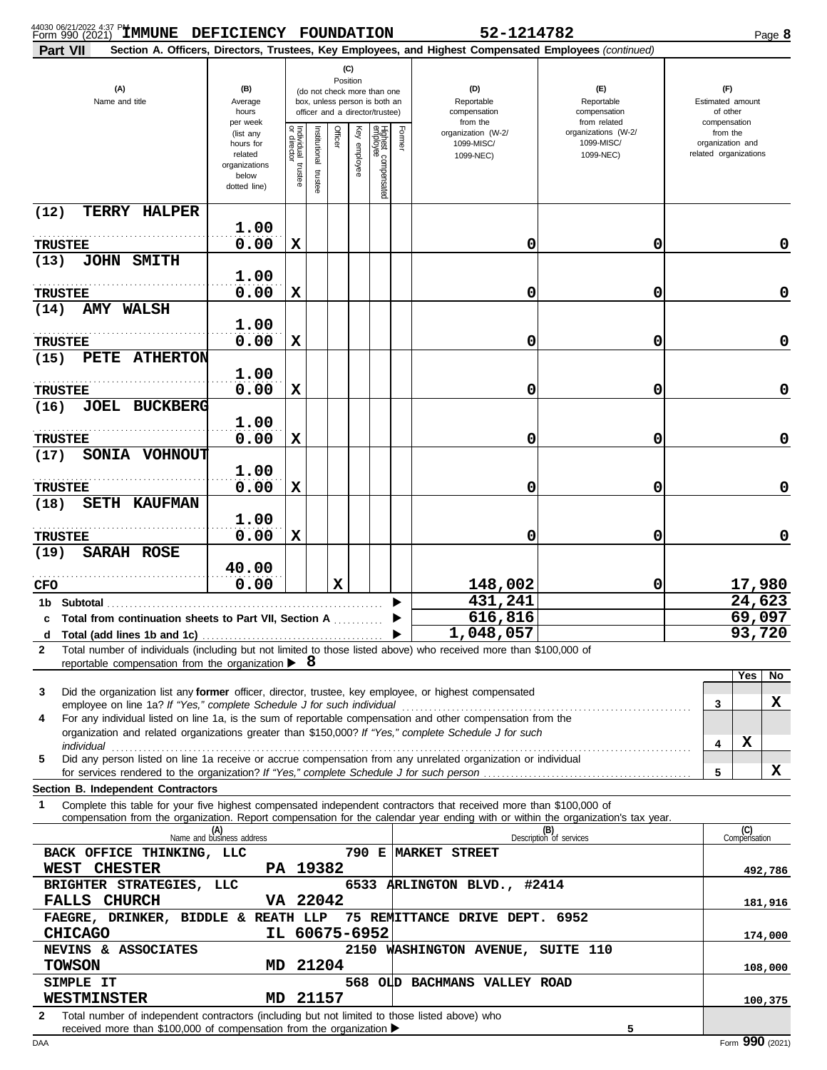| 44030 06/21/2022 4:37 PM<br>Form 990 (2021) <b>TMMUNE</b> | <b>DEFICIENCY</b> | <b>FOUNDATION</b> | 52-1214782<br>$ \sim$ | Page |
|-----------------------------------------------------------|-------------------|-------------------|-----------------------|------|
|-----------------------------------------------------------|-------------------|-------------------|-----------------------|------|

| <b>Part VII</b>                                                                                                                                                                                                                                             |                                                                             |                                      |                         |             |                 |                                                                                                 |        | Section A. Officers, Directors, Trustees, Key Employees, and Highest Compensated Employees (continued) |                                                   |                                                       |
|-------------------------------------------------------------------------------------------------------------------------------------------------------------------------------------------------------------------------------------------------------------|-----------------------------------------------------------------------------|--------------------------------------|-------------------------|-------------|-----------------|-------------------------------------------------------------------------------------------------|--------|--------------------------------------------------------------------------------------------------------|---------------------------------------------------|-------------------------------------------------------|
| (A)<br>Name and title                                                                                                                                                                                                                                       | (B)<br>Average<br>hours<br>per week                                         |                                      |                         | Position    | (C)             | (do not check more than one<br>box, unless person is both an<br>officer and a director/trustee) |        | (D)<br>Reportable<br>compensation<br>from the                                                          | (F)<br>Reportable<br>compensation<br>from related | (F)<br>Estimated amount<br>of other<br>compensation   |
|                                                                                                                                                                                                                                                             | (list any<br>hours for<br>related<br>organizations<br>below<br>dotted line) | Individual<br>or director<br>trustee | nstitutional<br>trustee | Officer     | Ķey<br>employee | Highest compensated<br>employee                                                                 | Former | organization (W-2/<br>1099-MISC/<br>1099-NEC)                                                          | organizations (W-2/<br>1099-MISC/<br>1099-NEC)    | from the<br>organization and<br>related organizations |
| (12)<br>TERRY HALPER<br><b>TRUSTEE</b>                                                                                                                                                                                                                      | 1.00<br>0.00                                                                | X                                    |                         |             |                 |                                                                                                 |        | 0                                                                                                      | 0                                                 | 0                                                     |
| <b>JOHN SMITH</b><br>(13)                                                                                                                                                                                                                                   | 1.00                                                                        |                                      |                         |             |                 |                                                                                                 |        |                                                                                                        |                                                   |                                                       |
| <b>TRUSTEE</b>                                                                                                                                                                                                                                              | 0.00                                                                        | X                                    |                         |             |                 |                                                                                                 |        | 0                                                                                                      | 0                                                 | 0                                                     |
| <b>AMY WALSH</b><br>(14)                                                                                                                                                                                                                                    | 1.00                                                                        |                                      |                         |             |                 |                                                                                                 |        |                                                                                                        |                                                   |                                                       |
| <b>TRUSTEE</b>                                                                                                                                                                                                                                              | 0.00                                                                        | X                                    |                         |             |                 |                                                                                                 |        | 0                                                                                                      | 0                                                 | 0                                                     |
| PETE ATHERTON<br>(15)                                                                                                                                                                                                                                       | 1.00                                                                        |                                      |                         |             |                 |                                                                                                 |        |                                                                                                        |                                                   |                                                       |
| <b>TRUSTEE</b>                                                                                                                                                                                                                                              | 0.00                                                                        | X                                    |                         |             |                 |                                                                                                 |        | 0                                                                                                      | 0                                                 | 0                                                     |
| <b>JOEL BUCKBERG</b><br>(16)                                                                                                                                                                                                                                | 1.00                                                                        |                                      |                         |             |                 |                                                                                                 |        |                                                                                                        |                                                   |                                                       |
| <b>TRUSTEE</b>                                                                                                                                                                                                                                              | 0.00                                                                        | X                                    |                         |             |                 |                                                                                                 |        | 0                                                                                                      | 0                                                 | 0                                                     |
| SONIA VOHNOUT<br>(17)                                                                                                                                                                                                                                       |                                                                             |                                      |                         |             |                 |                                                                                                 |        |                                                                                                        |                                                   |                                                       |
| <b>TRUSTEE</b>                                                                                                                                                                                                                                              | 1.00<br>0.00                                                                | X                                    |                         |             |                 |                                                                                                 |        | 0                                                                                                      | 0                                                 | 0                                                     |
| <b>SETH KAUFMAN</b><br>(18)                                                                                                                                                                                                                                 |                                                                             |                                      |                         |             |                 |                                                                                                 |        |                                                                                                        |                                                   |                                                       |
| <b>TRUSTEE</b>                                                                                                                                                                                                                                              | 1.00<br>0.00                                                                | X                                    |                         |             |                 |                                                                                                 |        | 0                                                                                                      | 0                                                 | 0                                                     |
| SARAH ROSE<br>(19)                                                                                                                                                                                                                                          |                                                                             |                                      |                         |             |                 |                                                                                                 |        |                                                                                                        |                                                   |                                                       |
| <b>CFO</b>                                                                                                                                                                                                                                                  | 40.00<br>0.00                                                               |                                      |                         | $\mathbf x$ |                 |                                                                                                 |        | 148,002                                                                                                | 0                                                 | 17,980                                                |
| 1b Subtotal                                                                                                                                                                                                                                                 |                                                                             |                                      |                         |             |                 |                                                                                                 |        | 431,241                                                                                                |                                                   | 24,623                                                |
| Total from continuation sheets to Part VII, Section A<br>c                                                                                                                                                                                                  |                                                                             |                                      |                         |             |                 |                                                                                                 |        | 616,816<br>1,048,057                                                                                   |                                                   | 69,097<br>93,720                                      |
| Total number of individuals (including but not limited to those listed above) who received more than \$100,000 of<br>$\mathbf{2}$                                                                                                                           |                                                                             |                                      |                         |             |                 |                                                                                                 |        |                                                                                                        |                                                   |                                                       |
| reportable compensation from the organization $\triangleright$ 8                                                                                                                                                                                            |                                                                             |                                      |                         |             |                 |                                                                                                 |        |                                                                                                        |                                                   | Yes                                                   |
| Did the organization list any <b>former</b> officer, director, trustee, key employee, or highest compensated<br>3                                                                                                                                           |                                                                             |                                      |                         |             |                 |                                                                                                 |        |                                                                                                        |                                                   | No<br>х<br>3                                          |
| For any individual listed on line 1a, is the sum of reportable compensation and other compensation from the<br>4<br>organization and related organizations greater than \$150,000? If "Yes," complete Schedule J for such                                   |                                                                             |                                      |                         |             |                 |                                                                                                 |        |                                                                                                        |                                                   |                                                       |
| Did any person listed on line 1a receive or accrue compensation from any unrelated organization or individual<br>5                                                                                                                                          |                                                                             |                                      |                         |             |                 |                                                                                                 |        |                                                                                                        |                                                   | X<br>4<br>X<br>5                                      |
| Section B. Independent Contractors                                                                                                                                                                                                                          |                                                                             |                                      |                         |             |                 |                                                                                                 |        |                                                                                                        |                                                   |                                                       |
| 1<br>Complete this table for your five highest compensated independent contractors that received more than \$100,000 of<br>compensation from the organization. Report compensation for the calendar year ending with or within the organization's tax year. |                                                                             |                                      |                         |             |                 |                                                                                                 |        |                                                                                                        |                                                   |                                                       |
|                                                                                                                                                                                                                                                             | (A)<br>Name and business address                                            |                                      |                         |             |                 |                                                                                                 |        |                                                                                                        | (B)<br>Description of services                    | (C)<br>Compensation                                   |
| BACK OFFICE THINKING, LLC                                                                                                                                                                                                                                   |                                                                             |                                      |                         |             |                 |                                                                                                 |        | 790 E MARKET STREET                                                                                    |                                                   |                                                       |
| WEST CHESTER<br>BRIGHTER STRATEGIES, LLC                                                                                                                                                                                                                    |                                                                             | PA 19382                             |                         |             |                 |                                                                                                 |        | 6533 ARLINGTON BLVD., #2414                                                                            |                                                   | 492,786                                               |
| <b>FALLS CHURCH</b>                                                                                                                                                                                                                                         |                                                                             | VA 22042                             |                         |             |                 |                                                                                                 |        |                                                                                                        |                                                   | 181,916                                               |
| FAEGRE, DRINKER, BIDDLE & REATH LLP<br>75 REMITTANCE DRIVE DEPT. 6952<br>IL 60675-6952<br><b>CHICAGO</b>                                                                                                                                                    |                                                                             |                                      |                         |             |                 |                                                                                                 |        |                                                                                                        |                                                   | 174,000                                               |
| NEVINS & ASSOCIATES                                                                                                                                                                                                                                         |                                                                             |                                      |                         |             |                 |                                                                                                 |        | 2150 WASHINGTON AVENUE, SUITE 110                                                                      |                                                   |                                                       |
| <b>TOWSON</b>                                                                                                                                                                                                                                               | MD.                                                                         |                                      | 21204                   |             |                 |                                                                                                 |        |                                                                                                        |                                                   | 108,000                                               |
| SIMPLE IT                                                                                                                                                                                                                                                   |                                                                             |                                      |                         |             |                 |                                                                                                 |        | 568 OID BACHMANS VALLEY ROAD                                                                           |                                                   |                                                       |
| <b>WESTMINSTER</b>                                                                                                                                                                                                                                          | MD.                                                                         |                                      | 21157                   |             |                 |                                                                                                 |        |                                                                                                        |                                                   | 100,375                                               |

**2** Total number of independent contractors (including but not limited to those listed above) who received more than \$100,000 of compensation from the organization  $\blacktriangleright$ 

**5**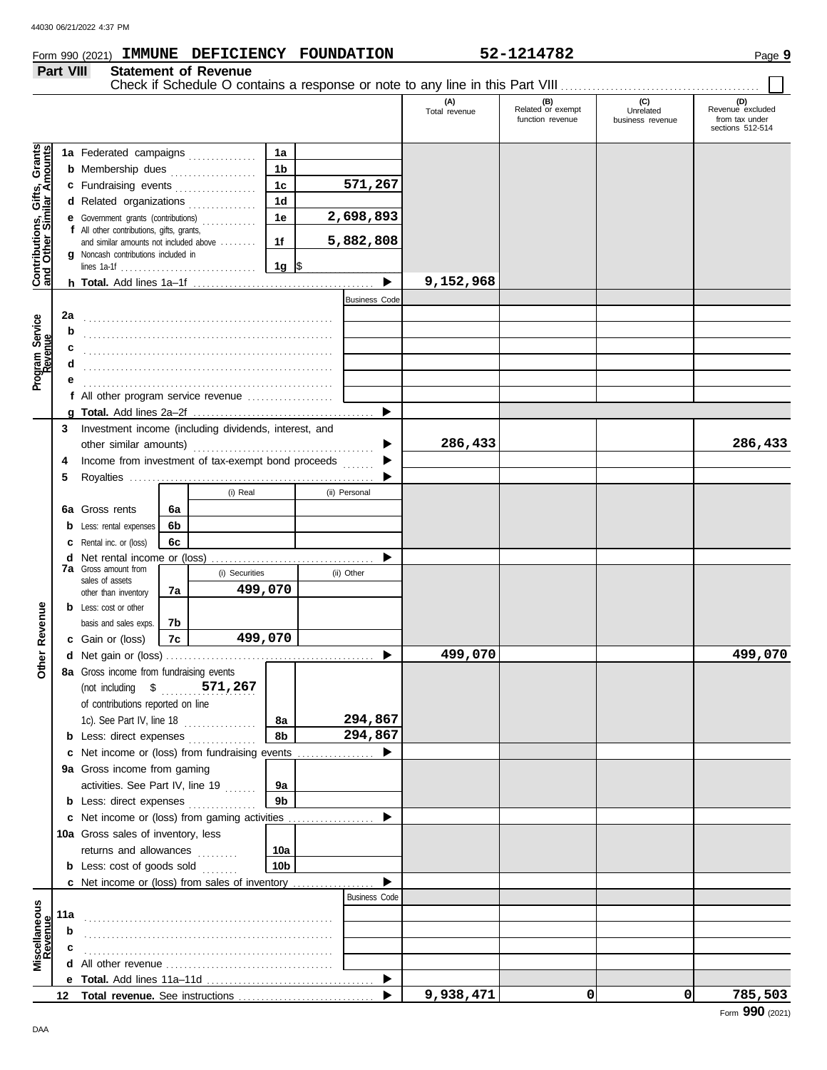### Form 990 (2021) **IMMUNE DEFICIENCY FOUNDATION** 52-1214782 **120 Cage 9** Page 9 **IMMUNE DEFICIENCY FOUNDATION 52-1214782**

|                                                           | Part VIII |                                                             |                | <b>Statement of Revenue</b> |                        |                      |               |                          |                               |                                    |
|-----------------------------------------------------------|-----------|-------------------------------------------------------------|----------------|-----------------------------|------------------------|----------------------|---------------|--------------------------|-------------------------------|------------------------------------|
|                                                           |           |                                                             |                |                             |                        |                      | (A)           | (B)<br>Related or exempt | (C)                           | (D)<br>Revenue excluded            |
|                                                           |           |                                                             |                |                             |                        |                      | Total revenue | function revenue         | Unrelated<br>business revenue | from tax under<br>sections 512-514 |
|                                                           |           |                                                             |                |                             |                        |                      |               |                          |                               |                                    |
|                                                           |           | 1a Federated campaigns                                      |                |                             | 1a<br>1 <sub>b</sub>   |                      |               |                          |                               |                                    |
|                                                           |           | <b>b</b> Membership dues<br>c Fundraising events            |                |                             | 1 <sub>c</sub>         | 571,267              |               |                          |                               |                                    |
| Contributions, Gifts, Grants<br>and Other Similar Amounts |           | d Related organizations                                     |                |                             | 1 <sub>d</sub>         |                      |               |                          |                               |                                    |
|                                                           |           | e Government grants (contributions)                         |                |                             | 1e                     | 2,698,893            |               |                          |                               |                                    |
|                                                           |           | f All other contributions, gifts, grants,                   |                |                             |                        |                      |               |                          |                               |                                    |
|                                                           |           | and similar amounts not included above                      |                |                             | 1f                     | 5,882,808            |               |                          |                               |                                    |
|                                                           |           | g Noncash contributions included in                         |                |                             | 1g  \$                 |                      |               |                          |                               |                                    |
|                                                           |           |                                                             |                |                             |                        | ▶                    | 9,152,968     |                          |                               |                                    |
|                                                           |           |                                                             |                |                             |                        | <b>Business Code</b> |               |                          |                               |                                    |
|                                                           | 2a        |                                                             |                |                             |                        |                      |               |                          |                               |                                    |
|                                                           | b         |                                                             |                |                             |                        |                      |               |                          |                               |                                    |
|                                                           | c         |                                                             |                |                             |                        |                      |               |                          |                               |                                    |
| Program Service<br>Revenue                                | d         |                                                             |                |                             |                        |                      |               |                          |                               |                                    |
|                                                           | е         |                                                             |                |                             |                        |                      |               |                          |                               |                                    |
|                                                           |           |                                                             |                |                             |                        |                      |               |                          |                               |                                    |
|                                                           |           |                                                             |                |                             |                        |                      |               |                          |                               |                                    |
|                                                           | 3         | Investment income (including dividends, interest, and       |                |                             |                        |                      |               |                          |                               |                                    |
|                                                           |           |                                                             |                |                             |                        |                      | 286,433       |                          |                               | 286,433                            |
|                                                           | 4         | Income from investment of tax-exempt bond proceeds          |                |                             |                        |                      |               |                          |                               |                                    |
|                                                           | 5         |                                                             |                |                             |                        |                      |               |                          |                               |                                    |
|                                                           |           |                                                             |                | (i) Real                    |                        | (ii) Personal        |               |                          |                               |                                    |
|                                                           |           | 6a Gross rents                                              | 6a             |                             |                        |                      |               |                          |                               |                                    |
|                                                           | b         | Less: rental expenses                                       | 6b             |                             |                        |                      |               |                          |                               |                                    |
|                                                           |           | <b>c</b> Rental inc. or (loss)                              | 6c             |                             |                        |                      |               |                          |                               |                                    |
|                                                           |           | <b>7a</b> Gross amount from                                 | (i) Securities |                             |                        | (ii) Other           |               |                          |                               |                                    |
|                                                           |           | sales of assets<br>other than inventory                     | 7a             | 499,070                     |                        |                      |               |                          |                               |                                    |
|                                                           |           | <b>b</b> Less: cost or other                                |                |                             |                        |                      |               |                          |                               |                                    |
|                                                           |           | basis and sales exps.                                       | 7b             |                             |                        |                      |               |                          |                               |                                    |
| Revenue                                                   |           | c Gain or (loss)                                            | 7c             | 499,070                     |                        |                      |               |                          |                               |                                    |
| ther                                                      |           |                                                             |                |                             |                        |                      | 499,070       |                          |                               | 499,070                            |
|                                                           |           | 8a Gross income from fundraising events                     |                |                             |                        |                      |               |                          |                               |                                    |
|                                                           |           | (not including \$                                           |                | 571,267                     |                        |                      |               |                          |                               |                                    |
|                                                           |           | of contributions reported on line                           |                |                             |                        |                      |               |                          |                               |                                    |
|                                                           |           | 1c). See Part IV, line 18                                   |                | .                           | 8а                     | 294,867              |               |                          |                               |                                    |
|                                                           |           | <b>b</b> Less: direct expenses                              |                |                             | 8b                     | 294,867              |               |                          |                               |                                    |
|                                                           |           | c Net income or (loss) from fundraising events              |                |                             |                        |                      |               |                          |                               |                                    |
|                                                           |           | 9a Gross income from gaming                                 |                |                             |                        |                      |               |                          |                               |                                    |
|                                                           |           | activities. See Part IV, line 19                            |                |                             | 9а                     |                      |               |                          |                               |                                    |
|                                                           |           | <b>b</b> Less: direct expenses                              |                |                             | 9 <sub>b</sub>         |                      |               |                          |                               |                                    |
|                                                           |           | c Net income or (loss) from gaming activities               |                |                             |                        |                      |               |                          |                               |                                    |
|                                                           |           | 10a Gross sales of inventory, less                          |                |                             |                        |                      |               |                          |                               |                                    |
|                                                           |           | returns and allowances<br><b>b</b> Less: cost of goods sold |                |                             | 10a<br>10 <sub>b</sub> |                      |               |                          |                               |                                    |
|                                                           |           | c Net income or (loss) from sales of inventory              |                |                             |                        |                      |               |                          |                               |                                    |
|                                                           |           |                                                             |                |                             |                        | <b>Business Code</b> |               |                          |                               |                                    |
|                                                           | 11a       |                                                             |                |                             |                        |                      |               |                          |                               |                                    |
|                                                           | b         |                                                             |                |                             |                        |                      |               |                          |                               |                                    |
|                                                           |           |                                                             |                |                             |                        |                      |               |                          |                               |                                    |
| Miscellaneous<br>Revenue                                  | d         |                                                             |                |                             |                        |                      |               |                          |                               |                                    |
|                                                           |           |                                                             |                |                             |                        |                      |               |                          |                               |                                    |
|                                                           | 12        |                                                             |                |                             |                        |                      | 9,938,471     | 0                        | $\mathbf{0}$                  | 785,503                            |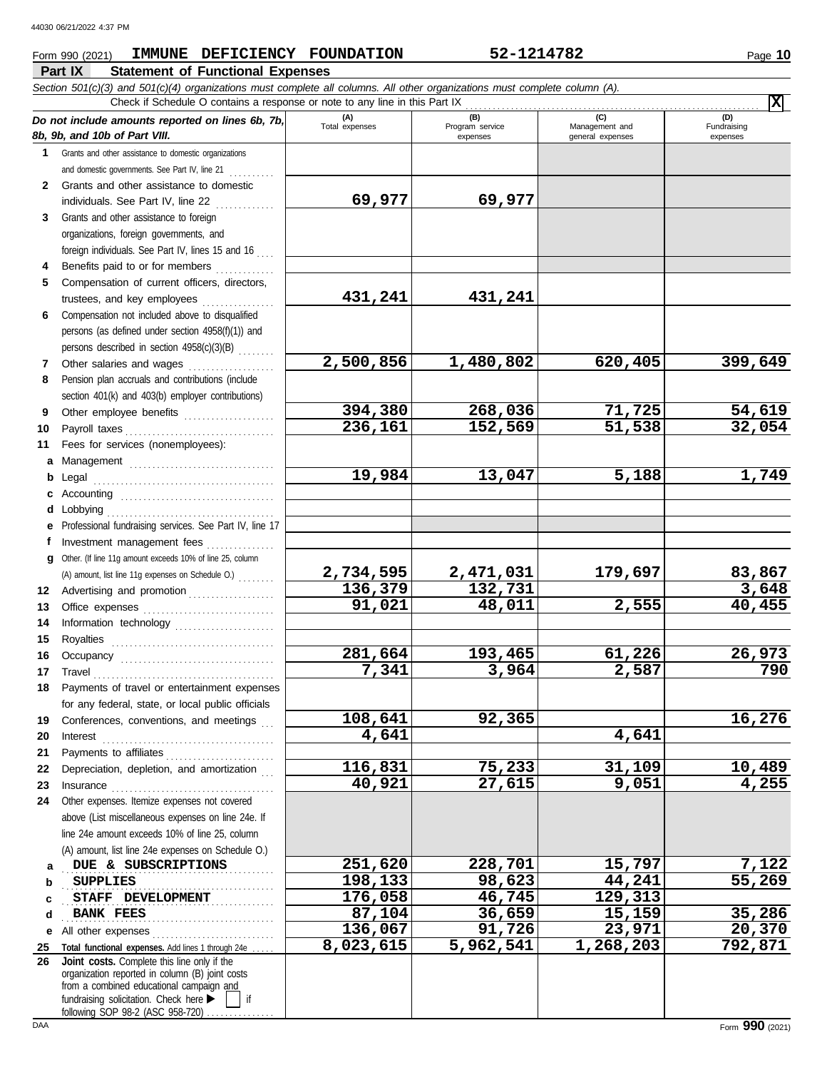## **Form 990 (2021) IMMUNE DEFICIENCY FOUNDATION** 52-1214782 Page 10

|              | Part IX<br><b>Statement of Functional Expenses</b>                                                                                                                                                                                  |                |                 |                                    |             |
|--------------|-------------------------------------------------------------------------------------------------------------------------------------------------------------------------------------------------------------------------------------|----------------|-----------------|------------------------------------|-------------|
|              | Section 501(c)(3) and 501(c)(4) organizations must complete all columns. All other organizations must complete column (A).                                                                                                          |                |                 |                                    |             |
|              | Check if Schedule O contains a response or note to any line in this Part IX                                                                                                                                                         | (A)            | (B)             | (C)                                | 区<br>(D)    |
|              | Do not include amounts reported on lines 6b, 7b,<br>8b, 9b, and 10b of Part VIII.                                                                                                                                                   | Total expenses | Program service | Management and<br>general expenses | Fundraising |
| 1            | Grants and other assistance to domestic organizations                                                                                                                                                                               |                | expenses        |                                    | expenses    |
|              | and domestic governments. See Part IV, line 21                                                                                                                                                                                      |                |                 |                                    |             |
| $\mathbf{2}$ | Grants and other assistance to domestic                                                                                                                                                                                             |                |                 |                                    |             |
|              | individuals. See Part IV, line 22                                                                                                                                                                                                   | 69,977         | 69,977          |                                    |             |
| 3            | Grants and other assistance to foreign                                                                                                                                                                                              |                |                 |                                    |             |
|              | organizations, foreign governments, and                                                                                                                                                                                             |                |                 |                                    |             |
|              | foreign individuals. See Part IV, lines 15 and 16                                                                                                                                                                                   |                |                 |                                    |             |
| 4            | Benefits paid to or for members                                                                                                                                                                                                     |                |                 |                                    |             |
| 5            | Compensation of current officers, directors,                                                                                                                                                                                        |                |                 |                                    |             |
|              | trustees, and key employees                                                                                                                                                                                                         | 431,241        | 431,241         |                                    |             |
| 6            | Compensation not included above to disqualified                                                                                                                                                                                     |                |                 |                                    |             |
|              | persons (as defined under section 4958(f)(1)) and                                                                                                                                                                                   |                |                 |                                    |             |
|              | persons described in section 4958(c)(3)(B)                                                                                                                                                                                          |                |                 |                                    |             |
| 7            | Other salaries and wages                                                                                                                                                                                                            | 2,500,856      | 1,480,802       | 620,405                            | 399,649     |
| 8            | Pension plan accruals and contributions (include                                                                                                                                                                                    |                |                 |                                    |             |
|              | section 401(k) and 403(b) employer contributions)                                                                                                                                                                                   |                |                 |                                    |             |
| 9            | Other employee benefits                                                                                                                                                                                                             | 394,380        | 268,036         | 71,725                             | 54,619      |
| 10           | Payroll taxes                                                                                                                                                                                                                       | 236,161        | 152,569         | 51,538                             | 32,054      |
| 11           | Fees for services (nonemployees):                                                                                                                                                                                                   |                |                 |                                    |             |
| a            | Management                                                                                                                                                                                                                          | 19,984         | 13,047          | 5,188                              | 1,749       |
| b            | Legal                                                                                                                                                                                                                               |                |                 |                                    |             |
|              | Lobbying                                                                                                                                                                                                                            |                |                 |                                    |             |
| d<br>е       | Professional fundraising services. See Part IV, line 17                                                                                                                                                                             |                |                 |                                    |             |
| f            | Investment management fees                                                                                                                                                                                                          |                |                 |                                    |             |
| g            | Other. (If line 11g amount exceeds 10% of line 25, column                                                                                                                                                                           |                |                 |                                    |             |
|              | (A) amount, list line 11g expenses on Schedule O.)                                                                                                                                                                                  | 2,734,595      | 2,471,031       | 179,697                            | 83,867      |
| 12           | Advertising and promotion                                                                                                                                                                                                           | 136,379        | 132,731         |                                    | 3,648       |
| 13           |                                                                                                                                                                                                                                     | 91,021         | 48,011          | 2,555                              | 40,455      |
| 14           | Information technology                                                                                                                                                                                                              |                |                 |                                    |             |
| 15           | Royalties                                                                                                                                                                                                                           |                |                 |                                    |             |
| 16           |                                                                                                                                                                                                                                     | 281,664        | 193,465         | 61,226                             | 26,973      |
|              | 17 Travel                                                                                                                                                                                                                           | 7,341          | 3,964           | 2,587                              | 790         |
| 18           | Payments of travel or entertainment expenses                                                                                                                                                                                        |                |                 |                                    |             |
|              | for any federal, state, or local public officials                                                                                                                                                                                   |                |                 |                                    |             |
| 19           | Conferences, conventions, and meetings                                                                                                                                                                                              | 108,641        | 92,365          |                                    | 16,276      |
| 20           | Interest                                                                                                                                                                                                                            | 4,641          |                 | 4,641                              |             |
| 21           | Payments to affiliates                                                                                                                                                                                                              |                |                 |                                    |             |
| 22           | Depreciation, depletion, and amortization                                                                                                                                                                                           | 116,831        | 75,233          | 31,109                             | 10,489      |
| 23           | Insurance <b>continuous</b> contains a series of the series of the series of the series of the series of the series of the series of the series of the series of the series of the series of the series of the series of the series | 40,921         | 27,615          | 9,051                              | 4,255       |
| 24           | Other expenses. Itemize expenses not covered                                                                                                                                                                                        |                |                 |                                    |             |
|              | above (List miscellaneous expenses on line 24e. If<br>line 24e amount exceeds 10% of line 25, column                                                                                                                                |                |                 |                                    |             |
|              | (A) amount, list line 24e expenses on Schedule O.)                                                                                                                                                                                  |                |                 |                                    |             |
| a            | DUE & SUBSCRIPTIONS                                                                                                                                                                                                                 | 251,620        | 228,701         | 15,797                             | 7,122       |
| b            | <b>SUPPLIES</b>                                                                                                                                                                                                                     | 198,133        | 98,623          | 44,241                             | 55,269      |
| c            | STAFF DEVELOPMENT                                                                                                                                                                                                                   | 176,058        | 46,745          | 129,313                            |             |
| d            | <b>BANK FEES</b>                                                                                                                                                                                                                    | 87,104         | 36,659          | 15,159                             | 35,286      |
| е            | All other expenses                                                                                                                                                                                                                  | 136,067        | 91,726          | 23,971                             | 20,370      |
| 25           | Total functional expenses. Add lines 1 through 24e                                                                                                                                                                                  | 8,023,615      | 5,962,541       | 1,268,203                          | 792,871     |
| 26           | Joint costs. Complete this line only if the                                                                                                                                                                                         |                |                 |                                    |             |
|              | organization reported in column (B) joint costs                                                                                                                                                                                     |                |                 |                                    |             |
|              | from a combined educational campaign and<br>fundraising solicitation. Check here<br>if                                                                                                                                              |                |                 |                                    |             |
|              | following SOP 98-2 (ASC 958-720)                                                                                                                                                                                                    |                |                 |                                    |             |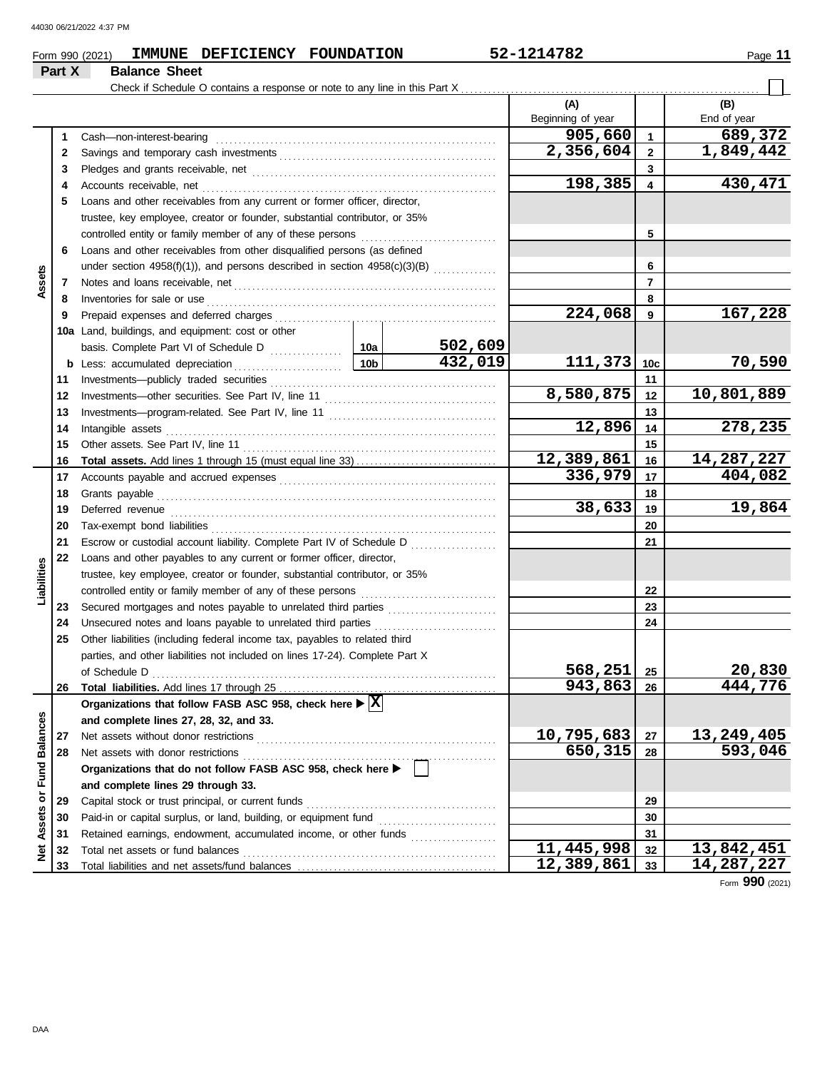### $_{\rm Form}$  990 (2021) **IMMUNE DEFICIENCY FOUNDATION** 52-1214782  $_{\rm Page}$  11 **IMMUNE DEFICIENCY FOUNDATION 52-1214782**

|                      | Part X | <b>Balance Sheet</b>                                                                                                                |                 |           |                            |                 |                      |  |  |  |  |  |
|----------------------|--------|-------------------------------------------------------------------------------------------------------------------------------------|-----------------|-----------|----------------------------|-----------------|----------------------|--|--|--|--|--|
|                      |        | Check if Schedule O contains a response or note to any line in this Part X                                                          |                 |           | (A)<br>Beginning of year   |                 | (B)<br>End of year   |  |  |  |  |  |
|                      | 1      | Cash-non-interest-bearing                                                                                                           |                 |           | 905,660                    | $\mathbf{1}$    | 689,372              |  |  |  |  |  |
|                      | 2      |                                                                                                                                     |                 |           | 2,356,604                  | $\mathbf{2}$    | 1,849,442            |  |  |  |  |  |
|                      | 3      |                                                                                                                                     |                 |           |                            | 3               |                      |  |  |  |  |  |
|                      | 4      | Accounts receivable, net                                                                                                            |                 |           | 198,385                    | 4               | 430,471              |  |  |  |  |  |
|                      | 5      | Loans and other receivables from any current or former officer, director,                                                           |                 |           |                            |                 |                      |  |  |  |  |  |
|                      |        | trustee, key employee, creator or founder, substantial contributor, or 35%                                                          |                 |           |                            |                 |                      |  |  |  |  |  |
|                      |        | controlled entity or family member of any of these persons                                                                          |                 |           |                            | 5               |                      |  |  |  |  |  |
|                      | 6      | Loans and other receivables from other disqualified persons (as defined                                                             |                 |           |                            |                 |                      |  |  |  |  |  |
|                      |        | under section 4958(f)(1)), and persons described in section 4958(c)(3)(B)                                                           |                 |           | 6                          |                 |                      |  |  |  |  |  |
| Assets               | 7      |                                                                                                                                     |                 |           |                            | 7               |                      |  |  |  |  |  |
|                      | 8      | Inventories for sale or use                                                                                                         |                 |           |                            | 8               |                      |  |  |  |  |  |
|                      | 9      | Prepaid expenses and deferred charges                                                                                               |                 |           | 224,068                    | 9               | 167,228              |  |  |  |  |  |
|                      | 10a    | Land, buildings, and equipment: cost or other                                                                                       |                 |           |                            |                 |                      |  |  |  |  |  |
|                      |        | basis. Complete Part VI of Schedule D                                                                                               | 10a             | 502,609   |                            |                 |                      |  |  |  |  |  |
|                      | b      | Less: accumulated depreciation<br>.                                                                                                 | 10 <sub>b</sub> | 432,019   | 111,373                    | 10 <sub>c</sub> | 70,590               |  |  |  |  |  |
|                      | 11     |                                                                                                                                     |                 |           |                            | 11              |                      |  |  |  |  |  |
|                      | 12     |                                                                                                                                     |                 | 8,580,875 | 12                         | 10,801,889      |                      |  |  |  |  |  |
|                      | 13     |                                                                                                                                     |                 |           |                            |                 |                      |  |  |  |  |  |
|                      | 14     | Intangible assets                                                                                                                   | 12,896          | 14        | 278,235                    |                 |                      |  |  |  |  |  |
|                      | 15     | Other assets. See Part IV, line 11                                                                                                  |                 |           |                            | 15              |                      |  |  |  |  |  |
|                      | 16     | <b>Total assets.</b> Add lines 1 through 15 (must equal line 33)                                                                    |                 |           | 12,389,861                 | 16              | 14,287,227           |  |  |  |  |  |
|                      | 17     |                                                                                                                                     |                 |           | 336,979                    | 17              | 404,082              |  |  |  |  |  |
|                      | 18     | Grants payable                                                                                                                      |                 | 18        |                            |                 |                      |  |  |  |  |  |
|                      | 19     | Deferred revenue                                                                                                                    |                 |           | 38,633                     | 19              | 19,864               |  |  |  |  |  |
|                      | 20     | Tax-exempt bond liabilities                                                                                                         |                 |           | 20                         |                 |                      |  |  |  |  |  |
|                      | 21     | Escrow or custodial account liability. Complete Part IV of Schedule D                                                               |                 |           |                            | 21              |                      |  |  |  |  |  |
|                      | 22     | Loans and other payables to any current or former officer, director,                                                                |                 |           |                            |                 |                      |  |  |  |  |  |
| Liabilities          |        | trustee, key employee, creator or founder, substantial contributor, or 35%                                                          |                 |           |                            |                 |                      |  |  |  |  |  |
|                      |        | controlled entity or family member of any of these persons                                                                          |                 |           |                            | 22              |                      |  |  |  |  |  |
|                      | 23     | Secured mortgages and notes payable to unrelated third parties [111] Secured mortgages and notes payable to unrelated third parties |                 |           |                            | 23              |                      |  |  |  |  |  |
|                      | 24     | Unsecured notes and loans payable to unrelated third parties                                                                        |                 |           |                            | 24              |                      |  |  |  |  |  |
|                      | 25     | Other liabilities (including federal income tax, payables to related third                                                          |                 |           |                            |                 |                      |  |  |  |  |  |
|                      |        | parties, and other liabilities not included on lines 17-24). Complete Part X                                                        |                 |           |                            |                 |                      |  |  |  |  |  |
|                      |        | of Schedule D                                                                                                                       |                 |           | 568,251                    | 25              | 20,830               |  |  |  |  |  |
|                      | 26     |                                                                                                                                     |                 |           | 943,863                    | 26              | 444,776              |  |  |  |  |  |
|                      |        | Organizations that follow FASB ASC 958, check here $\blacktriangleright \boxed{X}$                                                  |                 |           |                            |                 |                      |  |  |  |  |  |
|                      |        | and complete lines 27, 28, 32, and 33.                                                                                              |                 |           |                            |                 |                      |  |  |  |  |  |
|                      | 27     | Net assets without donor restrictions                                                                                               |                 |           | 10,795,683                 | 27              | 13, 249, 405         |  |  |  |  |  |
|                      | 28     | Net assets with donor restrictions                                                                                                  |                 |           | 650,315                    | 28              | $\overline{593,046}$ |  |  |  |  |  |
| <b>Fund Balances</b> |        | Organizations that do not follow FASB ASC 958, check here ▶                                                                         |                 |           |                            |                 |                      |  |  |  |  |  |
|                      |        | and complete lines 29 through 33.                                                                                                   |                 |           |                            |                 |                      |  |  |  |  |  |
| Assets or            | 29     | Capital stock or trust principal, or current funds                                                                                  |                 |           |                            |                 |                      |  |  |  |  |  |
|                      | 30     |                                                                                                                                     |                 |           |                            | 30              |                      |  |  |  |  |  |
|                      | 31     | Retained earnings, endowment, accumulated income, or other funds                                                                    |                 |           | 31                         |                 |                      |  |  |  |  |  |
| $\frac{1}{2}$        | 32     | Total net assets or fund balances                                                                                                   |                 |           | $\overline{11}$ , 445, 998 | 32              | 13,842,451           |  |  |  |  |  |
|                      | 33     |                                                                                                                                     |                 |           | 12,389,861                 | 33              | 14, 287, 227         |  |  |  |  |  |

Form **990** (2021)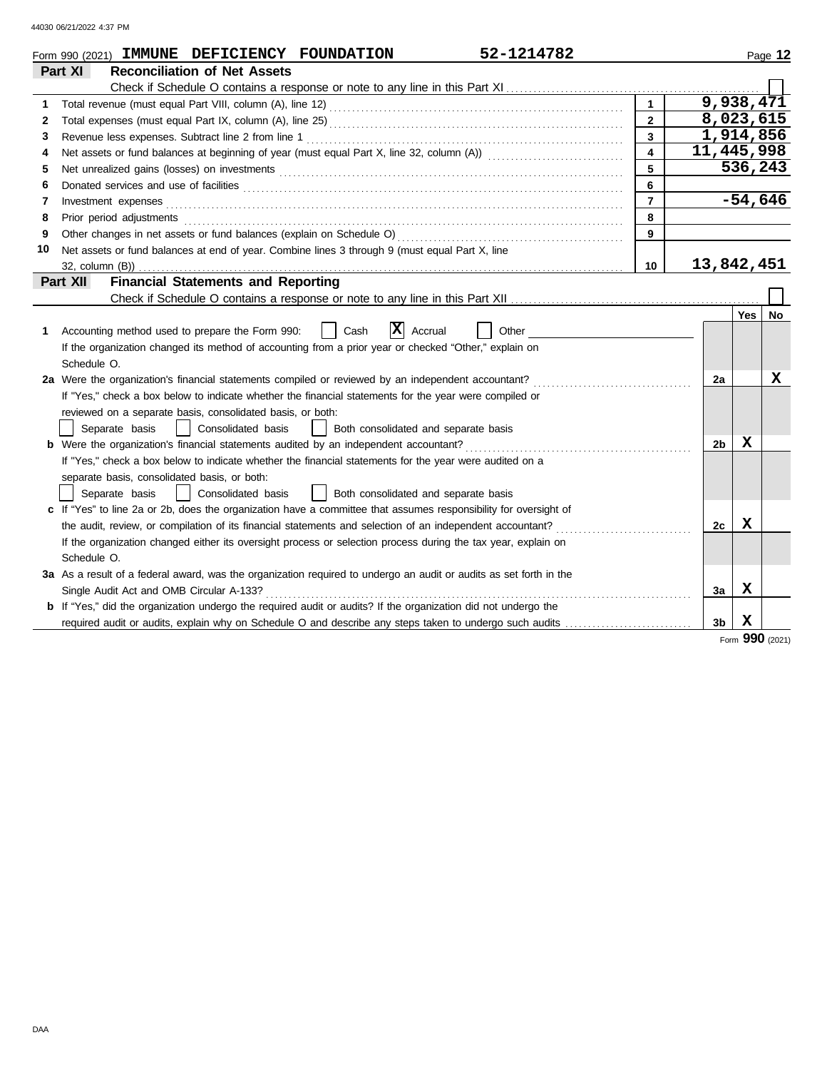|    | 52-1214782<br>Form 990 (2021) IMMUNE DEFICIENCY FOUNDATION                                                                                                                                                                               |  |                     | Page 12   |  |  |  |  |  |  |  |
|----|------------------------------------------------------------------------------------------------------------------------------------------------------------------------------------------------------------------------------------------|--|---------------------|-----------|--|--|--|--|--|--|--|
|    | <b>Reconciliation of Net Assets</b><br>Part XI                                                                                                                                                                                           |  |                     |           |  |  |  |  |  |  |  |
|    |                                                                                                                                                                                                                                          |  |                     |           |  |  |  |  |  |  |  |
| 1  | $\mathbf{1}$                                                                                                                                                                                                                             |  | 9,938,471           |           |  |  |  |  |  |  |  |
| 2  | $\overline{2}$                                                                                                                                                                                                                           |  | 8,023,615           |           |  |  |  |  |  |  |  |
| 3  | $\overline{3}$                                                                                                                                                                                                                           |  | 1,914,856           |           |  |  |  |  |  |  |  |
| 4  | $\blacktriangle$                                                                                                                                                                                                                         |  |                     |           |  |  |  |  |  |  |  |
| 5  | 11,445,998<br>5                                                                                                                                                                                                                          |  |                     |           |  |  |  |  |  |  |  |
| 6  | 6                                                                                                                                                                                                                                        |  |                     |           |  |  |  |  |  |  |  |
| 7  | $\overline{7}$<br>Investment expenses                                                                                                                                                                                                    |  | $-54,646$           |           |  |  |  |  |  |  |  |
| 8  | 8<br>Prior period adjustments <b>construction and construction of the construction</b> of the construction of the construction of the construction of the construction of the construction of the construction of the construction of th |  |                     |           |  |  |  |  |  |  |  |
| 9  | 9                                                                                                                                                                                                                                        |  |                     |           |  |  |  |  |  |  |  |
| 10 | Net assets or fund balances at end of year. Combine lines 3 through 9 (must equal Part X, line                                                                                                                                           |  |                     |           |  |  |  |  |  |  |  |
|    | 10<br>$32$ , column $(B)$ )                                                                                                                                                                                                              |  | 13,842,451          |           |  |  |  |  |  |  |  |
|    | <b>Financial Statements and Reporting</b><br>Part XII                                                                                                                                                                                    |  |                     |           |  |  |  |  |  |  |  |
|    |                                                                                                                                                                                                                                          |  |                     |           |  |  |  |  |  |  |  |
|    |                                                                                                                                                                                                                                          |  | Yes                 | <b>No</b> |  |  |  |  |  |  |  |
| 1  | x <br>Cash<br>Accrual<br>Other<br>Accounting method used to prepare the Form 990:                                                                                                                                                        |  |                     |           |  |  |  |  |  |  |  |
|    | If the organization changed its method of accounting from a prior year or checked "Other," explain on                                                                                                                                    |  |                     |           |  |  |  |  |  |  |  |
|    | Schedule O.                                                                                                                                                                                                                              |  |                     |           |  |  |  |  |  |  |  |
|    | 2a Were the organization's financial statements compiled or reviewed by an independent accountant?                                                                                                                                       |  | 2a                  | х         |  |  |  |  |  |  |  |
|    | If "Yes," check a box below to indicate whether the financial statements for the year were compiled or                                                                                                                                   |  |                     |           |  |  |  |  |  |  |  |
|    | reviewed on a separate basis, consolidated basis, or both:                                                                                                                                                                               |  |                     |           |  |  |  |  |  |  |  |
|    | Separate basis<br>Consolidated basis<br>Both consolidated and separate basis                                                                                                                                                             |  |                     |           |  |  |  |  |  |  |  |
|    | <b>b</b> Were the organization's financial statements audited by an independent accountant?                                                                                                                                              |  | x<br>2 <sub>b</sub> |           |  |  |  |  |  |  |  |
|    | If "Yes," check a box below to indicate whether the financial statements for the year were audited on a                                                                                                                                  |  |                     |           |  |  |  |  |  |  |  |
|    | separate basis, consolidated basis, or both:                                                                                                                                                                                             |  |                     |           |  |  |  |  |  |  |  |
|    | Separate basis<br>Both consolidated and separate basis<br>Consolidated basis                                                                                                                                                             |  |                     |           |  |  |  |  |  |  |  |
|    | c If "Yes" to line 2a or 2b, does the organization have a committee that assumes responsibility for oversight of                                                                                                                         |  |                     |           |  |  |  |  |  |  |  |
|    | the audit, review, or compilation of its financial statements and selection of an independent accountant?                                                                                                                                |  | X<br>2c             |           |  |  |  |  |  |  |  |
|    | If the organization changed either its oversight process or selection process during the tax year, explain on                                                                                                                            |  |                     |           |  |  |  |  |  |  |  |
|    | Schedule O.                                                                                                                                                                                                                              |  |                     |           |  |  |  |  |  |  |  |
|    | 3a As a result of a federal award, was the organization required to undergo an audit or audits as set forth in the                                                                                                                       |  |                     |           |  |  |  |  |  |  |  |
|    | Single Audit Act and OMB Circular A-133?                                                                                                                                                                                                 |  | x<br>3a             |           |  |  |  |  |  |  |  |
|    | b If "Yes," did the organization undergo the required audit or audits? If the organization did not undergo the                                                                                                                           |  |                     |           |  |  |  |  |  |  |  |
|    | required audit or audits, explain why on Schedule O and describe any steps taken to undergo such audits                                                                                                                                  |  | X<br>3 <sub>b</sub> |           |  |  |  |  |  |  |  |
|    |                                                                                                                                                                                                                                          |  | Form 990 (2021)     |           |  |  |  |  |  |  |  |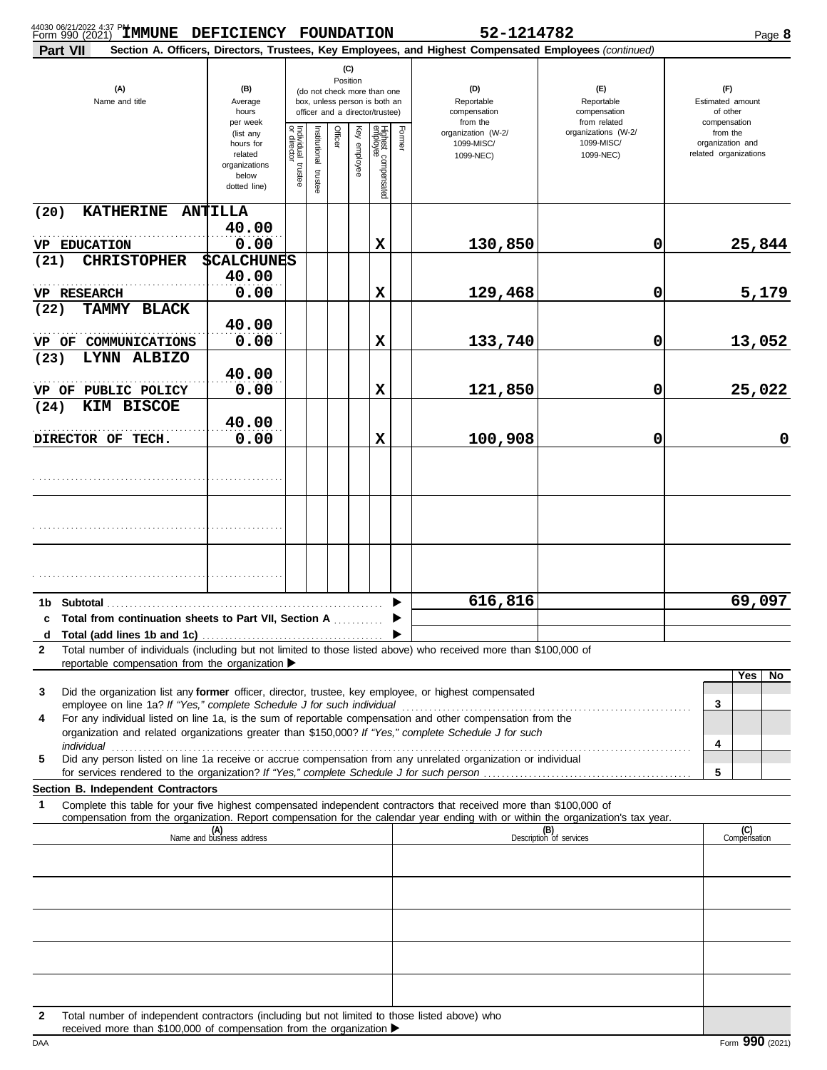| 44030 06/21/2022 4:37 PM<br>Form 990 (2021) <b>TMMUNE</b> | <b>DEFICIENCY</b> | <b>FOUNDATION</b> | 52-1214782<br>$ \sim$ | Page |
|-----------------------------------------------------------|-------------------|-------------------|-----------------------|------|
|-----------------------------------------------------------|-------------------|-------------------|-----------------------|------|

| Part VII                                                                                           |                                                    |                                                                  |                       |         |                                        |                                            |                                              | Section A. Officers, Directors, Trustees, Key Employees, and Highest Compensated Employees (continued)                                                                                                                                                 |                                                |                                                       |
|----------------------------------------------------------------------------------------------------|----------------------------------------------------|------------------------------------------------------------------|-----------------------|---------|----------------------------------------|--------------------------------------------|----------------------------------------------|--------------------------------------------------------------------------------------------------------------------------------------------------------------------------------------------------------------------------------------------------------|------------------------------------------------|-------------------------------------------------------|
| (A)                                                                                                | (B)                                                | (C)<br>Position<br>(do not check more than one                   |                       |         |                                        |                                            | (D)                                          | (E)                                                                                                                                                                                                                                                    | (F)                                            |                                                       |
| Name and title                                                                                     | Average<br>hours<br>per week                       | box, unless person is both an<br>officer and a director/trustee) |                       |         | Reportable<br>compensation<br>from the | Reportable<br>compensation<br>from related | Estimated amount<br>of other<br>compensation |                                                                                                                                                                                                                                                        |                                                |                                                       |
|                                                                                                    | (list any<br>hours for<br>related<br>organizations | Individual trustee<br>or director                                | Institutional trustee | Officer | Key employee                           | Highest compensated<br>employee            | Former                                       | organization (W-2/<br>1099-MISC/<br>1099-NEC)                                                                                                                                                                                                          | organizations (W-2/<br>1099-MISC/<br>1099-NEC) | from the<br>organization and<br>related organizations |
|                                                                                                    | below<br>dotted line)                              |                                                                  |                       |         |                                        |                                            |                                              |                                                                                                                                                                                                                                                        |                                                |                                                       |
| <b>KATHERINE</b><br>(20)                                                                           | <b>ANTILLA</b>                                     |                                                                  |                       |         |                                        |                                            |                                              |                                                                                                                                                                                                                                                        |                                                |                                                       |
| VP EDUCATION                                                                                       | 40.00<br>0.00                                      |                                                                  |                       |         |                                        | X                                          |                                              | 130,850                                                                                                                                                                                                                                                | 0                                              | 25,844                                                |
| <b>CHRISTOPHER</b><br>(21)                                                                         | <b>\$CALCHUNES</b>                                 |                                                                  |                       |         |                                        |                                            |                                              |                                                                                                                                                                                                                                                        |                                                |                                                       |
| VP RESEARCH                                                                                        | 40.00<br>0.00                                      |                                                                  |                       |         |                                        | X                                          |                                              | 129,468                                                                                                                                                                                                                                                | 0                                              | 5,179                                                 |
| TAMMY BLACK<br>(22)                                                                                |                                                    |                                                                  |                       |         |                                        |                                            |                                              |                                                                                                                                                                                                                                                        |                                                |                                                       |
|                                                                                                    | 40.00                                              |                                                                  |                       |         |                                        |                                            |                                              |                                                                                                                                                                                                                                                        |                                                |                                                       |
| VP OF COMMUNICATIONS<br>LYNN ALBIZO<br>(23)                                                        | 0.00                                               |                                                                  |                       |         |                                        | X                                          |                                              | 133,740                                                                                                                                                                                                                                                | 0                                              | 13,052                                                |
| VP OF PUBLIC POLICY                                                                                | 40.00<br>0.00                                      |                                                                  |                       |         |                                        | X                                          |                                              | 121,850                                                                                                                                                                                                                                                | 0                                              | 25,022                                                |
| KIM BISCOE<br>(24)                                                                                 |                                                    |                                                                  |                       |         |                                        |                                            |                                              |                                                                                                                                                                                                                                                        |                                                |                                                       |
| DIRECTOR OF TECH.                                                                                  | 40.00<br>0.00                                      |                                                                  |                       |         |                                        | X                                          |                                              | 100,908                                                                                                                                                                                                                                                | 0                                              | $\mathbf 0$                                           |
|                                                                                                    |                                                    |                                                                  |                       |         |                                        |                                            |                                              |                                                                                                                                                                                                                                                        |                                                |                                                       |
|                                                                                                    |                                                    |                                                                  |                       |         |                                        |                                            |                                              |                                                                                                                                                                                                                                                        |                                                |                                                       |
|                                                                                                    |                                                    |                                                                  |                       |         |                                        |                                            |                                              |                                                                                                                                                                                                                                                        |                                                |                                                       |
|                                                                                                    |                                                    |                                                                  |                       |         |                                        |                                            |                                              |                                                                                                                                                                                                                                                        |                                                |                                                       |
|                                                                                                    |                                                    |                                                                  |                       |         |                                        |                                            |                                              |                                                                                                                                                                                                                                                        |                                                |                                                       |
|                                                                                                    |                                                    |                                                                  |                       |         |                                        |                                            |                                              | 616,816                                                                                                                                                                                                                                                |                                                | 69,097                                                |
| Total from continuation sheets to Part VII, Section A<br>c                                         |                                                    |                                                                  |                       |         |                                        |                                            |                                              |                                                                                                                                                                                                                                                        |                                                |                                                       |
| າ                                                                                                  |                                                    |                                                                  |                       |         |                                        |                                            |                                              | Total number of individuals (including but not limited to those listed above) who received more than \$100,000 of                                                                                                                                      |                                                |                                                       |
| reportable compensation from the organization ▶                                                    |                                                    |                                                                  |                       |         |                                        |                                            |                                              |                                                                                                                                                                                                                                                        |                                                | Yes<br>No                                             |
| 3                                                                                                  |                                                    |                                                                  |                       |         |                                        |                                            |                                              | Did the organization list any <b>former</b> officer, director, trustee, key employee, or highest compensated                                                                                                                                           |                                                | 3                                                     |
| 4                                                                                                  |                                                    |                                                                  |                       |         |                                        |                                            |                                              | For any individual listed on line 1a, is the sum of reportable compensation and other compensation from the<br>organization and related organizations greater than \$150,000? If "Yes," complete Schedule J for such                                   |                                                | 4                                                     |
| 5                                                                                                  |                                                    |                                                                  |                       |         |                                        |                                            |                                              | Did any person listed on line 1a receive or accrue compensation from any unrelated organization or individual                                                                                                                                          |                                                | 5                                                     |
| Section B. Independent Contractors                                                                 |                                                    |                                                                  |                       |         |                                        |                                            |                                              |                                                                                                                                                                                                                                                        |                                                |                                                       |
| 1                                                                                                  |                                                    |                                                                  |                       |         |                                        |                                            |                                              | Complete this table for your five highest compensated independent contractors that received more than \$100,000 of<br>compensation from the organization. Report compensation for the calendar year ending with or within the organization's tax year. |                                                |                                                       |
|                                                                                                    | (A)<br>Name and business address                   |                                                                  |                       |         |                                        |                                            |                                              |                                                                                                                                                                                                                                                        | (B)<br>Description of services                 | (C)<br>Compensation                                   |
|                                                                                                    |                                                    |                                                                  |                       |         |                                        |                                            |                                              |                                                                                                                                                                                                                                                        |                                                |                                                       |
|                                                                                                    |                                                    |                                                                  |                       |         |                                        |                                            |                                              |                                                                                                                                                                                                                                                        |                                                |                                                       |
|                                                                                                    |                                                    |                                                                  |                       |         |                                        |                                            |                                              |                                                                                                                                                                                                                                                        |                                                |                                                       |
|                                                                                                    |                                                    |                                                                  |                       |         |                                        |                                            |                                              |                                                                                                                                                                                                                                                        |                                                |                                                       |
|                                                                                                    |                                                    |                                                                  |                       |         |                                        |                                            |                                              |                                                                                                                                                                                                                                                        |                                                |                                                       |
| Total number of independent contractors (including but not limited to those listed above) who<br>2 |                                                    |                                                                  |                       |         |                                        |                                            |                                              |                                                                                                                                                                                                                                                        |                                                |                                                       |

received more than \$100,000 of compensation from the organization  $\blacktriangleright$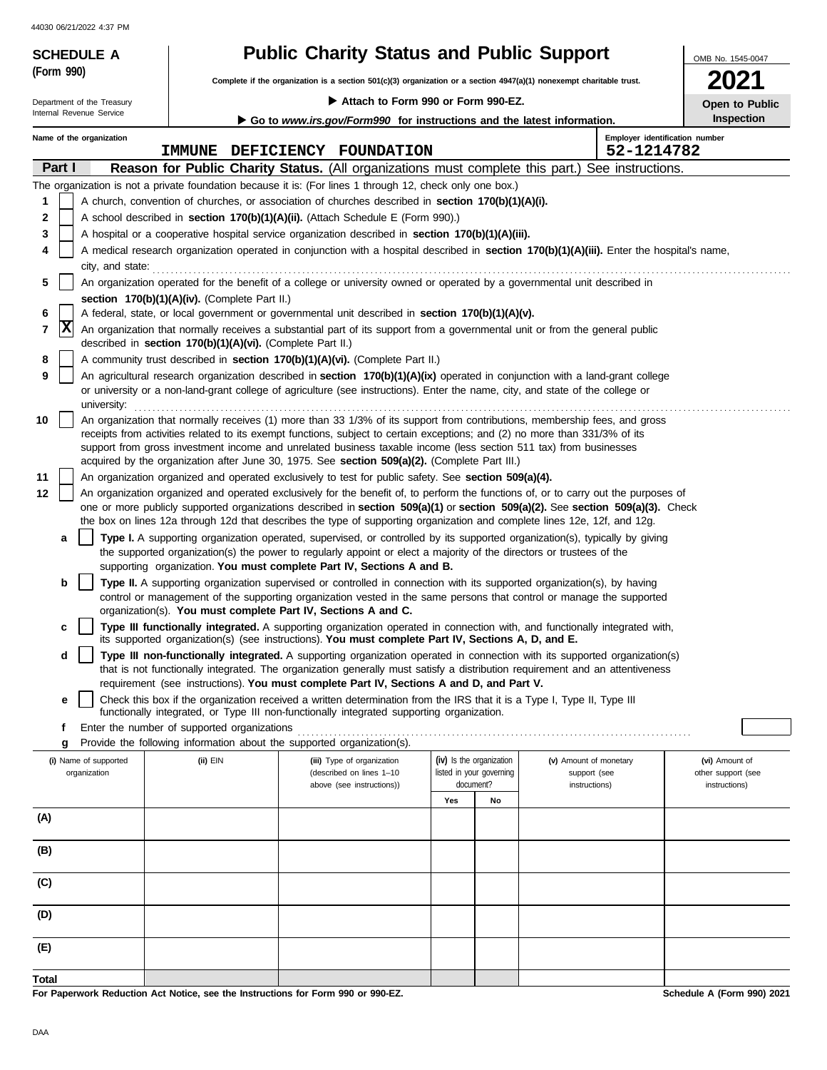**SCHEDULE A** 

**(Form 990)**

| <b>Public Charity Status and Public Support</b>                                                                          |
|--------------------------------------------------------------------------------------------------------------------------|
| Complete if the organization is a section $501(c)(3)$ organization or a section $4947(a)(1)$ nonexempt charitable trust. |
| Attach to Form 990 or Form 990-EZ.                                                                                       |
|                                                                                                                          |

| OMB No. 1545-0047 |
|-------------------|
| ንበ                |

|  | <b>Open to Public</b> |
|--|-----------------------|
|  | <b>Inspection</b>     |

|        | Department of the Treasury                                                                                                |                                                                               | Open to Public                                                                                                                                                                                                                                                                                                                                                                                                                                                                  |                                              |    |                        |                    |  |  |  |
|--------|---------------------------------------------------------------------------------------------------------------------------|-------------------------------------------------------------------------------|---------------------------------------------------------------------------------------------------------------------------------------------------------------------------------------------------------------------------------------------------------------------------------------------------------------------------------------------------------------------------------------------------------------------------------------------------------------------------------|----------------------------------------------|----|------------------------|--------------------|--|--|--|
|        | Internal Revenue Service                                                                                                  | Go to <i>www.irs.gov/Form990</i> for instructions and the latest information. | <b>Inspection</b>                                                                                                                                                                                                                                                                                                                                                                                                                                                               |                                              |    |                        |                    |  |  |  |
|        | Name of the organization                                                                                                  | IMMUNE                                                                        | DEFICIENCY FOUNDATION                                                                                                                                                                                                                                                                                                                                                                                                                                                           | Employer identification number<br>52-1214782 |    |                        |                    |  |  |  |
| Part I |                                                                                                                           |                                                                               | Reason for Public Charity Status. (All organizations must complete this part.) See instructions.                                                                                                                                                                                                                                                                                                                                                                                |                                              |    |                        |                    |  |  |  |
|        |                                                                                                                           |                                                                               | The organization is not a private foundation because it is: (For lines 1 through 12, check only one box.)                                                                                                                                                                                                                                                                                                                                                                       |                                              |    |                        |                    |  |  |  |
| 1      |                                                                                                                           |                                                                               | A church, convention of churches, or association of churches described in section 170(b)(1)(A)(i).                                                                                                                                                                                                                                                                                                                                                                              |                                              |    |                        |                    |  |  |  |
| 2      |                                                                                                                           |                                                                               | A school described in section 170(b)(1)(A)(ii). (Attach Schedule E (Form 990).)                                                                                                                                                                                                                                                                                                                                                                                                 |                                              |    |                        |                    |  |  |  |
| 3      |                                                                                                                           |                                                                               | A hospital or a cooperative hospital service organization described in section 170(b)(1)(A)(iii).                                                                                                                                                                                                                                                                                                                                                                               |                                              |    |                        |                    |  |  |  |
| 4      |                                                                                                                           |                                                                               | A medical research organization operated in conjunction with a hospital described in section 170(b)(1)(A)(iii). Enter the hospital's name,                                                                                                                                                                                                                                                                                                                                      |                                              |    |                        |                    |  |  |  |
| 5      | An organization operated for the benefit of a college or university owned or operated by a governmental unit described in |                                                                               |                                                                                                                                                                                                                                                                                                                                                                                                                                                                                 |                                              |    |                        |                    |  |  |  |
|        |                                                                                                                           | section 170(b)(1)(A)(iv). (Complete Part II.)                                 |                                                                                                                                                                                                                                                                                                                                                                                                                                                                                 |                                              |    |                        |                    |  |  |  |
| 6      |                                                                                                                           |                                                                               | A federal, state, or local government or governmental unit described in section 170(b)(1)(A)(v).                                                                                                                                                                                                                                                                                                                                                                                |                                              |    |                        |                    |  |  |  |
| X<br>7 |                                                                                                                           | described in section 170(b)(1)(A)(vi). (Complete Part II.)                    | An organization that normally receives a substantial part of its support from a governmental unit or from the general public                                                                                                                                                                                                                                                                                                                                                    |                                              |    |                        |                    |  |  |  |
| 8      |                                                                                                                           |                                                                               | A community trust described in section 170(b)(1)(A)(vi). (Complete Part II.)                                                                                                                                                                                                                                                                                                                                                                                                    |                                              |    |                        |                    |  |  |  |
| 9      | university:                                                                                                               |                                                                               | An agricultural research organization described in <b>section 170(b)(1)(A)(ix)</b> operated in conjunction with a land-grant college<br>or university or a non-land-grant college of agriculture (see instructions). Enter the name, city, and state of the college or                                                                                                                                                                                                          |                                              |    |                        |                    |  |  |  |
| 10     |                                                                                                                           |                                                                               | An organization that normally receives (1) more than 33 1/3% of its support from contributions, membership fees, and gross<br>receipts from activities related to its exempt functions, subject to certain exceptions; and (2) no more than 331/3% of its<br>support from gross investment income and unrelated business taxable income (less section 511 tax) from businesses<br>acquired by the organization after June 30, 1975. See section 509(a)(2). (Complete Part III.) |                                              |    |                        |                    |  |  |  |
| 11     |                                                                                                                           |                                                                               | An organization organized and operated exclusively to test for public safety. See section 509(a)(4).                                                                                                                                                                                                                                                                                                                                                                            |                                              |    |                        |                    |  |  |  |
| 12     |                                                                                                                           |                                                                               | An organization organized and operated exclusively for the benefit of, to perform the functions of, or to carry out the purposes of                                                                                                                                                                                                                                                                                                                                             |                                              |    |                        |                    |  |  |  |
|        |                                                                                                                           |                                                                               | one or more publicly supported organizations described in section 509(a)(1) or section 509(a)(2). See section 509(a)(3). Check                                                                                                                                                                                                                                                                                                                                                  |                                              |    |                        |                    |  |  |  |
|        |                                                                                                                           |                                                                               | the box on lines 12a through 12d that describes the type of supporting organization and complete lines 12e, 12f, and 12g.                                                                                                                                                                                                                                                                                                                                                       |                                              |    |                        |                    |  |  |  |
| a      |                                                                                                                           |                                                                               | Type I. A supporting organization operated, supervised, or controlled by its supported organization(s), typically by giving                                                                                                                                                                                                                                                                                                                                                     |                                              |    |                        |                    |  |  |  |
|        |                                                                                                                           |                                                                               | the supported organization(s) the power to regularly appoint or elect a majority of the directors or trustees of the<br>supporting organization. You must complete Part IV, Sections A and B.                                                                                                                                                                                                                                                                                   |                                              |    |                        |                    |  |  |  |
| b      |                                                                                                                           |                                                                               | Type II. A supporting organization supervised or controlled in connection with its supported organization(s), by having                                                                                                                                                                                                                                                                                                                                                         |                                              |    |                        |                    |  |  |  |
|        |                                                                                                                           |                                                                               | control or management of the supporting organization vested in the same persons that control or manage the supported<br>organization(s). You must complete Part IV, Sections A and C.                                                                                                                                                                                                                                                                                           |                                              |    |                        |                    |  |  |  |
| c      |                                                                                                                           |                                                                               | Type III functionally integrated. A supporting organization operated in connection with, and functionally integrated with,<br>its supported organization(s) (see instructions). You must complete Part IV, Sections A, D, and E.                                                                                                                                                                                                                                                |                                              |    |                        |                    |  |  |  |
| d      |                                                                                                                           |                                                                               | Type III non-functionally integrated. A supporting organization operated in connection with its supported organization(s)<br>that is not functionally integrated. The organization generally must satisfy a distribution requirement and an attentiveness                                                                                                                                                                                                                       |                                              |    |                        |                    |  |  |  |
|        |                                                                                                                           |                                                                               | requirement (see instructions). You must complete Part IV, Sections A and D, and Part V.                                                                                                                                                                                                                                                                                                                                                                                        |                                              |    |                        |                    |  |  |  |
|        |                                                                                                                           |                                                                               | Check this box if the organization received a written determination from the IRS that it is a Type I, Type II, Type III                                                                                                                                                                                                                                                                                                                                                         |                                              |    |                        |                    |  |  |  |
| f      |                                                                                                                           | Enter the number of supported organizations                                   | functionally integrated, or Type III non-functionally integrated supporting organization.                                                                                                                                                                                                                                                                                                                                                                                       |                                              |    |                        |                    |  |  |  |
| g      |                                                                                                                           |                                                                               | Provide the following information about the supported organization(s).                                                                                                                                                                                                                                                                                                                                                                                                          |                                              |    |                        |                    |  |  |  |
|        | (i) Name of supported                                                                                                     | $(ii)$ $EIN$                                                                  | (iii) Type of organization                                                                                                                                                                                                                                                                                                                                                                                                                                                      | (iv) Is the organization                     |    | (v) Amount of monetary | (vi) Amount of     |  |  |  |
|        | organization                                                                                                              |                                                                               | (described on lines 1-10                                                                                                                                                                                                                                                                                                                                                                                                                                                        | listed in your governing                     |    | support (see           | other support (see |  |  |  |
|        |                                                                                                                           |                                                                               | above (see instructions))                                                                                                                                                                                                                                                                                                                                                                                                                                                       | document?                                    |    | instructions)          | instructions)      |  |  |  |
|        |                                                                                                                           |                                                                               |                                                                                                                                                                                                                                                                                                                                                                                                                                                                                 | Yes                                          | No |                        |                    |  |  |  |
| (A)    |                                                                                                                           |                                                                               |                                                                                                                                                                                                                                                                                                                                                                                                                                                                                 |                                              |    |                        |                    |  |  |  |
| (B)    |                                                                                                                           |                                                                               |                                                                                                                                                                                                                                                                                                                                                                                                                                                                                 |                                              |    |                        |                    |  |  |  |
|        |                                                                                                                           |                                                                               |                                                                                                                                                                                                                                                                                                                                                                                                                                                                                 |                                              |    |                        |                    |  |  |  |
| (C)    |                                                                                                                           |                                                                               |                                                                                                                                                                                                                                                                                                                                                                                                                                                                                 |                                              |    |                        |                    |  |  |  |
| (D)    |                                                                                                                           |                                                                               |                                                                                                                                                                                                                                                                                                                                                                                                                                                                                 |                                              |    |                        |                    |  |  |  |
| (E)    |                                                                                                                           |                                                                               |                                                                                                                                                                                                                                                                                                                                                                                                                                                                                 |                                              |    |                        |                    |  |  |  |
| Total  |                                                                                                                           |                                                                               |                                                                                                                                                                                                                                                                                                                                                                                                                                                                                 |                                              |    |                        |                    |  |  |  |

**For Paperwork Reduction Act Notice, see the Instructions for Form 990 or 990-EZ.**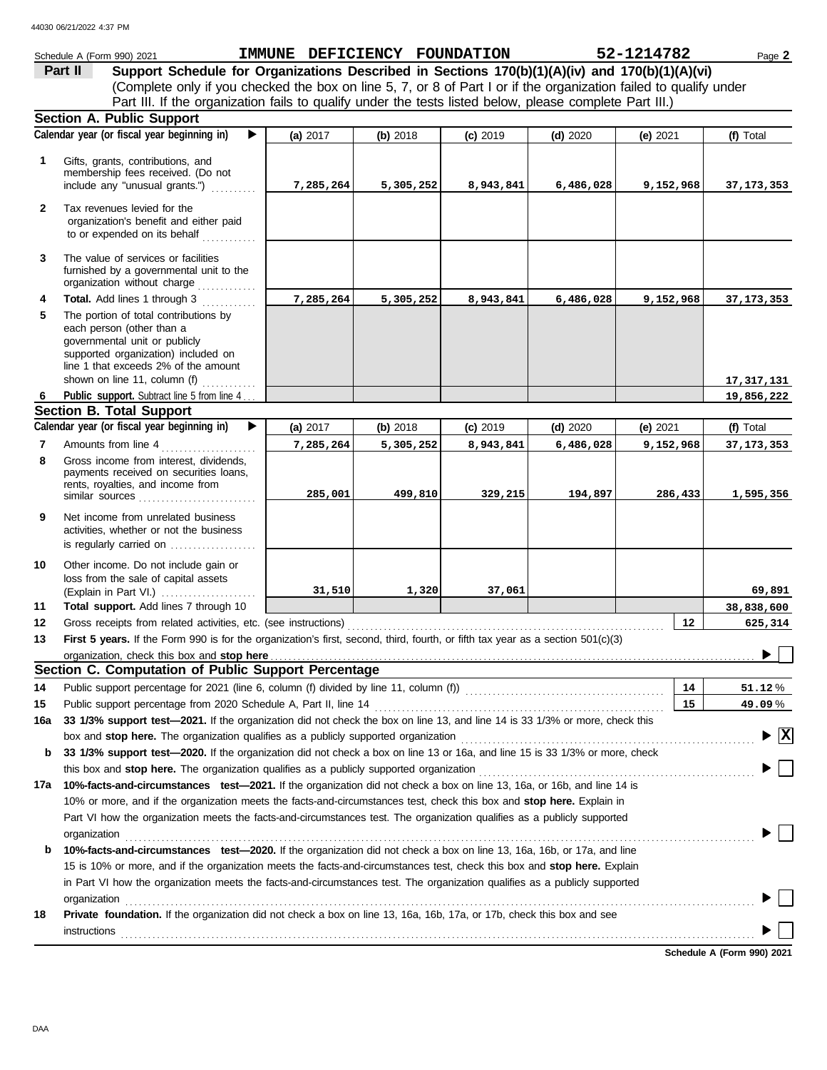|              | Schedule A (Form 990) 2021                                                                                                                                                                                         | IMMUNE DEFICIENCY FOUNDATION |           |            |            | 52-1214782 | Page 2                                      |
|--------------|--------------------------------------------------------------------------------------------------------------------------------------------------------------------------------------------------------------------|------------------------------|-----------|------------|------------|------------|---------------------------------------------|
|              | Support Schedule for Organizations Described in Sections 170(b)(1)(A)(iv) and 170(b)(1)(A)(vi)<br>Part II                                                                                                          |                              |           |            |            |            |                                             |
|              | (Complete only if you checked the box on line 5, 7, or 8 of Part I or if the organization failed to qualify under                                                                                                  |                              |           |            |            |            |                                             |
|              | Part III. If the organization fails to qualify under the tests listed below, please complete Part III.)                                                                                                            |                              |           |            |            |            |                                             |
|              | <b>Section A. Public Support</b>                                                                                                                                                                                   |                              |           |            |            |            |                                             |
|              | Calendar year (or fiscal year beginning in)<br>▶                                                                                                                                                                   | (a) 2017                     | (b) 2018  | $(c)$ 2019 | $(d)$ 2020 | (e) 2021   | (f) Total                                   |
| 1            | Gifts, grants, contributions, and<br>membership fees received. (Do not<br>include any "unusual grants.")                                                                                                           | 7,285,264                    | 5,305,252 | 8,943,841  | 6,486,028  | 9,152,968  | 37, 173, 353                                |
| $\mathbf{2}$ | Tax revenues levied for the<br>organization's benefit and either paid<br>to or expended on its behalf                                                                                                              |                              |           |            |            |            |                                             |
| 3            | The value of services or facilities<br>furnished by a governmental unit to the<br>organization without charge                                                                                                      |                              |           |            |            |            |                                             |
| 4            | Total. Add lines 1 through 3                                                                                                                                                                                       | 7,285,264                    | 5,305,252 | 8,943,841  | 6,486,028  | 9,152,968  | 37, 173, 353                                |
| 5            | The portion of total contributions by<br>each person (other than a<br>governmental unit or publicly<br>supported organization) included on<br>line 1 that exceeds 2% of the amount<br>shown on line 11, column (f) |                              |           |            |            |            | 17,317,131                                  |
| 6            | Public support. Subtract line 5 from line 4.                                                                                                                                                                       |                              |           |            |            |            | 19,856,222                                  |
|              | <b>Section B. Total Support</b>                                                                                                                                                                                    |                              |           |            |            |            |                                             |
|              | Calendar year (or fiscal year beginning in)                                                                                                                                                                        | (a) 2017                     | (b) 2018  | $(c)$ 2019 | $(d)$ 2020 | (e) 2021   | (f) Total                                   |
| 7            | Amounts from line 4                                                                                                                                                                                                | 7,285,264                    | 5,305,252 | 8,943,841  | 6,486,028  | 9,152,968  | 37, 173, 353                                |
| 8            | Gross income from interest, dividends,<br>payments received on securities loans,<br>rents, royalties, and income from                                                                                              | 285,001                      | 499,810   | 329,215    | 194,897    | 286,433    | 1,595,356                                   |
| 9            | Net income from unrelated business<br>activities, whether or not the business<br>is regularly carried on                                                                                                           |                              |           |            |            |            |                                             |
| 10           | Other income. Do not include gain or<br>loss from the sale of capital assets<br>(Explain in Part VI.)                                                                                                              | 31,510                       | 1,320     | 37,061     |            |            | 69,891                                      |
| 11           | Total support. Add lines 7 through 10                                                                                                                                                                              |                              |           |            |            |            | 38,838,600                                  |
| 12           | Gross receipts from related activities, etc. (see instructions)                                                                                                                                                    |                              |           |            |            | 12         | 625,314                                     |
| 13           | First 5 years. If the Form 990 is for the organization's first, second, third, fourth, or fifth tax year as a section 501(c)(3)                                                                                    |                              |           |            |            |            |                                             |
|              | Section C. Computation of Public Support Percentage                                                                                                                                                                |                              |           |            |            |            | ▶                                           |
| 14           |                                                                                                                                                                                                                    |                              |           |            |            | 14         |                                             |
| 15           | Public support percentage for 2021 (line 6, column (f) divided by line 11, column (f)) [[[[[[[[[[[[[[[[[[[[[[<br>Public support percentage from 2020 Schedule A, Part II, line 14                                  |                              |           |            |            | 15         | 51.12%<br>49.09%                            |
| 16a          | 33 1/3% support test-2021. If the organization did not check the box on line 13, and line 14 is 33 1/3% or more, check this                                                                                        |                              |           |            |            |            |                                             |
|              | box and stop here. The organization qualifies as a publicly supported organization                                                                                                                                 |                              |           |            |            |            | $\blacktriangleright \overline{\mathbf{x}}$ |
| b            | 33 1/3% support test-2020. If the organization did not check a box on line 13 or 16a, and line 15 is 33 1/3% or more, check                                                                                        |                              |           |            |            |            |                                             |
|              | this box and stop here. The organization qualifies as a publicly supported organization                                                                                                                            |                              |           |            |            |            |                                             |
|              | 17a 10%-facts-and-circumstances test-2021. If the organization did not check a box on line 13, 16a, or 16b, and line 14 is                                                                                         |                              |           |            |            |            |                                             |
|              | 10% or more, and if the organization meets the facts-and-circumstances test, check this box and stop here. Explain in                                                                                              |                              |           |            |            |            |                                             |
|              | Part VI how the organization meets the facts-and-circumstances test. The organization qualifies as a publicly supported                                                                                            |                              |           |            |            |            |                                             |
|              | organization                                                                                                                                                                                                       |                              |           |            |            |            |                                             |
| b            | 10%-facts-and-circumstances test-2020. If the organization did not check a box on line 13, 16a, 16b, or 17a, and line                                                                                              |                              |           |            |            |            |                                             |
|              | 15 is 10% or more, and if the organization meets the facts-and-circumstances test, check this box and stop here. Explain                                                                                           |                              |           |            |            |            |                                             |
|              | in Part VI how the organization meets the facts-and-circumstances test. The organization qualifies as a publicly supported                                                                                         |                              |           |            |            |            |                                             |
|              | organization                                                                                                                                                                                                       |                              |           |            |            |            |                                             |
| 18           | Private foundation. If the organization did not check a box on line 13, 16a, 16b, 17a, or 17b, check this box and see<br>instructions                                                                              |                              |           |            |            |            |                                             |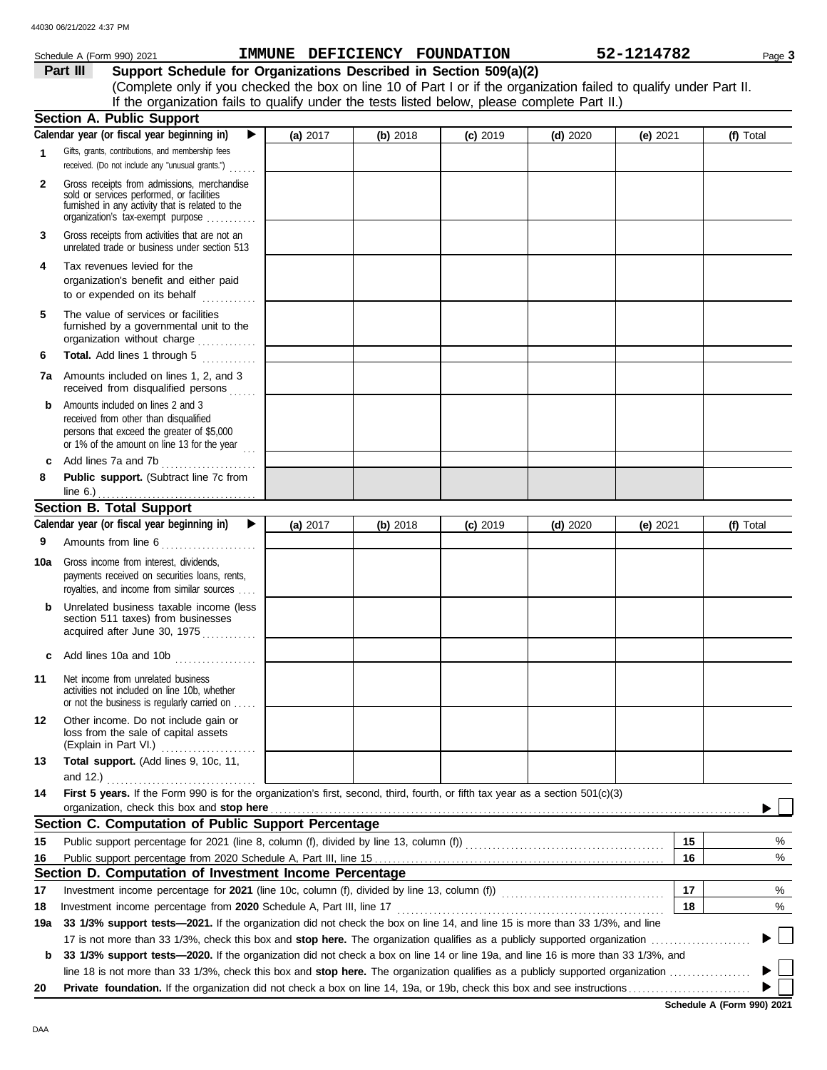|              | Schedule A (Form 990) 2021                                                                                                                                                        | IMMUNE DEFICIENCY FOUNDATION |          |            |            | 52-1214782 | Page 3    |
|--------------|-----------------------------------------------------------------------------------------------------------------------------------------------------------------------------------|------------------------------|----------|------------|------------|------------|-----------|
|              | Support Schedule for Organizations Described in Section 509(a)(2)<br>Part III                                                                                                     |                              |          |            |            |            |           |
|              | (Complete only if you checked the box on line 10 of Part I or if the organization failed to qualify under Part II.                                                                |                              |          |            |            |            |           |
|              | If the organization fails to qualify under the tests listed below, please complete Part II.)                                                                                      |                              |          |            |            |            |           |
|              | Section A. Public Support                                                                                                                                                         |                              |          |            |            |            |           |
|              | Calendar year (or fiscal year beginning in)<br>$\blacktriangleright$                                                                                                              | (a) 2017                     | (b) 2018 | $(c)$ 2019 | $(d)$ 2020 | (e) 2021   | (f) Total |
| 1            | Gifts, grants, contributions, and membership fees<br>received. (Do not include any "unusual grants.")                                                                             |                              |          |            |            |            |           |
| $\mathbf{2}$ | Gross receipts from admissions, merchandise<br>sold or services performed, or facilities<br>furnished in any activity that is related to the<br>organization's tax-exempt purpose |                              |          |            |            |            |           |
| 3            | Gross receipts from activities that are not an<br>unrelated trade or business under section 513                                                                                   |                              |          |            |            |            |           |
| 4            | Tax revenues levied for the<br>organization's benefit and either paid<br>to or expended on its behalf                                                                             |                              |          |            |            |            |           |
| 5            | The value of services or facilities<br>furnished by a governmental unit to the<br>organization without charge                                                                     |                              |          |            |            |            |           |
| 6            | Total. Add lines 1 through 5                                                                                                                                                      |                              |          |            |            |            |           |
|              | <b>7a</b> Amounts included on lines 1, 2, and 3<br>received from disqualified persons                                                                                             |                              |          |            |            |            |           |
| b            | Amounts included on lines 2 and 3<br>received from other than disqualified<br>persons that exceed the greater of \$5,000<br>or 1% of the amount on line 13 for the year $\ldots$  |                              |          |            |            |            |           |
| c            | Add lines 7a and 7b                                                                                                                                                               |                              |          |            |            |            |           |
| 8            | Public support. (Subtract line 7c from<br>line 6.) $\frac{1}{2}$                                                                                                                  |                              |          |            |            |            |           |
|              | <b>Section B. Total Support</b>                                                                                                                                                   |                              |          |            |            |            |           |
|              | Calendar year (or fiscal year beginning in)<br>▶                                                                                                                                  | (a) 2017                     | (b) 2018 | $(c)$ 2019 | (d) $2020$ | (e) 2021   | (f) Total |
| 9            | Amounts from line 6<br>.                                                                                                                                                          |                              |          |            |            |            |           |
| 10a          | Gross income from interest, dividends,<br>payments received on securities loans, rents,<br>royalties, and income from similar sources                                             |                              |          |            |            |            |           |
|              | Unrelated business taxable income (less<br>section 511 taxes) from businesses<br>acquired after June 30, 1975                                                                     |                              |          |            |            |            |           |
|              | Add lines 10a and 10b                                                                                                                                                             |                              |          |            |            |            |           |
| 11           | Net income from unrelated business<br>activities not included on line 10b, whether<br>or not the business is regularly carried on                                                 |                              |          |            |            |            |           |
| 12           | Other income. Do not include gain or<br>loss from the sale of capital assets<br>(Explain in Part VI.)<br>.                                                                        |                              |          |            |            |            |           |
| 13           | Total support. (Add lines 9, 10c, 11,<br>and 12.)                                                                                                                                 |                              |          |            |            |            |           |
| 14           | First 5 vears. If the Form 990 is for the organization's first, second, third, fourth, or fifth tax vear as a section 501(c)(3)                                                   |                              |          |            |            |            |           |
|              | Section C. Computation of Public Support Percentage                                                                                                                               |                              |          |            |            |            |           |
| 15           | Public support percentage for 2021 (line 8, column (f), divided by line 13, column (f)) [[[[[[[[[[[[[[[[[[[[[                                                                     |                              |          |            |            | 15         | %         |
| 16           |                                                                                                                                                                                   |                              |          |            |            | 16         | %         |
|              | Section D. Computation of Investment Income Percentage                                                                                                                            |                              |          |            |            |            |           |
| 17           |                                                                                                                                                                                   |                              |          |            |            | 17         | $\%$      |
| 18           | Investment income percentage from 2020 Schedule A, Part III, line 17                                                                                                              |                              |          |            |            | 18         | %         |
| 19a          | 33 1/3% support tests-2021. If the organization did not check the box on line 14, and line 15 is more than 33 1/3%, and line                                                      |                              |          |            |            |            |           |
|              |                                                                                                                                                                                   |                              |          |            |            |            | $\Box$    |
| b            | 33 1/3% support tests—2020. If the organization did not check a box on line 14 or line 19a, and line 16 is more than 33 1/3%, and                                                 |                              |          |            |            |            |           |
|              |                                                                                                                                                                                   |                              |          |            |            |            |           |
| 20           |                                                                                                                                                                                   |                              |          |            |            |            |           |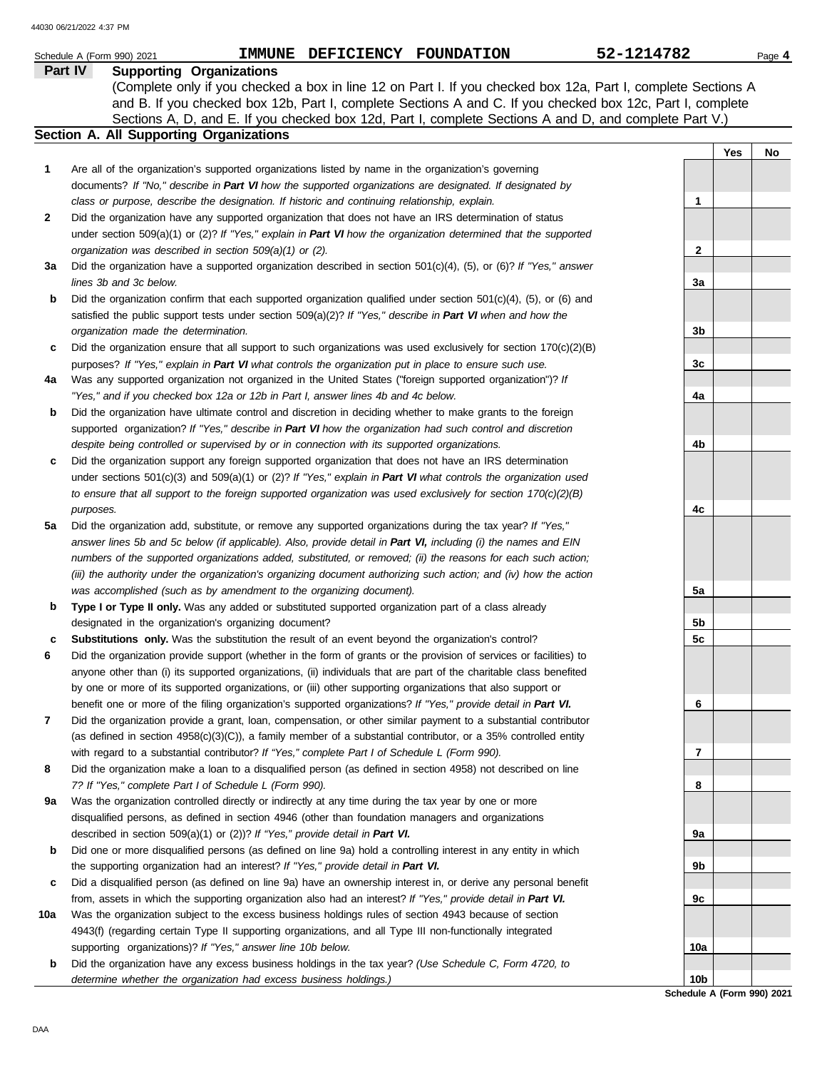|     | IMMUNE DEFICIENCY FOUNDATION<br>Schedule A (Form 990) 2021                                                                                                                  | 52-1214782      | Page 4    |
|-----|-----------------------------------------------------------------------------------------------------------------------------------------------------------------------------|-----------------|-----------|
|     | Part IV<br><b>Supporting Organizations</b>                                                                                                                                  |                 |           |
|     | (Complete only if you checked a box in line 12 on Part I. If you checked box 12a, Part I, complete Sections A                                                               |                 |           |
|     | and B. If you checked box 12b, Part I, complete Sections A and C. If you checked box 12c, Part I, complete                                                                  |                 |           |
|     | Sections A, D, and E. If you checked box 12d, Part I, complete Sections A and D, and complete Part V.)                                                                      |                 |           |
|     | Section A. All Supporting Organizations                                                                                                                                     |                 |           |
|     |                                                                                                                                                                             |                 | Yes<br>No |
| 1   | Are all of the organization's supported organizations listed by name in the organization's governing                                                                        |                 |           |
|     | documents? If "No," describe in Part VI how the supported organizations are designated. If designated by                                                                    |                 |           |
|     | class or purpose, describe the designation. If historic and continuing relationship, explain.                                                                               | $\mathbf{1}$    |           |
| 2   | Did the organization have any supported organization that does not have an IRS determination of status                                                                      |                 |           |
|     | under section 509(a)(1) or (2)? If "Yes," explain in Part VI how the organization determined that the supported                                                             |                 |           |
|     | organization was described in section 509(a)(1) or (2).                                                                                                                     | $\mathbf{2}$    |           |
| За  | Did the organization have a supported organization described in section $501(c)(4)$ , (5), or (6)? If "Yes," answer                                                         |                 |           |
|     | lines 3b and 3c below.                                                                                                                                                      | 3a              |           |
| b   | Did the organization confirm that each supported organization qualified under section $501(c)(4)$ , (5), or (6) and                                                         |                 |           |
|     | satisfied the public support tests under section 509(a)(2)? If "Yes," describe in Part VI when and how the                                                                  |                 |           |
|     | organization made the determination.                                                                                                                                        | 3b              |           |
| c   | Did the organization ensure that all support to such organizations was used exclusively for section $170(c)(2)(B)$                                                          |                 |           |
|     | purposes? If "Yes," explain in Part VI what controls the organization put in place to ensure such use.                                                                      | 3c              |           |
| 4а  | Was any supported organization not organized in the United States ("foreign supported organization")? If                                                                    |                 |           |
|     | "Yes," and if you checked box 12a or 12b in Part I, answer lines 4b and 4c below.                                                                                           | 4a              |           |
| b   | Did the organization have ultimate control and discretion in deciding whether to make grants to the foreign                                                                 |                 |           |
|     | supported organization? If "Yes," describe in Part VI how the organization had such control and discretion                                                                  |                 |           |
|     | despite being controlled or supervised by or in connection with its supported organizations.                                                                                | 4b              |           |
| c   | Did the organization support any foreign supported organization that does not have an IRS determination                                                                     |                 |           |
|     | under sections $501(c)(3)$ and $509(a)(1)$ or (2)? If "Yes," explain in Part VI what controls the organization used                                                         |                 |           |
|     | to ensure that all support to the foreign supported organization was used exclusively for section $170(c)(2)(B)$                                                            |                 |           |
|     | purposes.                                                                                                                                                                   | 4c              |           |
| 5а  | Did the organization add, substitute, or remove any supported organizations during the tax year? If "Yes,"                                                                  |                 |           |
|     | answer lines 5b and 5c below (if applicable). Also, provide detail in Part VI, including (i) the names and EIN                                                              |                 |           |
|     | numbers of the supported organizations added, substituted, or removed; (ii) the reasons for each such action;                                                               |                 |           |
|     | (iii) the authority under the organization's organizing document authorizing such action; and (iv) how the action                                                           |                 |           |
|     | was accomplished (such as by amendment to the organizing document).                                                                                                         | 5a              |           |
| b   | Type I or Type II only. Was any added or substituted supported organization part of a class already                                                                         |                 |           |
|     | designated in the organization's organizing document?                                                                                                                       | 5b              |           |
| с   | <b>Substitutions only.</b> Was the substitution the result of an event beyond the organization's control?                                                                   | 5c              |           |
| 6   | Did the organization provide support (whether in the form of grants or the provision of services or facilities) to                                                          |                 |           |
|     | anyone other than (i) its supported organizations, (ii) individuals that are part of the charitable class benefited                                                         |                 |           |
|     | by one or more of its supported organizations, or (iii) other supporting organizations that also support or                                                                 |                 |           |
|     | benefit one or more of the filing organization's supported organizations? If "Yes," provide detail in Part VI.                                                              | 6               |           |
| 7   | Did the organization provide a grant, loan, compensation, or other similar payment to a substantial contributor                                                             |                 |           |
|     | (as defined in section $4958(c)(3)(C)$ ), a family member of a substantial contributor, or a 35% controlled entity                                                          |                 |           |
|     | with regard to a substantial contributor? If "Yes," complete Part I of Schedule L (Form 990).                                                                               | 7               |           |
| 8   | Did the organization make a loan to a disqualified person (as defined in section 4958) not described on line                                                                |                 |           |
|     | 7? If "Yes," complete Part I of Schedule L (Form 990).                                                                                                                      | 8               |           |
| 9а  | Was the organization controlled directly or indirectly at any time during the tax year by one or more                                                                       |                 |           |
|     | disqualified persons, as defined in section 4946 (other than foundation managers and organizations                                                                          |                 |           |
|     | described in section 509(a)(1) or (2))? If "Yes," provide detail in Part VI.                                                                                                | 9a              |           |
|     | Did one or more disqualified persons (as defined on line 9a) hold a controlling interest in any entity in which                                                             |                 |           |
| b   | the supporting organization had an interest? If "Yes," provide detail in Part VI.                                                                                           | 9b              |           |
| c   | Did a disqualified person (as defined on line 9a) have an ownership interest in, or derive any personal benefit                                                             |                 |           |
|     | from, assets in which the supporting organization also had an interest? If "Yes," provide detail in Part VI.                                                                | 9с              |           |
|     |                                                                                                                                                                             |                 |           |
| 10a | Was the organization subject to the excess business holdings rules of section 4943 because of section                                                                       |                 |           |
|     | 4943(f) (regarding certain Type II supporting organizations, and all Type III non-functionally integrated<br>supporting organizations)? If "Yes," answer line 10b below.    | 10a             |           |
|     |                                                                                                                                                                             |                 |           |
| b   | Did the organization have any excess business holdings in the tax year? (Use Schedule C, Form 4720, to<br>determine whether the organization had excess business holdings.) | 10 <sub>b</sub> |           |
|     |                                                                                                                                                                             |                 |           |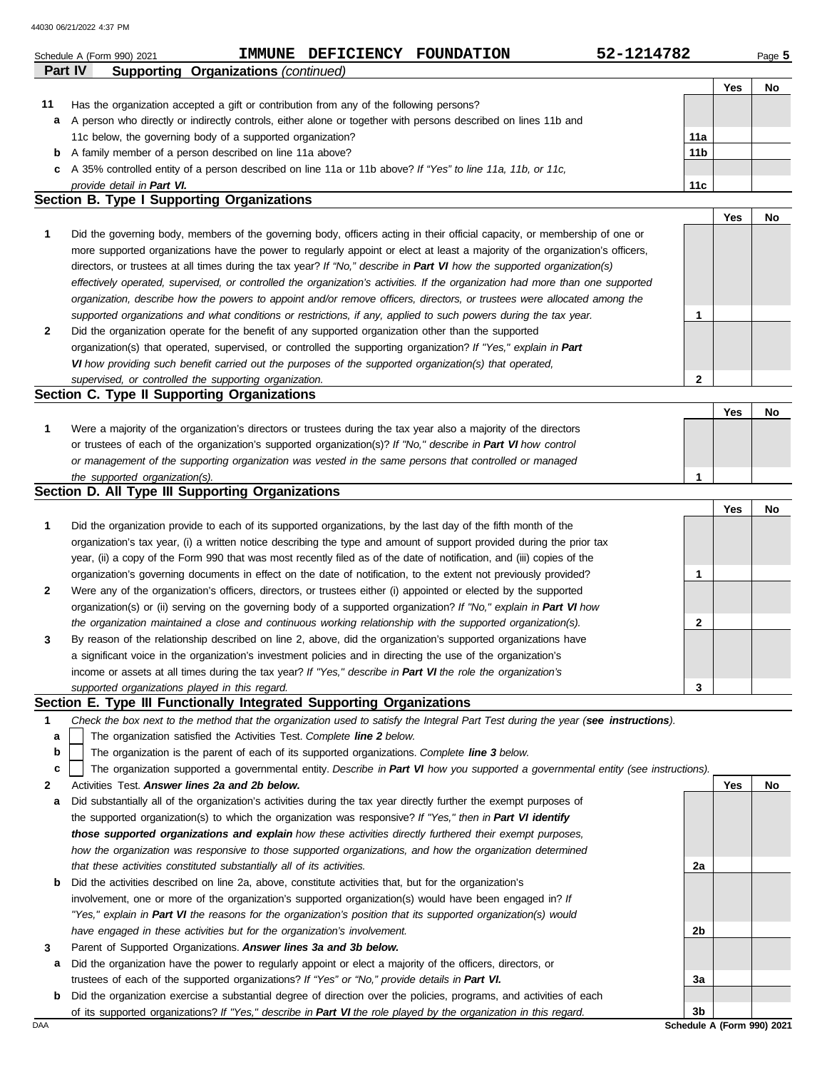|    | 44030 06/21/2022 4:37 PM<br>52-1214782<br>IMMUNE DEFICIENCY FOUNDATION                                                            |                 |     |        |
|----|-----------------------------------------------------------------------------------------------------------------------------------|-----------------|-----|--------|
|    | Schedule A (Form 990) 2021<br>Part IV<br><b>Supporting Organizations (continued)</b>                                              |                 |     | Page 5 |
|    |                                                                                                                                   |                 | Yes | No     |
| 11 | Has the organization accepted a gift or contribution from any of the following persons?                                           |                 |     |        |
| a  | A person who directly or indirectly controls, either alone or together with persons described on lines 11b and                    |                 |     |        |
|    | 11c below, the governing body of a supported organization?                                                                        | 11a             |     |        |
| b  | A family member of a person described on line 11a above?                                                                          | 11 <sub>b</sub> |     |        |
| C  | A 35% controlled entity of a person described on line 11a or 11b above? If "Yes" to line 11a, 11b, or 11c,                        |                 |     |        |
|    | provide detail in Part VI.                                                                                                        | 11c             |     |        |
|    | Section B. Type I Supporting Organizations                                                                                        |                 |     |        |
|    |                                                                                                                                   |                 | Yes | No     |
| 1  | Did the governing body, members of the governing body, officers acting in their official capacity, or membership of one or        |                 |     |        |
|    | more supported organizations have the power to regularly appoint or elect at least a majority of the organization's officers,     |                 |     |        |
|    | directors, or trustees at all times during the tax year? If "No," describe in Part VI how the supported organization(s)           |                 |     |        |
|    | effectively operated, supervised, or controlled the organization's activities. If the organization had more than one supported    |                 |     |        |
|    | organization, describe how the powers to appoint and/or remove officers, directors, or trustees were allocated among the          |                 |     |        |
|    | supported organizations and what conditions or restrictions, if any, applied to such powers during the tax year.                  | 1               |     |        |
| 2  | Did the organization operate for the benefit of any supported organization other than the supported                               |                 |     |        |
|    | organization(s) that operated, supervised, or controlled the supporting organization? If "Yes," explain in Part                   |                 |     |        |
|    | VI how providing such benefit carried out the purposes of the supported organization(s) that operated,                            |                 |     |        |
|    | supervised, or controlled the supporting organization.                                                                            | $\mathbf{2}$    |     |        |
|    | Section C. Type II Supporting Organizations                                                                                       |                 |     |        |
|    |                                                                                                                                   |                 | Yes | No     |
| 1  | Were a majority of the organization's directors or trustees during the tax year also a majority of the directors                  |                 |     |        |
|    | or trustees of each of the organization's supported organization(s)? If "No," describe in Part VI how control                     |                 |     |        |
|    | or management of the supporting organization was vested in the same persons that controlled or managed                            |                 |     |        |
|    | the supported organization(s).                                                                                                    | 1               |     |        |
|    | Section D. All Type III Supporting Organizations                                                                                  |                 |     |        |
|    |                                                                                                                                   |                 | Yes | No     |
| 1  | Did the organization provide to each of its supported organizations, by the last day of the fifth month of the                    |                 |     |        |
|    | organization's tax year, (i) a written notice describing the type and amount of support provided during the prior tax             |                 |     |        |
|    | year, (ii) a copy of the Form 990 that was most recently filed as of the date of notification, and (iii) copies of the            |                 |     |        |
|    | organization's governing documents in effect on the date of notification, to the extent not previously provided?                  | 1               |     |        |
| 2  | Were any of the organization's officers, directors, or trustees either (i) appointed or elected by the supported                  |                 |     |        |
|    | organization(s) or (ii) serving on the governing body of a supported organization? If "No," explain in Part VI how                |                 |     |        |
|    | the organization maintained a close and continuous working relationship with the supported organization(s).                       | 2               |     |        |
| 3  | By reason of the relationship described on line 2, above, did the organization's supported organizations have                     |                 |     |        |
|    | a significant voice in the organization's investment policies and in directing the use of the organization's                      |                 |     |        |
|    | income or assets at all times during the tax year? If "Yes," describe in Part VI the role the organization's                      |                 |     |        |
|    | supported organizations played in this regard.                                                                                    | 3               |     |        |
|    | Section E. Type III Functionally Integrated Supporting Organizations                                                              |                 |     |        |
| 1  | Check the box next to the method that the organization used to satisfy the Integral Part Test during the year (see instructions). |                 |     |        |
| a  | The organization satisfied the Activities Test. Complete line 2 below.                                                            |                 |     |        |
| b  | The organization is the parent of each of its supported organizations. Complete line 3 below.                                     |                 |     |        |
| c  | The organization supported a governmental entity. Describe in Part VI how you supported a governmental entity (see instructions). |                 |     |        |
| 2  | Activities Test. Answer lines 2a and 2b below.                                                                                    |                 | Yes | No     |
| а  | Did substantially all of the organization's activities during the tax year directly further the exempt purposes of                |                 |     |        |
|    | the supported organization(s) to which the organization was responsive? If "Yes," then in Part VI identify                        |                 |     |        |
|    | those supported organizations and explain how these activities directly furthered their exempt purposes,                          |                 |     |        |
|    | how the organization was responsive to those supported organizations, and how the organization determined                         |                 |     |        |
|    | that these activities constituted substantially all of its activities.                                                            | 2a              |     |        |
| b  | Did the activities described on line 2a, above, constitute activities that, but for the organization's                            |                 |     |        |

- involvement, one or more of the organization's supported organization(s) would have been engaged in? *If "Yes," explain in Part VI the reasons for the organization's position that its supported organization(s) would have engaged in these activities but for the organization's involvement.*
- **3** Parent of Supported Organizations. *Answer lines 3a and 3b below.*
- **a** Did the organization have the power to regularly appoint or elect a majority of the officers, directors, or trustees of each of the supported organizations? *If "Yes" or "No," provide details in Part VI.*
- DAA **Schedule A (Form 990) 2021 b** Did the organization exercise a substantial degree of direction over the policies, programs, and activities of each of its supported organizations? *If "Yes," describe in Part VI the role played by the organization in this regard.*

**2b**

**3a**

**3b**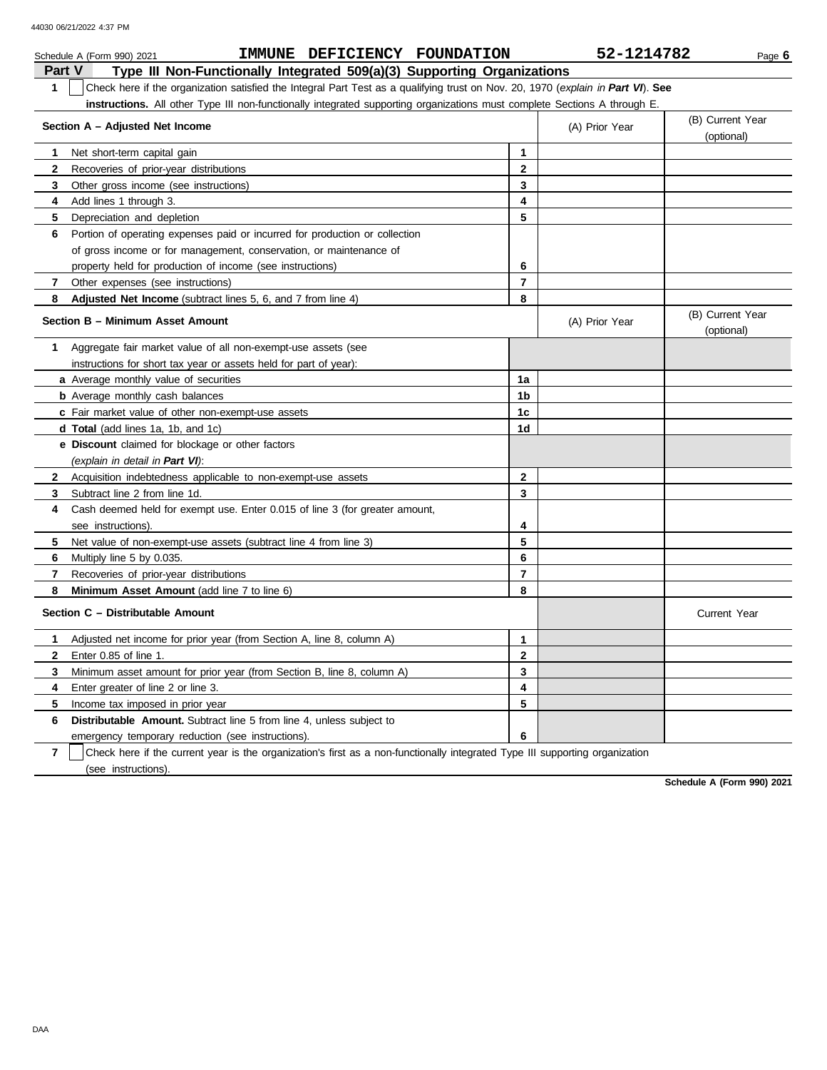|                | IMMUNE DEFICIENCY FOUNDATION<br>Schedule A (Form 990) 2021                                                                       |                | 52-1214782     | Page 6                         |
|----------------|----------------------------------------------------------------------------------------------------------------------------------|----------------|----------------|--------------------------------|
| Part V         | Type III Non-Functionally Integrated 509(a)(3) Supporting Organizations                                                          |                |                |                                |
| 1              | Check here if the organization satisfied the Integral Part Test as a qualifying trust on Nov. 20, 1970 (explain in Part VI). See |                |                |                                |
|                | instructions. All other Type III non-functionally integrated supporting organizations must complete Sections A through E.        |                |                |                                |
|                | Section A - Adjusted Net Income                                                                                                  |                | (A) Prior Year | (B) Current Year<br>(optional) |
| 1              | Net short-term capital gain                                                                                                      | $\mathbf{1}$   |                |                                |
| $\mathbf{2}$   | Recoveries of prior-year distributions                                                                                           | $\mathbf{2}$   |                |                                |
| 3              | Other gross income (see instructions)                                                                                            | 3              |                |                                |
| 4              | Add lines 1 through 3.                                                                                                           | 4              |                |                                |
| 5              | Depreciation and depletion                                                                                                       | 5              |                |                                |
| 6              | Portion of operating expenses paid or incurred for production or collection                                                      |                |                |                                |
|                | of gross income or for management, conservation, or maintenance of                                                               |                |                |                                |
|                | property held for production of income (see instructions)                                                                        | 6              |                |                                |
| $\mathbf{7}$   | Other expenses (see instructions)                                                                                                | $\overline{7}$ |                |                                |
| 8              | Adjusted Net Income (subtract lines 5, 6, and 7 from line 4)                                                                     | 8              |                |                                |
|                | Section B - Minimum Asset Amount                                                                                                 |                | (A) Prior Year | (B) Current Year<br>(optional) |
| 1              | Aggregate fair market value of all non-exempt-use assets (see                                                                    |                |                |                                |
|                | instructions for short tax year or assets held for part of year):                                                                |                |                |                                |
|                | <b>a</b> Average monthly value of securities                                                                                     | 1a             |                |                                |
|                | <b>b</b> Average monthly cash balances                                                                                           | 1 <sub>b</sub> |                |                                |
|                | c Fair market value of other non-exempt-use assets                                                                               | 1 <sub>c</sub> |                |                                |
|                | <b>d Total</b> (add lines 1a, 1b, and 1c)                                                                                        | 1d             |                |                                |
|                | <b>e</b> Discount claimed for blockage or other factors                                                                          |                |                |                                |
|                | (explain in detail in Part VI):                                                                                                  |                |                |                                |
| $\mathbf{2}$   | Acquisition indebtedness applicable to non-exempt-use assets                                                                     | $\mathbf{2}$   |                |                                |
| 3              | Subtract line 2 from line 1d.                                                                                                    | 3              |                |                                |
| 4              | Cash deemed held for exempt use. Enter 0.015 of line 3 (for greater amount,                                                      |                |                |                                |
|                | see instructions).                                                                                                               | 4              |                |                                |
| 5              | Net value of non-exempt-use assets (subtract line 4 from line 3)                                                                 | 5              |                |                                |
| 6              | Multiply line 5 by 0.035.                                                                                                        | 6              |                |                                |
| $\overline{7}$ | Recoveries of prior-year distributions                                                                                           | $\overline{7}$ |                |                                |
| 8              | Minimum Asset Amount (add line 7 to line 6)                                                                                      | 8              |                |                                |
|                | Section C - Distributable Amount                                                                                                 |                |                | <b>Current Year</b>            |
| $\mathbf 1$    | Adjusted net income for prior year (from Section A, line 8, column A)                                                            | $\mathbf{1}$   |                |                                |
| $\mathbf{2}$   | Enter 0.85 of line 1.                                                                                                            | $\mathbf{2}$   |                |                                |
| 3              | Minimum asset amount for prior year (from Section B, line 8, column A)                                                           | 3              |                |                                |
| 4              | Enter greater of line 2 or line 3.                                                                                               | 4              |                |                                |
| 5              | Income tax imposed in prior year                                                                                                 | 5              |                |                                |
| 6              | <b>Distributable Amount.</b> Subtract line 5 from line 4, unless subject to                                                      |                |                |                                |
|                | emergency temporary reduction (see instructions).                                                                                | 6              |                |                                |

**7** (see instructions). Check here if the current year is the organization's first as a non-functionally integrated Type III supporting organization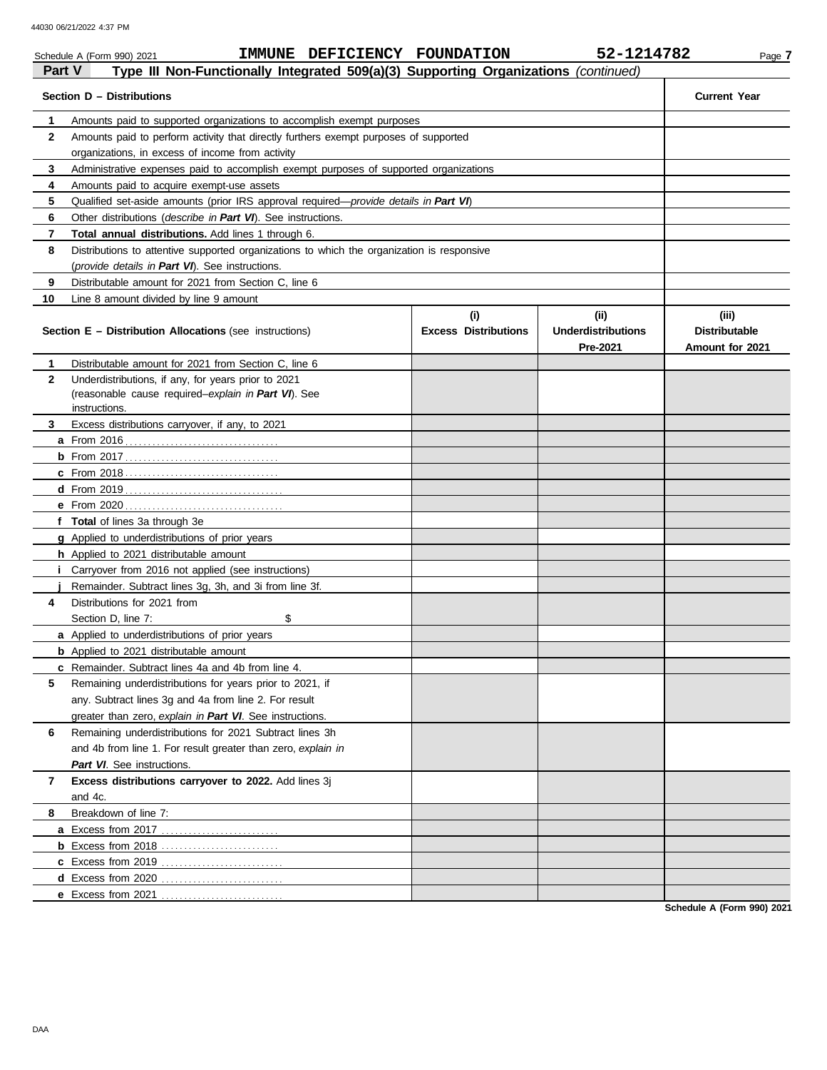|              | IMMUNE DEFICIENCY FOUNDATION<br>Schedule A (Form 990) 2021                                                 |                                    | 52-1214782                                    | Page 7                                           |
|--------------|------------------------------------------------------------------------------------------------------------|------------------------------------|-----------------------------------------------|--------------------------------------------------|
| Part V       | Type III Non-Functionally Integrated 509(a)(3) Supporting Organizations (continued)                        |                                    |                                               |                                                  |
|              | Section D - Distributions                                                                                  |                                    |                                               | <b>Current Year</b>                              |
| 1            | Amounts paid to supported organizations to accomplish exempt purposes                                      |                                    |                                               |                                                  |
| 2            | Amounts paid to perform activity that directly furthers exempt purposes of supported                       |                                    |                                               |                                                  |
|              | organizations, in excess of income from activity                                                           |                                    |                                               |                                                  |
| 3            | Administrative expenses paid to accomplish exempt purposes of supported organizations                      |                                    |                                               |                                                  |
| 4            | Amounts paid to acquire exempt-use assets                                                                  |                                    |                                               |                                                  |
| 5            | Qualified set-aside amounts (prior IRS approval required—provide details in Part VI)                       |                                    |                                               |                                                  |
| 6            | Other distributions (describe in Part VI). See instructions.                                               |                                    |                                               |                                                  |
| 7            | <b>Total annual distributions.</b> Add lines 1 through 6.                                                  |                                    |                                               |                                                  |
| 8            | Distributions to attentive supported organizations to which the organization is responsive                 |                                    |                                               |                                                  |
|              | (provide details in Part VI). See instructions.                                                            |                                    |                                               |                                                  |
| 9            | Distributable amount for 2021 from Section C, line 6                                                       |                                    |                                               |                                                  |
| 10           | Line 8 amount divided by line 9 amount                                                                     |                                    |                                               |                                                  |
|              | <b>Section E - Distribution Allocations (see instructions)</b>                                             | (i)<br><b>Excess Distributions</b> | (ii)<br><b>Underdistributions</b><br>Pre-2021 | (iii)<br><b>Distributable</b><br>Amount for 2021 |
| 1            | Distributable amount for 2021 from Section C, line 6                                                       |                                    |                                               |                                                  |
| $\mathbf{2}$ | Underdistributions, if any, for years prior to 2021<br>(reasonable cause required-explain in Part VI). See |                                    |                                               |                                                  |
|              | instructions.                                                                                              |                                    |                                               |                                                  |
| 3            | Excess distributions carryover, if any, to 2021                                                            |                                    |                                               |                                                  |
|              |                                                                                                            |                                    |                                               |                                                  |
|              |                                                                                                            |                                    |                                               |                                                  |
|              |                                                                                                            |                                    |                                               |                                                  |
|              |                                                                                                            |                                    |                                               |                                                  |
|              |                                                                                                            |                                    |                                               |                                                  |
|              | f Total of lines 3a through 3e                                                                             |                                    |                                               |                                                  |
|              | g Applied to underdistributions of prior years                                                             |                                    |                                               |                                                  |
|              | h Applied to 2021 distributable amount                                                                     |                                    |                                               |                                                  |
|              | Carryover from 2016 not applied (see instructions)                                                         |                                    |                                               |                                                  |
|              | Remainder. Subtract lines 3g, 3h, and 3i from line 3f.                                                     |                                    |                                               |                                                  |
| 4            | Distributions for 2021 from                                                                                |                                    |                                               |                                                  |
|              | \$<br>Section D, line 7:                                                                                   |                                    |                                               |                                                  |
|              | a Applied to underdistributions of prior years                                                             |                                    |                                               |                                                  |
|              | <b>b</b> Applied to 2021 distributable amount                                                              |                                    |                                               |                                                  |
|              | c Remainder. Subtract lines 4a and 4b from line 4.                                                         |                                    |                                               |                                                  |
| 5            | Remaining underdistributions for years prior to 2021, if                                                   |                                    |                                               |                                                  |
|              | any. Subtract lines 3g and 4a from line 2. For result                                                      |                                    |                                               |                                                  |
|              | greater than zero, explain in Part VI. See instructions.                                                   |                                    |                                               |                                                  |
| 6            | Remaining underdistributions for 2021 Subtract lines 3h                                                    |                                    |                                               |                                                  |
|              | and 4b from line 1. For result greater than zero, explain in                                               |                                    |                                               |                                                  |
|              | Part VI. See instructions.                                                                                 |                                    |                                               |                                                  |
| 7            | Excess distributions carryover to 2022. Add lines 3j                                                       |                                    |                                               |                                                  |
|              | and 4c.                                                                                                    |                                    |                                               |                                                  |
| 8            | Breakdown of line 7:                                                                                       |                                    |                                               |                                                  |
|              | a Excess from 2017                                                                                         |                                    |                                               |                                                  |
|              |                                                                                                            |                                    |                                               |                                                  |
|              |                                                                                                            |                                    |                                               |                                                  |
|              |                                                                                                            |                                    |                                               |                                                  |
|              | e Excess from 2021                                                                                         |                                    |                                               |                                                  |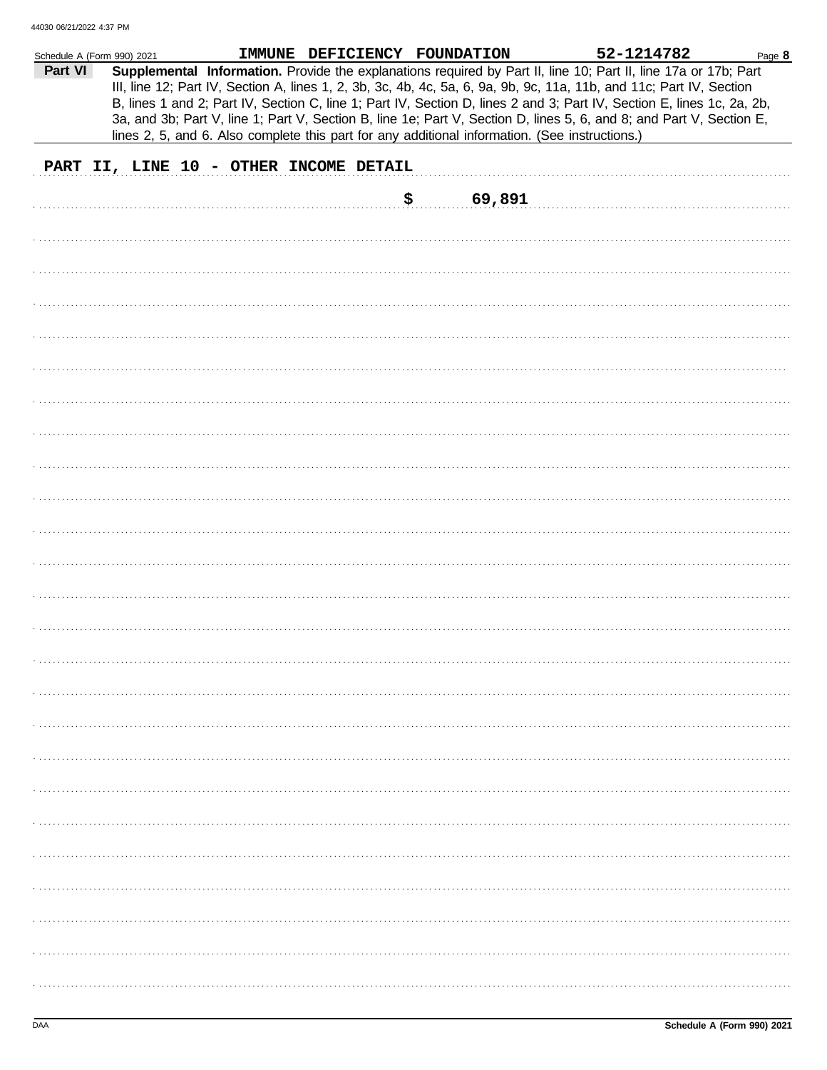| Schedule A (Form 990) 2021 |  | IMMUNE DEFICIENCY FOUNDATION           |              | 52-1214782                                                                                                                                                                                                                                                                                                                                                                                                                                                                                                                                                                                  | Page 8 |
|----------------------------|--|----------------------------------------|--------------|---------------------------------------------------------------------------------------------------------------------------------------------------------------------------------------------------------------------------------------------------------------------------------------------------------------------------------------------------------------------------------------------------------------------------------------------------------------------------------------------------------------------------------------------------------------------------------------------|--------|
| Part VI                    |  |                                        |              | Supplemental Information. Provide the explanations required by Part II, line 10; Part II, line 17a or 17b; Part<br>III, line 12; Part IV, Section A, lines 1, 2, 3b, 3c, 4b, 4c, 5a, 6, 9a, 9b, 9c, 11a, 11b, and 11c; Part IV, Section<br>B, lines 1 and 2; Part IV, Section C, line 1; Part IV, Section D, lines 2 and 3; Part IV, Section E, lines 1c, 2a, 2b,<br>3a, and 3b; Part V, line 1; Part V, Section B, line 1e; Part V, Section D, lines 5, 6, and 8; and Part V, Section E,<br>lines 2, 5, and 6. Also complete this part for any additional information. (See instructions.) |        |
|                            |  | PART II, LINE 10 - OTHER INCOME DETAIL |              |                                                                                                                                                                                                                                                                                                                                                                                                                                                                                                                                                                                             |        |
|                            |  |                                        |              |                                                                                                                                                                                                                                                                                                                                                                                                                                                                                                                                                                                             |        |
|                            |  |                                        | 69,891<br>\$ |                                                                                                                                                                                                                                                                                                                                                                                                                                                                                                                                                                                             |        |
|                            |  |                                        |              |                                                                                                                                                                                                                                                                                                                                                                                                                                                                                                                                                                                             |        |
|                            |  |                                        |              |                                                                                                                                                                                                                                                                                                                                                                                                                                                                                                                                                                                             |        |
|                            |  |                                        |              |                                                                                                                                                                                                                                                                                                                                                                                                                                                                                                                                                                                             |        |
|                            |  |                                        |              |                                                                                                                                                                                                                                                                                                                                                                                                                                                                                                                                                                                             |        |
|                            |  |                                        |              |                                                                                                                                                                                                                                                                                                                                                                                                                                                                                                                                                                                             |        |
|                            |  |                                        |              |                                                                                                                                                                                                                                                                                                                                                                                                                                                                                                                                                                                             |        |
|                            |  |                                        |              |                                                                                                                                                                                                                                                                                                                                                                                                                                                                                                                                                                                             |        |
|                            |  |                                        |              |                                                                                                                                                                                                                                                                                                                                                                                                                                                                                                                                                                                             |        |
|                            |  |                                        |              |                                                                                                                                                                                                                                                                                                                                                                                                                                                                                                                                                                                             |        |
|                            |  |                                        |              |                                                                                                                                                                                                                                                                                                                                                                                                                                                                                                                                                                                             |        |
|                            |  |                                        |              |                                                                                                                                                                                                                                                                                                                                                                                                                                                                                                                                                                                             |        |
|                            |  |                                        |              |                                                                                                                                                                                                                                                                                                                                                                                                                                                                                                                                                                                             |        |
|                            |  |                                        |              |                                                                                                                                                                                                                                                                                                                                                                                                                                                                                                                                                                                             |        |
|                            |  |                                        |              |                                                                                                                                                                                                                                                                                                                                                                                                                                                                                                                                                                                             |        |
|                            |  |                                        |              |                                                                                                                                                                                                                                                                                                                                                                                                                                                                                                                                                                                             |        |
|                            |  |                                        |              |                                                                                                                                                                                                                                                                                                                                                                                                                                                                                                                                                                                             |        |
|                            |  |                                        |              |                                                                                                                                                                                                                                                                                                                                                                                                                                                                                                                                                                                             |        |
|                            |  |                                        |              |                                                                                                                                                                                                                                                                                                                                                                                                                                                                                                                                                                                             |        |
|                            |  |                                        |              |                                                                                                                                                                                                                                                                                                                                                                                                                                                                                                                                                                                             |        |
|                            |  |                                        |              |                                                                                                                                                                                                                                                                                                                                                                                                                                                                                                                                                                                             |        |
|                            |  |                                        |              |                                                                                                                                                                                                                                                                                                                                                                                                                                                                                                                                                                                             |        |
|                            |  |                                        |              |                                                                                                                                                                                                                                                                                                                                                                                                                                                                                                                                                                                             |        |
|                            |  |                                        |              |                                                                                                                                                                                                                                                                                                                                                                                                                                                                                                                                                                                             |        |
|                            |  |                                        |              |                                                                                                                                                                                                                                                                                                                                                                                                                                                                                                                                                                                             |        |
|                            |  |                                        |              |                                                                                                                                                                                                                                                                                                                                                                                                                                                                                                                                                                                             |        |
|                            |  |                                        |              |                                                                                                                                                                                                                                                                                                                                                                                                                                                                                                                                                                                             |        |
|                            |  |                                        |              |                                                                                                                                                                                                                                                                                                                                                                                                                                                                                                                                                                                             |        |
|                            |  |                                        |              |                                                                                                                                                                                                                                                                                                                                                                                                                                                                                                                                                                                             |        |
|                            |  |                                        |              |                                                                                                                                                                                                                                                                                                                                                                                                                                                                                                                                                                                             |        |
|                            |  |                                        |              |                                                                                                                                                                                                                                                                                                                                                                                                                                                                                                                                                                                             |        |
|                            |  |                                        |              |                                                                                                                                                                                                                                                                                                                                                                                                                                                                                                                                                                                             |        |
|                            |  |                                        |              |                                                                                                                                                                                                                                                                                                                                                                                                                                                                                                                                                                                             |        |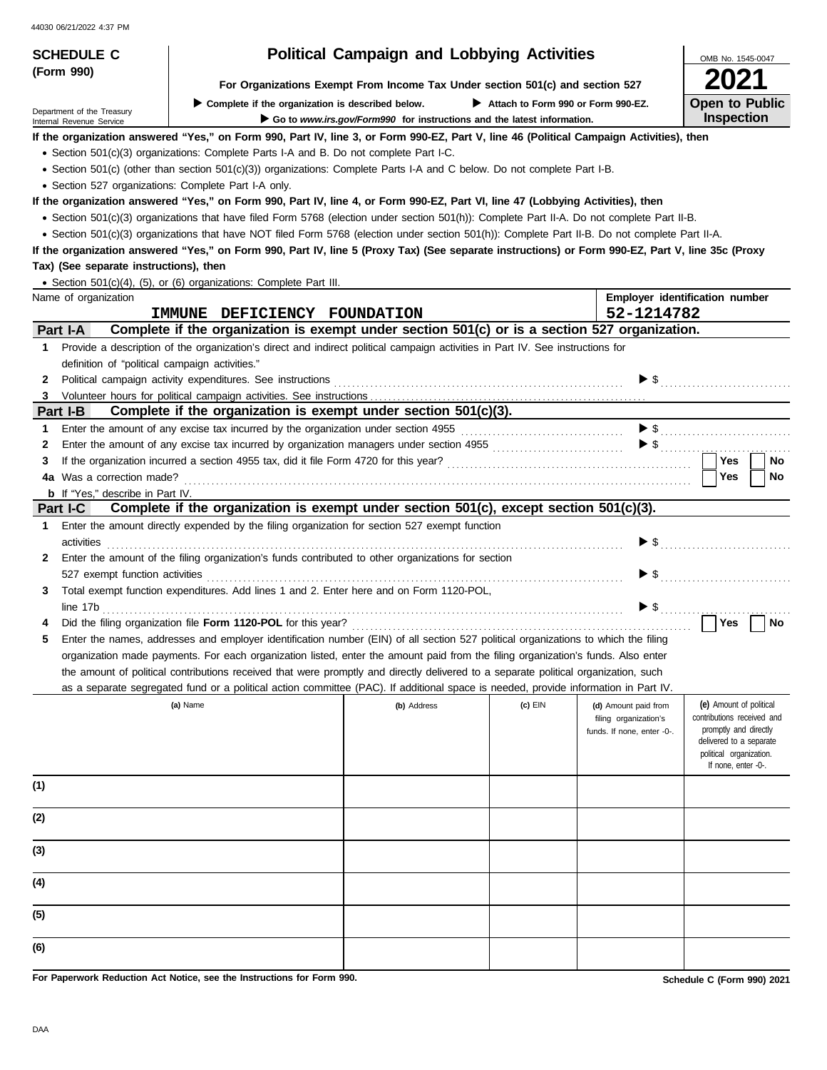| <b>SCHEDULE C</b>                                                                           |                                                                                                                                                  | <b>Political Campaign and Lobbying Activities</b>                                       |                                    |                                                                             | OMB No. 1545-0047                                                                                                                                           |  |  |  |  |
|---------------------------------------------------------------------------------------------|--------------------------------------------------------------------------------------------------------------------------------------------------|-----------------------------------------------------------------------------------------|------------------------------------|-----------------------------------------------------------------------------|-------------------------------------------------------------------------------------------------------------------------------------------------------------|--|--|--|--|
| (Form 990)<br>For Organizations Exempt From Income Tax Under section 501(c) and section 527 |                                                                                                                                                  |                                                                                         |                                    |                                                                             |                                                                                                                                                             |  |  |  |  |
|                                                                                             | Complete if the organization is described below.                                                                                                 |                                                                                         | Attach to Form 990 or Form 990-EZ. |                                                                             | <b>Open to Public</b>                                                                                                                                       |  |  |  |  |
| Department of the Treasury<br>Internal Revenue Service                                      |                                                                                                                                                  | $\triangleright$ Go to www.irs.gov/Form990 for instructions and the latest information. |                                    |                                                                             | <b>Inspection</b>                                                                                                                                           |  |  |  |  |
|                                                                                             | If the organization answered "Yes," on Form 990, Part IV, line 3, or Form 990-EZ, Part V, line 46 (Political Campaign Activities), then          |                                                                                         |                                    |                                                                             |                                                                                                                                                             |  |  |  |  |
| • Section 501(c)(3) organizations: Complete Parts I-A and B. Do not complete Part I-C.      |                                                                                                                                                  |                                                                                         |                                    |                                                                             |                                                                                                                                                             |  |  |  |  |
|                                                                                             | • Section 501(c) (other than section 501(c)(3)) organizations: Complete Parts I-A and C below. Do not complete Part I-B.                         |                                                                                         |                                    |                                                                             |                                                                                                                                                             |  |  |  |  |
| · Section 527 organizations: Complete Part I-A only.                                        |                                                                                                                                                  |                                                                                         |                                    |                                                                             |                                                                                                                                                             |  |  |  |  |
|                                                                                             | If the organization answered "Yes," on Form 990, Part IV, line 4, or Form 990-EZ, Part VI, line 47 (Lobbying Activities), then                   |                                                                                         |                                    |                                                                             |                                                                                                                                                             |  |  |  |  |
|                                                                                             | • Section 501(c)(3) organizations that have filed Form 5768 (election under section 501(h)): Complete Part II-A. Do not complete Part II-B.      |                                                                                         |                                    |                                                                             |                                                                                                                                                             |  |  |  |  |
|                                                                                             | • Section 501(c)(3) organizations that have NOT filed Form 5768 (election under section 501(h)): Complete Part II-B. Do not complete Part II-A.  |                                                                                         |                                    |                                                                             |                                                                                                                                                             |  |  |  |  |
|                                                                                             | If the organization answered "Yes," on Form 990, Part IV, line 5 (Proxy Tax) (See separate instructions) or Form 990-EZ, Part V, line 35c (Proxy |                                                                                         |                                    |                                                                             |                                                                                                                                                             |  |  |  |  |
| Tax) (See separate instructions), then                                                      |                                                                                                                                                  |                                                                                         |                                    |                                                                             |                                                                                                                                                             |  |  |  |  |
| Name of organization                                                                        | · Section 501(c)(4), (5), or (6) organizations: Complete Part III.                                                                               |                                                                                         |                                    |                                                                             | Employer identification number                                                                                                                              |  |  |  |  |
|                                                                                             | IMMUNE DEFICIENCY FOUNDATION                                                                                                                     |                                                                                         |                                    | 52-1214782                                                                  |                                                                                                                                                             |  |  |  |  |
| Part I-A                                                                                    | Complete if the organization is exempt under section 501(c) or is a section 527 organization.                                                    |                                                                                         |                                    |                                                                             |                                                                                                                                                             |  |  |  |  |
| 1                                                                                           | Provide a description of the organization's direct and indirect political campaign activities in Part IV. See instructions for                   |                                                                                         |                                    |                                                                             |                                                                                                                                                             |  |  |  |  |
| definition of "political campaign activities."                                              |                                                                                                                                                  |                                                                                         |                                    |                                                                             |                                                                                                                                                             |  |  |  |  |
| 2                                                                                           | Political campaign activity expenditures. See instructions                                                                                       |                                                                                         |                                    |                                                                             | $\triangleright$ \$                                                                                                                                         |  |  |  |  |
| 3                                                                                           |                                                                                                                                                  |                                                                                         |                                    |                                                                             |                                                                                                                                                             |  |  |  |  |
| Part I-B                                                                                    | Complete if the organization is exempt under section 501(c)(3).                                                                                  |                                                                                         |                                    |                                                                             |                                                                                                                                                             |  |  |  |  |
| 1                                                                                           |                                                                                                                                                  |                                                                                         |                                    |                                                                             | $\triangleright$ \$                                                                                                                                         |  |  |  |  |
| 2                                                                                           | Enter the amount of any excise tax incurred by organization managers under section 4955 [[[[[[[[[[[[[[[[[[[[[[                                   |                                                                                         |                                    |                                                                             | $\blacktriangleright$ \$                                                                                                                                    |  |  |  |  |
| 3                                                                                           |                                                                                                                                                  |                                                                                         |                                    |                                                                             | Yes<br><b>No</b>                                                                                                                                            |  |  |  |  |
| 4a Was a correction made?                                                                   |                                                                                                                                                  |                                                                                         |                                    |                                                                             | Yes<br>No                                                                                                                                                   |  |  |  |  |
| <b>b</b> If "Yes," describe in Part IV.                                                     |                                                                                                                                                  |                                                                                         |                                    |                                                                             |                                                                                                                                                             |  |  |  |  |
| Part I-C                                                                                    | Complete if the organization is exempt under section $501(c)$ , except section $501(c)(3)$ .                                                     |                                                                                         |                                    |                                                                             |                                                                                                                                                             |  |  |  |  |
| 1<br>activities                                                                             | Enter the amount directly expended by the filing organization for section 527 exempt function                                                    |                                                                                         |                                    | $\blacktriangleright$ \$                                                    |                                                                                                                                                             |  |  |  |  |
| 2                                                                                           | Enter the amount of the filing organization's funds contributed to other organizations for section                                               |                                                                                         |                                    |                                                                             |                                                                                                                                                             |  |  |  |  |
| 527 exempt function activities                                                              |                                                                                                                                                  |                                                                                         |                                    | $\blacktriangleright$ \$                                                    |                                                                                                                                                             |  |  |  |  |
| 3                                                                                           | Total exempt function expenditures. Add lines 1 and 2. Enter here and on Form 1120-POL,                                                          |                                                                                         |                                    |                                                                             |                                                                                                                                                             |  |  |  |  |
| line 17b                                                                                    |                                                                                                                                                  |                                                                                         |                                    | $\blacktriangleright$ s                                                     |                                                                                                                                                             |  |  |  |  |
|                                                                                             | Did the filing organization file Form 1120-POL for this year?                                                                                    |                                                                                         |                                    |                                                                             | Yes<br>No                                                                                                                                                   |  |  |  |  |
|                                                                                             | Enter the names, addresses and employer identification number (EIN) of all section 527 political organizations to which the filing               |                                                                                         |                                    |                                                                             |                                                                                                                                                             |  |  |  |  |
|                                                                                             | organization made payments. For each organization listed, enter the amount paid from the filing organization's funds. Also enter                 |                                                                                         |                                    |                                                                             |                                                                                                                                                             |  |  |  |  |
|                                                                                             | the amount of political contributions received that were promptly and directly delivered to a separate political organization, such              |                                                                                         |                                    |                                                                             |                                                                                                                                                             |  |  |  |  |
|                                                                                             | as a separate segregated fund or a political action committee (PAC). If additional space is needed, provide information in Part IV.              |                                                                                         |                                    |                                                                             |                                                                                                                                                             |  |  |  |  |
|                                                                                             | (a) Name                                                                                                                                         | (b) Address                                                                             | (c) EIN                            | (d) Amount paid from<br>filing organization's<br>funds. If none, enter -0-. | (e) Amount of political<br>contributions received and<br>promptly and directly<br>delivered to a separate<br>political organization.<br>If none, enter -0-. |  |  |  |  |
| (1)                                                                                         |                                                                                                                                                  |                                                                                         |                                    |                                                                             |                                                                                                                                                             |  |  |  |  |
| (2)                                                                                         |                                                                                                                                                  |                                                                                         |                                    |                                                                             |                                                                                                                                                             |  |  |  |  |
| (3)                                                                                         |                                                                                                                                                  |                                                                                         |                                    |                                                                             |                                                                                                                                                             |  |  |  |  |
| (4)                                                                                         |                                                                                                                                                  |                                                                                         |                                    |                                                                             |                                                                                                                                                             |  |  |  |  |
| (5)                                                                                         |                                                                                                                                                  |                                                                                         |                                    |                                                                             |                                                                                                                                                             |  |  |  |  |
| (6)                                                                                         |                                                                                                                                                  |                                                                                         |                                    |                                                                             |                                                                                                                                                             |  |  |  |  |

**For Paperwork Reduction Act Notice, see the Instructions for Form 990.**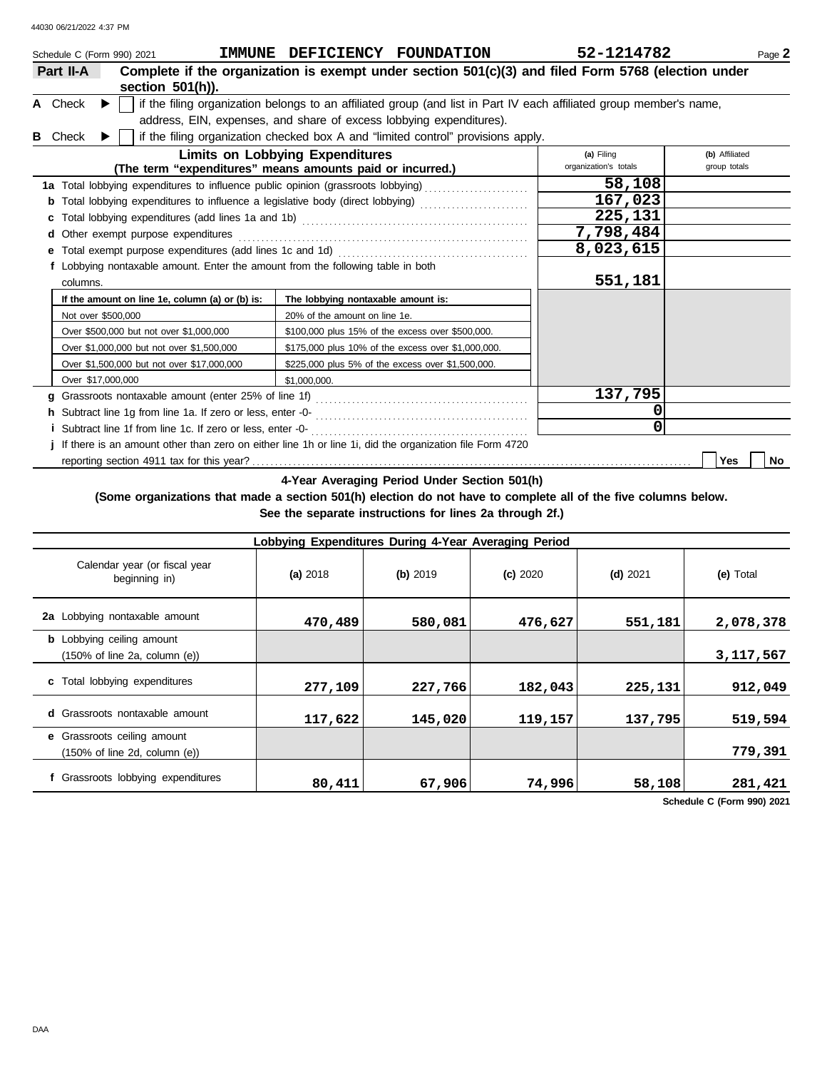|   | Schedule C (Form 990) 2021                                                                                      | IMMUNE DEFICIENCY FOUNDATION           |                                                                                                                     | 52-1214782                          | Page 2                         |
|---|-----------------------------------------------------------------------------------------------------------------|----------------------------------------|---------------------------------------------------------------------------------------------------------------------|-------------------------------------|--------------------------------|
|   | Complete if the organization is exempt under section 501(c)(3) and filed Form 5768 (election under<br>Part II-A |                                        |                                                                                                                     |                                     |                                |
|   | section 501(h)).                                                                                                |                                        |                                                                                                                     |                                     |                                |
|   | A Check                                                                                                         |                                        | if the filing organization belongs to an affiliated group (and list in Part IV each affiliated group member's name, |                                     |                                |
|   | address, EIN, expenses, and share of excess lobbying expenditures).                                             |                                        |                                                                                                                     |                                     |                                |
| В | Check                                                                                                           |                                        | if the filing organization checked box A and "limited control" provisions apply.                                    |                                     |                                |
|   | (The term "expenditures" means amounts paid or incurred.)                                                       | <b>Limits on Lobbying Expenditures</b> |                                                                                                                     | (a) Filing<br>organization's totals | (b) Affiliated<br>group totals |
|   |                                                                                                                 |                                        |                                                                                                                     | 58,108                              |                                |
|   | b                                                                                                               |                                        |                                                                                                                     | 167,023                             |                                |
|   |                                                                                                                 |                                        |                                                                                                                     | 225,131                             |                                |
|   | Other exempt purpose expenditures<br>d                                                                          |                                        |                                                                                                                     | 7,798,484                           |                                |
|   | е                                                                                                               |                                        |                                                                                                                     | 8,023,615                           |                                |
|   | f Lobbying nontaxable amount. Enter the amount from the following table in both                                 |                                        |                                                                                                                     |                                     |                                |
|   | columns.                                                                                                        |                                        |                                                                                                                     | 551,181                             |                                |
|   | If the amount on line 1e, column (a) or (b) is:                                                                 | The lobbying nontaxable amount is:     |                                                                                                                     |                                     |                                |
|   | Not over \$500,000                                                                                              | 20% of the amount on line 1e.          |                                                                                                                     |                                     |                                |
|   | Over \$500,000 but not over \$1,000,000                                                                         |                                        | \$100,000 plus 15% of the excess over \$500,000.                                                                    |                                     |                                |
|   | Over \$1,000,000 but not over \$1,500,000                                                                       |                                        | \$175,000 plus 10% of the excess over \$1,000,000.                                                                  |                                     |                                |
|   | Over \$1,500,000 but not over \$17,000,000                                                                      |                                        | \$225,000 plus 5% of the excess over \$1,500,000.                                                                   |                                     |                                |
|   | Over \$17,000,000                                                                                               | \$1.000.000.                           |                                                                                                                     |                                     |                                |
|   | g                                                                                                               |                                        |                                                                                                                     | 137,795                             |                                |
|   |                                                                                                                 |                                        |                                                                                                                     | 0                                   |                                |
|   | Subtract line 1f from line 1c. If zero or less, enter -0-                                                       |                                        |                                                                                                                     | 0                                   |                                |
|   | j If there is an amount other than zero on either line 1h or line 1i, did the organization file Form 4720       |                                        |                                                                                                                     |                                     |                                |
|   |                                                                                                                 |                                        |                                                                                                                     |                                     | Yes<br>No                      |

**4-Year Averaging Period Under Section 501(h)**

**(Some organizations that made a section 501(h) election do not have to complete all of the five columns below. See the separate instructions for lines 2a through 2f.)**

| Lobbying Expenditures During 4-Year Averaging Period                                   |          |          |          |            |           |  |  |  |  |  |
|----------------------------------------------------------------------------------------|----------|----------|----------|------------|-----------|--|--|--|--|--|
| Calendar year (or fiscal year<br>beginning in)                                         | (a) 2018 | (b) 2019 | (c) 2020 | $(d)$ 2021 | (e) Total |  |  |  |  |  |
| 2a Lobbying nontaxable amount                                                          | 470,489  | 580,081  | 476,627  | 551,181    | 2,078,378 |  |  |  |  |  |
| <b>b</b> Lobbying ceiling amount<br>$(150\% \text{ of line } 2a, \text{ column } (e))$ |          |          |          |            | 3,117,567 |  |  |  |  |  |
| c Total lobbying expenditures                                                          | 277,109  | 227,766  | 182,043  | 225,131    | 912,049   |  |  |  |  |  |
| <b>d</b> Grassroots nontaxable amount                                                  | 117,622  | 145,020  | 119,157  | 137,795    | 519,594   |  |  |  |  |  |
| e Grassroots ceiling amount<br>$(150\% \text{ of line } 2d, \text{ column } (e))$      |          |          |          |            | 779,391   |  |  |  |  |  |
| f Grassroots lobbying expenditures                                                     | 80,411   | 67,906   | 74,996   | 58,108     | 281,421   |  |  |  |  |  |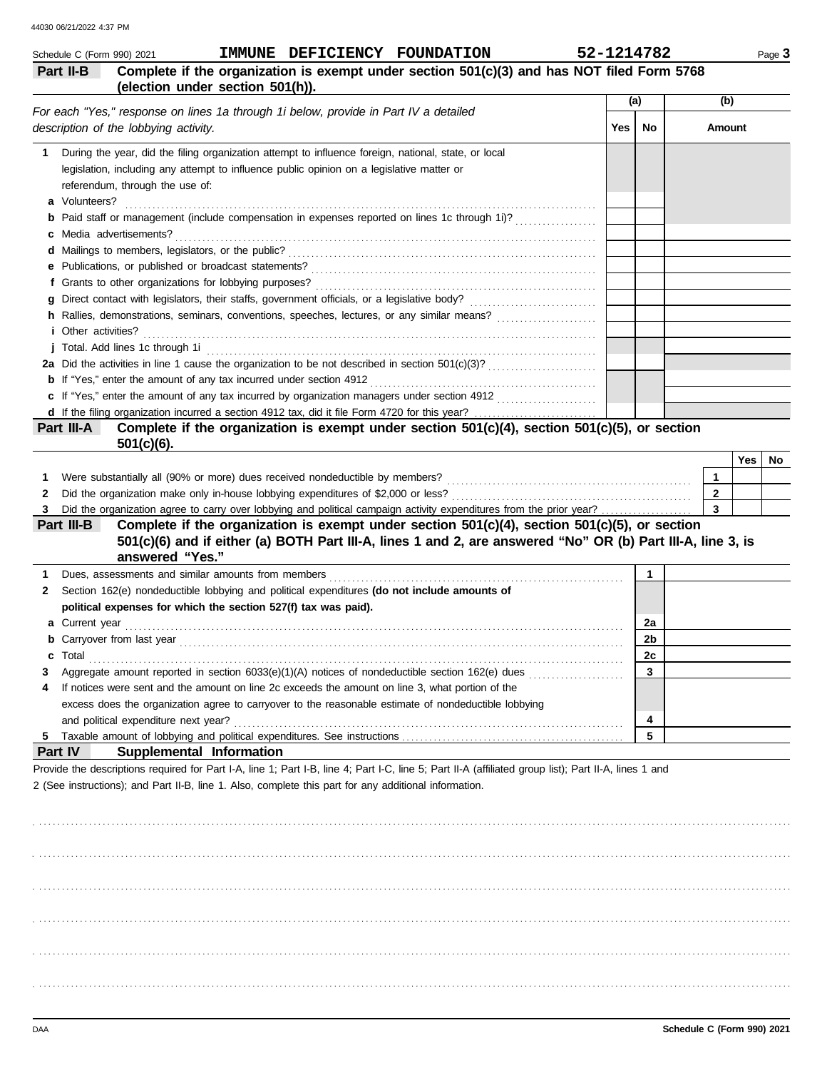|   | 52-1214782<br>IMMUNE DEFICIENCY FOUNDATION<br>Schedule C (Form 990) 2021                                                                                                                                                                                       |     |    |              |     | Page 3 |
|---|----------------------------------------------------------------------------------------------------------------------------------------------------------------------------------------------------------------------------------------------------------------|-----|----|--------------|-----|--------|
|   | Complete if the organization is exempt under section 501(c)(3) and has NOT filed Form 5768<br>Part II-B<br>(election under section 501(h)).                                                                                                                    |     |    |              |     |        |
|   | For each "Yes," response on lines 1a through 1i below, provide in Part IV a detailed                                                                                                                                                                           | (a) |    | (b)          |     |        |
|   | description of the lobbying activity.                                                                                                                                                                                                                          | Yes | No | Amount       |     |        |
|   | During the year, did the filing organization attempt to influence foreign, national, state, or local<br>legislation, including any attempt to influence public opinion on a legislative matter or<br>referendum, through the use of:<br>a Volunteers?          |     |    |              |     |        |
|   | Paid staff or management (include compensation in expenses reported on lines 1c through 1i)?<br>Media advertisements?                                                                                                                                          |     |    |              |     |        |
|   |                                                                                                                                                                                                                                                                |     |    |              |     |        |
|   |                                                                                                                                                                                                                                                                |     |    |              |     |        |
|   | f Grants to other organizations for lobbying purposes?                                                                                                                                                                                                         |     |    |              |     |        |
|   |                                                                                                                                                                                                                                                                |     |    |              |     |        |
|   | h Rallies, demonstrations, seminars, conventions, speeches, lectures, or any similar means?<br><i>i</i> Other activities?                                                                                                                                      |     |    |              |     |        |
|   | j Total. Add lines 1c through 1i                                                                                                                                                                                                                               |     |    |              |     |        |
|   |                                                                                                                                                                                                                                                                |     |    |              |     |        |
|   | <b>b</b> If "Yes," enter the amount of any tax incurred under section 4912                                                                                                                                                                                     |     |    |              |     |        |
|   |                                                                                                                                                                                                                                                                |     |    |              |     |        |
|   | d If the filing organization incurred a section 4912 tax, did it file Form 4720 for this year?                                                                                                                                                                 |     |    |              |     |        |
|   | Complete if the organization is exempt under section 501(c)(4), section 501(c)(5), or section<br>Part III-A<br>$501(c)(6)$ .                                                                                                                                   |     |    |              |     |        |
|   |                                                                                                                                                                                                                                                                |     |    |              | Yes | No     |
| 1 | Were substantially all (90% or more) dues received nondeductible by members?                                                                                                                                                                                   |     |    | 1.           |     |        |
| 2 | Did the organization make only in-house lobbying expenditures of \$2,000 or less?                                                                                                                                                                              |     |    | $\mathbf{2}$ |     |        |
|   | Did the organization agree to carry over lobbying and political campaign activity expenditures from the prior year?                                                                                                                                            |     |    | 3            |     |        |
|   | Part III-B<br>Complete if the organization is exempt under section $501(c)(4)$ , section $501(c)(5)$ , or section<br>501(c)(6) and if either (a) BOTH Part III-A, lines 1 and 2, are answered "No" OR (b) Part III-A, line 3, is<br>answered "Yes."            |     |    |              |     |        |
|   | Dues, assessments and similar amounts from members                                                                                                                                                                                                             |     | 1  |              |     |        |
| 2 | Section 162(e) nondeductible lobbying and political expenditures (do not include amounts of<br>political expenses for which the section 527(f) tax was paid).                                                                                                  |     |    |              |     |        |
|   | Current year                                                                                                                                                                                                                                                   |     | 2a |              |     |        |
|   | <b>b</b> Carryover from last year <i>manufacture content content and the carryover from last year</i>                                                                                                                                                          |     | 2b |              |     |        |
|   | Total                                                                                                                                                                                                                                                          |     | 2c |              |     |        |
| 3 | Aggregate amount reported in section 6033(e)(1)(A) notices of nondeductible section 162(e) dues                                                                                                                                                                |     | 3  |              |     |        |
| 4 | If notices were sent and the amount on line 2c exceeds the amount on line 3, what portion of the<br>excess does the organization agree to carryover to the reasonable estimate of nondeductible lobbying                                                       |     |    |              |     |        |
|   | and political expenditure next year?                                                                                                                                                                                                                           |     | 4  |              |     |        |
| 5 |                                                                                                                                                                                                                                                                |     | 5  |              |     |        |
|   | Part IV<br>Supplemental Information                                                                                                                                                                                                                            |     |    |              |     |        |
|   | Provide the descriptions required for Part I-A, line 1; Part I-B, line 4; Part I-C, line 5; Part II-A (affiliated group list); Part II-A, lines 1 and<br>2 (See instructions); and Part II-B, line 1. Also, complete this part for any additional information. |     |    |              |     |        |
|   |                                                                                                                                                                                                                                                                |     |    |              |     |        |
|   |                                                                                                                                                                                                                                                                |     |    |              |     |        |
|   |                                                                                                                                                                                                                                                                |     |    |              |     |        |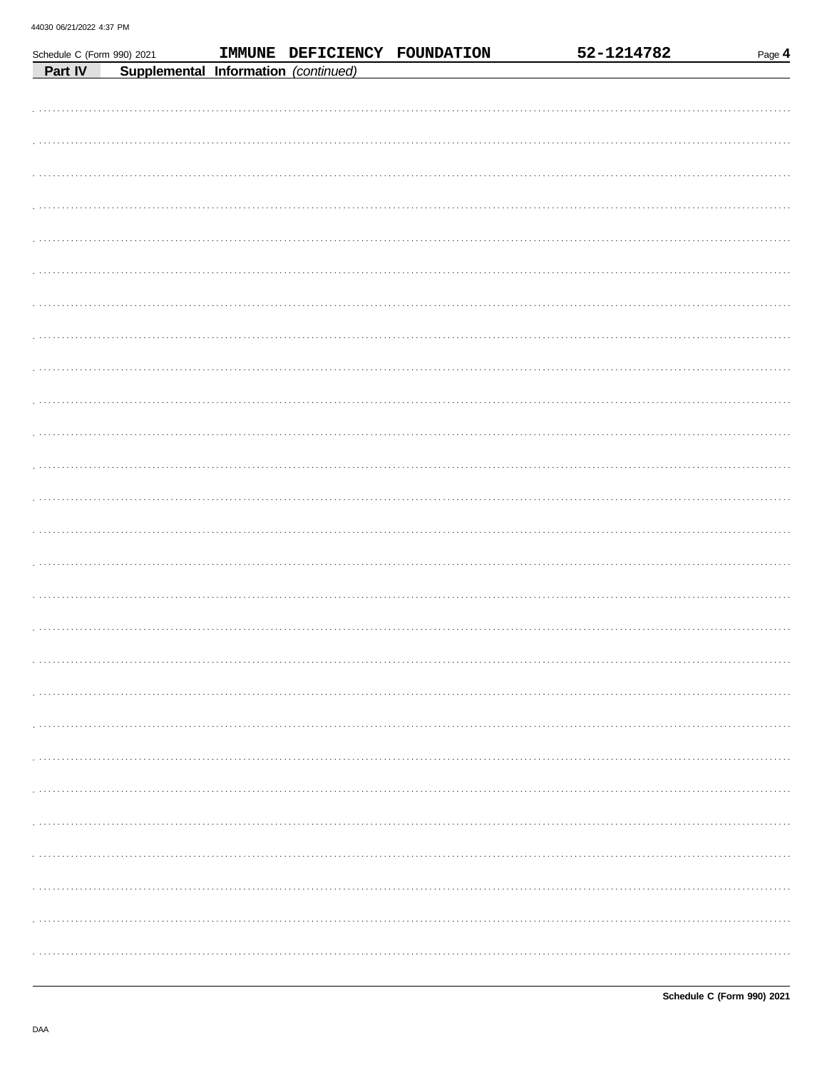| Schedule C (Form 990) 2021 |                                      |  | IMMUNE DEFICIENCY FOUNDATION | 52-1214782 | Page 4 |
|----------------------------|--------------------------------------|--|------------------------------|------------|--------|
| Part IV                    | Supplemental Information (continued) |  |                              |            |        |
|                            |                                      |  |                              |            |        |
|                            |                                      |  |                              |            |        |
|                            |                                      |  |                              |            |        |
|                            |                                      |  |                              |            |        |
|                            |                                      |  |                              |            |        |
|                            |                                      |  |                              |            |        |
|                            |                                      |  |                              |            |        |
|                            |                                      |  |                              |            |        |
|                            |                                      |  |                              |            |        |
|                            |                                      |  |                              |            |        |
|                            |                                      |  |                              |            |        |
|                            |                                      |  |                              |            |        |
|                            |                                      |  |                              |            |        |
|                            |                                      |  |                              |            |        |
|                            |                                      |  |                              |            |        |
|                            |                                      |  |                              |            |        |
|                            |                                      |  |                              |            |        |
|                            |                                      |  |                              |            |        |
|                            |                                      |  |                              |            |        |
|                            |                                      |  |                              |            |        |
|                            |                                      |  |                              |            |        |
|                            |                                      |  |                              |            |        |
|                            |                                      |  |                              |            |        |
|                            |                                      |  |                              |            |        |
|                            |                                      |  |                              |            |        |
|                            |                                      |  |                              |            |        |
|                            |                                      |  |                              |            |        |
|                            |                                      |  |                              |            |        |
|                            |                                      |  |                              |            |        |
|                            |                                      |  |                              |            |        |
|                            |                                      |  |                              |            |        |
|                            |                                      |  |                              |            |        |
|                            |                                      |  |                              |            |        |
|                            |                                      |  |                              |            |        |
|                            |                                      |  |                              |            |        |
|                            |                                      |  |                              |            |        |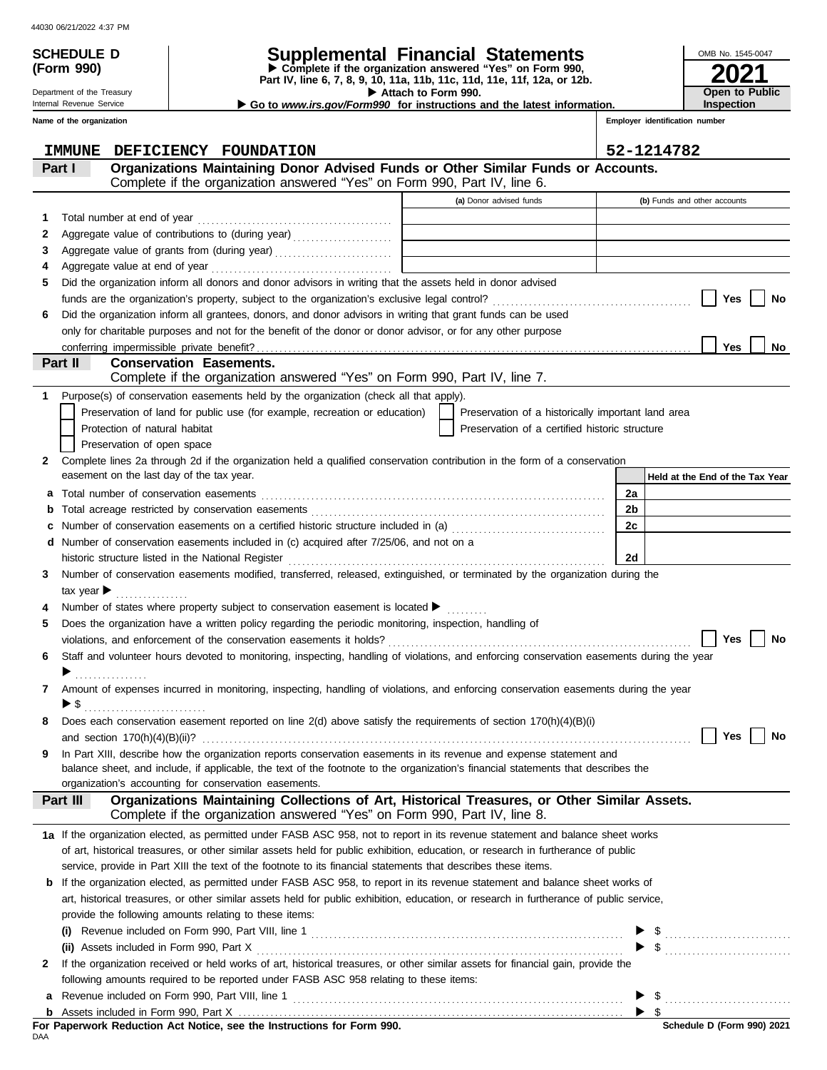# **(Form 990)**

Department of the Treasury Internal Revenue Service **Name of the organization**

# **SCHEDULE D Supplemental Financial Statements**

▶ Attach to Form 990. **Part IV, line 6, 7, 8, 9, 10, 11a, 11b, 11c, 11d, 11e, 11f, 12a, or 12b.** u **Complete if the organization answered "Yes" on Form 990,**

▶ Go to *www.irs.gov/Form990* for instructions and the latest information.

**2021 Open to Public Inspection**

OMB No. 1545-0047

**Employer identification number**

|   | DEFICIENCY FOUNDATION<br>IMMUNE                                                                                                                                            |                                                    | 52-1214782                      |
|---|----------------------------------------------------------------------------------------------------------------------------------------------------------------------------|----------------------------------------------------|---------------------------------|
|   | Organizations Maintaining Donor Advised Funds or Other Similar Funds or Accounts.<br>Part I                                                                                |                                                    |                                 |
|   | Complete if the organization answered "Yes" on Form 990, Part IV, line 6.                                                                                                  |                                                    |                                 |
|   |                                                                                                                                                                            | (a) Donor advised funds                            | (b) Funds and other accounts    |
| 1 | Total number at end of year                                                                                                                                                |                                                    |                                 |
| 2 | Aggregate value of contributions to (during year)                                                                                                                          |                                                    |                                 |
| 3 | Aggregate value of grants from (during year)                                                                                                                               |                                                    |                                 |
| 4 |                                                                                                                                                                            |                                                    |                                 |
| 5 | Did the organization inform all donors and donor advisors in writing that the assets held in donor advised                                                                 |                                                    |                                 |
|   |                                                                                                                                                                            |                                                    | Yes<br>No                       |
| 6 | Did the organization inform all grantees, donors, and donor advisors in writing that grant funds can be used                                                               |                                                    |                                 |
|   | only for charitable purposes and not for the benefit of the donor or donor advisor, or for any other purpose                                                               |                                                    |                                 |
|   |                                                                                                                                                                            |                                                    | Yes<br>No                       |
|   | <b>Conservation Easements.</b><br>Part II                                                                                                                                  |                                                    |                                 |
|   | Complete if the organization answered "Yes" on Form 990, Part IV, line 7.                                                                                                  |                                                    |                                 |
| 1 | Purpose(s) of conservation easements held by the organization (check all that apply).                                                                                      |                                                    |                                 |
|   | Preservation of land for public use (for example, recreation or education)                                                                                                 | Preservation of a historically important land area |                                 |
|   | Protection of natural habitat                                                                                                                                              | Preservation of a certified historic structure     |                                 |
|   | Preservation of open space                                                                                                                                                 |                                                    |                                 |
| 2 | Complete lines 2a through 2d if the organization held a qualified conservation contribution in the form of a conservation                                                  |                                                    |                                 |
|   | easement on the last day of the tax year.                                                                                                                                  |                                                    | Held at the End of the Tax Year |
| а | Total number of conservation easements                                                                                                                                     |                                                    | 2a                              |
| b |                                                                                                                                                                            |                                                    | 2b                              |
| c | Number of conservation easements on a certified historic structure included in (a) [11] Number of conservation easements on a certified historic structure included in (a) |                                                    | 2c                              |
| d | Number of conservation easements included in (c) acquired after 7/25/06, and not on a                                                                                      |                                                    |                                 |
|   | historic structure listed in the National Register                                                                                                                         |                                                    | 2d                              |
| 3 | Number of conservation easements modified, transferred, released, extinguished, or terminated by the organization during the                                               |                                                    |                                 |
|   | tax year $\blacktriangleright$                                                                                                                                             |                                                    |                                 |
|   | Number of states where property subject to conservation easement is located ▶                                                                                              |                                                    |                                 |
| 5 | Does the organization have a written policy regarding the periodic monitoring, inspection, handling of                                                                     |                                                    |                                 |
|   |                                                                                                                                                                            |                                                    | Yes<br>No                       |
| 6 | Staff and volunteer hours devoted to monitoring, inspecting, handling of violations, and enforcing conservation easements during the year                                  |                                                    |                                 |
|   |                                                                                                                                                                            |                                                    |                                 |
| 7 | Amount of expenses incurred in monitoring, inspecting, handling of violations, and enforcing conservation easements during the year                                        |                                                    |                                 |
|   | $\triangleright$ \$                                                                                                                                                        |                                                    |                                 |
| 8 | Does each conservation easement reported on line $2(d)$ above satisfy the requirements of section $170(h)(4)(B)(i)$                                                        |                                                    |                                 |
|   |                                                                                                                                                                            |                                                    | Yes  <br>No                     |
| 9 | In Part XIII, describe how the organization reports conservation easements in its revenue and expense statement and                                                        |                                                    |                                 |
|   | balance sheet, and include, if applicable, the text of the footnote to the organization's financial statements that describes the                                          |                                                    |                                 |
|   | organization's accounting for conservation easements.                                                                                                                      |                                                    |                                 |
|   | Organizations Maintaining Collections of Art, Historical Treasures, or Other Similar Assets.<br>Part III                                                                   |                                                    |                                 |
|   | Complete if the organization answered "Yes" on Form 990, Part IV, line 8.                                                                                                  |                                                    |                                 |
|   | 1a If the organization elected, as permitted under FASB ASC 958, not to report in its revenue statement and balance sheet works                                            |                                                    |                                 |
|   | of art, historical treasures, or other similar assets held for public exhibition, education, or research in furtherance of public                                          |                                                    |                                 |
|   | service, provide in Part XIII the text of the footnote to its financial statements that describes these items.                                                             |                                                    |                                 |
|   | <b>b</b> If the organization elected, as permitted under FASB ASC 958, to report in its revenue statement and balance sheet works of                                       |                                                    |                                 |
|   | art, historical treasures, or other similar assets held for public exhibition, education, or research in furtherance of public service,                                    |                                                    |                                 |
|   | provide the following amounts relating to these items:                                                                                                                     |                                                    |                                 |
|   |                                                                                                                                                                            |                                                    |                                 |
|   |                                                                                                                                                                            |                                                    | $\frac{1}{2}$                   |
| 2 | If the organization received or held works of art, historical treasures, or other similar assets for financial gain, provide the                                           |                                                    |                                 |
|   | following amounts required to be reported under FASB ASC 958 relating to these items:                                                                                      |                                                    |                                 |
| а |                                                                                                                                                                            |                                                    |                                 |
|   |                                                                                                                                                                            |                                                    | $\blacktriangleright$ s         |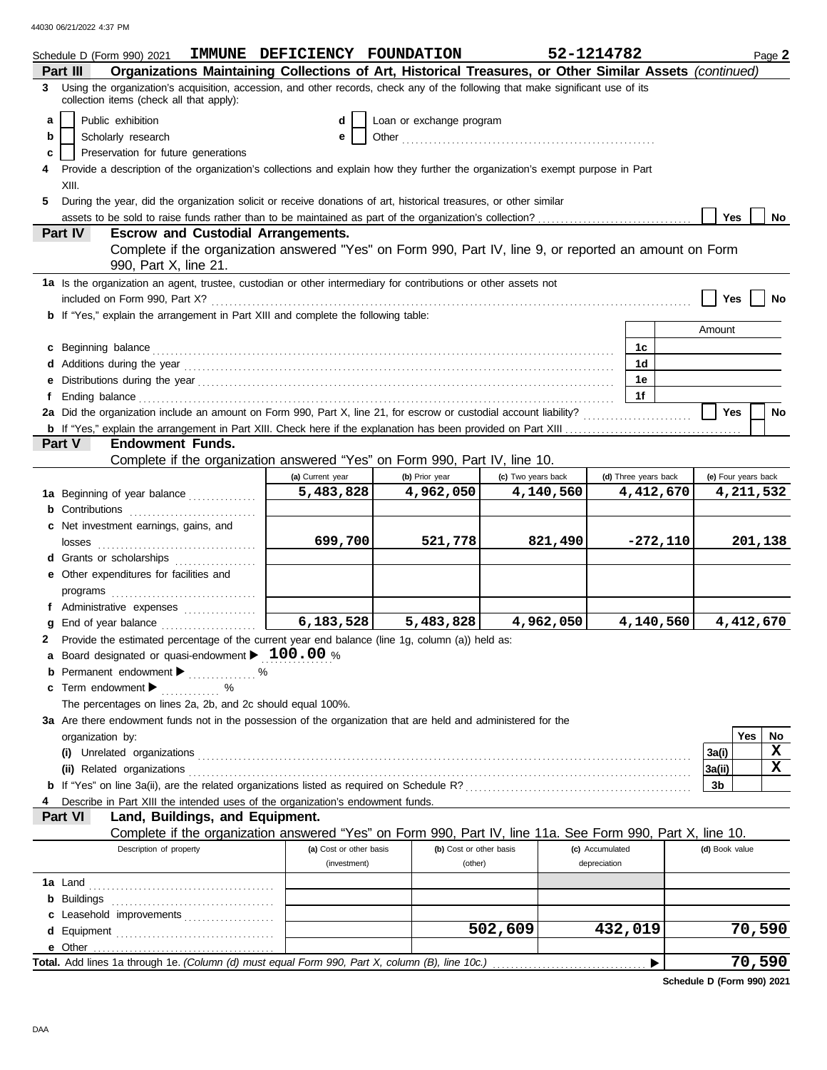|   | Schedule D (Form 990) 2021                                                                                                                                                                                                           | IMMUNE DEFICIENCY FOUNDATION |                          |                    | 52-1214782      |                      |                     | Page 2    |
|---|--------------------------------------------------------------------------------------------------------------------------------------------------------------------------------------------------------------------------------------|------------------------------|--------------------------|--------------------|-----------------|----------------------|---------------------|-----------|
|   | Organizations Maintaining Collections of Art, Historical Treasures, or Other Similar Assets (continued)<br>Part III                                                                                                                  |                              |                          |                    |                 |                      |                     |           |
|   | 3 Using the organization's acquisition, accession, and other records, check any of the following that make significant use of its<br>collection items (check all that apply):                                                        |                              |                          |                    |                 |                      |                     |           |
| a | Public exhibition                                                                                                                                                                                                                    | d                            | Loan or exchange program |                    |                 |                      |                     |           |
| b | Scholarly research                                                                                                                                                                                                                   | е                            |                          |                    |                 |                      |                     |           |
| c | Preservation for future generations                                                                                                                                                                                                  |                              |                          |                    |                 |                      |                     |           |
| 4 | Provide a description of the organization's collections and explain how they further the organization's exempt purpose in Part                                                                                                       |                              |                          |                    |                 |                      |                     |           |
|   | XIII.                                                                                                                                                                                                                                |                              |                          |                    |                 |                      |                     |           |
| 5 | During the year, did the organization solicit or receive donations of art, historical treasures, or other similar                                                                                                                    |                              |                          |                    |                 |                      |                     |           |
|   |                                                                                                                                                                                                                                      |                              |                          |                    |                 |                      | Yes                 | No        |
|   | <b>Escrow and Custodial Arrangements.</b><br><b>Part IV</b>                                                                                                                                                                          |                              |                          |                    |                 |                      |                     |           |
|   | Complete if the organization answered "Yes" on Form 990, Part IV, line 9, or reported an amount on Form                                                                                                                              |                              |                          |                    |                 |                      |                     |           |
|   | 990, Part X, line 21.                                                                                                                                                                                                                |                              |                          |                    |                 |                      |                     |           |
|   | 1a Is the organization an agent, trustee, custodian or other intermediary for contributions or other assets not                                                                                                                      |                              |                          |                    |                 |                      |                     |           |
|   |                                                                                                                                                                                                                                      |                              |                          |                    |                 |                      | Yes                 | No        |
|   | b If "Yes," explain the arrangement in Part XIII and complete the following table:                                                                                                                                                   |                              |                          |                    |                 |                      |                     |           |
|   |                                                                                                                                                                                                                                      |                              |                          |                    |                 |                      | Amount              |           |
|   | c Beginning balance <b>contract to the contract of the contract of the contract of the contract of the contract of the contract of the contract of the contract of the contract of the contract of the contract of the contract </b> |                              |                          |                    |                 | 1c                   |                     |           |
|   |                                                                                                                                                                                                                                      |                              |                          |                    |                 | 1d                   |                     |           |
|   |                                                                                                                                                                                                                                      |                              |                          |                    |                 | 1е                   |                     |           |
| f |                                                                                                                                                                                                                                      |                              |                          |                    |                 | 1f                   |                     |           |
|   | 2a Did the organization include an amount on Form 990, Part X, line 21, for escrow or custodial account liability?                                                                                                                   |                              |                          |                    |                 |                      | <b>Yes</b>          | No        |
|   |                                                                                                                                                                                                                                      |                              |                          |                    |                 |                      |                     |           |
|   | Part V<br><b>Endowment Funds.</b>                                                                                                                                                                                                    |                              |                          |                    |                 |                      |                     |           |
|   | Complete if the organization answered "Yes" on Form 990, Part IV, line 10.                                                                                                                                                           |                              |                          |                    |                 |                      |                     |           |
|   |                                                                                                                                                                                                                                      | (a) Current year             | (b) Prior year           | (c) Two years back |                 | (d) Three years back | (e) Four years back |           |
|   | 1a Beginning of year balance                                                                                                                                                                                                         | 5,483,828                    | 4,962,050                |                    | 4,140,560       | 4,412,670            |                     | 4,211,532 |
|   | <b>b</b> Contributions <b>contributions</b>                                                                                                                                                                                          |                              |                          |                    |                 |                      |                     |           |
|   | c Net investment earnings, gains, and                                                                                                                                                                                                |                              |                          |                    |                 |                      |                     |           |
|   | losses                                                                                                                                                                                                                               | 699,700                      | 521,778                  |                    | 821,490         | $-272,110$           |                     | 201,138   |
|   | d Grants or scholarships                                                                                                                                                                                                             |                              |                          |                    |                 |                      |                     |           |
|   | e Other expenditures for facilities and                                                                                                                                                                                              |                              |                          |                    |                 |                      |                     |           |
|   | programs                                                                                                                                                                                                                             |                              |                          |                    |                 |                      |                     |           |
|   | f Administrative expenses                                                                                                                                                                                                            |                              |                          |                    |                 |                      |                     |           |
|   | g End of year balance                                                                                                                                                                                                                | 6,183,528                    | 5,483,828                |                    | 4,962,050       | 4,140,560            |                     | 4,412,670 |
|   | 2 Provide the estimated percentage of the current year end balance (line 1g, column (a)) held as:                                                                                                                                    |                              |                          |                    |                 |                      |                     |           |
|   | a Board designated or quasi-endowment $\blacktriangleright$ 100.00 %                                                                                                                                                                 |                              |                          |                    |                 |                      |                     |           |
|   | b Permanent endowment >  %                                                                                                                                                                                                           |                              |                          |                    |                 |                      |                     |           |
|   | <b>c</b> Term endowment $\blacktriangleright$<br>$\%$<br><u>.</u>                                                                                                                                                                    |                              |                          |                    |                 |                      |                     |           |
|   | The percentages on lines 2a, 2b, and 2c should equal 100%.                                                                                                                                                                           |                              |                          |                    |                 |                      |                     |           |
|   | 3a Are there endowment funds not in the possession of the organization that are held and administered for the                                                                                                                        |                              |                          |                    |                 |                      |                     |           |
|   | organization by:                                                                                                                                                                                                                     |                              |                          |                    |                 |                      |                     | Yes<br>No |
|   |                                                                                                                                                                                                                                      |                              |                          |                    |                 |                      | 3a(i)               | х         |
|   |                                                                                                                                                                                                                                      |                              |                          |                    |                 |                      | 3a(ii)              | х         |
|   |                                                                                                                                                                                                                                      |                              |                          |                    |                 |                      | 3b                  |           |
|   | Describe in Part XIII the intended uses of the organization's endowment funds.                                                                                                                                                       |                              |                          |                    |                 |                      |                     |           |
|   | Part VI<br>Land, Buildings, and Equipment.                                                                                                                                                                                           |                              |                          |                    |                 |                      |                     |           |
|   | Complete if the organization answered "Yes" on Form 990, Part IV, line 11a. See Form 990, Part X, line 10.                                                                                                                           |                              |                          |                    |                 |                      |                     |           |
|   | Description of property                                                                                                                                                                                                              | (a) Cost or other basis      | (b) Cost or other basis  |                    | (c) Accumulated |                      | (d) Book value      |           |
|   |                                                                                                                                                                                                                                      | (investment)                 | (other)                  |                    | depreciation    |                      |                     |           |
|   |                                                                                                                                                                                                                                      |                              |                          |                    |                 |                      |                     |           |
|   |                                                                                                                                                                                                                                      |                              |                          |                    |                 |                      |                     |           |
|   | c Leasehold improvements                                                                                                                                                                                                             |                              |                          |                    |                 |                      |                     |           |
|   |                                                                                                                                                                                                                                      |                              |                          | 502,609            |                 | 432,019              |                     | 70,590    |
|   |                                                                                                                                                                                                                                      |                              |                          |                    |                 |                      |                     |           |
|   |                                                                                                                                                                                                                                      |                              |                          |                    |                 | ▶                    |                     | 70,590    |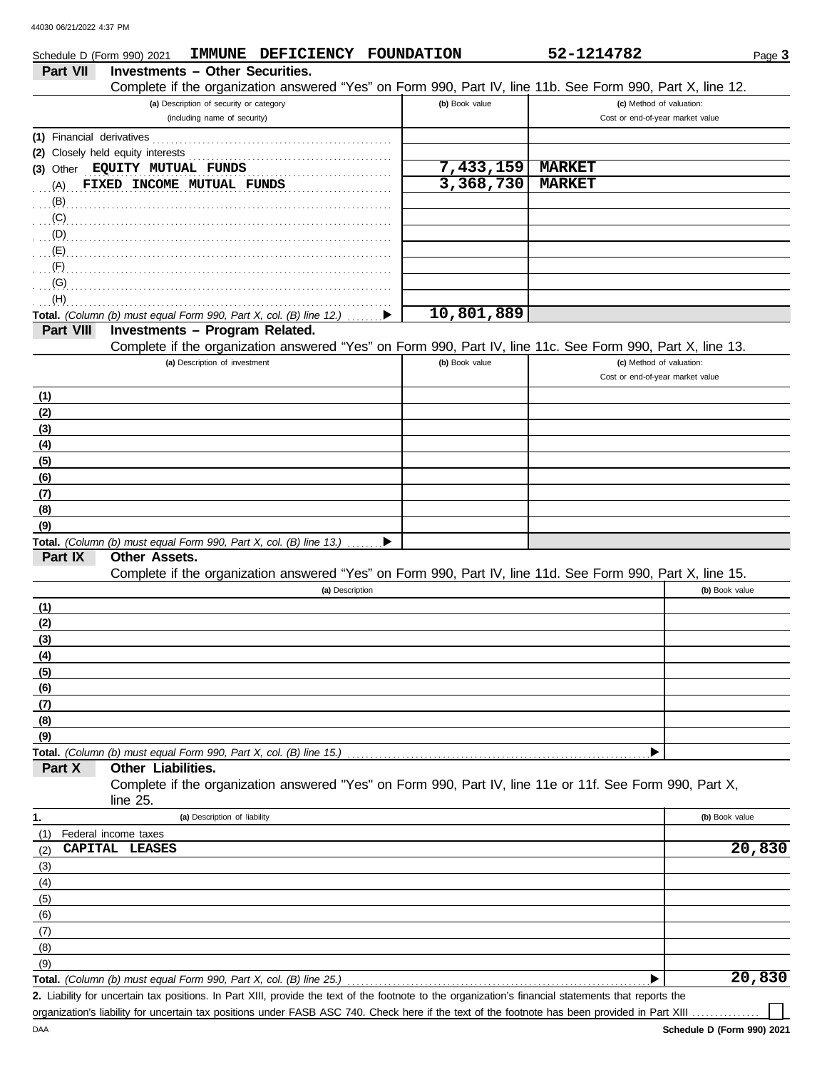DAA

|                           | IMMUNE DEFICIENCY FOUNDATION<br>Schedule D (Form 990) 2021                                                                                           |                | 52-1214782                       | Page 3         |
|---------------------------|------------------------------------------------------------------------------------------------------------------------------------------------------|----------------|----------------------------------|----------------|
| Part VII                  | <b>Investments - Other Securities.</b>                                                                                                               |                |                                  |                |
|                           | Complete if the organization answered "Yes" on Form 990, Part IV, line 11b. See Form 990, Part X, line 12.                                           |                |                                  |                |
|                           | (a) Description of security or category                                                                                                              | (b) Book value | (c) Method of valuation:         |                |
|                           | (including name of security)                                                                                                                         |                | Cost or end-of-year market value |                |
| (1) Financial derivatives |                                                                                                                                                      |                |                                  |                |
|                           | (2) Closely held equity interests                                                                                                                    |                |                                  |                |
|                           | (3) Other EQUITY MUTUAL FUNDS                                                                                                                        | 7,433,159      | <b>MARKET</b>                    |                |
| (A)                       | FIXED INCOME MUTUAL FUNDS                                                                                                                            | 3,368,730      | <b>MARKET</b>                    |                |
| (B)                       |                                                                                                                                                      |                |                                  |                |
| (C)                       |                                                                                                                                                      |                |                                  |                |
| (D)                       |                                                                                                                                                      |                |                                  |                |
|                           |                                                                                                                                                      |                |                                  |                |
| (F)                       |                                                                                                                                                      |                |                                  |                |
| (G)                       |                                                                                                                                                      |                |                                  |                |
| (H)                       |                                                                                                                                                      |                |                                  |                |
|                           | Total. (Column (b) must equal Form 990, Part X, col. (B) line 12.)                                                                                   | 10,801,889     |                                  |                |
| Part VIII                 | <b>Investments - Program Related.</b>                                                                                                                |                |                                  |                |
|                           | Complete if the organization answered "Yes" on Form 990, Part IV, line 11c. See Form 990, Part X, line 13.                                           |                |                                  |                |
|                           | (a) Description of investment                                                                                                                        | (b) Book value | (c) Method of valuation:         |                |
|                           |                                                                                                                                                      |                | Cost or end-of-year market value |                |
| (1)                       |                                                                                                                                                      |                |                                  |                |
| (2)                       |                                                                                                                                                      |                |                                  |                |
| (3)                       |                                                                                                                                                      |                |                                  |                |
| (4)                       |                                                                                                                                                      |                |                                  |                |
| (5)                       |                                                                                                                                                      |                |                                  |                |
| (6)                       |                                                                                                                                                      |                |                                  |                |
| (7)                       |                                                                                                                                                      |                |                                  |                |
| (8)                       |                                                                                                                                                      |                |                                  |                |
| (9)                       |                                                                                                                                                      |                |                                  |                |
|                           | Total. (Column (b) must equal Form 990, Part X, col. (B) line 13.).                                                                                  |                |                                  |                |
| Part IX                   | Other Assets.                                                                                                                                        |                |                                  |                |
|                           | Complete if the organization answered "Yes" on Form 990, Part IV, line 11d. See Form 990, Part X, line 15.<br>(a) Description                        |                |                                  | (b) Book value |
|                           |                                                                                                                                                      |                |                                  |                |
| (1)                       |                                                                                                                                                      |                |                                  |                |
| (2)                       |                                                                                                                                                      |                |                                  |                |
| (3)                       |                                                                                                                                                      |                |                                  |                |
| (4)                       |                                                                                                                                                      |                |                                  |                |
| (5)                       |                                                                                                                                                      |                |                                  |                |
| (6)                       |                                                                                                                                                      |                |                                  |                |
| (7)                       |                                                                                                                                                      |                |                                  |                |
| (8)<br>(9)                |                                                                                                                                                      |                |                                  |                |
|                           |                                                                                                                                                      |                |                                  |                |
| Part X                    | Other Liabilities.                                                                                                                                   |                |                                  |                |
|                           | Complete if the organization answered "Yes" on Form 990, Part IV, line 11e or 11f. See Form 990, Part X,                                             |                |                                  |                |
|                           | line $25$ .                                                                                                                                          |                |                                  |                |
| 1.                        | (a) Description of liability                                                                                                                         |                |                                  | (b) Book value |
| (1)                       | Federal income taxes                                                                                                                                 |                |                                  |                |
| (2)                       | CAPITAL LEASES                                                                                                                                       |                |                                  | 20,830         |
| (3)                       |                                                                                                                                                      |                |                                  |                |
| (4)                       |                                                                                                                                                      |                |                                  |                |
| (5)                       |                                                                                                                                                      |                |                                  |                |
| (6)                       |                                                                                                                                                      |                |                                  |                |
| (7)                       |                                                                                                                                                      |                |                                  |                |
| (8)                       |                                                                                                                                                      |                |                                  |                |
| (9)                       |                                                                                                                                                      |                |                                  |                |
|                           | Total. (Column (b) must equal Form 990, Part X, col. (B) line 25.)                                                                                   |                |                                  | 20,830         |
|                           | 2. Liability for uncertain tax positions. In Part XIII, provide the text of the footnote to the organization's financial statements that reports the |                |                                  |                |

organization's liability for uncertain tax positions under FASB ASC 740. Check here if the text of the footnote has been provided in Part XIII . . . . . . . . . . . . . . .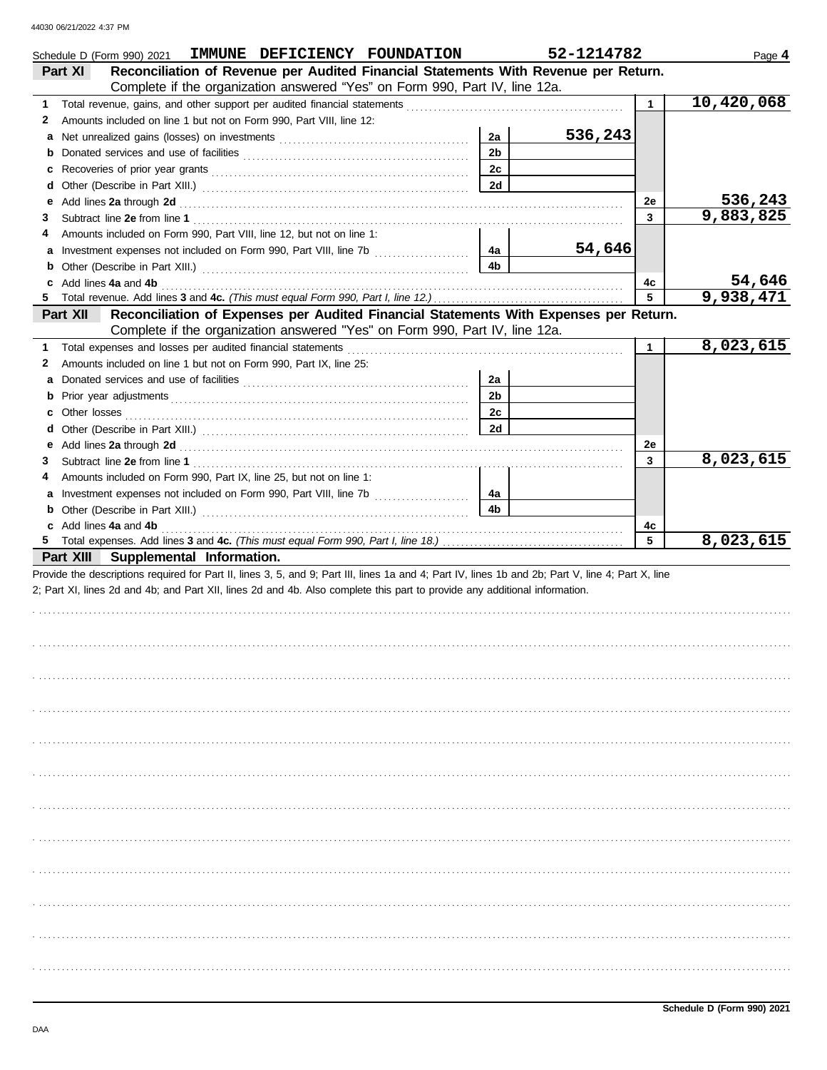|    | IMMUNE DEFICIENCY FOUNDATION<br>Schedule D (Form 990) 2021                                                                                                                                                                               |                | 52-1214782 |              | Page 4     |
|----|------------------------------------------------------------------------------------------------------------------------------------------------------------------------------------------------------------------------------------------|----------------|------------|--------------|------------|
|    | Reconciliation of Revenue per Audited Financial Statements With Revenue per Return.<br>Part XI                                                                                                                                           |                |            |              |            |
|    | Complete if the organization answered "Yes" on Form 990, Part IV, line 12a.                                                                                                                                                              |                |            |              |            |
| 1  | Total revenue, gains, and other support per audited financial statements                                                                                                                                                                 |                |            | $\mathbf{1}$ | 10,420,068 |
| 2  | Amounts included on line 1 but not on Form 990, Part VIII, line 12:                                                                                                                                                                      |                |            |              |            |
| a  |                                                                                                                                                                                                                                          | 2a             | 536,243    |              |            |
|    | <b>b</b> Donated services and use of facilities <b>constants</b> and the service of the service of facilities <b>by the service of the service of the service of service of service of service of service of <math>\mathbf{S}</math></b> | 2 <sub>b</sub> |            |              |            |
|    |                                                                                                                                                                                                                                          | 2c             |            |              |            |
|    |                                                                                                                                                                                                                                          | <b>2d</b>      |            |              |            |
| е  | Add lines 2a through 2d [11] Annual Material Material Material Material Material Material Material Material Material Material Material Material Material Material Material Material Material Material Material Material Materi           |                |            | 2e           | 536,243    |
| З  |                                                                                                                                                                                                                                          |                |            | 3            | 9,883,825  |
| 4  | Amounts included on Form 990, Part VIII, line 12, but not on line 1:                                                                                                                                                                     |                |            |              |            |
|    | a Investment expenses not included on Form 990, Part VIII, line 7b [100] [100] [100] [100] [100] [100] [100] [100] [100] [100] [100] [100] [100] [100] [100] [100] [100] [100] [100] [100] [100] [100] [100] [100] [100] [100]           | 4a             | 54,646     |              |            |
|    |                                                                                                                                                                                                                                          | 4b             |            |              |            |
|    | c Add lines 4a and 4b                                                                                                                                                                                                                    |                |            | 4с           | 54,646     |
| 5  |                                                                                                                                                                                                                                          |                |            | 5            | 9,938,471  |
|    | Reconciliation of Expenses per Audited Financial Statements With Expenses per Return.                                                                                                                                                    |                |            |              |            |
|    | Part XII                                                                                                                                                                                                                                 |                |            |              |            |
|    | Complete if the organization answered "Yes" on Form 990, Part IV, line 12a.                                                                                                                                                              |                |            |              |            |
| 1  |                                                                                                                                                                                                                                          |                |            | 1            | 8,023,615  |
| 2  | Amounts included on line 1 but not on Form 990, Part IX, line 25:                                                                                                                                                                        |                |            |              |            |
| a  |                                                                                                                                                                                                                                          | 2a             |            |              |            |
|    |                                                                                                                                                                                                                                          | 2 <sub>b</sub> |            |              |            |
|    |                                                                                                                                                                                                                                          | 2c             |            |              |            |
|    |                                                                                                                                                                                                                                          | 2d             |            |              |            |
|    |                                                                                                                                                                                                                                          |                |            | 2e           |            |
| З  |                                                                                                                                                                                                                                          |                |            | 3            | 8,023,615  |
| 4  | Amounts included on Form 990, Part IX, line 25, but not on line 1:                                                                                                                                                                       |                |            |              |            |
|    |                                                                                                                                                                                                                                          | 4a             |            |              |            |
|    |                                                                                                                                                                                                                                          | 4b             |            |              |            |
|    |                                                                                                                                                                                                                                          |                |            |              |            |
|    | c Add lines 4a and 4b                                                                                                                                                                                                                    |                |            | 4с           |            |
| 5. |                                                                                                                                                                                                                                          |                |            | 5            | 8,023,615  |
|    | Part XIII Supplemental Information.                                                                                                                                                                                                      |                |            |              |            |
|    | Provide the descriptions required for Part II, lines 3, 5, and 9; Part III, lines 1a and 4; Part IV, lines 1b and 2b; Part V, line 4; Part X, line                                                                                       |                |            |              |            |
|    | 2; Part XI, lines 2d and 4b; and Part XII, lines 2d and 4b. Also complete this part to provide any additional information.                                                                                                               |                |            |              |            |
|    |                                                                                                                                                                                                                                          |                |            |              |            |
|    |                                                                                                                                                                                                                                          |                |            |              |            |
|    |                                                                                                                                                                                                                                          |                |            |              |            |
|    |                                                                                                                                                                                                                                          |                |            |              |            |
|    |                                                                                                                                                                                                                                          |                |            |              |            |
|    |                                                                                                                                                                                                                                          |                |            |              |            |
|    |                                                                                                                                                                                                                                          |                |            |              |            |
|    |                                                                                                                                                                                                                                          |                |            |              |            |
|    |                                                                                                                                                                                                                                          |                |            |              |            |
|    |                                                                                                                                                                                                                                          |                |            |              |            |
|    |                                                                                                                                                                                                                                          |                |            |              |            |
|    |                                                                                                                                                                                                                                          |                |            |              |            |
|    |                                                                                                                                                                                                                                          |                |            |              |            |
|    |                                                                                                                                                                                                                                          |                |            |              |            |
|    |                                                                                                                                                                                                                                          |                |            |              |            |
|    |                                                                                                                                                                                                                                          |                |            |              |            |
|    |                                                                                                                                                                                                                                          |                |            |              |            |
|    |                                                                                                                                                                                                                                          |                |            |              |            |
|    |                                                                                                                                                                                                                                          |                |            |              |            |
|    |                                                                                                                                                                                                                                          |                |            |              |            |
|    |                                                                                                                                                                                                                                          |                |            |              |            |
|    |                                                                                                                                                                                                                                          |                |            |              |            |
|    |                                                                                                                                                                                                                                          |                |            |              |            |
|    |                                                                                                                                                                                                                                          |                |            |              |            |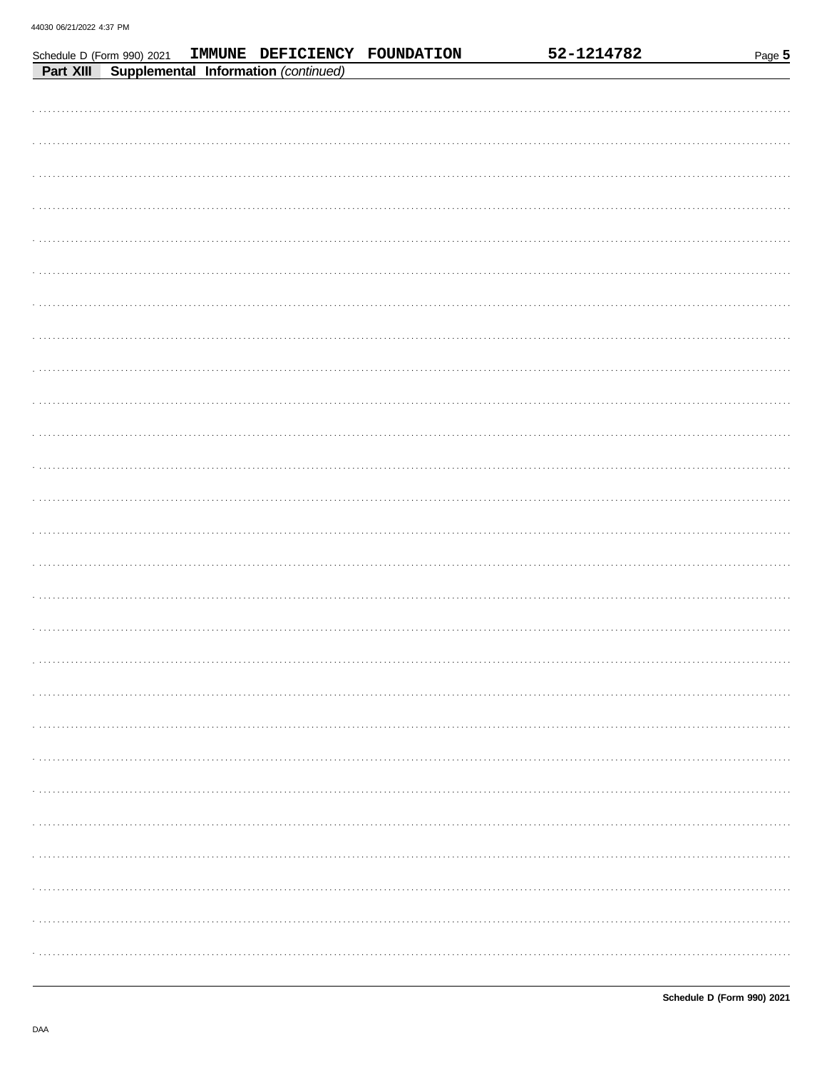| IMMUNE DEFICIENCY FOUNDATION<br>Schedule D (Form 990) 2021 | 52-1214782 | Page 5 |
|------------------------------------------------------------|------------|--------|
| Supplemental Information (continued)<br>Part XIII          |            |        |
|                                                            |            |        |
|                                                            |            |        |
|                                                            |            |        |
|                                                            |            |        |
|                                                            |            |        |
|                                                            |            |        |
|                                                            |            |        |
|                                                            |            |        |
|                                                            |            |        |
|                                                            |            |        |
|                                                            |            |        |
|                                                            |            |        |
|                                                            |            |        |
|                                                            |            |        |
|                                                            |            |        |
|                                                            |            |        |
|                                                            |            |        |
|                                                            |            |        |
|                                                            |            |        |
|                                                            |            |        |
|                                                            |            |        |
|                                                            |            |        |
|                                                            |            |        |
|                                                            |            |        |
|                                                            |            |        |
|                                                            |            |        |
|                                                            |            |        |
|                                                            |            |        |
|                                                            |            |        |
|                                                            |            |        |
|                                                            |            |        |
|                                                            |            |        |
|                                                            |            |        |
|                                                            |            |        |
|                                                            |            |        |
|                                                            |            |        |
|                                                            |            |        |
|                                                            |            |        |
|                                                            |            |        |
|                                                            |            |        |
|                                                            |            |        |
|                                                            |            |        |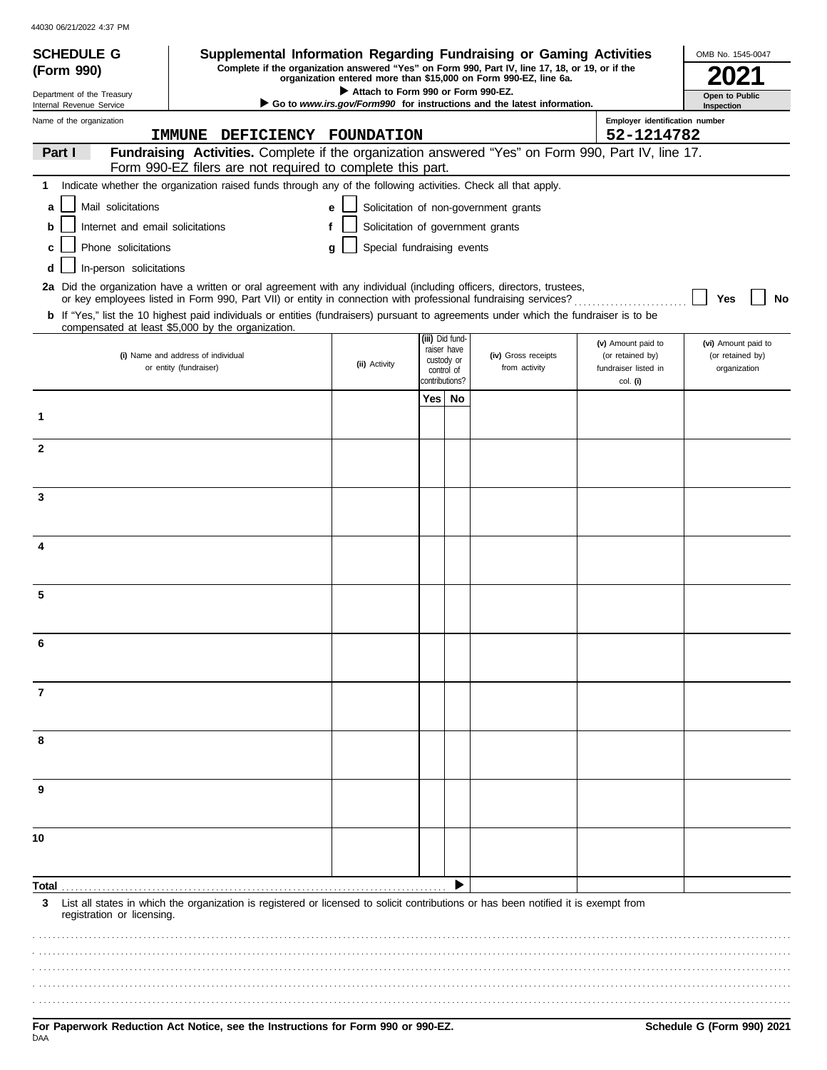| 44030 06/21/2022 4:37 PM |  |  |
|--------------------------|--|--|
|                          |  |  |

| <b>SCHEDULE G</b>                                      | Supplemental Information Regarding Fundraising or Gaming Activities                                                                                                                                                                                                                                                                                                                                                                    |   |                                    |                |                           |                                                                                                                                                                     |                                          | OMB No. 1545-0047                |
|--------------------------------------------------------|----------------------------------------------------------------------------------------------------------------------------------------------------------------------------------------------------------------------------------------------------------------------------------------------------------------------------------------------------------------------------------------------------------------------------------------|---|------------------------------------|----------------|---------------------------|---------------------------------------------------------------------------------------------------------------------------------------------------------------------|------------------------------------------|----------------------------------|
| (Form 990)                                             |                                                                                                                                                                                                                                                                                                                                                                                                                                        |   | Attach to Form 990 or Form 990-EZ. |                |                           | Complete if the organization answered "Yes" on Form 990, Part IV, line 17, 18, or 19, or if the<br>organization entered more than \$15,000 on Form 990-EZ, line 6a. |                                          |                                  |
| Department of the Treasury<br>Internal Revenue Service |                                                                                                                                                                                                                                                                                                                                                                                                                                        |   |                                    |                |                           | Go to www.irs.gov/Form990 for instructions and the latest information.                                                                                              |                                          | Open to Public<br>Inspection     |
| Name of the organization                               |                                                                                                                                                                                                                                                                                                                                                                                                                                        |   |                                    |                |                           |                                                                                                                                                                     | Employer identification number           |                                  |
|                                                        | DEFICIENCY FOUNDATION<br><b>IMMUNE</b>                                                                                                                                                                                                                                                                                                                                                                                                 |   |                                    |                |                           |                                                                                                                                                                     | 52-1214782                               |                                  |
| Part I                                                 | Fundraising Activities. Complete if the organization answered "Yes" on Form 990, Part IV, line 17.<br>Form 990-EZ filers are not required to complete this part.                                                                                                                                                                                                                                                                       |   |                                    |                |                           |                                                                                                                                                                     |                                          |                                  |
| 1                                                      | Indicate whether the organization raised funds through any of the following activities. Check all that apply.                                                                                                                                                                                                                                                                                                                          |   |                                    |                |                           |                                                                                                                                                                     |                                          |                                  |
| Mail solicitations<br>a                                |                                                                                                                                                                                                                                                                                                                                                                                                                                        | e |                                    |                |                           | Solicitation of non-government grants                                                                                                                               |                                          |                                  |
| Internet and email solicitations<br>b                  |                                                                                                                                                                                                                                                                                                                                                                                                                                        |   | Solicitation of government grants  |                |                           |                                                                                                                                                                     |                                          |                                  |
| Phone solicitations<br>c                               |                                                                                                                                                                                                                                                                                                                                                                                                                                        | g | Special fundraising events         |                |                           |                                                                                                                                                                     |                                          |                                  |
| In-person solicitations                                |                                                                                                                                                                                                                                                                                                                                                                                                                                        |   |                                    |                |                           |                                                                                                                                                                     |                                          |                                  |
|                                                        | 2a Did the organization have a written or oral agreement with any individual (including officers, directors, trustees,<br>or key employees listed in Form 990, Part VII) or entity in connection with professional fundraising services?<br>b If "Yes," list the 10 highest paid individuals or entities (fundraisers) pursuant to agreements under which the fundraiser is to be<br>compensated at least \$5,000 by the organization. |   |                                    |                |                           |                                                                                                                                                                     |                                          | Yes<br>No                        |
|                                                        |                                                                                                                                                                                                                                                                                                                                                                                                                                        |   |                                    |                | (iii) Did fund-           |                                                                                                                                                                     | (v) Amount paid to                       | (vi) Amount paid to              |
|                                                        | (i) Name and address of individual<br>or entity (fundraiser)                                                                                                                                                                                                                                                                                                                                                                           |   | (ii) Activity                      |                | raiser have<br>custody or | (iv) Gross receipts<br>from activity                                                                                                                                | (or retained by)<br>fundraiser listed in | (or retained by)<br>organization |
|                                                        |                                                                                                                                                                                                                                                                                                                                                                                                                                        |   |                                    | contributions? | control of                |                                                                                                                                                                     | col. (i)                                 |                                  |
|                                                        |                                                                                                                                                                                                                                                                                                                                                                                                                                        |   |                                    | Yes            | No                        |                                                                                                                                                                     |                                          |                                  |
| 1                                                      |                                                                                                                                                                                                                                                                                                                                                                                                                                        |   |                                    |                |                           |                                                                                                                                                                     |                                          |                                  |
|                                                        |                                                                                                                                                                                                                                                                                                                                                                                                                                        |   |                                    |                |                           |                                                                                                                                                                     |                                          |                                  |
| $\mathbf{2}$                                           |                                                                                                                                                                                                                                                                                                                                                                                                                                        |   |                                    |                |                           |                                                                                                                                                                     |                                          |                                  |
| 3                                                      |                                                                                                                                                                                                                                                                                                                                                                                                                                        |   |                                    |                |                           |                                                                                                                                                                     |                                          |                                  |
|                                                        |                                                                                                                                                                                                                                                                                                                                                                                                                                        |   |                                    |                |                           |                                                                                                                                                                     |                                          |                                  |
| 4                                                      |                                                                                                                                                                                                                                                                                                                                                                                                                                        |   |                                    |                |                           |                                                                                                                                                                     |                                          |                                  |
|                                                        |                                                                                                                                                                                                                                                                                                                                                                                                                                        |   |                                    |                |                           |                                                                                                                                                                     |                                          |                                  |
| 5                                                      |                                                                                                                                                                                                                                                                                                                                                                                                                                        |   |                                    |                |                           |                                                                                                                                                                     |                                          |                                  |
|                                                        |                                                                                                                                                                                                                                                                                                                                                                                                                                        |   |                                    |                |                           |                                                                                                                                                                     |                                          |                                  |
|                                                        |                                                                                                                                                                                                                                                                                                                                                                                                                                        |   |                                    |                |                           |                                                                                                                                                                     |                                          |                                  |
| 7                                                      |                                                                                                                                                                                                                                                                                                                                                                                                                                        |   |                                    |                |                           |                                                                                                                                                                     |                                          |                                  |
| 8                                                      |                                                                                                                                                                                                                                                                                                                                                                                                                                        |   |                                    |                |                           |                                                                                                                                                                     |                                          |                                  |
| 9                                                      |                                                                                                                                                                                                                                                                                                                                                                                                                                        |   |                                    |                |                           |                                                                                                                                                                     |                                          |                                  |
|                                                        |                                                                                                                                                                                                                                                                                                                                                                                                                                        |   |                                    |                |                           |                                                                                                                                                                     |                                          |                                  |
| 10                                                     |                                                                                                                                                                                                                                                                                                                                                                                                                                        |   |                                    |                |                           |                                                                                                                                                                     |                                          |                                  |
|                                                        |                                                                                                                                                                                                                                                                                                                                                                                                                                        |   |                                    |                |                           |                                                                                                                                                                     |                                          |                                  |
| 3<br>registration or licensing.                        | List all states in which the organization is registered or licensed to solicit contributions or has been notified it is exempt from                                                                                                                                                                                                                                                                                                    |   |                                    |                |                           |                                                                                                                                                                     |                                          |                                  |
|                                                        |                                                                                                                                                                                                                                                                                                                                                                                                                                        |   |                                    |                |                           |                                                                                                                                                                     |                                          |                                  |
|                                                        |                                                                                                                                                                                                                                                                                                                                                                                                                                        |   |                                    |                |                           |                                                                                                                                                                     |                                          |                                  |
|                                                        |                                                                                                                                                                                                                                                                                                                                                                                                                                        |   |                                    |                |                           |                                                                                                                                                                     |                                          |                                  |
|                                                        |                                                                                                                                                                                                                                                                                                                                                                                                                                        |   |                                    |                |                           |                                                                                                                                                                     |                                          |                                  |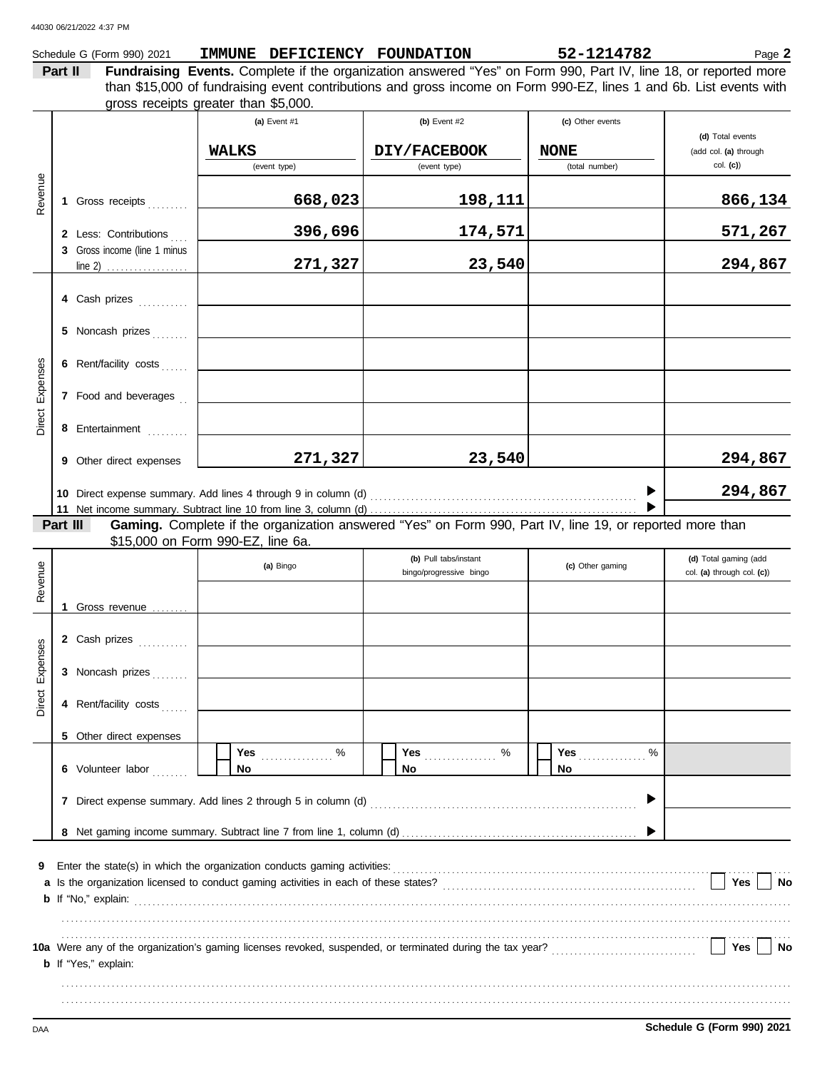|          |         | Schedule G (Form 990) 2021   | IMMUNE DEFICIENCY FOUNDATION                                                                                                                                                                                           |                                                  | 52-1214782       | Page 2                                              |
|----------|---------|------------------------------|------------------------------------------------------------------------------------------------------------------------------------------------------------------------------------------------------------------------|--------------------------------------------------|------------------|-----------------------------------------------------|
|          | Part II |                              | Fundraising Events. Complete if the organization answered "Yes" on Form 990, Part IV, line 18, or reported more                                                                                                        |                                                  |                  |                                                     |
|          |         |                              | than \$15,000 of fundraising event contributions and gross income on Form 990-EZ, lines 1 and 6b. List events with                                                                                                     |                                                  |                  |                                                     |
|          |         |                              | gross receipts greater than \$5,000.                                                                                                                                                                                   |                                                  |                  |                                                     |
|          |         |                              | (a) Event #1                                                                                                                                                                                                           | (b) Event #2                                     | (c) Other events |                                                     |
|          |         |                              |                                                                                                                                                                                                                        |                                                  |                  | (d) Total events                                    |
|          |         |                              | <b>WALKS</b>                                                                                                                                                                                                           | DIY/FACEBOOK                                     | <b>NONE</b>      | (add col. (a) through                               |
|          |         |                              | (event type)                                                                                                                                                                                                           | (event type)                                     | (total number)   | col. (c)                                            |
| Revenue  |         |                              |                                                                                                                                                                                                                        |                                                  |                  |                                                     |
|          |         | 1 Gross receipts             | 668,023                                                                                                                                                                                                                | 198,111                                          |                  | 866,134                                             |
|          |         | 2 Less: Contributions        | 396,696                                                                                                                                                                                                                | 174,571                                          |                  | 571,267                                             |
|          |         | 3 Gross income (line 1 minus |                                                                                                                                                                                                                        |                                                  |                  |                                                     |
|          |         |                              | 271,327                                                                                                                                                                                                                | 23,540                                           |                  | 294,867                                             |
|          |         |                              |                                                                                                                                                                                                                        |                                                  |                  |                                                     |
|          |         | 4 Cash prizes                |                                                                                                                                                                                                                        |                                                  |                  |                                                     |
|          |         |                              |                                                                                                                                                                                                                        |                                                  |                  |                                                     |
|          |         | 5 Noncash prizes             |                                                                                                                                                                                                                        |                                                  |                  |                                                     |
|          |         |                              |                                                                                                                                                                                                                        |                                                  |                  |                                                     |
|          |         | 6 Rent/facility costs        |                                                                                                                                                                                                                        |                                                  |                  |                                                     |
| Expenses |         |                              |                                                                                                                                                                                                                        |                                                  |                  |                                                     |
|          |         | 7 Food and beverages         |                                                                                                                                                                                                                        |                                                  |                  |                                                     |
| Direct   |         | 8 Entertainment              |                                                                                                                                                                                                                        |                                                  |                  |                                                     |
|          |         |                              |                                                                                                                                                                                                                        |                                                  |                  |                                                     |
|          |         | 9 Other direct expenses      | 271,327                                                                                                                                                                                                                | 23,540                                           |                  | 294,867                                             |
|          |         |                              |                                                                                                                                                                                                                        |                                                  |                  |                                                     |
|          |         |                              |                                                                                                                                                                                                                        |                                                  |                  | 294,867                                             |
|          |         |                              |                                                                                                                                                                                                                        |                                                  |                  |                                                     |
|          |         | Part III                     | Gaming. Complete if the organization answered "Yes" on Form 990, Part IV, line 19, or reported more than                                                                                                               |                                                  |                  |                                                     |
|          |         |                              | \$15,000 on Form 990-EZ, line 6a.                                                                                                                                                                                      |                                                  |                  |                                                     |
|          |         |                              | (a) Bingo                                                                                                                                                                                                              | (b) Pull tabs/instant<br>bingo/progressive bingo | (c) Other gaming | (d) Total gaming (add<br>col. (a) through col. (c)) |
| Revenue  |         |                              |                                                                                                                                                                                                                        |                                                  |                  |                                                     |
|          |         | 1 Gross revenue              |                                                                                                                                                                                                                        |                                                  |                  |                                                     |
|          |         |                              |                                                                                                                                                                                                                        |                                                  |                  |                                                     |
|          |         | 2 Cash prizes                |                                                                                                                                                                                                                        |                                                  |                  |                                                     |
| ses      |         |                              |                                                                                                                                                                                                                        |                                                  |                  |                                                     |
| Expen    |         | 3 Noncash prizes             |                                                                                                                                                                                                                        |                                                  |                  |                                                     |
|          |         |                              |                                                                                                                                                                                                                        |                                                  |                  |                                                     |
| Direct   |         | 4 Rent/facility costs        |                                                                                                                                                                                                                        |                                                  |                  |                                                     |
|          |         |                              |                                                                                                                                                                                                                        |                                                  |                  |                                                     |
|          |         | 5 Other direct expenses      |                                                                                                                                                                                                                        |                                                  |                  |                                                     |
|          |         | 6 Volunteer labor            | %<br>Yes<br>No                                                                                                                                                                                                         | <b>Yes</b><br>$\%$<br>No                         | Yes<br>%         |                                                     |
|          |         |                              |                                                                                                                                                                                                                        |                                                  | No               |                                                     |
|          |         |                              |                                                                                                                                                                                                                        |                                                  |                  |                                                     |
|          |         |                              |                                                                                                                                                                                                                        |                                                  |                  |                                                     |
|          |         |                              |                                                                                                                                                                                                                        |                                                  |                  |                                                     |
|          |         |                              |                                                                                                                                                                                                                        |                                                  |                  |                                                     |
| 9        |         |                              | Enter the state(s) in which the organization conducts gaming activities:                                                                                                                                               |                                                  |                  |                                                     |
|          |         |                              |                                                                                                                                                                                                                        |                                                  |                  | Yes<br>No                                           |
|          |         |                              |                                                                                                                                                                                                                        |                                                  |                  |                                                     |
|          |         |                              |                                                                                                                                                                                                                        |                                                  |                  |                                                     |
|          |         |                              | 10a Were any of the organization's gaming licenses revoked, suspended, or terminated during the tax year?<br>10a Were any of the organization's gaming licenses revoked, suspended, or terminated during the tax year? |                                                  |                  | <b>Yes</b><br>No                                    |
|          |         | <b>b</b> If "Yes," explain:  |                                                                                                                                                                                                                        |                                                  |                  |                                                     |
|          |         |                              |                                                                                                                                                                                                                        |                                                  |                  |                                                     |
|          |         |                              |                                                                                                                                                                                                                        |                                                  |                  |                                                     |
|          |         |                              |                                                                                                                                                                                                                        |                                                  |                  |                                                     |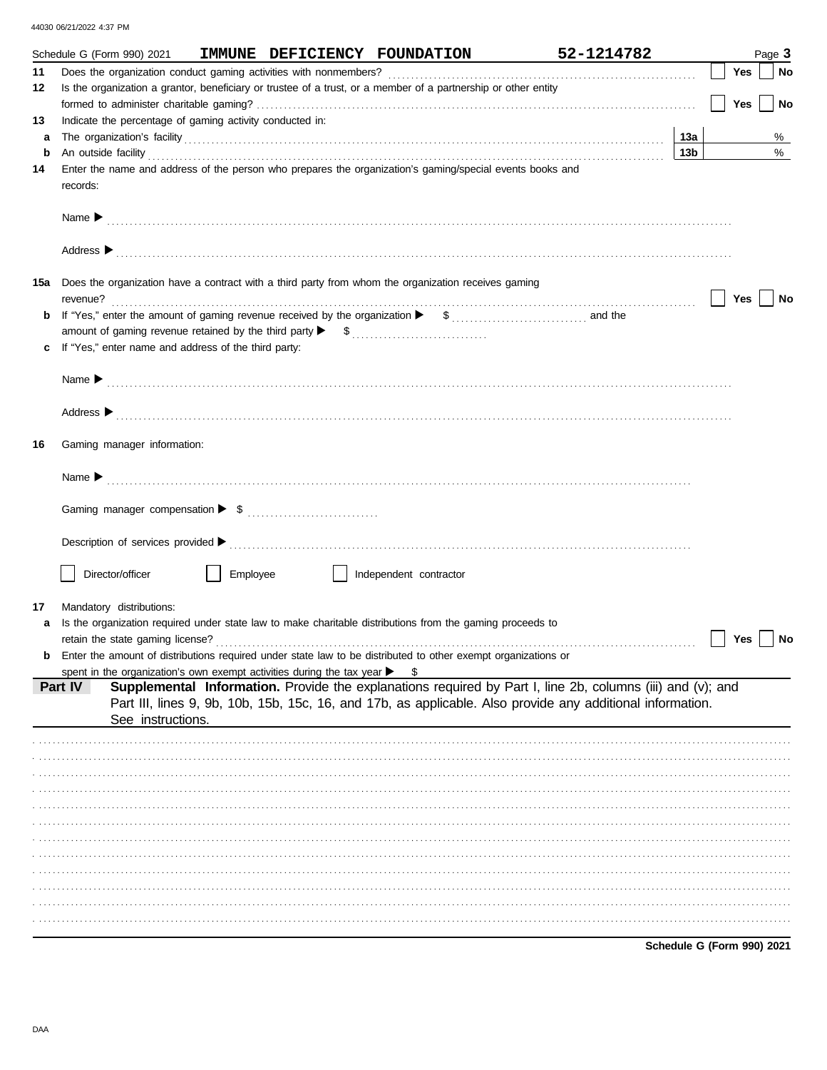|        | 52-1214782<br>Schedule G (Form 990) 2021<br>IMMUNE DEFICIENCY FOUNDATION                                                                                                                                                                                                                                                                         |                            |     | Page 3 |           |
|--------|--------------------------------------------------------------------------------------------------------------------------------------------------------------------------------------------------------------------------------------------------------------------------------------------------------------------------------------------------|----------------------------|-----|--------|-----------|
| 11     | Does the organization conduct gaming activities with nonmembers?                                                                                                                                                                                                                                                                                 |                            | Yes |        | No        |
| 12     | Is the organization a grantor, beneficiary or trustee of a trust, or a member of a partnership or other entity                                                                                                                                                                                                                                   |                            |     |        |           |
|        |                                                                                                                                                                                                                                                                                                                                                  |                            | Yes |        | <b>No</b> |
| 13     | Indicate the percentage of gaming activity conducted in:                                                                                                                                                                                                                                                                                         |                            |     |        |           |
| a<br>b |                                                                                                                                                                                                                                                                                                                                                  | 13а<br>13 <sub>b</sub>     |     |        | %<br>%    |
| 14     | An outside facility <b>contained a set of the contract of the contract of the contract of the contract of the contract of the contract of the contract of the contract of the contract of the contract of the contract of the co</b><br>Enter the name and address of the person who prepares the organization's gaming/special events books and |                            |     |        |           |
|        | records:                                                                                                                                                                                                                                                                                                                                         |                            |     |        |           |
|        | Name $\blacktriangleright$                                                                                                                                                                                                                                                                                                                       |                            |     |        |           |
|        | Address $\blacktriangleright$                                                                                                                                                                                                                                                                                                                    |                            |     |        |           |
| 15a    | Does the organization have a contract with a third party from whom the organization receives gaming<br>revenue?                                                                                                                                                                                                                                  |                            | Yes |        | No        |
| b      |                                                                                                                                                                                                                                                                                                                                                  |                            |     |        |           |
|        | If "Yes," enter name and address of the third party:                                                                                                                                                                                                                                                                                             |                            |     |        |           |
|        |                                                                                                                                                                                                                                                                                                                                                  |                            |     |        |           |
|        | Address > The Commission of the Commission of the Commission of the Commission of the Commission of the Commission of the Commission of the Commission of the Commission of the Commission of the Commission of the Commission                                                                                                                   |                            |     |        |           |
| 16     | Gaming manager information:                                                                                                                                                                                                                                                                                                                      |                            |     |        |           |
|        | Name $\blacktriangleright$                                                                                                                                                                                                                                                                                                                       |                            |     |        |           |
|        |                                                                                                                                                                                                                                                                                                                                                  |                            |     |        |           |
|        |                                                                                                                                                                                                                                                                                                                                                  |                            |     |        |           |
|        | Director/officer<br>Employee<br>Independent contractor                                                                                                                                                                                                                                                                                           |                            |     |        |           |
| 17     | Mandatory distributions:                                                                                                                                                                                                                                                                                                                         |                            |     |        |           |
| a      | Is the organization required under state law to make charitable distributions from the gaming proceeds to                                                                                                                                                                                                                                        |                            |     |        |           |
|        | retain the state gaming license?                                                                                                                                                                                                                                                                                                                 |                            | Yes |        | No        |
| b      | Enter the amount of distributions required under state law to be distributed to other exempt organizations or                                                                                                                                                                                                                                    |                            |     |        |           |
|        | spent in the organization's own exempt activities during the tax year ><br>- \$                                                                                                                                                                                                                                                                  |                            |     |        |           |
|        | Supplemental Information. Provide the explanations required by Part I, line 2b, columns (iii) and (v); and<br>Part IV<br>Part III, lines 9, 9b, 10b, 15b, 15c, 16, and 17b, as applicable. Also provide any additional information.<br>See instructions.                                                                                         |                            |     |        |           |
|        |                                                                                                                                                                                                                                                                                                                                                  |                            |     |        |           |
|        |                                                                                                                                                                                                                                                                                                                                                  |                            |     |        |           |
|        |                                                                                                                                                                                                                                                                                                                                                  |                            |     |        |           |
|        |                                                                                                                                                                                                                                                                                                                                                  |                            |     |        |           |
|        |                                                                                                                                                                                                                                                                                                                                                  |                            |     |        |           |
|        |                                                                                                                                                                                                                                                                                                                                                  |                            |     |        |           |
|        |                                                                                                                                                                                                                                                                                                                                                  |                            |     |        |           |
|        |                                                                                                                                                                                                                                                                                                                                                  |                            |     |        |           |
|        |                                                                                                                                                                                                                                                                                                                                                  |                            |     |        |           |
|        |                                                                                                                                                                                                                                                                                                                                                  |                            |     |        |           |
|        |                                                                                                                                                                                                                                                                                                                                                  |                            |     |        |           |
|        |                                                                                                                                                                                                                                                                                                                                                  | Schedule G (Form 990) 2021 |     |        |           |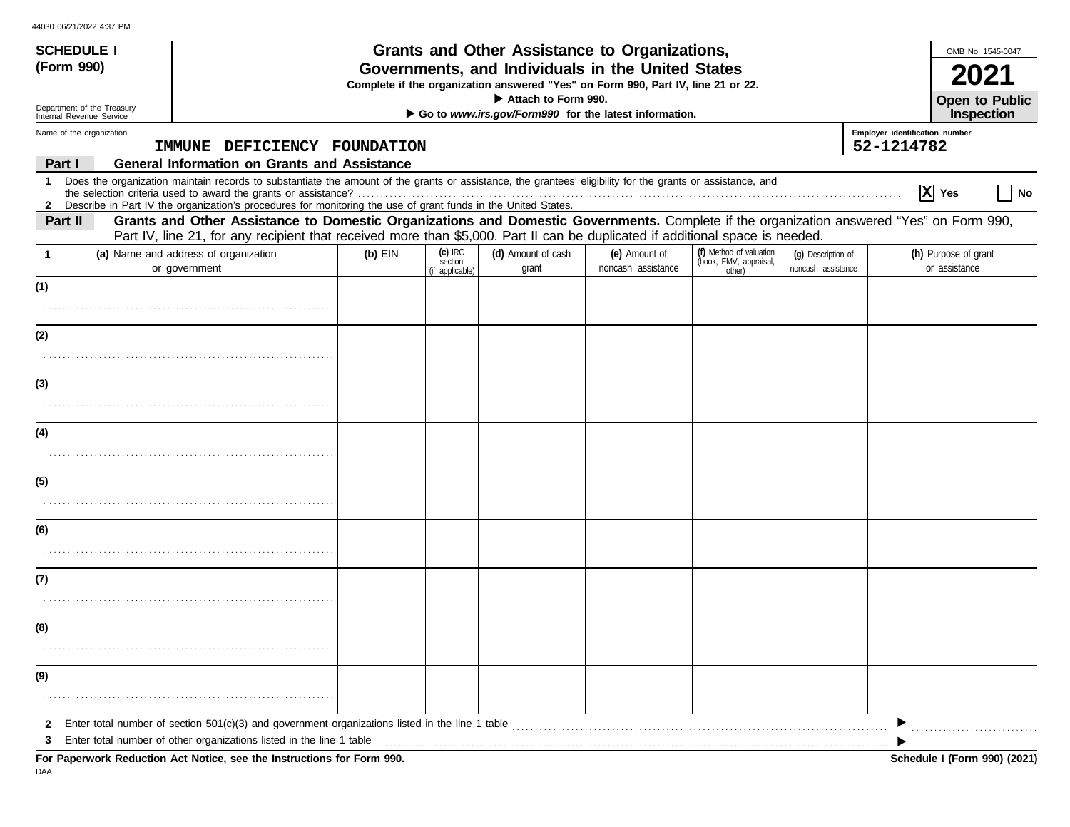|--|

| <b>SCHEDULE I</b>                                      |                                                                                                                                                                                                                                                                               |           |                                         | Grants and Other Assistance to Organizations,                                                                                         |                                     |                                                             |                                          |                                              | OMB No. 1545-0047                          |
|--------------------------------------------------------|-------------------------------------------------------------------------------------------------------------------------------------------------------------------------------------------------------------------------------------------------------------------------------|-----------|-----------------------------------------|---------------------------------------------------------------------------------------------------------------------------------------|-------------------------------------|-------------------------------------------------------------|------------------------------------------|----------------------------------------------|--------------------------------------------|
| (Form 990)                                             |                                                                                                                                                                                                                                                                               |           |                                         | Governments, and Individuals in the United States<br>Complete if the organization answered "Yes" on Form 990, Part IV, line 21 or 22. |                                     |                                                             |                                          |                                              |                                            |
| Department of the Treasury<br>Internal Revenue Service |                                                                                                                                                                                                                                                                               |           |                                         | Attach to Form 990.<br>Go to www.irs.gov/Form990 for the latest information.                                                          |                                     |                                                             |                                          |                                              | <b>Open to Public</b><br><b>Inspection</b> |
| Name of the organization                               | IMMUNE DEFICIENCY FOUNDATION                                                                                                                                                                                                                                                  |           |                                         |                                                                                                                                       |                                     |                                                             |                                          | Employer identification number<br>52-1214782 |                                            |
| Part I                                                 | <b>General Information on Grants and Assistance</b>                                                                                                                                                                                                                           |           |                                         |                                                                                                                                       |                                     |                                                             |                                          |                                              |                                            |
| $\mathbf{1}$                                           | Does the organization maintain records to substantiate the amount of the grants or assistance, the grantees' eligibility for the grants or assistance, and<br>2 Describe in Part IV the organization's procedures for monitoring the use of grant funds in the United States. |           |                                         |                                                                                                                                       |                                     |                                                             |                                          |                                              | $ \mathbf{X} $ Yes<br>  No                 |
| Part II                                                | Grants and Other Assistance to Domestic Organizations and Domestic Governments. Complete if the organization answered "Yes" on Form 990,<br>Part IV, line 21, for any recipient that received more than \$5,000. Part II can be duplicated if additional space is needed.     |           |                                         |                                                                                                                                       |                                     |                                                             |                                          |                                              |                                            |
| -1                                                     | (a) Name and address of organization<br>or government                                                                                                                                                                                                                         | $(b)$ EIN | $(c)$ IRC<br>section<br>(if applicable) | (d) Amount of cash<br>grant                                                                                                           | (e) Amount of<br>noncash assistance | (f) Method of valuation<br>(book, FMV, appraisal,<br>other) | (q) Description of<br>noncash assistance |                                              | (h) Purpose of grant<br>or assistance      |
| (1)                                                    |                                                                                                                                                                                                                                                                               |           |                                         |                                                                                                                                       |                                     |                                                             |                                          |                                              |                                            |
|                                                        |                                                                                                                                                                                                                                                                               |           |                                         |                                                                                                                                       |                                     |                                                             |                                          |                                              |                                            |
| (2)                                                    |                                                                                                                                                                                                                                                                               |           |                                         |                                                                                                                                       |                                     |                                                             |                                          |                                              |                                            |
|                                                        |                                                                                                                                                                                                                                                                               |           |                                         |                                                                                                                                       |                                     |                                                             |                                          |                                              |                                            |
| (3)                                                    |                                                                                                                                                                                                                                                                               |           |                                         |                                                                                                                                       |                                     |                                                             |                                          |                                              |                                            |
|                                                        |                                                                                                                                                                                                                                                                               |           |                                         |                                                                                                                                       |                                     |                                                             |                                          |                                              |                                            |
| (4)                                                    |                                                                                                                                                                                                                                                                               |           |                                         |                                                                                                                                       |                                     |                                                             |                                          |                                              |                                            |
|                                                        |                                                                                                                                                                                                                                                                               |           |                                         |                                                                                                                                       |                                     |                                                             |                                          |                                              |                                            |
| (5)                                                    |                                                                                                                                                                                                                                                                               |           |                                         |                                                                                                                                       |                                     |                                                             |                                          |                                              |                                            |
|                                                        |                                                                                                                                                                                                                                                                               |           |                                         |                                                                                                                                       |                                     |                                                             |                                          |                                              |                                            |
| (6)                                                    |                                                                                                                                                                                                                                                                               |           |                                         |                                                                                                                                       |                                     |                                                             |                                          |                                              |                                            |
|                                                        |                                                                                                                                                                                                                                                                               |           |                                         |                                                                                                                                       |                                     |                                                             |                                          |                                              |                                            |
| (7)                                                    |                                                                                                                                                                                                                                                                               |           |                                         |                                                                                                                                       |                                     |                                                             |                                          |                                              |                                            |
|                                                        |                                                                                                                                                                                                                                                                               |           |                                         |                                                                                                                                       |                                     |                                                             |                                          |                                              |                                            |
| (8)                                                    |                                                                                                                                                                                                                                                                               |           |                                         |                                                                                                                                       |                                     |                                                             |                                          |                                              |                                            |
|                                                        |                                                                                                                                                                                                                                                                               |           |                                         |                                                                                                                                       |                                     |                                                             |                                          |                                              |                                            |
| (9)                                                    |                                                                                                                                                                                                                                                                               |           |                                         |                                                                                                                                       |                                     |                                                             |                                          |                                              |                                            |
|                                                        |                                                                                                                                                                                                                                                                               |           |                                         |                                                                                                                                       |                                     |                                                             |                                          |                                              |                                            |
| $\mathbf{2}$                                           | Enter total number of section 501(c)(3) and government organizations listed in the line 1 table                                                                                                                                                                               |           |                                         |                                                                                                                                       |                                     |                                                             |                                          |                                              |                                            |
| 3                                                      | Enter total number of other organizations listed in the line 1 table<br>For Paperwork Reduction Act Notice, see the Instructions for Form 990.                                                                                                                                |           |                                         |                                                                                                                                       |                                     |                                                             |                                          |                                              | Schedule I (Form 990) (2021)               |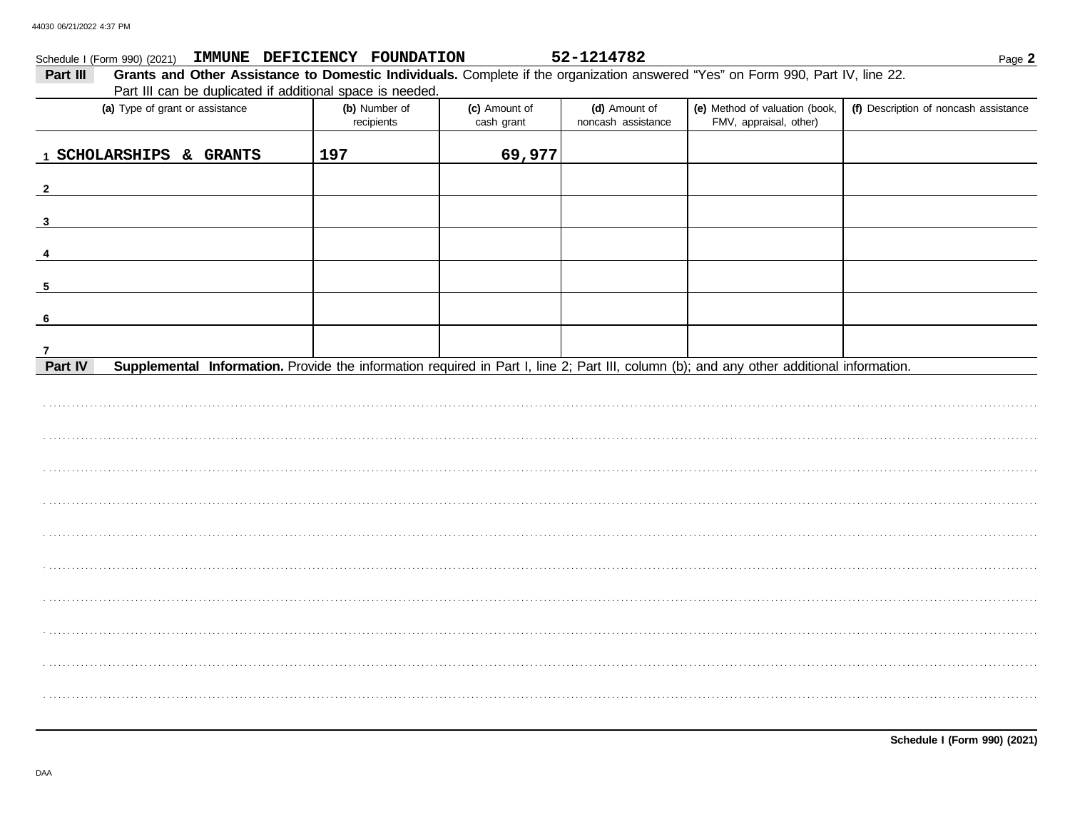### Schedule I (Form 990) (2021) IMMUNE DEFICIENCY FOUNDATION

52-1214782

Page 2 - −

| Grants and Other Assistance to Domestic Individuals. Complete if the organization answered "Yes" on Form 990, Part IV, line 22.<br>Part III<br>Part III can be duplicated if additional space is needed. |                             |                             |                                     |                                                          | $\frac{1}{2}$ agu $\frac{1}{2}$       |
|----------------------------------------------------------------------------------------------------------------------------------------------------------------------------------------------------------|-----------------------------|-----------------------------|-------------------------------------|----------------------------------------------------------|---------------------------------------|
| (a) Type of grant or assistance                                                                                                                                                                          | (b) Number of<br>recipients | (c) Amount of<br>cash grant | (d) Amount of<br>noncash assistance | (e) Method of valuation (book,<br>FMV, appraisal, other) | (f) Description of noncash assistance |
| 1 SCHOLARSHIPS & GRANTS                                                                                                                                                                                  | 197                         | 69,977                      |                                     |                                                          |                                       |
| $\mathbf{2}$                                                                                                                                                                                             |                             |                             |                                     |                                                          |                                       |
| 3                                                                                                                                                                                                        |                             |                             |                                     |                                                          |                                       |
|                                                                                                                                                                                                          |                             |                             |                                     |                                                          |                                       |
| 5                                                                                                                                                                                                        |                             |                             |                                     |                                                          |                                       |
| - 6                                                                                                                                                                                                      |                             |                             |                                     |                                                          |                                       |
| Part IV<br>Supplemental Information. Provide the information required in Part I, line 2; Part III, column (b); and any other additional information.                                                     |                             |                             |                                     |                                                          |                                       |
|                                                                                                                                                                                                          |                             |                             |                                     |                                                          |                                       |
|                                                                                                                                                                                                          |                             |                             |                                     |                                                          |                                       |
|                                                                                                                                                                                                          |                             |                             |                                     |                                                          |                                       |
|                                                                                                                                                                                                          |                             |                             |                                     |                                                          |                                       |
|                                                                                                                                                                                                          |                             |                             |                                     |                                                          |                                       |
|                                                                                                                                                                                                          |                             |                             |                                     |                                                          |                                       |
|                                                                                                                                                                                                          |                             |                             |                                     |                                                          |                                       |
|                                                                                                                                                                                                          |                             |                             |                                     |                                                          |                                       |
|                                                                                                                                                                                                          |                             |                             |                                     |                                                          |                                       |
|                                                                                                                                                                                                          |                             |                             |                                     |                                                          |                                       |
|                                                                                                                                                                                                          |                             |                             |                                     |                                                          |                                       |

Schedule I (Form 990) (2021)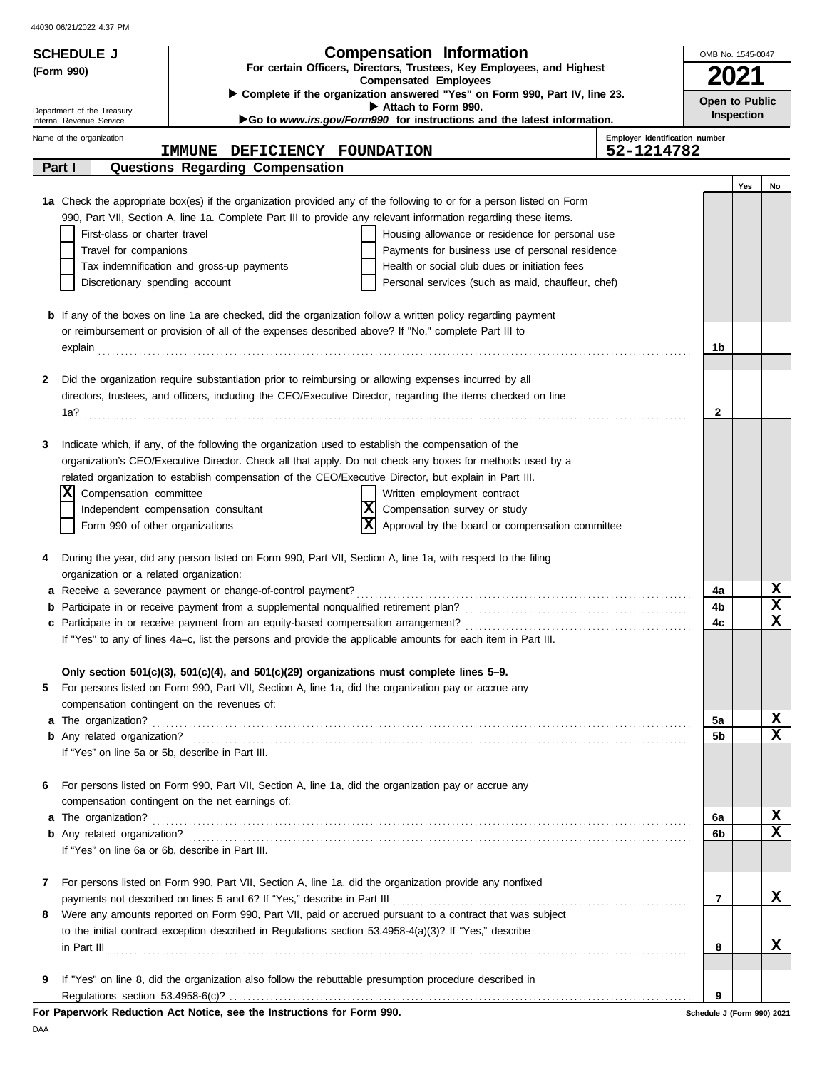|            | <b>SCHEDULE J</b>                                      |                                                                                     | <b>Compensation Information</b>                                                                                      |                                | OMB No. 1545-0047               |            |             |
|------------|--------------------------------------------------------|-------------------------------------------------------------------------------------|----------------------------------------------------------------------------------------------------------------------|--------------------------------|---------------------------------|------------|-------------|
| (Form 990) |                                                        |                                                                                     | For certain Officers, Directors, Trustees, Key Employees, and Highest<br><b>Compensated Employees</b>                |                                | 2021                            |            |             |
|            |                                                        |                                                                                     | Complete if the organization answered "Yes" on Form 990, Part IV, line 23.<br>Attach to Form 990.                    |                                | Open to Public                  |            |             |
|            | Department of the Treasury<br>Internal Revenue Service |                                                                                     | Go to www.irs.gov/Form990 for instructions and the latest information.                                               |                                |                                 | Inspection |             |
|            | Name of the organization                               |                                                                                     |                                                                                                                      | Employer identification number |                                 |            |             |
|            | Part I                                                 | IMMUNE DEFICIENCY FOUNDATION<br>Questions Regarding Compensation                    |                                                                                                                      | 52-1214782                     |                                 |            |             |
|            |                                                        |                                                                                     |                                                                                                                      |                                |                                 | Yes        | No          |
|            |                                                        |                                                                                     | 1a Check the appropriate box(es) if the organization provided any of the following to or for a person listed on Form |                                |                                 |            |             |
|            |                                                        |                                                                                     | 990, Part VII, Section A, line 1a. Complete Part III to provide any relevant information regarding these items.      |                                |                                 |            |             |
|            | First-class or charter travel                          |                                                                                     | Housing allowance or residence for personal use                                                                      |                                |                                 |            |             |
|            | Travel for companions                                  |                                                                                     | Payments for business use of personal residence                                                                      |                                |                                 |            |             |
|            |                                                        | Tax indemnification and gross-up payments                                           | Health or social club dues or initiation fees                                                                        |                                |                                 |            |             |
|            | Discretionary spending account                         |                                                                                     | Personal services (such as maid, chauffeur, chef)                                                                    |                                |                                 |            |             |
|            |                                                        |                                                                                     | <b>b</b> If any of the boxes on line 1a are checked, did the organization follow a written policy regarding payment  |                                |                                 |            |             |
|            |                                                        |                                                                                     | or reimbursement or provision of all of the expenses described above? If "No," complete Part III to                  |                                |                                 |            |             |
|            |                                                        |                                                                                     |                                                                                                                      |                                | 1b                              |            |             |
|            |                                                        |                                                                                     |                                                                                                                      |                                |                                 |            |             |
| 2          |                                                        |                                                                                     | Did the organization require substantiation prior to reimbursing or allowing expenses incurred by all                |                                |                                 |            |             |
|            |                                                        |                                                                                     | directors, trustees, and officers, including the CEO/Executive Director, regarding the items checked on line         |                                |                                 |            |             |
|            |                                                        |                                                                                     |                                                                                                                      |                                | $\mathbf{2}$                    |            |             |
|            |                                                        |                                                                                     |                                                                                                                      |                                |                                 |            |             |
| 3          |                                                        |                                                                                     | Indicate which, if any, of the following the organization used to establish the compensation of the                  |                                |                                 |            |             |
|            |                                                        |                                                                                     | organization's CEO/Executive Director. Check all that apply. Do not check any boxes for methods used by a            |                                |                                 |            |             |
|            |                                                        |                                                                                     | related organization to establish compensation of the CEO/Executive Director, but explain in Part III.               |                                |                                 |            |             |
|            | Compensation committee                                 |                                                                                     | Written employment contract                                                                                          |                                |                                 |            |             |
|            |                                                        | Independent compensation consultant                                                 | $ \mathbf{x} $<br>Compensation survey or study                                                                       |                                |                                 |            |             |
|            | Form 990 of other organizations                        |                                                                                     | $\overline{\mathbf{x}}$<br>Approval by the board or compensation committee                                           |                                |                                 |            |             |
| 4          |                                                        |                                                                                     | During the year, did any person listed on Form 990, Part VII, Section A, line 1a, with respect to the filing         |                                |                                 |            |             |
|            | organization or a related organization:                |                                                                                     |                                                                                                                      |                                |                                 |            |             |
|            |                                                        | a Receive a severance payment or change-of-control payment?                         |                                                                                                                      |                                | 4a                              |            | x           |
| b          |                                                        | Participate in or receive payment from a supplemental nonqualified retirement plan? |                                                                                                                      |                                | 4b                              |            | X           |
|            |                                                        | c Participate in or receive payment from an equity-based compensation arrangement?  |                                                                                                                      |                                | 4c                              |            | X           |
|            |                                                        |                                                                                     | If "Yes" to any of lines 4a-c, list the persons and provide the applicable amounts for each item in Part III.        |                                |                                 |            |             |
|            |                                                        |                                                                                     | Only section $501(c)(3)$ , $501(c)(4)$ , and $501(c)(29)$ organizations must complete lines $5-9$ .                  |                                |                                 |            |             |
| 5          |                                                        |                                                                                     | For persons listed on Form 990, Part VII, Section A, line 1a, did the organization pay or accrue any                 |                                |                                 |            |             |
|            |                                                        | compensation contingent on the revenues of:                                         |                                                                                                                      |                                |                                 |            |             |
|            |                                                        |                                                                                     |                                                                                                                      |                                | 5a                              |            | x           |
|            |                                                        |                                                                                     |                                                                                                                      |                                | 5b                              |            | $\mathbf x$ |
|            | If "Yes" on line 5a or 5b, describe in Part III.       |                                                                                     |                                                                                                                      |                                |                                 |            |             |
| 6          |                                                        |                                                                                     | For persons listed on Form 990, Part VII, Section A, line 1a, did the organization pay or accrue any                 |                                |                                 |            |             |
|            |                                                        | compensation contingent on the net earnings of:                                     |                                                                                                                      |                                |                                 |            |             |
|            |                                                        |                                                                                     |                                                                                                                      |                                | 6a                              |            | x           |
|            |                                                        |                                                                                     |                                                                                                                      |                                | 6b                              |            | X           |
|            | If "Yes" on line 6a or 6b, describe in Part III.       |                                                                                     |                                                                                                                      |                                |                                 |            |             |
| 7          |                                                        |                                                                                     | For persons listed on Form 990, Part VII, Section A, line 1a, did the organization provide any nonfixed              |                                |                                 |            |             |
|            |                                                        |                                                                                     |                                                                                                                      |                                | 7                               |            | x           |
| 8          |                                                        |                                                                                     | Were any amounts reported on Form 990, Part VII, paid or accrued pursuant to a contract that was subject             |                                |                                 |            |             |
|            |                                                        |                                                                                     | to the initial contract exception described in Regulations section 53.4958-4(a)(3)? If "Yes," describe               |                                |                                 |            |             |
|            |                                                        |                                                                                     |                                                                                                                      |                                | 8                               |            | x           |
|            |                                                        |                                                                                     |                                                                                                                      |                                |                                 |            |             |
| 9          |                                                        |                                                                                     | If "Yes" on line 8, did the organization also follow the rebuttable presumption procedure described in               |                                |                                 |            |             |
|            |                                                        | For Paperwork Reduction Act Notice, see the Instructions for Form 990.              |                                                                                                                      |                                | 9<br>Schedule J (Form 990) 2021 |            |             |

DAA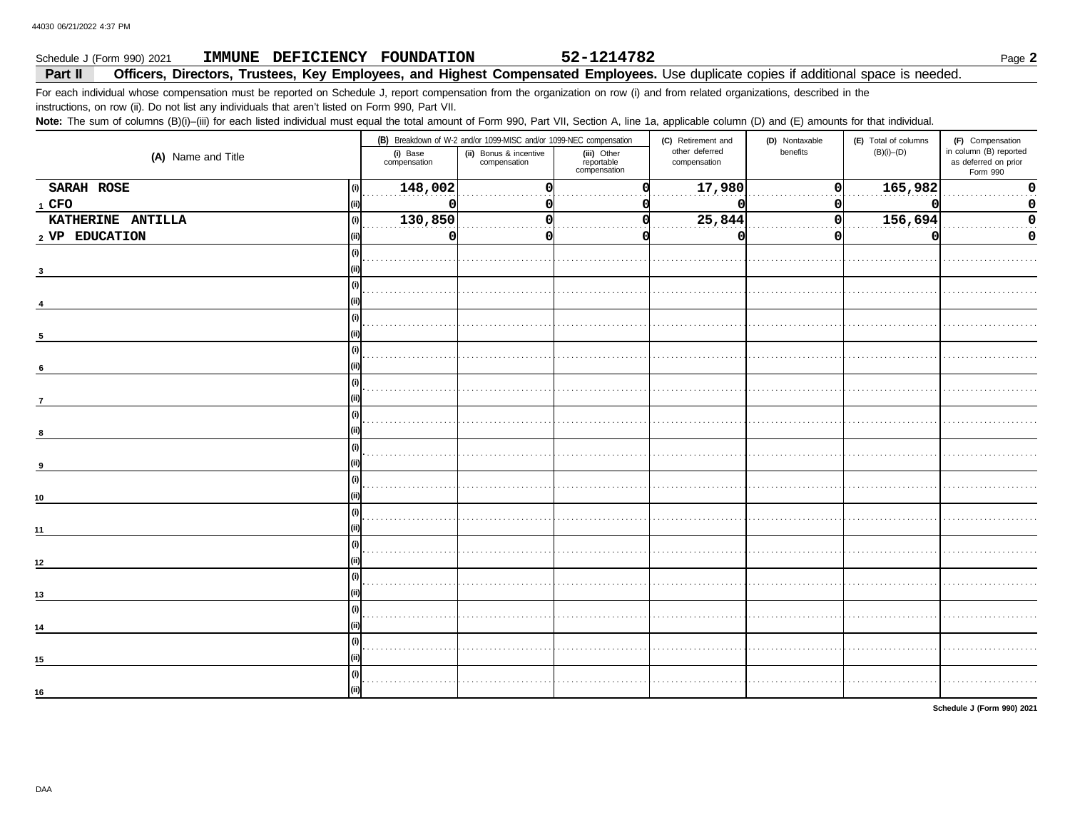### 52-1214782 IMMUNE DEFICIENCY FOUNDATION Schedule J (Form 990) 2021

### Officers, Directors, Trustees, Key Employees, and Highest Compensated Employees. Use duplicate copies if additional space is needed. Part II

For each individual whose compensation must be reported on Schedule J, report compensation from the organization on row (i) and from related organizations, described in the instructions, on row (ii). Do not list any individuals that aren't listed on Form 990, Part VII.

Note: The sum of columns (B)(i)-(iii) for each listed individual must equal the total amount of Form 990, Part VII, Section A, line 1a, applicable column (D) and (E) amounts for that individual.

|                          |                          | (B) Breakdown of W-2 and/or 1099-MISC and/or 1099-NEC compensation |                                           | (C) Retirement and             | (D) Nontaxable | (E) Total of columns | (F) Compensation                                           |
|--------------------------|--------------------------|--------------------------------------------------------------------|-------------------------------------------|--------------------------------|----------------|----------------------|------------------------------------------------------------|
| (A) Name and Title       | (i) Base<br>compensation | (ii) Bonus & incentive<br>compensation                             | (iii) Other<br>reportable<br>compensation | other deferred<br>compensation | benefits       | $(B)(i)$ - $(D)$     | in column (B) reported<br>as deferred on prior<br>Form 990 |
| SARAH ROSE<br>(i)        | 148,002                  | n                                                                  |                                           | 17,980                         | Οl             | 165,982              | $\mathbf 0$                                                |
| $1$ CFO                  |                          |                                                                    |                                           |                                | 0              |                      | 0                                                          |
| KATHERINE ANTILLA<br>(i) | 130,850                  |                                                                    |                                           | 25,844                         | ٥I             | 156,694              | U                                                          |
| 2 VP EDUCATION<br>(ii)   | 0                        |                                                                    |                                           | 0                              | 0              |                      | 0                                                          |
| (i)                      |                          |                                                                    |                                           |                                |                |                      |                                                            |
| (i)                      |                          |                                                                    |                                           |                                |                |                      |                                                            |
|                          |                          |                                                                    |                                           |                                |                |                      |                                                            |
| (i)                      |                          |                                                                    |                                           |                                |                |                      |                                                            |
| (i)                      |                          |                                                                    |                                           |                                |                |                      |                                                            |
| 6                        |                          |                                                                    |                                           |                                |                |                      |                                                            |
| (i)<br>$\overline{7}$    |                          |                                                                    |                                           |                                |                |                      |                                                            |
| $\left( 1\right)$        |                          |                                                                    |                                           |                                |                |                      |                                                            |
| $\left( i \right)$       |                          |                                                                    |                                           |                                |                |                      |                                                            |
| (i)                      |                          |                                                                    |                                           |                                |                |                      |                                                            |
| 10                       |                          |                                                                    |                                           |                                |                |                      |                                                            |
| $\left( i \right)$<br>11 |                          |                                                                    |                                           |                                |                |                      |                                                            |
| (i)<br>12                |                          |                                                                    |                                           |                                |                |                      |                                                            |
| (i)<br>13                |                          |                                                                    |                                           |                                |                |                      |                                                            |
| (i)<br>14                |                          |                                                                    |                                           |                                |                |                      |                                                            |
| 15                       |                          |                                                                    |                                           |                                |                |                      |                                                            |
| (1)<br>(ii)<br>16        |                          |                                                                    |                                           |                                |                |                      |                                                            |
|                          |                          |                                                                    |                                           |                                |                |                      |                                                            |

Schedule J (Form 990) 2021

Page 2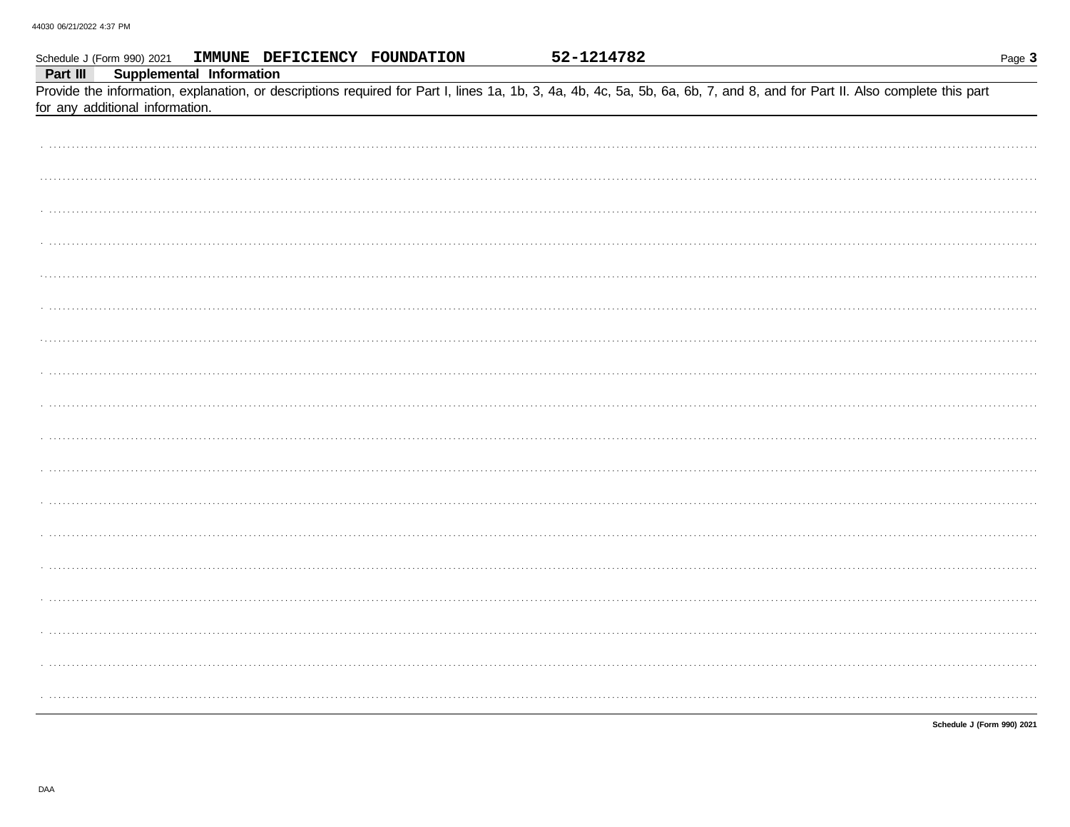|          | Schedule J (Form 990) 2021      |                          | IMMUNE DEFICIENCY FOUNDATION |  | 52-1214782 |                                                                                                                                                                            | Page 3 |
|----------|---------------------------------|--------------------------|------------------------------|--|------------|----------------------------------------------------------------------------------------------------------------------------------------------------------------------------|--------|
| Part III | for any additional information. | Supplemental Information |                              |  |            | Provide the information, explanation, or descriptions required for Part I, lines 1a, 1b, 3, 4a, 4b, 4c, 5a, 5b, 6a, 6b, 7, and 8, and for Part II. Also complete this part |        |
|          |                                 |                          |                              |  |            |                                                                                                                                                                            |        |
|          |                                 |                          |                              |  |            |                                                                                                                                                                            |        |
|          |                                 |                          |                              |  |            |                                                                                                                                                                            |        |
|          |                                 |                          |                              |  |            |                                                                                                                                                                            |        |
|          |                                 |                          |                              |  |            |                                                                                                                                                                            |        |
|          |                                 |                          |                              |  |            |                                                                                                                                                                            |        |
|          |                                 |                          |                              |  |            |                                                                                                                                                                            |        |
|          |                                 |                          |                              |  |            |                                                                                                                                                                            |        |
|          |                                 |                          |                              |  |            |                                                                                                                                                                            |        |
|          |                                 |                          |                              |  |            |                                                                                                                                                                            |        |
|          |                                 |                          |                              |  |            |                                                                                                                                                                            |        |
|          |                                 |                          |                              |  |            |                                                                                                                                                                            |        |
|          |                                 |                          |                              |  |            |                                                                                                                                                                            |        |
|          |                                 |                          |                              |  |            |                                                                                                                                                                            |        |
|          |                                 |                          |                              |  |            |                                                                                                                                                                            |        |
|          |                                 |                          |                              |  |            |                                                                                                                                                                            |        |
|          |                                 |                          |                              |  |            |                                                                                                                                                                            |        |
|          |                                 |                          |                              |  |            |                                                                                                                                                                            |        |
|          |                                 |                          |                              |  |            |                                                                                                                                                                            |        |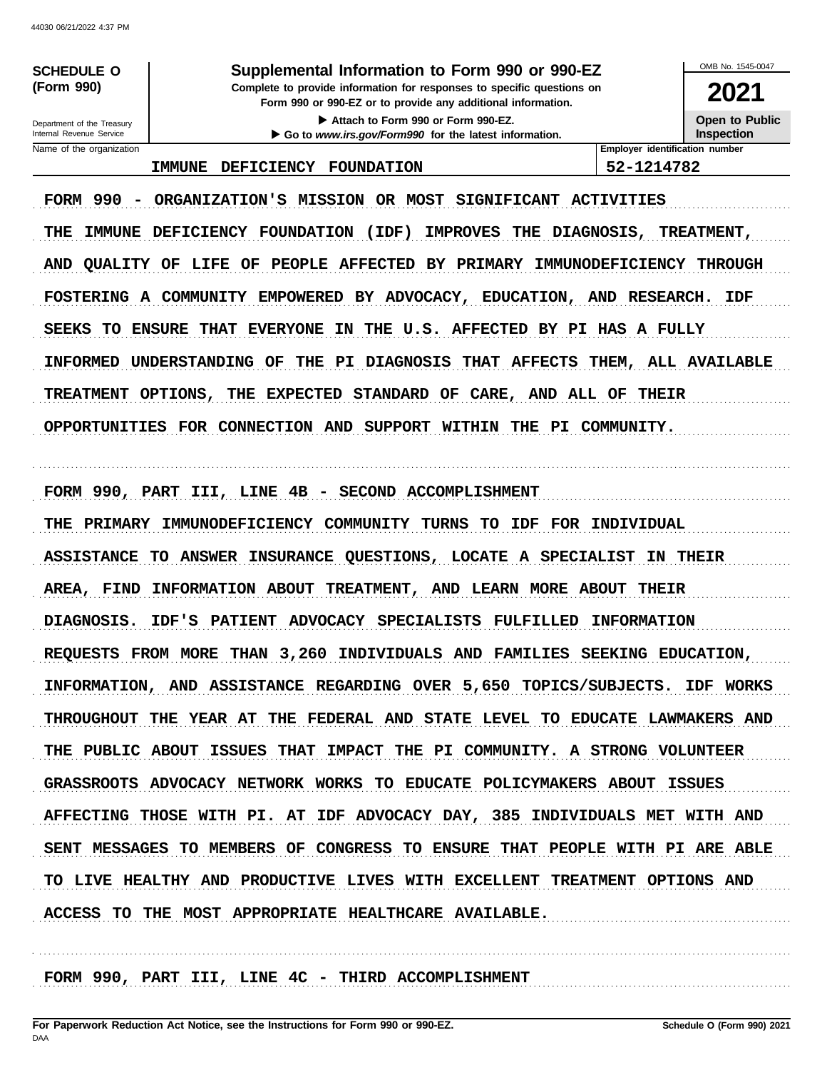Name of the organization **Employer identification number Employer identification number** Internal Revenue Service Department of the Treasury

### **SCHEDULE O Supplemental Information to Form 990 or 990-EZ**

**Form 990 or 990-EZ or to provide any additional information. (Form 990) Complete to provide information for responses to specific questions on**

> Attach to Form 990 or Form 990-EZ. ▶ Go to *www.irs.gov/Form990* for the latest information.

**2021**

**Open to Public**

OMB No. 1545-0047

**Inspection**

### **IMMUNE DEFICIENCY FOUNDATION 52-1214782**

FORM 990 - ORGANIZATION'S MISSION OR MOST SIGNIFICANT ACTIVITIES THE IMMUNE DEFICIENCY FOUNDATION (IDF) IMPROVES THE DIAGNOSIS, TREATMENT, AND QUALITY OF LIFE OF PEOPLE AFFECTED BY PRIMARY IMMUNODEFICIENCY THROUGH FOSTERING A COMMUNITY EMPOWERED BY ADVOCACY, EDUCATION, AND RESEARCH. IDF SEEKS TO ENSURE THAT EVERYONE IN THE U.S. AFFECTED BY PI HAS A FULLY INFORMED UNDERSTANDING OF THE PI DIAGNOSIS THAT AFFECTS THEM, ALL AVAILABLE TREATMENT OPTIONS, THE EXPECTED STANDARD OF CARE, AND ALL OF THEIR OPPORTUNITIES FOR CONNECTION AND SUPPORT WITHIN THE PI COMMUNITY.

. . . . . . . . . . . . . . . . . . . . . . . . . . . . . . . . . . . . . . . . . . . . . . . . . . . . . . . . . . . . . . . . . . . . . . . . . . . . . . . . . . . . . . . . . . . . . . . . . . . . . . . . . . . . . . . . . . . . . . . . . . . . . . . . . . . . . . . . . . . . . . . . . . . . . . . . . . . . . . . . . . . . . . .

FORM 990, PART III, LINE 4B - SECOND ACCOMPLISHMENT

THE PRIMARY IMMUNODEFICIENCY COMMUNITY TURNS TO IDF FOR INDIVIDUAL ASSISTANCE TO ANSWER INSURANCE QUESTIONS, LOCATE A SPECIALIST IN THEIR AREA, FIND INFORMATION ABOUT TREATMENT, AND LEARN MORE ABOUT THEIR DIAGNOSIS. IDF'S PATIENT ADVOCACY SPECIALISTS FULFILLED INFORMATION REQUESTS FROM MORE THAN 3,260 INDIVIDUALS AND FAMILIES SEEKING EDUCATION, INFORMATION, AND ASSISTANCE REGARDING OVER 5,650 TOPICS/SUBJECTS. IDF WORKS THROUGHOUT THE YEAR AT THE FEDERAL AND STATE LEVEL TO EDUCATE LAWMAKERS AND THE PUBLIC ABOUT ISSUES THAT IMPACT THE PI COMMUNITY. A STRONG VOLUNTEER GRASSROOTS ADVOCACY NETWORK WORKS TO EDUCATE POLICYMAKERS ABOUT ISSUES AFFECTING THOSE WITH PI. AT IDF ADVOCACY DAY, 385 INDIVIDUALS MET WITH AND SENT MESSAGES TO MEMBERS OF CONGRESS TO ENSURE THAT PEOPLE WITH PI ARE ABLE TO LIVE HEALTHY AND PRODUCTIVE LIVES WITH EXCELLENT TREATMENT OPTIONS AND ACCESS TO THE MOST APPROPRIATE HEALTHCARE AVAILABLE.

. . . . . . . . . . . . . . . . . . . . . . . . . . . . . . . . . . . . . . . . . . . . . . . . . . . . . . . . . . . . . . . . . . . . . . . . . . . . . . . . . . . . . . . . . . . . . . . . . . . . . . . . . . . . . . . . . . . . . . . . . . . . . . . . . . . . . . . . . . . . . . . . . . . . . . . . . . . . . . . . . . . . . . .

FORM 990, PART III, LINE 4C - THIRD ACCOMPLISHMENT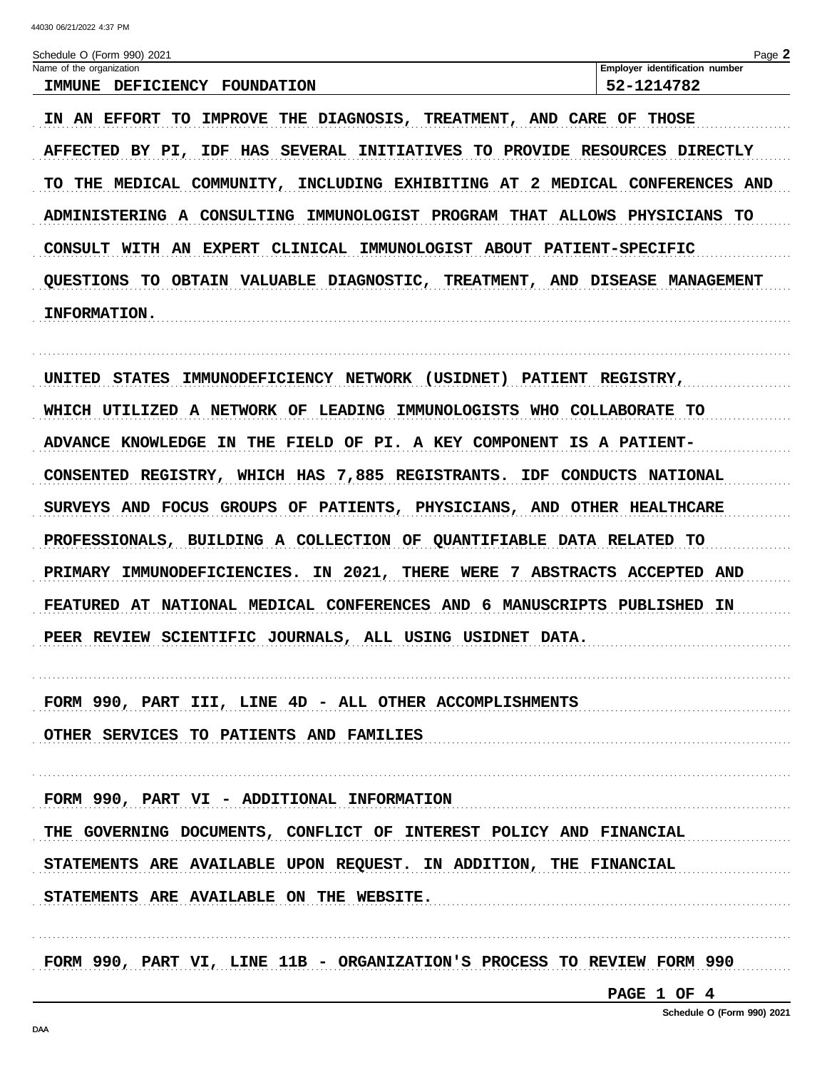| Schedule O (Form 990) 2021<br>Name of the organization                      | Page 2                                       |
|-----------------------------------------------------------------------------|----------------------------------------------|
| IMMUNE DEFICIENCY FOUNDATION                                                | Employer identification number<br>52-1214782 |
| IN AN EFFORT TO<br>IMPROVE THE DIAGNOSIS, TREATMENT, AND CARE OF THOSE      |                                              |
| AFFECTED BY PI, IDF HAS SEVERAL INITIATIVES TO PROVIDE RESOURCES DIRECTLY   |                                              |
| TO THE MEDICAL COMMUNITY, INCLUDING EXHIBITING AT 2 MEDICAL CONFERENCES AND |                                              |
| ADMINISTERING A CONSULTING IMMUNOLOGIST PROGRAM THAT ALLOWS PHYSICIANS TO   |                                              |
| CONSULT WITH AN EXPERT CLINICAL IMMUNOLOGIST ABOUT PATIENT-SPECIFIC         |                                              |
| QUESTIONS TO OBTAIN VALUABLE DIAGNOSTIC, TREATMENT, AND DISEASE MANAGEMENT  |                                              |
| <b>INFORMATION.</b>                                                         |                                              |
|                                                                             |                                              |
| UNITED STATES<br>IMMUNODEFICIENCY NETWORK (USIDNET) PATIENT REGISTRY,       |                                              |
| WHICH UTILIZED A NETWORK OF LEADING IMMUNOLOGISTS WHO COLLABORATE TO        |                                              |
| ADVANCE KNOWLEDGE IN THE FIELD OF PI. A KEY COMPONENT IS A PATIENT-         |                                              |
| CONSENTED REGISTRY, WHICH HAS 7,885 REGISTRANTS. IDF CONDUCTS NATIONAL      |                                              |
| SURVEYS AND FOCUS GROUPS OF PATIENTS, PHYSICIANS, AND OTHER HEALTHCARE      |                                              |
| PROFESSIONALS, BUILDING A COLLECTION OF QUANTIFIABLE DATA RELATED TO        |                                              |
| PRIMARY IMMUNODEFICIENCIES. IN 2021, THERE WERE 7 ABSTRACTS ACCEPTED AND    |                                              |
| FEATURED AT NATIONAL MEDICAL CONFERENCES AND 6 MANUSCRIPTS PUBLISHED IN     |                                              |
| PEER REVIEW SCIENTIFIC JOURNALS, ALL USING USIDNET DATA.                    |                                              |
|                                                                             |                                              |
| FORM 990, PART III, LINE 4D - ALL OTHER ACCOMPLISHMENTS                     |                                              |
| OTHER SERVICES TO PATIENTS AND FAMILIES                                     |                                              |
|                                                                             |                                              |
| FORM 990, PART VI - ADDITIONAL INFORMATION                                  |                                              |
| THE GOVERNING DOCUMENTS, CONFLICT OF INTEREST POLICY AND FINANCIAL          |                                              |
| STATEMENTS ARE AVAILABLE UPON REQUEST. IN ADDITION, THE FINANCIAL           |                                              |
| STATEMENTS ARE AVAILABLE ON THE WEBSITE.                                    |                                              |
|                                                                             |                                              |
| FORM 990, PART VI, LINE 11B - ORGANIZATION'S PROCESS TO REVIEW FORM 990     |                                              |

PAGE 1 OF 4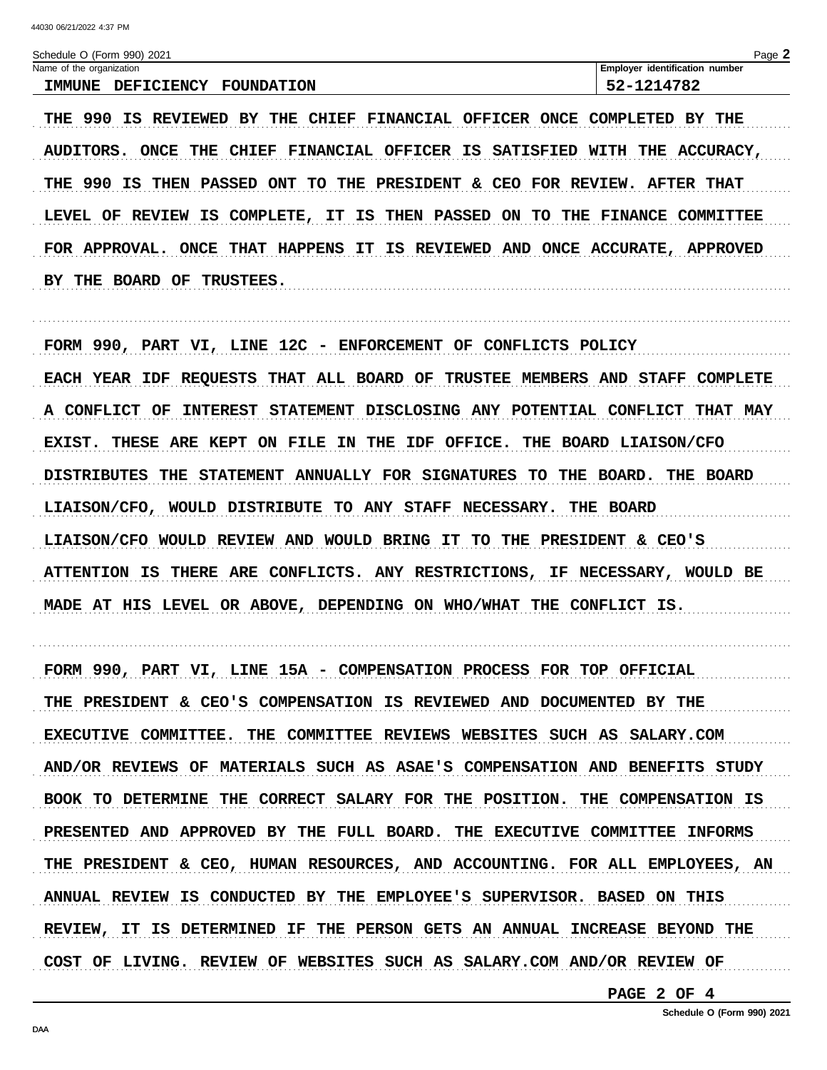| Schedule O (Form 990) 2021                                               | Page 2                         |
|--------------------------------------------------------------------------|--------------------------------|
| Name of the organization                                                 | Employer identification number |
| DEFICIENCY FOUNDATION<br>IMMUNE                                          | 52-1214782                     |
|                                                                          |                                |
| THE 990 IS REVIEWED BY THE CHIEF FINANCIAL OFFICER ONCE COMPLETED BY THE |                                |

AUDITORS. ONCE THE CHIEF FINANCIAL OFFICER IS SATISFIED WITH THE ACCURACY, THE 990 IS THEN PASSED ONT TO THE PRESIDENT & CEO FOR REVIEW. AFTER THAT LEVEL OF REVIEW IS COMPLETE, IT IS THEN PASSED ON TO THE FINANCE COMMITTEE FOR APPROVAL. ONCE THAT HAPPENS IT IS REVIEWED AND ONCE ACCURATE, APPROVED BY THE BOARD OF TRUSTEES.

FORM 990, PART VI, LINE 12C - ENFORCEMENT OF CONFLICTS POLICY EACH YEAR IDF REQUESTS THAT ALL BOARD OF TRUSTEE MEMBERS AND STAFF COMPLETE A CONFLICT OF INTEREST STATEMENT DISCLOSING ANY POTENTIAL CONFLICT THAT MAY EXIST. THESE ARE KEPT ON FILE IN THE IDF OFFICE. THE BOARD LIAISON/CFO DISTRIBUTES THE STATEMENT ANNUALLY FOR SIGNATURES TO THE BOARD. THE BOARD LIAISON/CFO, WOULD DISTRIBUTE TO ANY STAFF NECESSARY. THE BOARD LIAISON/CFO WOULD REVIEW AND WOULD BRING IT TO THE PRESIDENT & CEO'S ATTENTION IS THERE ARE CONFLICTS. ANY RESTRICTIONS, IF NECESSARY, WOULD BE MADE AT HIS LEVEL OR ABOVE, DEPENDING ON WHO/WHAT THE CONFLICT IS.

FORM 990, PART VI, LINE 15A - COMPENSATION PROCESS FOR TOP OFFICIAL THE PRESIDENT & CEO'S COMPENSATION IS REVIEWED AND DOCUMENTED BY THE EXECUTIVE COMMITTEE. THE COMMITTEE REVIEWS WEBSITES SUCH AS SALARY.COM AND/OR REVIEWS OF MATERIALS SUCH AS ASAE'S COMPENSATION AND BENEFITS STUDY BOOK TO DETERMINE THE CORRECT SALARY FOR THE POSITION. THE COMPENSATION IS PRESENTED AND APPROVED BY THE FULL BOARD. THE EXECUTIVE COMMITTEE INFORMS THE PRESIDENT & CEO, HUMAN RESOURCES, AND ACCOUNTING. FOR ALL EMPLOYEES, AN ANNUAL REVIEW IS CONDUCTED BY THE EMPLOYEE'S SUPERVISOR. BASED ON THIS REVIEW, IT IS DETERMINED IF THE PERSON GETS AN ANNUAL INCREASE BEYOND THE COST OF LIVING. REVIEW OF WEBSITES SUCH AS SALARY.COM AND/OR REVIEW OF

PAGE 2 OF 4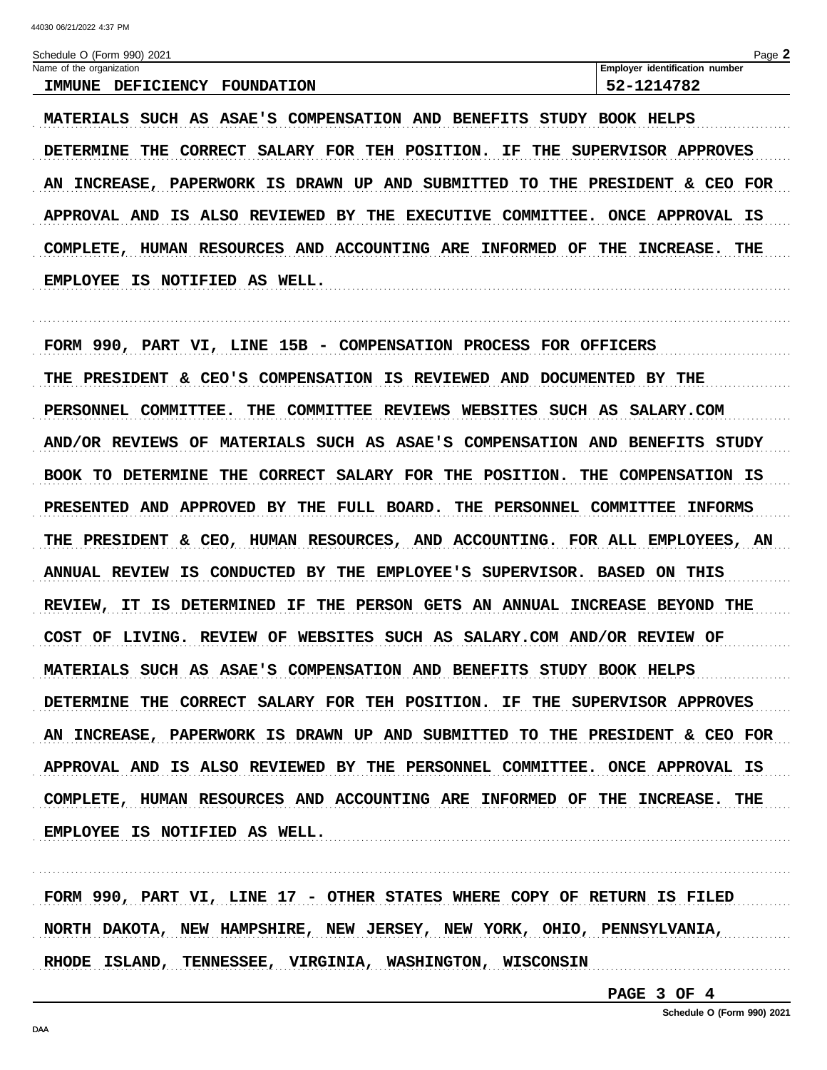| Schedule O (Form 990) 2021  |                   | Page                                  |
|-----------------------------|-------------------|---------------------------------------|
| Name of the organization    |                   | <b>Employer identification number</b> |
| <b>DEFICIENCY</b><br>IMMUNE | <b>FOUNDATION</b> | 52-1214782                            |
|                             |                   |                                       |

MATERIALS SUCH AS ASAE'S COMPENSATION AND BENEFITS STUDY BOOK HELPS DETERMINE THE CORRECT SALARY FOR TEH POSITION. IF THE SUPERVISOR APPROVES AN INCREASE, PAPERWORK IS DRAWN UP AND SUBMITTED TO THE PRESIDENT & CEO FOR APPROVAL AND IS ALSO REVIEWED BY THE EXECUTIVE COMMITTEE. ONCE APPROVAL IS COMPLETE, HUMAN RESOURCES AND ACCOUNTING ARE INFORMED OF THE INCREASE. THE EMPLOYEE IS NOTIFIED AS WELL.

FORM 990, PART VI, LINE 15B - COMPENSATION PROCESS FOR OFFICERS THE PRESIDENT & CEO'S COMPENSATION IS REVIEWED AND DOCUMENTED BY THE PERSONNEL COMMITTEE. THE COMMITTEE REVIEWS WEBSITES SUCH AS SALARY.COM AND/OR REVIEWS OF MATERIALS SUCH AS ASAE'S COMPENSATION AND BENEFITS STUDY BOOK TO DETERMINE THE CORRECT SALARY FOR THE POSITION. THE COMPENSATION IS PRESENTED AND APPROVED BY THE FULL BOARD. THE PERSONNEL COMMITTEE INFORMS THE PRESIDENT & CEO, HUMAN RESOURCES, AND ACCOUNTING. FOR ALL EMPLOYEES, AN ANNUAL REVIEW IS CONDUCTED BY THE EMPLOYEE'S SUPERVISOR. BASED ON THIS REVIEW, IT IS DETERMINED IF THE PERSON GETS AN ANNUAL INCREASE BEYOND THE COST OF LIVING. REVIEW OF WEBSITES SUCH AS SALARY.COM AND/OR REVIEW OF MATERIALS SUCH AS ASAE'S COMPENSATION AND BENEFITS STUDY BOOK HELPS DETERMINE THE CORRECT SALARY FOR TEH POSITION. IF THE SUPERVISOR APPROVES AN INCREASE, PAPERWORK IS DRAWN UP AND SUBMITTED TO THE PRESIDENT & CEO FOR APPROVAL AND IS ALSO REVIEWED BY THE PERSONNEL COMMITTEE. ONCE APPROVAL IS COMPLETE, HUMAN RESOURCES AND ACCOUNTING ARE INFORMED OF THE INCREASE. THE EMPLOYEE IS NOTIFIED AS WELL.

FORM 990, PART VI, LINE 17 - OTHER STATES WHERE COPY OF RETURN IS FILED NORTH DAKOTA, NEW HAMPSHIRE, NEW JERSEY, NEW YORK, OHIO, PENNSYLVANIA, RHODE ISLAND, TENNESSEE, VIRGINIA, WASHINGTON, WISCONSIN

PAGE 3 OF 4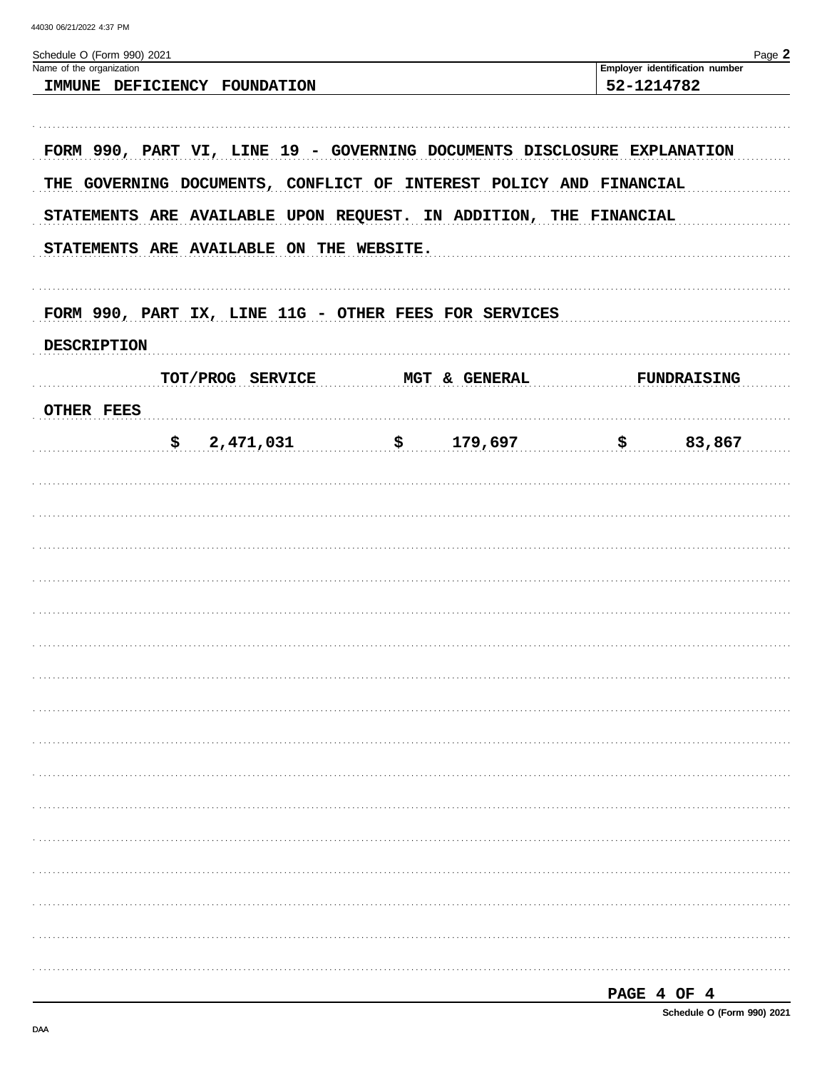| Schedule O (Form 990) 2021<br>Name of the organization<br>IMMUNE DEFICIENCY FOUNDATION                                                                                                                                                                         |                                            | Page 2<br>Employer identification number<br>52-1214782 |  |  |  |  |  |
|----------------------------------------------------------------------------------------------------------------------------------------------------------------------------------------------------------------------------------------------------------------|--------------------------------------------|--------------------------------------------------------|--|--|--|--|--|
| FORM 990, PART VI, LINE 19 - GOVERNING DOCUMENTS DISCLOSURE EXPLANATION<br>THE GOVERNING DOCUMENTS, CONFLICT OF INTEREST POLICY AND FINANCIAL<br>STATEMENTS ARE AVAILABLE UPON REQUEST. IN ADDITION, THE FINANCIAL<br>STATEMENTS ARE AVAILABLE ON THE WEBSITE. |                                            |                                                        |  |  |  |  |  |
| FORM 990, PART IX, LINE 11G - OTHER FEES FOR SERVICES<br>DESCRIPTION                                                                                                                                                                                           |                                            |                                                        |  |  |  |  |  |
|                                                                                                                                                                                                                                                                | TOT/PROG SERVICE MGT & GENERAL FUNDRAISING |                                                        |  |  |  |  |  |
| OTHER FEES                                                                                                                                                                                                                                                     |                                            |                                                        |  |  |  |  |  |
|                                                                                                                                                                                                                                                                | $\frac{179,697}{9}$ \$ 83,867              |                                                        |  |  |  |  |  |
|                                                                                                                                                                                                                                                                |                                            |                                                        |  |  |  |  |  |
|                                                                                                                                                                                                                                                                |                                            |                                                        |  |  |  |  |  |
|                                                                                                                                                                                                                                                                |                                            |                                                        |  |  |  |  |  |
|                                                                                                                                                                                                                                                                |                                            |                                                        |  |  |  |  |  |
|                                                                                                                                                                                                                                                                |                                            |                                                        |  |  |  |  |  |
|                                                                                                                                                                                                                                                                |                                            |                                                        |  |  |  |  |  |
|                                                                                                                                                                                                                                                                |                                            |                                                        |  |  |  |  |  |
|                                                                                                                                                                                                                                                                |                                            |                                                        |  |  |  |  |  |
|                                                                                                                                                                                                                                                                |                                            |                                                        |  |  |  |  |  |
|                                                                                                                                                                                                                                                                |                                            |                                                        |  |  |  |  |  |
|                                                                                                                                                                                                                                                                |                                            |                                                        |  |  |  |  |  |
|                                                                                                                                                                                                                                                                |                                            |                                                        |  |  |  |  |  |
|                                                                                                                                                                                                                                                                |                                            |                                                        |  |  |  |  |  |
|                                                                                                                                                                                                                                                                |                                            |                                                        |  |  |  |  |  |
|                                                                                                                                                                                                                                                                |                                            |                                                        |  |  |  |  |  |

| . .<br>PAGI<br>. |  |  |  |
|------------------|--|--|--|
|------------------|--|--|--|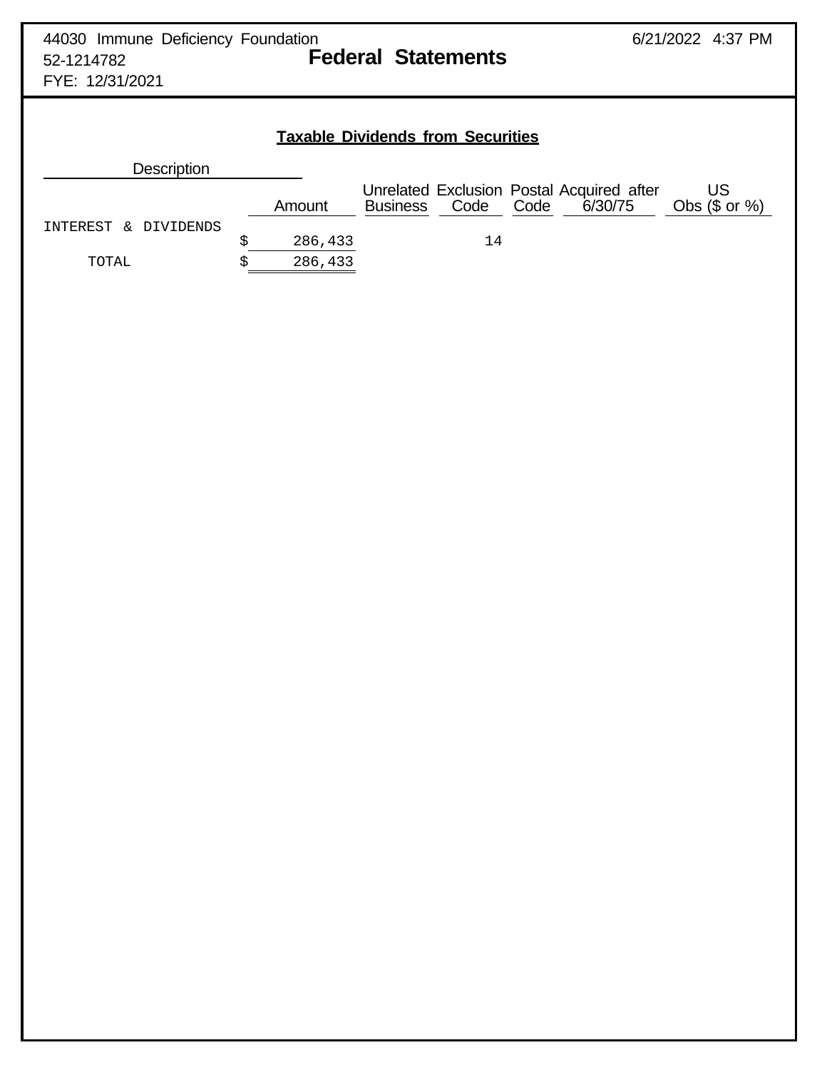| 44030 Immune Deficiency Foundation<br>52-1214782<br>FYE: 12/31/2021 |                                          | <b>Federal Statements</b> |    |                                                                         | 6/21/2022 4:37 PM          |
|---------------------------------------------------------------------|------------------------------------------|---------------------------|----|-------------------------------------------------------------------------|----------------------------|
|                                                                     | <b>Taxable Dividends from Securities</b> |                           |    |                                                                         |                            |
| Description<br>INTEREST & DIVIDENDS                                 | Amount<br>\$<br>286,433                  |                           | 14 | Unrelated Exclusion Postal Acquired after<br>Business Code Code 6/30/75 | <b>US</b><br>Obs (\$ or %) |
| TOTAL                                                               | 286,433<br>\$                            |                           |    |                                                                         |                            |
|                                                                     |                                          |                           |    |                                                                         |                            |
|                                                                     |                                          |                           |    |                                                                         |                            |
|                                                                     |                                          |                           |    |                                                                         |                            |
|                                                                     |                                          |                           |    |                                                                         |                            |
|                                                                     |                                          |                           |    |                                                                         |                            |
|                                                                     |                                          |                           |    |                                                                         |                            |
|                                                                     |                                          |                           |    |                                                                         |                            |
|                                                                     |                                          |                           |    |                                                                         |                            |
|                                                                     |                                          |                           |    |                                                                         |                            |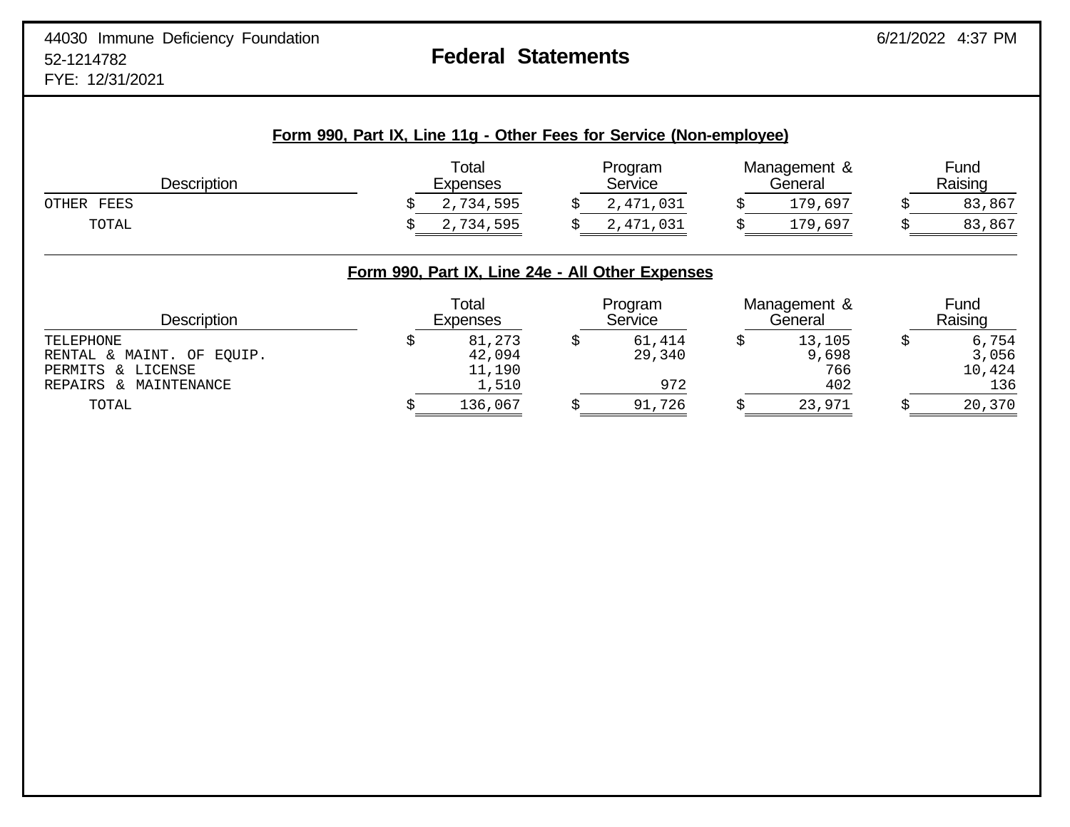|                    | Form 990, Part IX, Line 11g - Other Fees for Service (Non-employee) |                                                  |                    |                         |                 |
|--------------------|---------------------------------------------------------------------|--------------------------------------------------|--------------------|-------------------------|-----------------|
| <b>Description</b> |                                                                     | Total<br>Expenses                                | Program<br>Service | Management &<br>General | Fund<br>Raising |
| FEES<br>OTHER      |                                                                     | 2,734,595                                        | 2,471,031          | 179,697                 | 83,867          |
| TOTAL              |                                                                     | 2,734,595                                        | 2,471,031          | 179,697                 | 83,867          |
|                    |                                                                     | Form 990, Part IX, Line 24e - All Other Expenses |                    |                         |                 |
| <b>Description</b> |                                                                     | Total<br><b>Expenses</b>                         | Program<br>Service | Management &<br>General | Fund<br>Raising |

| ---------                            |                           | --------- |  | ------ | ------- | .      |
|--------------------------------------|---------------------------|-----------|--|--------|---------|--------|
| TELEPHONE                            |                           | 81,273    |  | 61,414 | 13,105  | 6,754  |
| RENTAL & MAINT. OF<br>EOUIP.         | 29,340<br>42,094<br>9,698 |           |  |        | 3,056   |        |
| PERMITS & LICENSE                    |                           | 11,190    |  |        | 766     | 10,424 |
| MAINTENANCE<br>REPAIRS<br>$\delta x$ |                           | 1,510     |  | 972    | 402     | 136    |
| TOTAL                                |                           | 136,067   |  | 91,726 | 23,971  | 20,370 |

| ı valəli iy                     |
|---------------------------------|
| 6,754<br>3,056<br>10,424<br>136 |
| 20,370                          |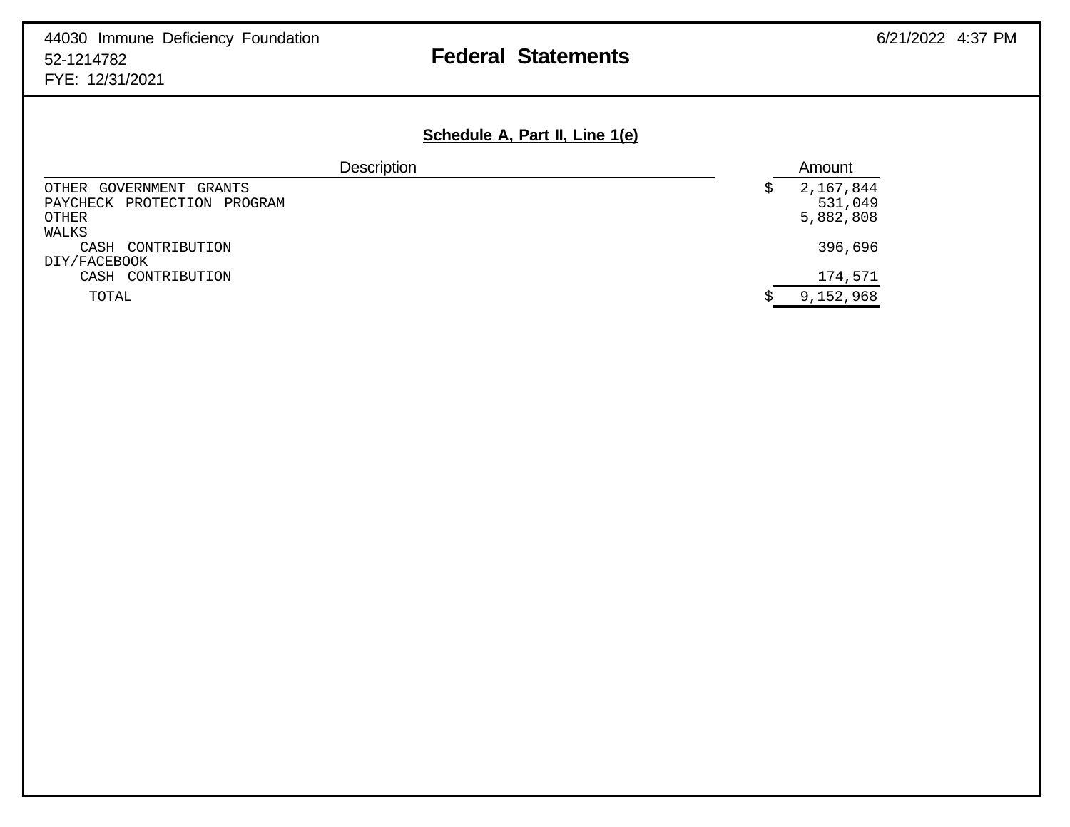| Schedule A, Part II, Line 1(e)                                              |                                        |  |
|-----------------------------------------------------------------------------|----------------------------------------|--|
| <b>Description</b>                                                          | Amount                                 |  |
| OTHER<br>GOVERNMENT GRANTS<br>PAYCHECK PROTECTION PROGRAM<br>OTHER<br>WALKS | 2,167,844<br>S<br>531,049<br>5,882,808 |  |
| CASH CONTRIBUTION<br>DIY/FACEBOOK<br>CASH CONTRIBUTION                      | 396,696<br>174,571                     |  |
| TOTAL                                                                       | 9,152,968                              |  |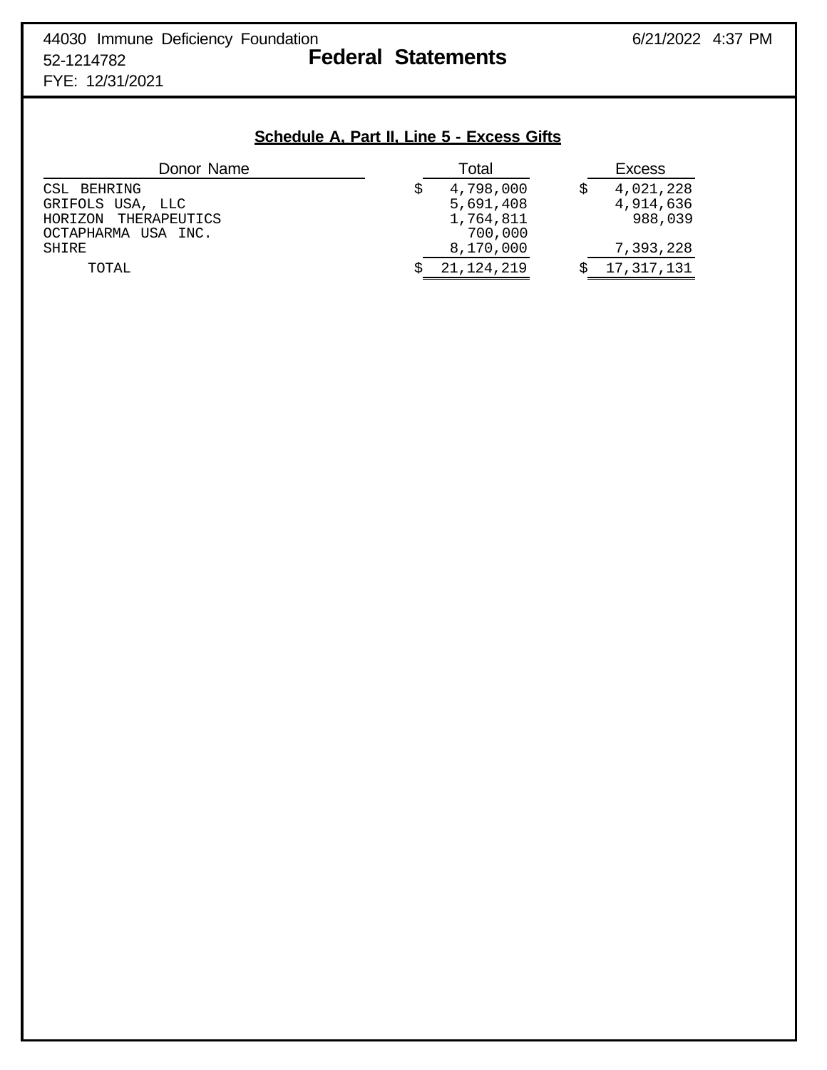# **Schedule A, Part II, Line 5 - Excess Gifts**

| Donor Name           | Total        | <b>Excess</b> |
|----------------------|--------------|---------------|
| CSL BEHRING          | 4,798,000    | 4,021,228     |
| GRIFOLS USA, LLC     | 5,691,408    | 4,914,636     |
| HORIZON THERAPEUTICS | 1,764,811    | 988,039       |
| OCTAPHARMA USA INC.  | 700,000      |               |
| SHIRE                | 8,170,000    | 7,393,228     |
| TOTAL                | 21, 124, 219 | 17,317,131    |